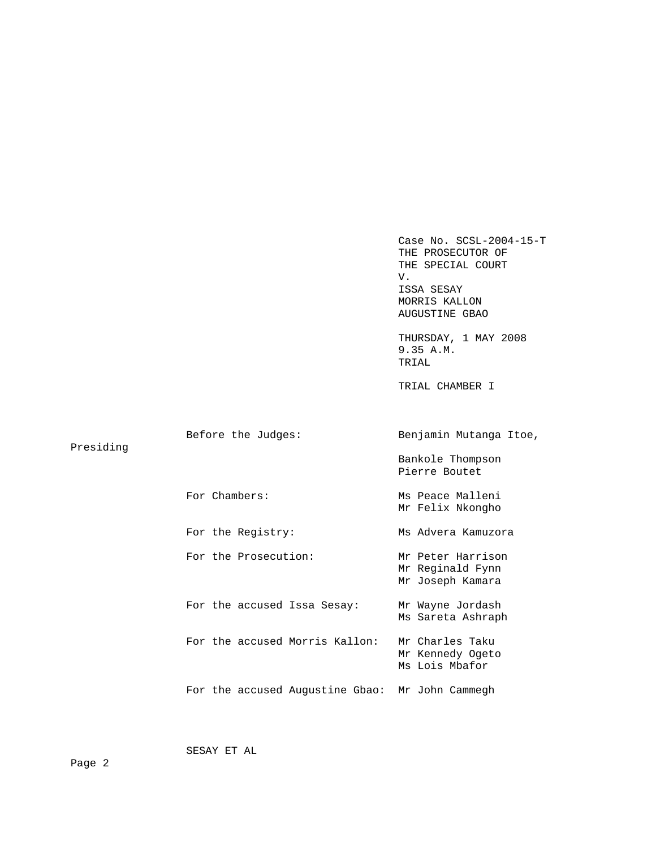Case No. SCSL-2004-15-T THE PROSECUTOR OF THE SPECIAL COURT V. ISSA SESAY MORRIS KALLON AUGUSTINE GBAO THURSDAY, 1 MAY 2008 9.35 A.M. TRIAL TRIAL CHAMBER I Before the Judges: Benjamin Mutanga Itoe, Presiding Bankole Thompson Pierre Boutet For Chambers: Ms Peace Malleni Mr Felix Nkongho For the Registry: Ms Advera Kamuzora For the Prosecution: Mr Peter Harrison Mr Reginald Fynn Mr Joseph Kamara For the accused Issa Sesay: Mr Wayne Jordash Ms Sareta Ashraph For the accused Morris Kallon: Mr Charles Taku Mr Kennedy Ogeto Ms Lois Mbafor For the accused Augustine Gbao: Mr John Cammegh

SESAY ET AL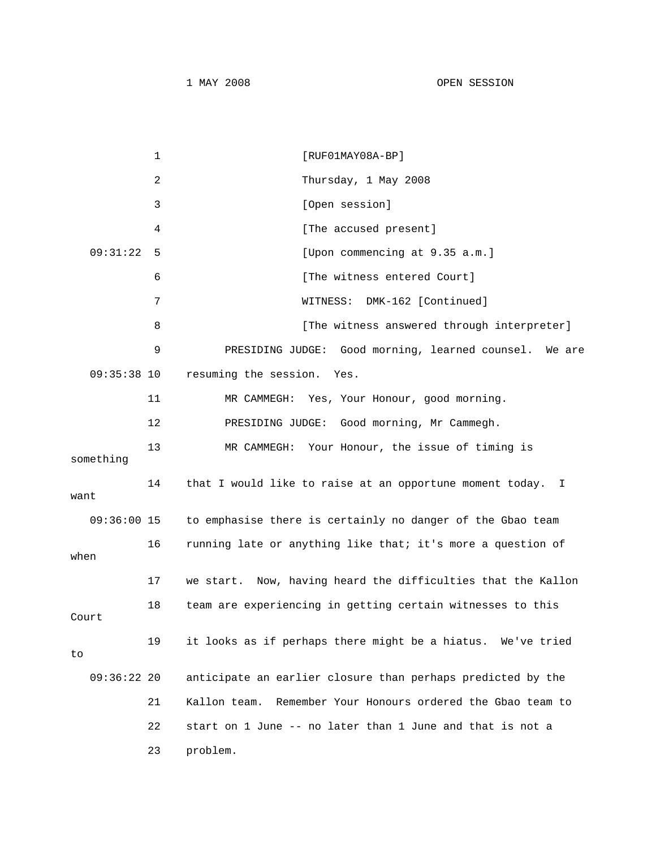|               | 1  | $[RUF01MAY08A-BP]$                                             |
|---------------|----|----------------------------------------------------------------|
|               | 2  | Thursday, 1 May 2008                                           |
|               | 3  | [Open session]                                                 |
|               | 4  | [The accused present]                                          |
| 09:31:22      | 5  | [Upon commencing at 9.35 a.m.]                                 |
|               | 6  | [The witness entered Court]                                    |
|               | 7  | DMK-162 [Continued]<br>WITNESS:                                |
|               | 8  | [The witness answered through interpreter]                     |
|               | 9  | PRESIDING JUDGE: Good morning, learned counsel. We are         |
| $09:35:38$ 10 |    | resuming the session.<br>Yes.                                  |
|               | 11 | MR CAMMEGH: Yes, Your Honour, good morning.                    |
|               | 12 | PRESIDING JUDGE: Good morning, Mr Cammegh.                     |
| something     | 13 | MR CAMMEGH: Your Honour, the issue of timing is                |
| want          | 14 | that I would like to raise at an opportune moment today. I     |
| $09:36:00$ 15 |    | to emphasise there is certainly no danger of the Gbao team     |
| when          | 16 | running late or anything like that; it's more a question of    |
|               | 17 | we start. Now, having heard the difficulties that the Kallon   |
| Court         | 18 | team are experiencing in getting certain witnesses to this     |
| to            | 19 | it looks as if perhaps there might be a hiatus. We've tried    |
| $09:36:22$ 20 |    | anticipate an earlier closure than perhaps predicted by the    |
|               | 21 | Remember Your Honours ordered the Gbao team to<br>Kallon team. |
|               | 22 | start on 1 June -- no later than 1 June and that is not a      |
|               | 23 | problem.                                                       |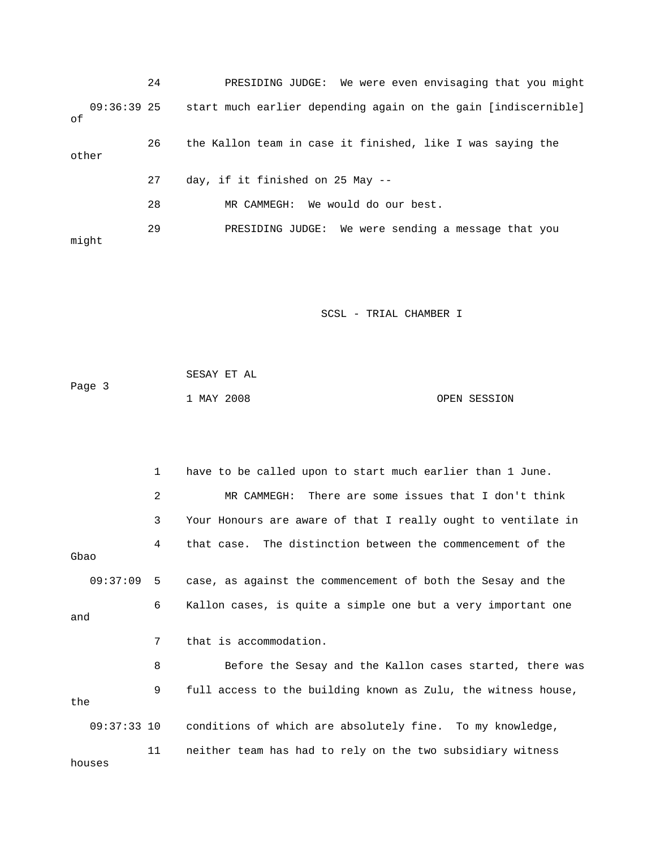24 PRESIDING JUDGE: We were even envisaging that you might 09:36:39 25 start much earlier depending again on the gain [indiscernible] of 26 the Kallon team in case it finished, like I was saying the other 27 day, if it finished on 25 May -- 28 MR CAMMEGH: We would do our best. 29 PRESIDING JUDGE: We were sending a message that you might

SCSL - TRIAL CHAMBER I

|        | SESAY ET AL |  |              |
|--------|-------------|--|--------------|
| Page 3 |             |  |              |
|        | 1 MAY 2008  |  | OPEN SESSION |

 1 have to be called upon to start much earlier than 1 June. 2 MR CAMMEGH: There are some issues that I don't think 3 Your Honours are aware of that I really ought to ventilate in 4 that case. The distinction between the commencement of the Gbao 09:37:09 5 case, as against the commencement of both the Sesay and the 6 Kallon cases, is quite a simple one but a very important one and 7 that is accommodation. 8 Before the Sesay and the Kallon cases started, there was 9 full access to the building known as Zulu, the witness house, the 09:37:33 10 conditions of which are absolutely fine. To my knowledge, 11 neither team has had to rely on the two subsidiary witness houses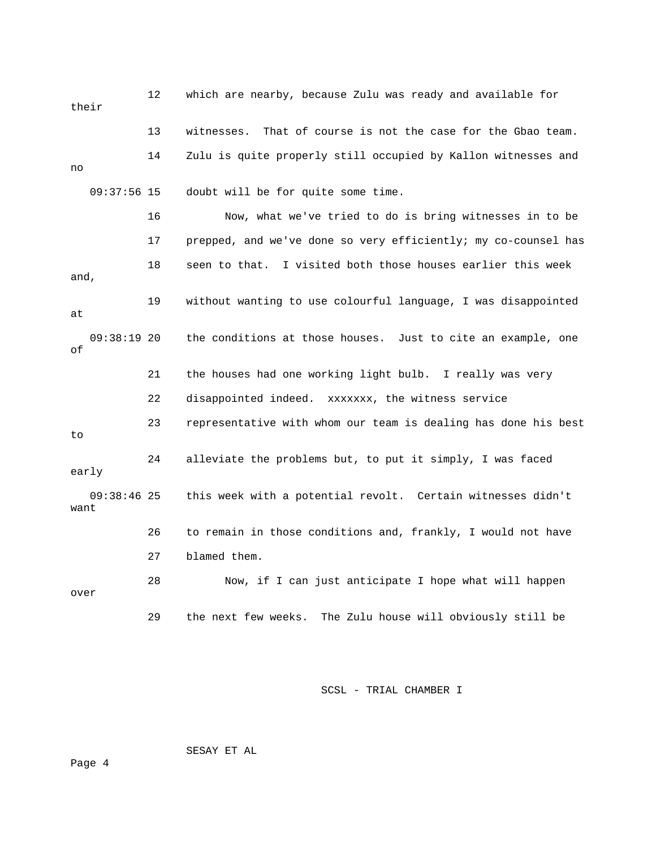12 which are nearby, because Zulu was ready and available for their 13 witnesses. That of course is not the case for the Gbao team. 14 Zulu is quite properly still occupied by Kallon witnesses and no 09:37:56 15 doubt will be for quite some time. 16 Now, what we've tried to do is bring witnesses in to be 17 prepped, and we've done so very efficiently; my co-counsel has 18 seen to that. I visited both those houses earlier this week and, 19 without wanting to use colourful language, I was disappointed at 09:38:19 20 the conditions at those houses. Just to cite an example, one of 21 the houses had one working light bulb. I really was very 22 disappointed indeed. xxxxxxx, the witness service 23 representative with whom our team is dealing has done his best to 24 alleviate the problems but, to put it simply, I was faced early 09:38:46 25 this week with a potential revolt. Certain witnesses didn't want 26 to remain in those conditions and, frankly, I would not have 27 blamed them. 28 Now, if I can just anticipate I hope what will happen over 29 the next few weeks. The Zulu house will obviously still be

SCSL - TRIAL CHAMBER I

SESAY ET AL

Page 4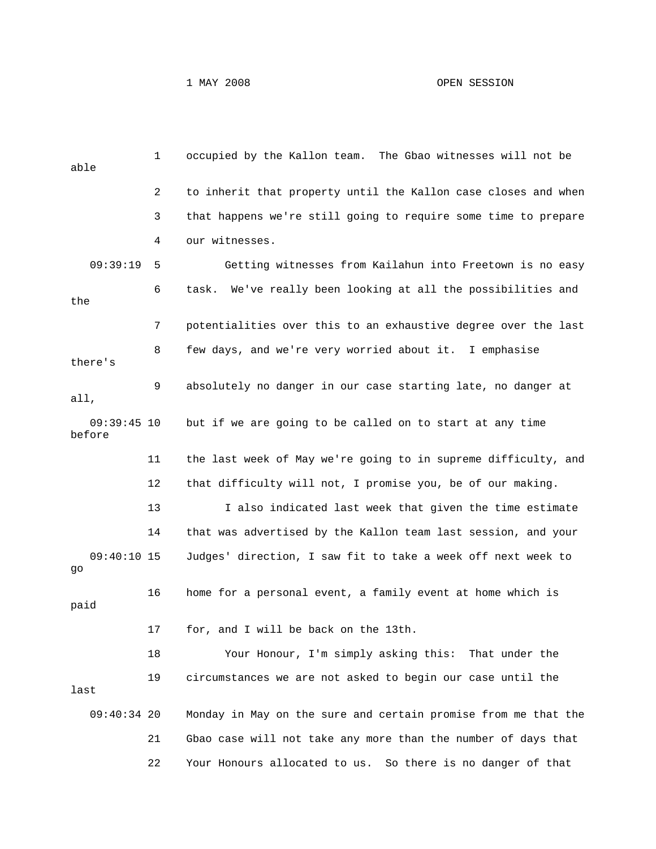## 1 MAY 2008 OPEN SESSION

| able                    | $\mathbf{1}$ | occupied by the Kallon team. The Gbao witnesses will not be    |
|-------------------------|--------------|----------------------------------------------------------------|
|                         | 2            | to inherit that property until the Kallon case closes and when |
|                         | 3            | that happens we're still going to require some time to prepare |
|                         | 4            | our witnesses.                                                 |
| 09:39:19                | 5            | Getting witnesses from Kailahun into Freetown is no easy       |
| the                     | 6            | task. We've really been looking at all the possibilities and   |
|                         | 7            | potentialities over this to an exhaustive degree over the last |
| there's                 | 8            | few days, and we're very worried about it. I emphasise         |
| all,                    | 9            | absolutely no danger in our case starting late, no danger at   |
| $09:39:45$ 10<br>before |              | but if we are going to be called on to start at any time       |
|                         | 11           | the last week of May we're going to in supreme difficulty, and |
|                         | 12           | that difficulty will not, I promise you, be of our making.     |
|                         | 13           | I also indicated last week that given the time estimate        |
|                         | 14           | that was advertised by the Kallon team last session, and your  |
| $09:40:10$ 15<br>go     |              | Judges' direction, I saw fit to take a week off next week to   |
| paid                    | 16           | home for a personal event, a family event at home which is     |
|                         | 17           | for, and I will be back on the 13th.                           |
|                         | 18           | Your Honour, I'm simply asking this: That under the            |
| last                    | 19           | circumstances we are not asked to begin our case until the     |
| $09:40:34$ 20           |              | Monday in May on the sure and certain promise from me that the |
|                         | 21           | Gbao case will not take any more than the number of days that  |
|                         | 22           | Your Honours allocated to us. So there is no danger of that    |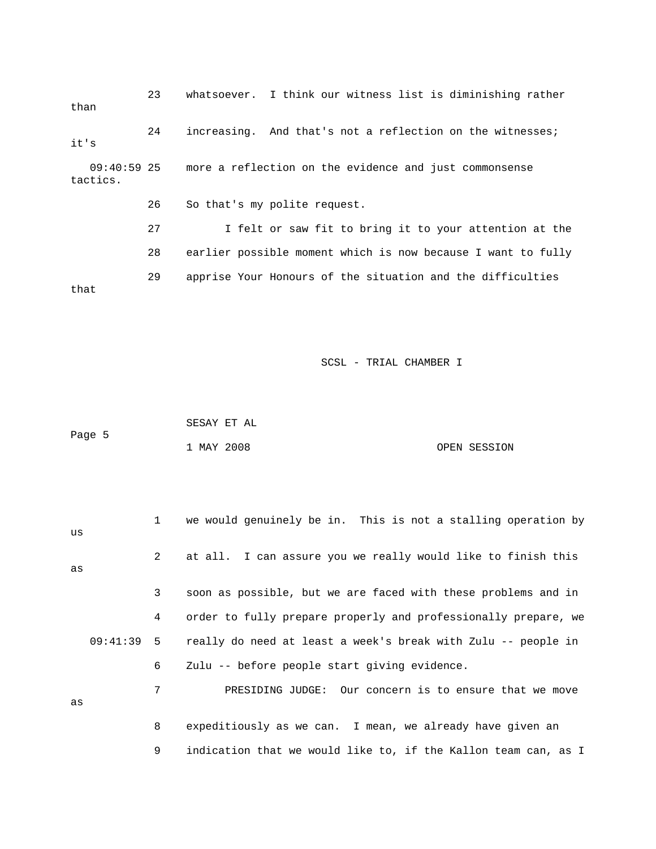23 whatsoever. I think our witness list is diminishing rather than 24 increasing. And that's not a reflection on the witnesses; it's 09:40:59 25 more a reflection on the evidence and just commonsense tactics. 26 So that's my polite request. 27 I felt or saw fit to bring it to your attention at the 28 earlier possible moment which is now because I want to fully 29 apprise Your Honours of the situation and the difficulties that

SCSL - TRIAL CHAMBER I

|        |            | SESAY ET AL |              |
|--------|------------|-------------|--------------|
| Page 5 |            |             |              |
|        | 1 MAY 2008 |             | OPEN SESSION |

| us |                 | 1 we would genuinely be in. This is not a stalling operation by            |
|----|-----------------|----------------------------------------------------------------------------|
| as | $\overline{2}$  | at all. I can assure you we really would like to finish this               |
|    | $\mathbf{3}$    | soon as possible, but we are faced with these problems and in              |
|    | $4\overline{ }$ | order to fully prepare properly and professionally prepare, we             |
|    |                 | $09:41:39$ 5 really do need at least a week's break with Zulu -- people in |
|    | 6               | Zulu -- before people start giving evidence.                               |
| as | 7               | PRESIDING JUDGE: Our concern is to ensure that we move                     |
|    | 8               | expeditiously as we can. I mean, we already have given an                  |

9 indication that we would like to, if the Kallon team can, as I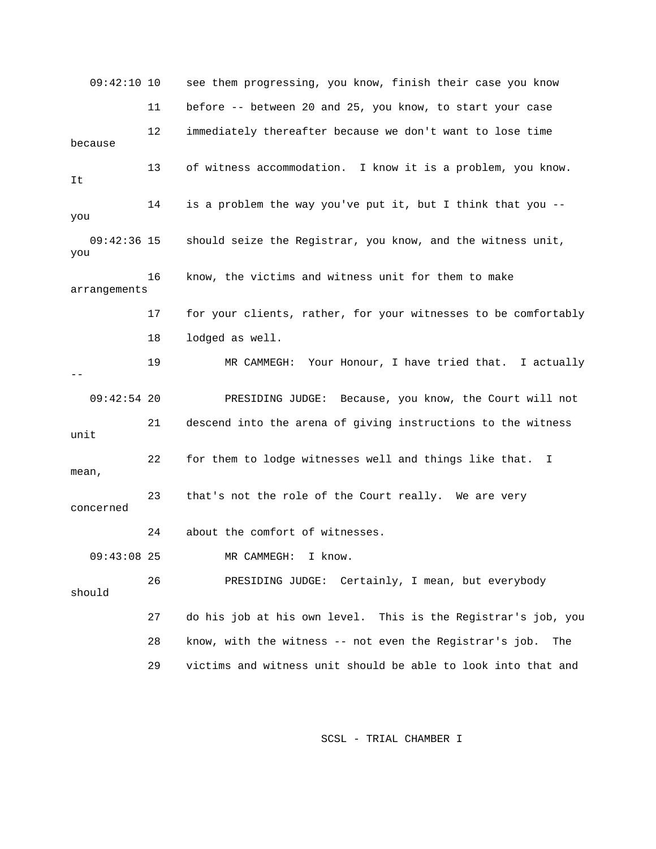09:42:10 10 see them progressing, you know, finish their case you know 11 before -- between 20 and 25, you know, to start your case 12 immediately thereafter because we don't want to lose time because 13 of witness accommodation. I know it is a problem, you know. It 14 is a problem the way you've put it, but I think that you - you 09:42:36 15 should seize the Registrar, you know, and the witness unit, you 16 know, the victims and witness unit for them to make arrangements 17 for your clients, rather, for your witnesses to be comfortably 18 lodged as well. 19 MR CAMMEGH: Your Honour, I have tried that. I actually -- 09:42:54 20 PRESIDING JUDGE: Because, you know, the Court will not 21 descend into the arena of giving instructions to the witness unit 22 for them to lodge witnesses well and things like that. I mean, 23 that's not the role of the Court really. We are very concerned 24 about the comfort of witnesses. 09:43:08 25 MR CAMMEGH: I know. 26 PRESIDING JUDGE: Certainly, I mean, but everybody should 27 do his job at his own level. This is the Registrar's job, you 28 know, with the witness -- not even the Registrar's job. The 29 victims and witness unit should be able to look into that and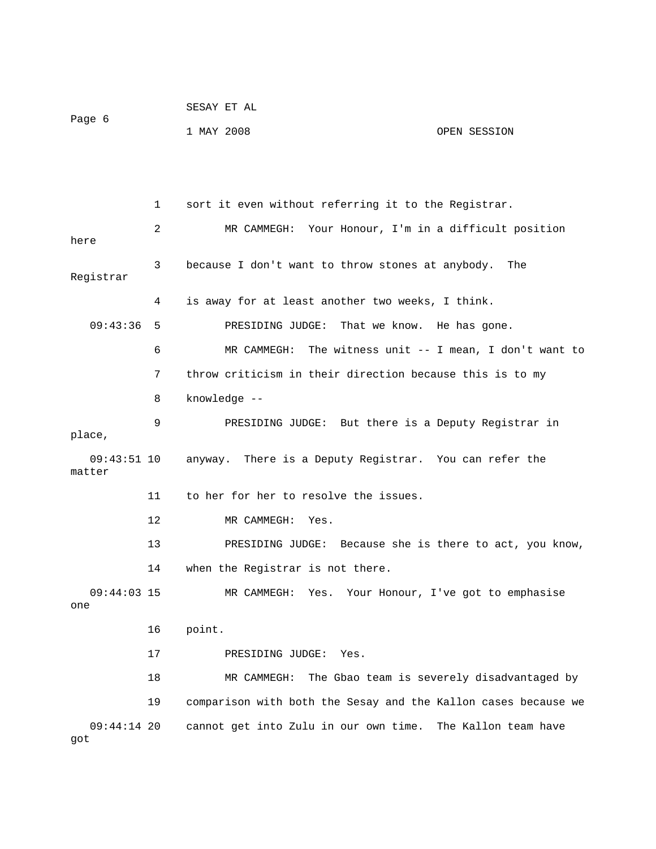|        | SESAY ET AL |  |              |
|--------|-------------|--|--------------|
| Page 6 |             |  |              |
|        | 1 MAY 2008  |  | OPEN SESSION |

 1 sort it even without referring it to the Registrar. 2 MR CAMMEGH: Your Honour, I'm in a difficult position here 3 because I don't want to throw stones at anybody. The Registrar 4 is away for at least another two weeks, I think. 09:43:36 5 PRESIDING JUDGE: That we know. He has gone. 6 MR CAMMEGH: The witness unit -- I mean, I don't want to 7 throw criticism in their direction because this is to my 8 knowledge -- 9 PRESIDING JUDGE: But there is a Deputy Registrar in place, 09:43:51 10 anyway. There is a Deputy Registrar. You can refer the matter 11 to her for her to resolve the issues. 12 MR CAMMEGH: Yes. 13 PRESIDING JUDGE: Because she is there to act, you know, 14 when the Registrar is not there. 09:44:03 15 MR CAMMEGH: Yes. Your Honour, I've got to emphasise one 16 point. 17 PRESIDING JUDGE: Yes. 18 MR CAMMEGH: The Gbao team is severely disadvantaged by 19 comparison with both the Sesay and the Kallon cases because we 09:44:14 20 cannot get into Zulu in our own time. The Kallon team have got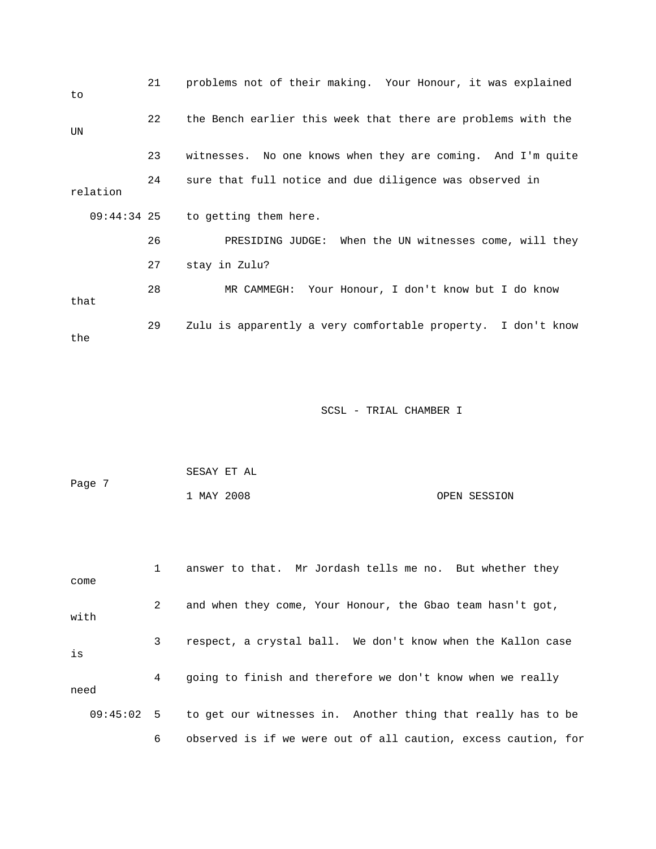| to            | 21 | problems not of their making. Your Honour, it was explained  |
|---------------|----|--------------------------------------------------------------|
| UN            | 22 | the Bench earlier this week that there are problems with the |
|               | 23 | witnesses. No one knows when they are coming. And I'm quite  |
| relation      | 24 | sure that full notice and due diligence was observed in      |
| $09:44:34$ 25 |    | to getting them here.                                        |
|               | 26 | PRESIDING JUDGE: When the UN witnesses come, will they       |
|               | 27 | stay in Zulu?                                                |
| that          | 28 | MR CAMMEGH: Your Honour, I don't know but I do know          |
| the           | 29 | Zulu is apparently a very comfortable property. I don't know |

|        | SESAY ET AL |              |
|--------|-------------|--------------|
| Page 7 |             |              |
|        | 1 MAY 2008  | OPEN SESSION |

 1 answer to that. Mr Jordash tells me no. But whether they come 2 and when they come, Your Honour, the Gbao team hasn't got, with 3 respect, a crystal ball. We don't know when the Kallon case is 4 going to finish and therefore we don't know when we really need 09:45:02 5 to get our witnesses in. Another thing that really has to be 6 observed is if we were out of all caution, excess caution, for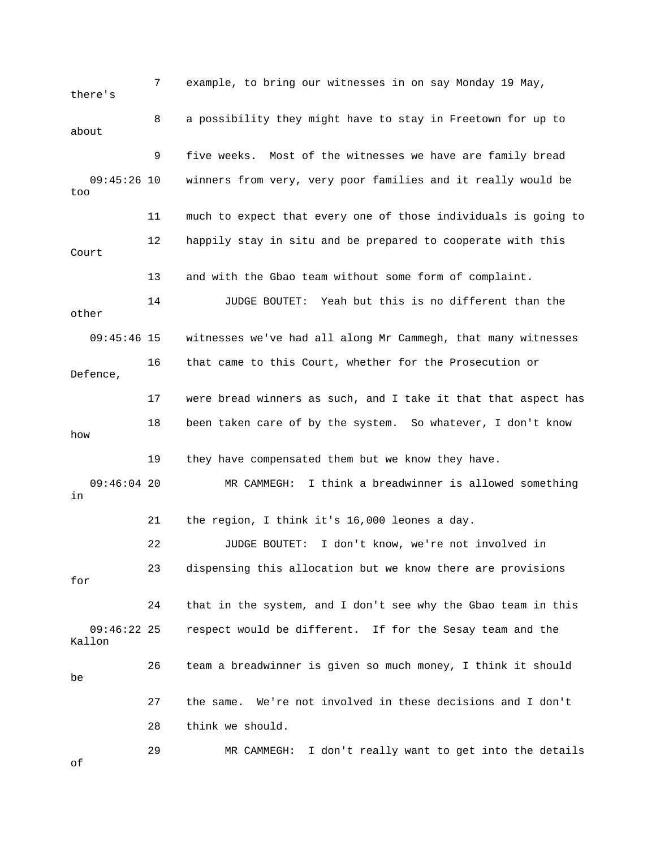7 example, to bring our witnesses in on say Monday 19 May, there's 8 a possibility they might have to stay in Freetown for up to about 9 five weeks. Most of the witnesses we have are family bread 09:45:26 10 winners from very, very poor families and it really would be too 11 much to expect that every one of those individuals is going to 12 happily stay in situ and be prepared to cooperate with this Court 13 and with the Gbao team without some form of complaint. 14 JUDGE BOUTET: Yeah but this is no different than the other 09:45:46 15 witnesses we've had all along Mr Cammegh, that many witnesses 16 that came to this Court, whether for the Prosecution or Defence, 17 were bread winners as such, and I take it that that aspect has 18 been taken care of by the system. So whatever, I don't know how 19 they have compensated them but we know they have. 09:46:04 20 MR CAMMEGH: I think a breadwinner is allowed something in 21 the region, I think it's 16,000 leones a day. 22 JUDGE BOUTET: I don't know, we're not involved in 23 dispensing this allocation but we know there are provisions 24 that in the system, and I don't see why the Gbao team in this 09:46:22 25 respect would be different. If for the Sesay team and the 26 team a breadwinner is given so much money, I think it should 27 the same. We're not involved in these decisions and I don't 29 MR CAMMEGH: I don't really want to get into the details of for Kallon be 28 think we should.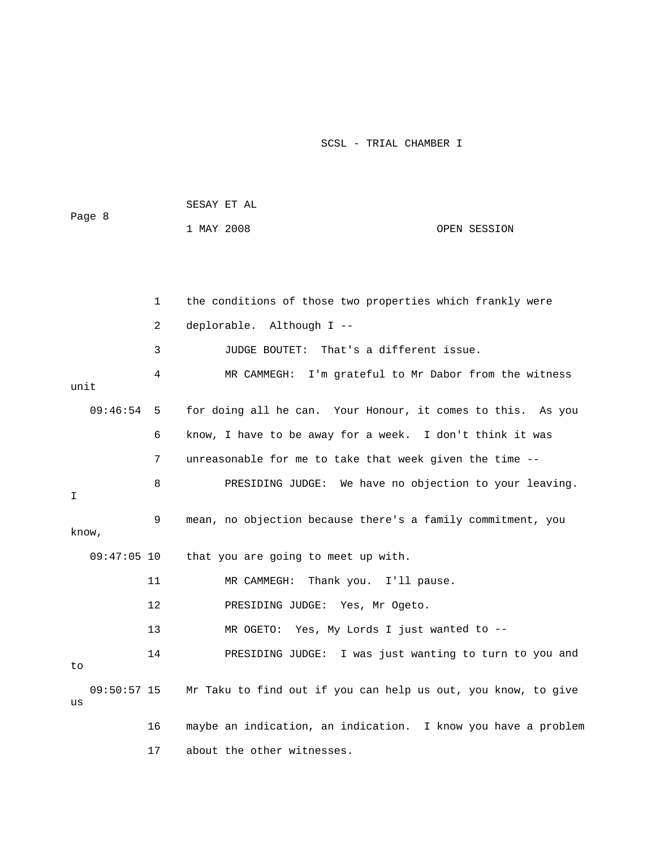| Page 8 |               |             | SESAY ET AL                                                   |              |  |
|--------|---------------|-------------|---------------------------------------------------------------|--------------|--|
|        |               |             | 1 MAY 2008                                                    | OPEN SESSION |  |
|        |               |             |                                                               |              |  |
|        |               |             |                                                               |              |  |
|        |               | $\mathbf 1$ | the conditions of those two properties which frankly were     |              |  |
|        |               | 2           | deplorable. Although I --                                     |              |  |
|        |               | 3           | JUDGE BOUTET: That's a different issue.                       |              |  |
| unit   |               | 4           | MR CAMMEGH: I'm grateful to Mr Dabor from the witness         |              |  |
|        | 09:46:54      | 5           | for doing all he can. Your Honour, it comes to this. As you   |              |  |
|        |               | 6           | know, I have to be away for a week. I don't think it was      |              |  |
|        |               | 7           | unreasonable for me to take that week given the time --       |              |  |
| I      |               | 8           | PRESIDING JUDGE: We have no objection to your leaving.        |              |  |
| know,  |               | 9           | mean, no objection because there's a family commitment, you   |              |  |
|        | $09:47:05$ 10 |             | that you are going to meet up with.                           |              |  |
|        |               | 11          | Thank you. I'll pause.<br>MR CAMMEGH:                         |              |  |
|        |               | 12          | PRESIDING JUDGE: Yes, Mr Ogeto.                               |              |  |
|        |               | 13          | Yes, My Lords I just wanted to --<br>MR OGETO:                |              |  |
| to     |               | 14          | PRESIDING JUDGE: I was just wanting to turn to you and        |              |  |
| us     | 09:50:57 15   |             | Mr Taku to find out if you can help us out, you know, to give |              |  |
|        |               | 16          | maybe an indication, an indication. I know you have a problem |              |  |
|        |               | 17          | about the other witnesses.                                    |              |  |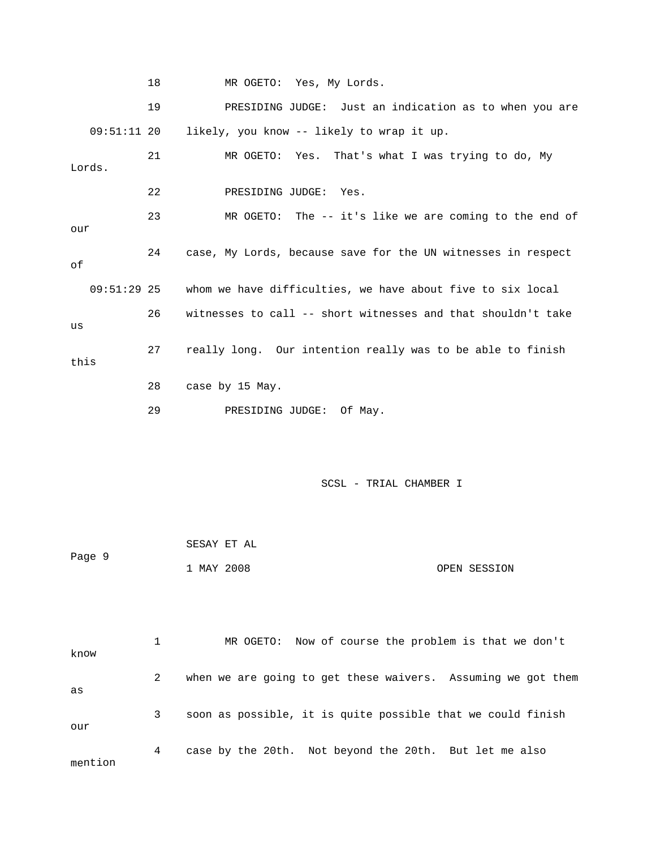18 MR OGETO: Yes, My Lords.

19 PRESIDING JUDGE: Just an indication as to when you are 21 MR OGETO: Yes. That's what I was trying to do, My 22 PRESIDING JUDGE: Yes. 23 MR OGETO: The -- it's like we are coming to the end of our 24 case, My Lords, because save for the UN witnesses in respect whom we have difficulties, we have about five to six local 27 really long. Our intention really was to be able to finish this 28 case by 15 May. 29 PRESIDING JUDGE: Of May. 09:51:11 20 likely, you know -- likely to wrap it up. Lords. of  $09:51:29$  25 26 witnesses to call -- short witnesses and that shouldn't take us

| Page 9 | SESAY ET AL |              |
|--------|-------------|--------------|
|        | 1 MAY 2008  | OPEN SESSION |

| know    |   | MR OGETO: Now of course the problem is that we don't         |
|---------|---|--------------------------------------------------------------|
| as      | 2 | when we are going to get these waivers. Assuming we got them |
| our     | 3 | soon as possible, it is quite possible that we could finish  |
| mention | 4 | case by the 20th. Not beyond the 20th. But let me also       |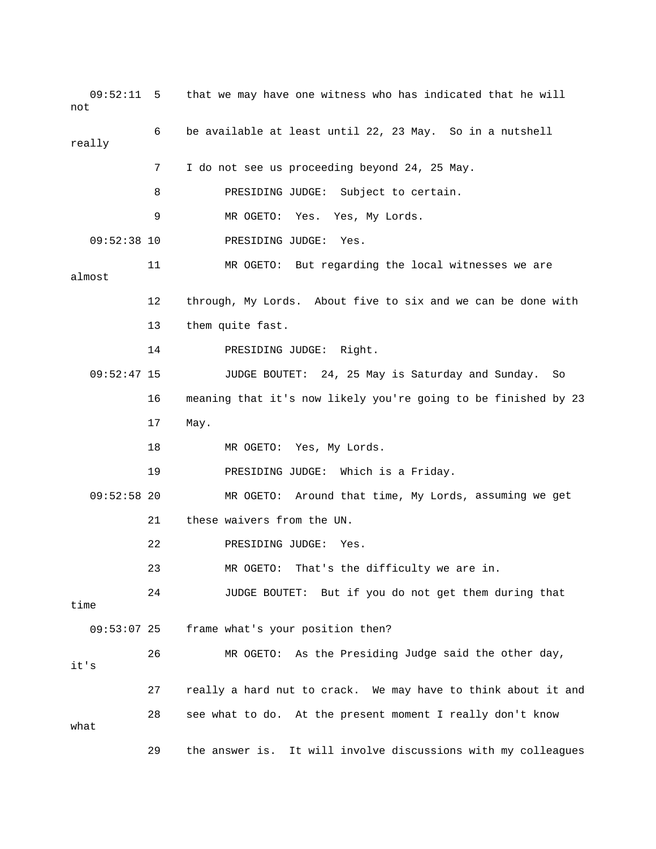09:52:11 5 that we may have one witness who has indicated that he will not 6 be available at least until 22, 23 May. So in a nutshell really 7 I do not see us proceeding beyond 24, 25 May. 11 MR OGETO: But regarding the local witnesses we are 12 through, My Lords. About five to six and we can be done with 14 PRESIDING JUDGE: Right. 09:52:47 15 JUDGE BOUTET: 24, 25 May is Saturday and Sunday. So 16 meaning that it's now likely you're going to be finished by 23 MR OGETO: Yes, My Lords. 19 **PRESIDING JUDGE:** Which is a Friday. 09:52:58 20 MR OGETO: Around that time, My Lords, assuming we get 23 MR OGETO: That's the difficulty we are in. 24 JUDGE BOUTET: But if you do not get them during that frame what's your position then? 26 MR OGETO: As the Presiding Judge said the other day, it's 27 really a hard nut to crack. We may have to think about it and 29 the answer is. It will involve discussions with my colleagues 8 PRESIDING JUDGE: Subject to certain. 9 MR OGETO: Yes. Yes, My Lords. 09:52:38 10 PRESIDING JUDGE: Yes. almost 13 them quite fast. 17 May. 18 21 these waivers from the UN. 22 PRESIDING JUDGE: Yes. time  $09:53:07$  25 28 see what to do. At the present moment I really don't know what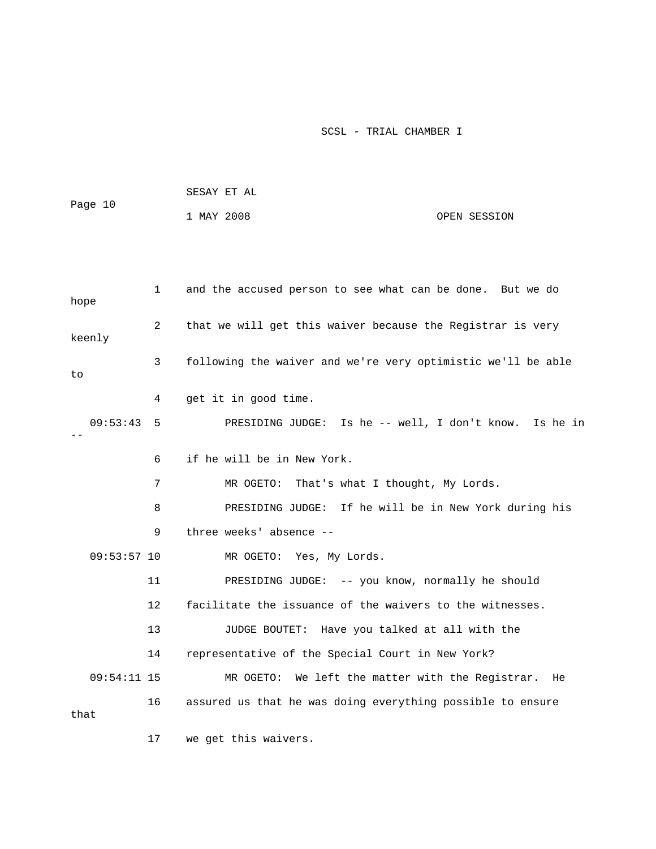| Page 10       |    | SESAY ET AL                                                  |              |  |
|---------------|----|--------------------------------------------------------------|--------------|--|
|               |    | 1 MAY 2008                                                   | OPEN SESSION |  |
|               |    |                                                              |              |  |
|               |    |                                                              |              |  |
| hope          | 1  | and the accused person to see what can be done. But we do    |              |  |
| keenly        | 2  | that we will get this waiver because the Registrar is very   |              |  |
| to            | 3  | following the waiver and we're very optimistic we'll be able |              |  |
|               | 4  | get it in good time.                                         |              |  |
| 09:53:43      | 5  | PRESIDING JUDGE: Is he -- well, I don't know. Is he in       |              |  |
|               | 6  | if he will be in New York.                                   |              |  |
|               | 7  | That's what I thought, My Lords.<br>MR OGETO:                |              |  |
|               | 8  | PRESIDING JUDGE: If he will be in New York during his        |              |  |
|               | 9  | three weeks' absence --                                      |              |  |
| $09:53:57$ 10 |    | MR OGETO: Yes, My Lords.                                     |              |  |
|               | 11 | PRESIDING JUDGE: -- you know, normally he should             |              |  |
|               | 12 | facilitate the issuance of the waivers to the witnesses.     |              |  |
|               | 13 | JUDGE BOUTET: Have you talked at all with the                |              |  |
|               | 14 | representative of the Special Court in New York?             |              |  |
| $09:54:11$ 15 |    | MR OGETO: We left the matter with the Registrar. He          |              |  |
| that          | 16 | assured us that he was doing everything possible to ensure   |              |  |
|               | 17 | we get this waivers.                                         |              |  |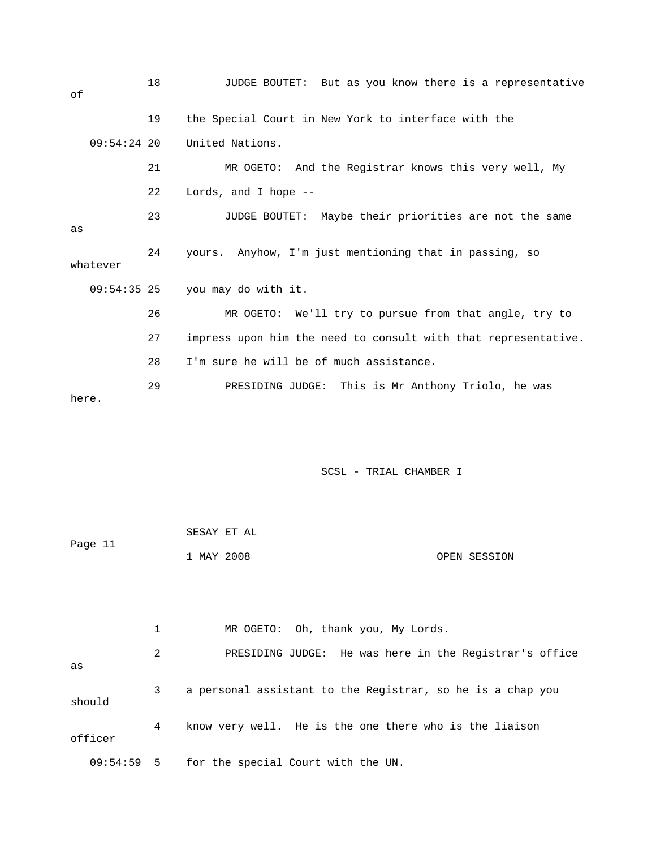18 JUDGE BOUTET: But as you know there is a representative 19 the Special Court in New York to interface with the 09:54:24 20 United Nations. 22 Lords, and I hope -- 23 JUDGE BOUTET: Maybe their priorities are not the same 24 yours. Anyhow, I'm just mentioning that in passing, so 09:54:35 25 you may do with it. 27 impress upon him the need to consult with that representative. 28 I'm sure he will be of much assistance. of 21 MR OGETO: And the Registrar knows this very well, My as whatever 26 MR OGETO: We'll try to pursue from that angle, try to 29 PRESIDING JUDGE: This is Mr Anthony Triolo, he was here.

#### SCSL - TRIAL CHAMBER I

|         | SESAY ET AL |              |
|---------|-------------|--------------|
| Page 11 |             |              |
|         | 1 MAY 2008  | OPEN SESSION |

 1 MR OGETO: Oh, thank you, My Lords. 2 PRESIDING JUDGE: He was here in the Registrar's office 3 a personal assistant to the Registrar, so he is a chap you 09:54:59 5 for the special Court with the UN. as should 4 know very well. He is the one there who is the liaison officer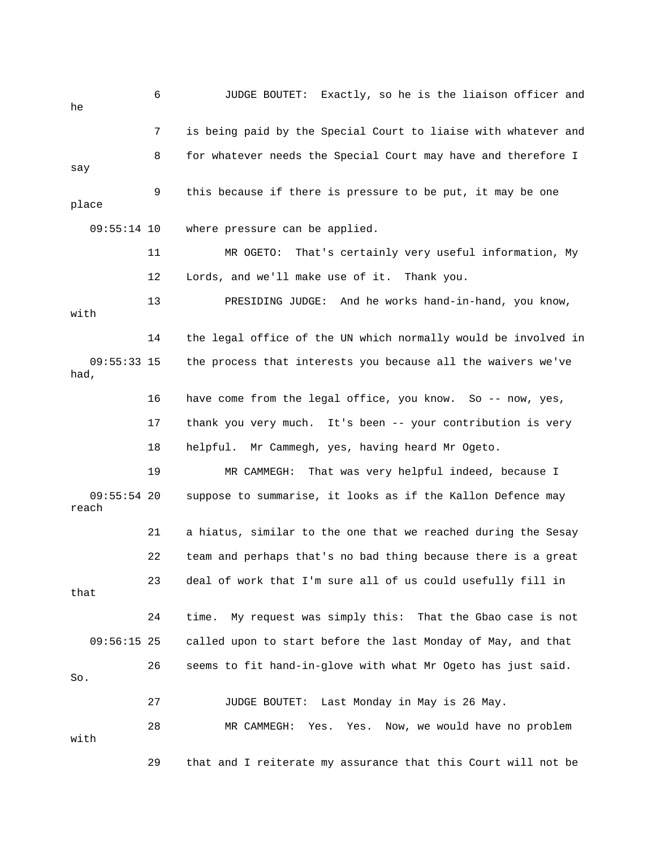6 JUDGE BOUTET: Exactly, so he is the liaison officer and he 7 is being paid by the Special Court to liaise with whatever and 8 for whatever needs the Special Court may have and therefore I 9 this because if there is pressure to be put, it may be one 09:55:14 10 where pressure can be applied. 11 MR OGETO: That's certainly very useful information, My 13 PRESIDING JUDGE: And he works hand-in-hand, you know, 14 the legal office of the UN which normally would be involved in 09:55:33 15 the process that interests you because all the waivers we've 16 have come from the legal office, you know. So -- now, yes, 18 helpful. Mr Cammegh, yes, having heard Mr Ogeto. 19 MR CAMMEGH: That was very helpful indeed, because I 21 a hiatus, similar to the one that we reached during the Sesay 22 team and perhaps that's no bad thing because there is a great 23 deal of work that I'm sure all of us could usefully fill in 24 time. My request was simply this: That the Gbao case is not 26 seems to fit hand-in-glove with what Mr Ogeto has just said. 27 JUDGE BOUTET: Last Monday in May is 26 May. 29 that and I reiterate my assurance that this Court will not be say place 12 Lords, and we'll make use of it. Thank you. with had, 17 thank you very much. It's been -- your contribution is very 09:55:54 20 suppose to summarise, it looks as if the Kallon Defence may reach that 09:56:15 25 called upon to start before the last Monday of May, and that So. 28 MR CAMMEGH: Yes. Yes. Now, we would have no problem with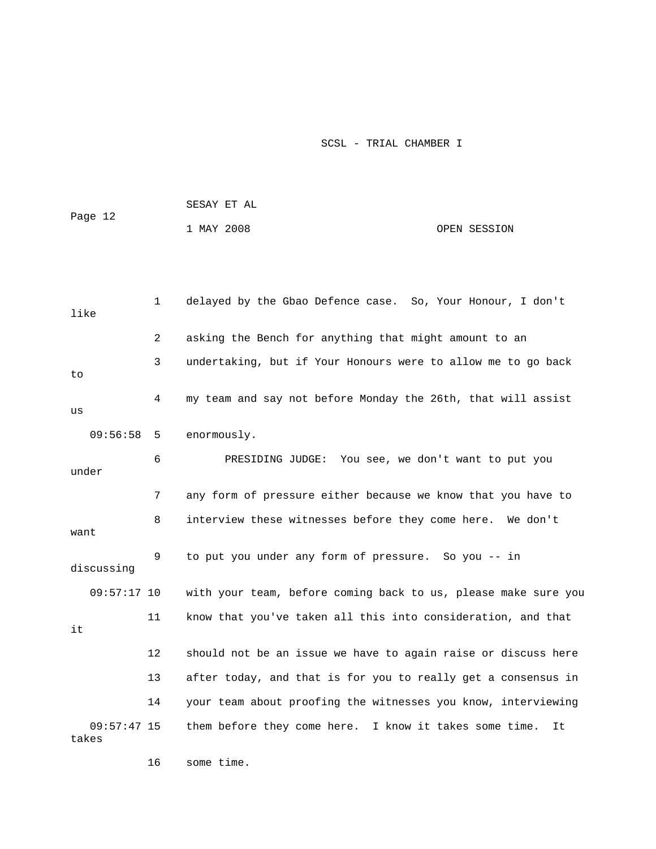|         | SESAY ET AL |              |
|---------|-------------|--------------|
| Page 12 | 1 MAY 2008  | OPEN SESSION |
|         |             |              |

| like                   | 1              | delayed by the Gbao Defence case. So, Your Honour, I don't     |
|------------------------|----------------|----------------------------------------------------------------|
|                        | $\overline{2}$ | asking the Bench for anything that might amount to an          |
| to                     | 3              | undertaking, but if Your Honours were to allow me to go back   |
| us                     | 4              | my team and say not before Monday the 26th, that will assist   |
| 09:56:58               | -5             | enormously.                                                    |
| under                  | 6              | PRESIDING JUDGE:<br>You see, we don't want to put you          |
|                        | 7              | any form of pressure either because we know that you have to   |
| want                   | 8              | interview these witnesses before they come here. We don't      |
| discussing             | 9              | to put you under any form of pressure. So you -- in            |
| $09:57:17$ 10          |                | with your team, before coming back to us, please make sure you |
| it                     | 11             | know that you've taken all this into consideration, and that   |
|                        | 12             | should not be an issue we have to again raise or discuss here  |
|                        | 13             | after today, and that is for you to really get a consensus in  |
|                        | 14             | your team about proofing the witnesses you know, interviewing  |
| $09:57:47$ 15<br>takes |                | them before they come here. I know it takes some time.<br>It   |

16 some time.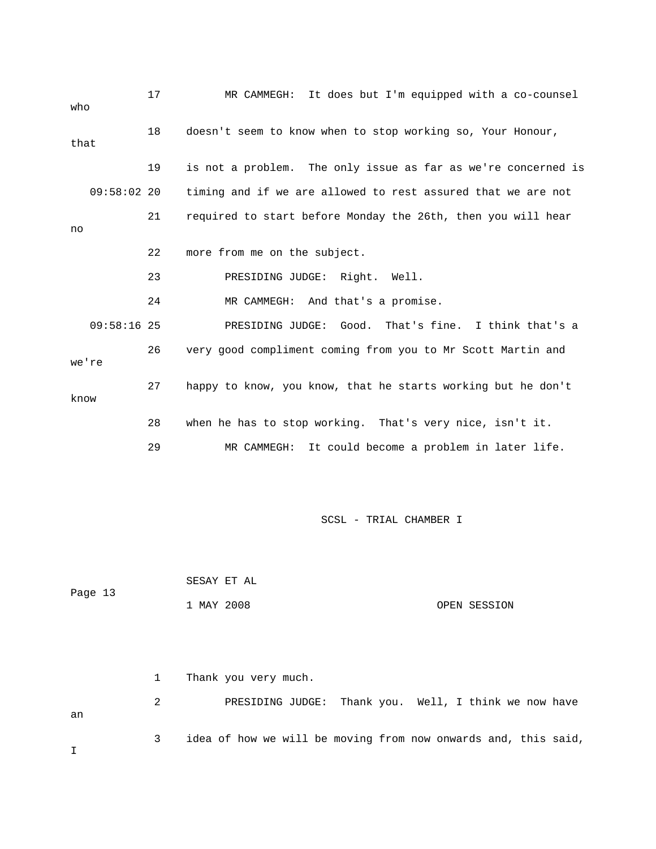| who   |               | 17 | It does but I'm equipped with a co-counsel<br>MR CAMMEGH:     |
|-------|---------------|----|---------------------------------------------------------------|
| that  |               | 18 | doesn't seem to know when to stop working so, Your Honour,    |
|       |               | 19 | is not a problem. The only issue as far as we're concerned is |
|       | 09:58:0220    |    | timing and if we are allowed to rest assured that we are not  |
| no    |               | 21 | required to start before Monday the 26th, then you will hear  |
|       |               | 22 | more from me on the subject.                                  |
|       |               | 23 | PRESIDING JUDGE: Right.<br>Well.                              |
|       |               | 24 | MR CAMMEGH: And that's a promise.                             |
|       | $09:58:16$ 25 |    | PRESIDING JUDGE: Good. That's fine. I think that's a          |
| we're |               | 26 | very good compliment coming from you to Mr Scott Martin and   |
| know  |               | 27 | happy to know, you know, that he starts working but he don't  |
|       |               | 28 | when he has to stop working. That's very nice, isn't it.      |
|       |               | 29 | It could become a problem in later life.<br>MR CAMMEGH:       |

| Page 13 | SESAY ET AL |  |              |
|---------|-------------|--|--------------|
|         | 1 MAY 2008  |  | OPEN SESSION |

 1 Thank you very much. 2 PRESIDING JUDGE: Thank you. Well, I think we now have 3 idea of how we will be moving from now onwards and, this said, an I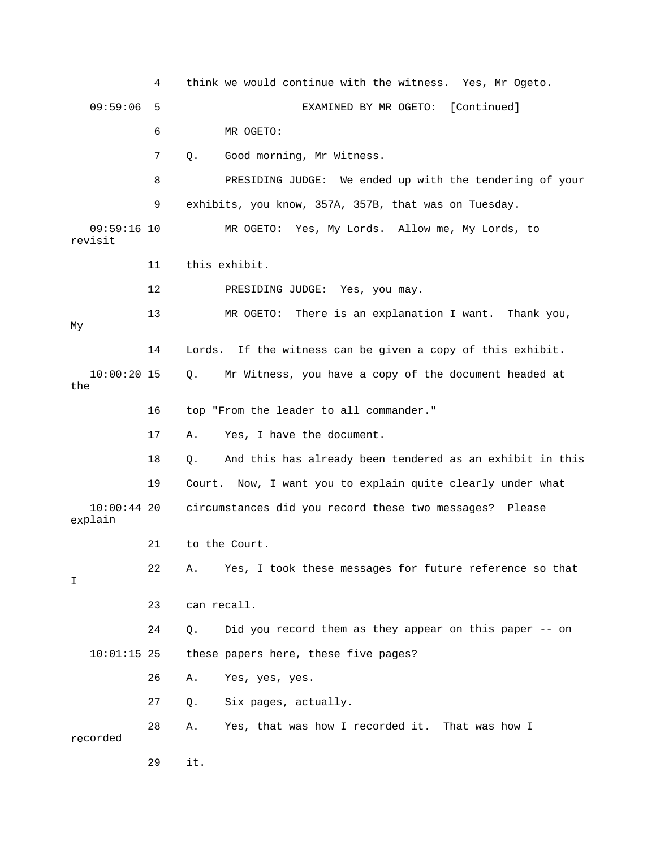4 think we would continue with the witness. Yes, Mr Ogeto. 09:59:06 5 EXAMINED BY MR OGETO: [Continued] 7 Q. Good morning, Mr Witness. 8 PRESIDING JUDGE: We ended up with the tendering of your 09:59:16 10 MR OGETO: Yes, My Lords. Allow me, My Lords, to 11 this exhibit. 12 PRESIDING JUDGE: Yes, you may. 13 MR OGETO: There is an explanation I want. Thank you, 14 Lords. If the witness can be given a copy of this exhibit. 16 top "From the leader to all commander." 18 Q. And this has already been tendered as an exhibit in this explain 21 to the Court. 22 A. Yes, I took these messages for future reference so that 24 Q. Did you record them as they appear on this paper -- on 27 Q. Six pages, actually. 28 A. Yes, that was how I recorded it. That was how I recorded 29 it. 6 MR OGETO: 9 exhibits, you know, 357A, 357B, that was on Tuesday. revisit My 10:00:20 15 Q. Mr Witness, you have a copy of the document headed at the 17 A. Yes, I have the document. 19 Court. Now, I want you to explain quite clearly under what 10:00:44 20 circumstances did you record these two messages? Please T. 23 can recall. 10:01:15 25 these papers here, these five pages? 26 A. Yes, yes, yes.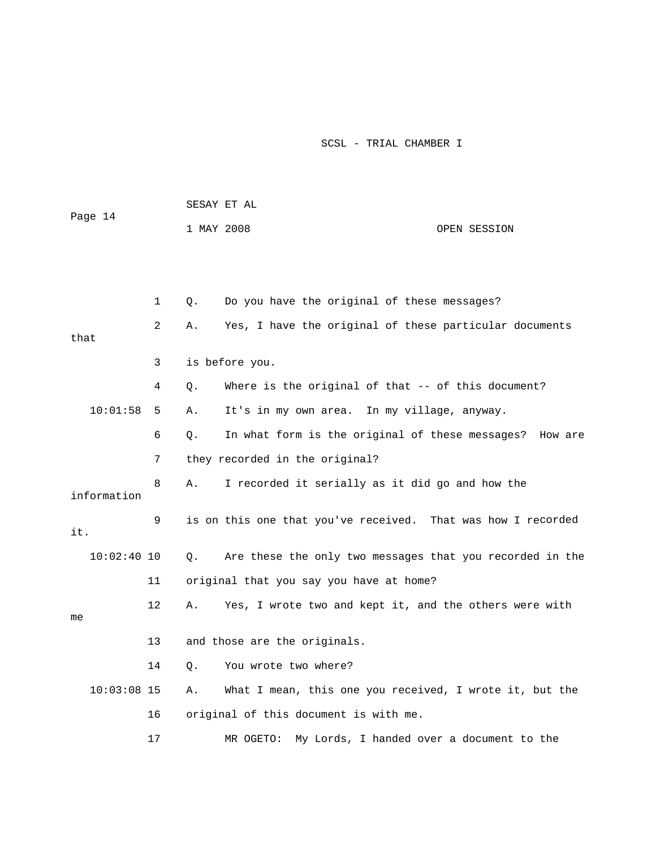|               |                   |            | SESAY ET AL                                                  |  |
|---------------|-------------------|------------|--------------------------------------------------------------|--|
| Page 14       |                   | 1 MAY 2008 | OPEN SESSION                                                 |  |
|               |                   |            |                                                              |  |
|               |                   |            |                                                              |  |
|               | $\mathbf 1$       | Q.         | Do you have the original of these messages?                  |  |
| that          | 2                 | Α.         | Yes, I have the original of these particular documents       |  |
|               | 3                 |            | is before you.                                               |  |
|               | 4                 | О.         | Where is the original of that -- of this document?           |  |
| 10:01:58      | 5                 | Α.         | It's in my own area. In my village, anyway.                  |  |
|               | 6                 | Q.         | In what form is the original of these messages? How are      |  |
|               | 7                 |            | they recorded in the original?                               |  |
| information   | 8                 | Α.         | I recorded it serially as it did go and how the              |  |
| it.           | 9                 |            | is on this one that you've received. That was how I recorded |  |
| $10:02:40$ 10 |                   | О.         | Are these the only two messages that you recorded in the     |  |
|               | 11                |            | original that you say you have at home?                      |  |
| me            | $12 \overline{ }$ | Α.         | Yes, I wrote two and kept it, and the others were with       |  |
|               | 13                |            | and those are the originals.                                 |  |
|               | 14                | Q.         | You wrote two where?                                         |  |
| $10:03:08$ 15 |                   | Α.         | What I mean, this one you received, I wrote it, but the      |  |
|               | 16                |            | original of this document is with me.                        |  |
|               | 17                |            | My Lords, I handed over a document to the<br>MR OGETO:       |  |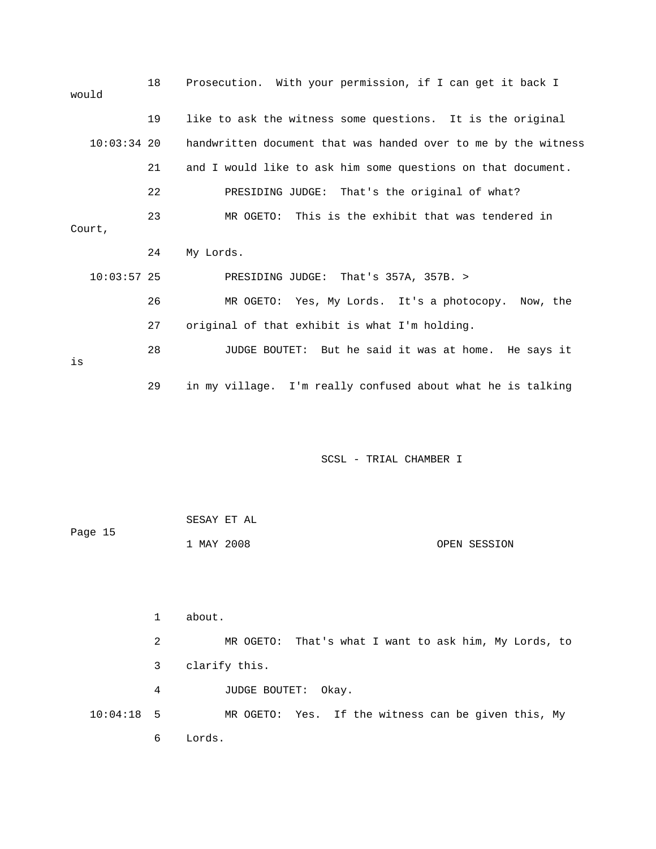| would         | 18 | Prosecution. With your permission, if I can get it back I      |
|---------------|----|----------------------------------------------------------------|
|               | 19 | like to ask the witness some questions. It is the original     |
| $10:03:34$ 20 |    | handwritten document that was handed over to me by the witness |
|               | 21 | and I would like to ask him some questions on that document.   |
|               | 22 | PRESIDING JUDGE: That's the original of what?                  |
| Court,        | 23 | MR OGETO: This is the exhibit that was tendered in             |
|               | 24 | My Lords.                                                      |
| $10:03:57$ 25 |    | PRESIDING JUDGE: That's 357A, 357B. >                          |
|               | 26 | MR OGETO: Yes, My Lords. It's a photocopy. Now, the            |
|               | 27 | original of that exhibit is what I'm holding.                  |
| is            | 28 | JUDGE BOUTET: But he said it was at home. He says it           |
|               | 29 | in my village. I'm really confused about what he is talking    |

|         | SESAY ET AL |              |
|---------|-------------|--------------|
| Page 15 |             |              |
|         | 1 MAY 2008  | OPEN SESSION |

 1 about. 2 MR OGETO: That's what I want to ask him, My Lords, to 3 clarify this. 4 JUDGE BOUTET: Okay. MR OGETO: Yes. If the witness can be given this, My 6 Lords.  $10:04:18$  5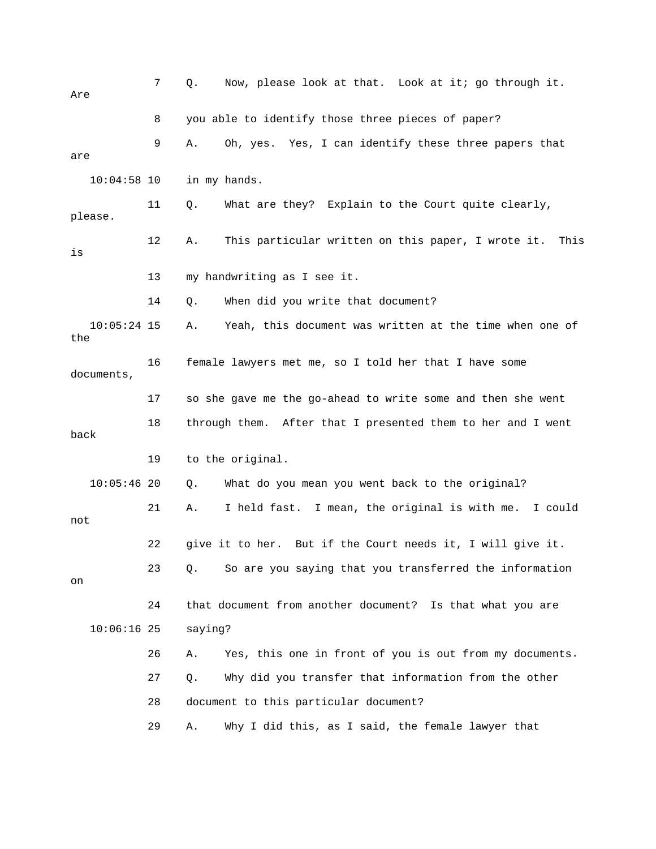| Are                  | 7  | Now, please look at that. Look at it; go through it.<br>Q.       |
|----------------------|----|------------------------------------------------------------------|
|                      | 8  | you able to identify those three pieces of paper?                |
| are                  | 9  | Oh, yes. Yes, I can identify these three papers that<br>Α.       |
| $10:04:58$ 10        |    | in my hands.                                                     |
| please.              | 11 | What are they? Explain to the Court quite clearly,<br>Q.         |
| is                   | 12 | This particular written on this paper, I wrote it.<br>Α.<br>This |
|                      | 13 | my handwriting as I see it.                                      |
|                      | 14 | When did you write that document?<br>Q.                          |
| $10:05:24$ 15<br>the |    | Yeah, this document was written at the time when one of<br>Α.    |
| documents,           | 16 | female lawyers met me, so I told her that I have some            |
|                      | 17 | so she gave me the go-ahead to write some and then she went      |
| back                 | 18 | through them. After that I presented them to her and I went      |
|                      | 19 | to the original.                                                 |
| $10:05:46$ 20        |    | What do you mean you went back to the original?<br>Q.            |
| not                  | 21 | I held fast. I mean, the original is with me. I could<br>Α.      |
|                      | 22 | give it to her. But if the Court needs it, I will give it.       |
| on                   | 23 | So are you saying that you transferred the information<br>Q.     |
|                      | 24 | that document from another document? Is that what you are        |
| $10:06:16$ 25        |    | saying?                                                          |
|                      | 26 | Yes, this one in front of you is out from my documents.<br>Α.    |
|                      | 27 | Why did you transfer that information from the other<br>Q.       |
|                      | 28 | document to this particular document?                            |
|                      | 29 | Why I did this, as I said, the female lawyer that<br>Α.          |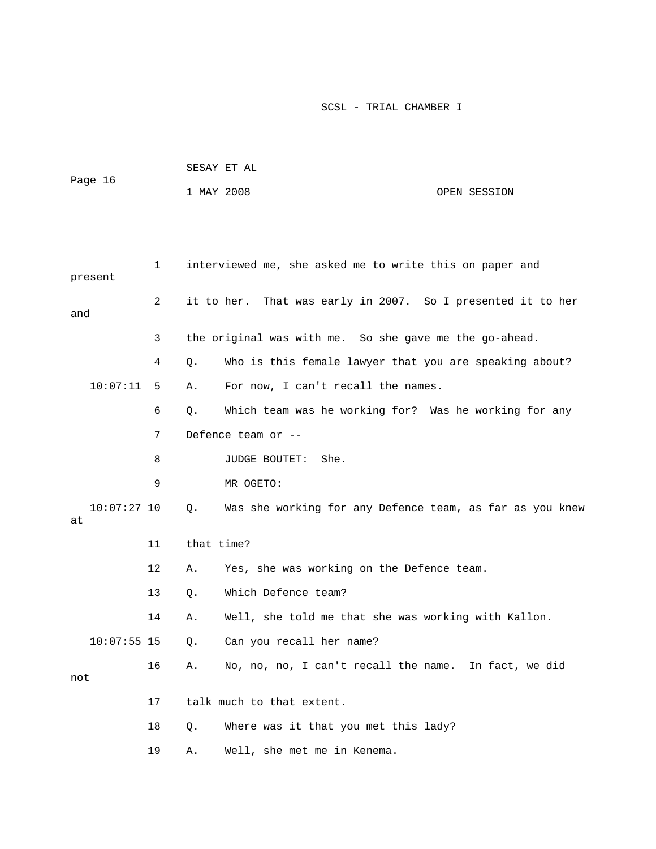| Page 16             |    |            | SESAY ET AL                                                 |              |
|---------------------|----|------------|-------------------------------------------------------------|--------------|
|                     |    | 1 MAY 2008 |                                                             | OPEN SESSION |
|                     |    |            |                                                             |              |
|                     |    |            |                                                             |              |
| present             | 1  |            | interviewed me, she asked me to write this on paper and     |              |
| and                 | 2  |            | it to her. That was early in 2007. So I presented it to her |              |
|                     | 3  |            | the original was with me. So she gave me the go-ahead.      |              |
|                     | 4  | Q.         | Who is this female lawyer that you are speaking about?      |              |
| 10:07:11            | 5  | Α.         | For now, I can't recall the names.                          |              |
|                     | 6  | Q.         | Which team was he working for? Was he working for any       |              |
|                     | 7  |            | Defence team or --                                          |              |
|                     | 8  |            | She.<br>JUDGE BOUTET:                                       |              |
|                     | 9  |            | MR OGETO:                                                   |              |
| $10:07:27$ 10<br>at |    | Q.         | Was she working for any Defence team, as far as you knew    |              |
|                     | 11 | that time? |                                                             |              |
|                     | 12 | Α.         | Yes, she was working on the Defence team.                   |              |
|                     | 13 | Q.         | Which Defence team?                                         |              |
|                     | 14 | Α.         | Well, she told me that she was working with Kallon.         |              |
| $10:07:55$ 15       |    | Q.         | Can you recall her name?                                    |              |
| not                 | 16 | Α.         | No, no, no, I can't recall the name. In fact, we did        |              |
|                     | 17 |            | talk much to that extent.                                   |              |
|                     | 18 | Q.         | Where was it that you met this lady?                        |              |
|                     | 19 | Α.         | Well, she met me in Kenema.                                 |              |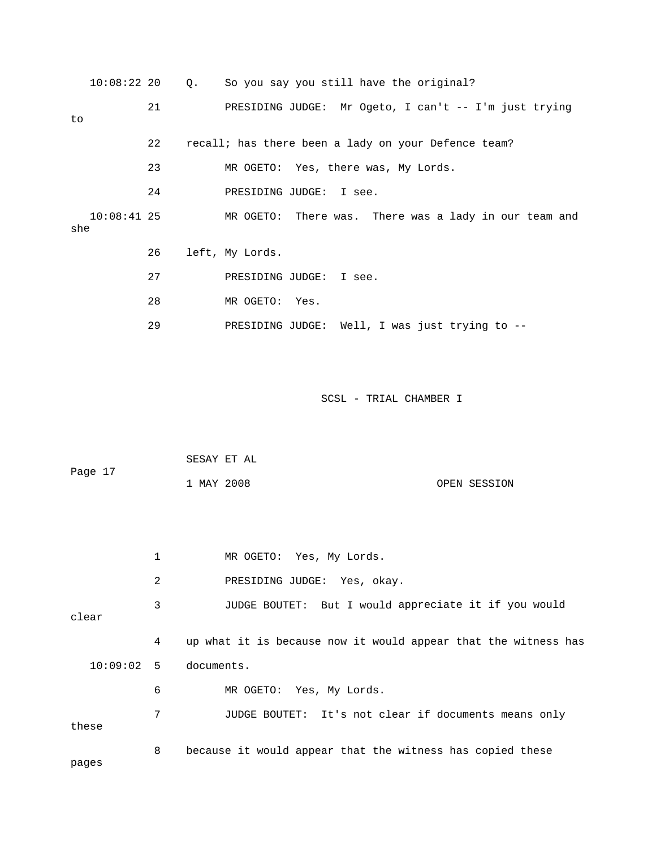|     | $10:08:22$ 20 |    | Q. So you say you still have the original?             |
|-----|---------------|----|--------------------------------------------------------|
| to  |               | 21 | PRESIDING JUDGE: Mr Ogeto, I can't $-$ I'm just trying |
|     |               | 22 | recall; has there been a lady on your Defence team?    |
|     |               | 23 | MR OGETO: Yes, there was, My Lords.                    |
|     |               | 24 | PRESIDING JUDGE: I see.                                |
| she | $10:08:41$ 25 |    | MR OGETO: There was. There was a lady in our team and  |
|     |               | 26 | left, My Lords.                                        |
|     |               | 27 | PRESIDING JUDGE: I see.                                |
|     |               | 28 | MR OGETO: Yes.                                         |
|     |               | 29 | PRESIDING JUDGE: Well, I was just trying to --         |

| Page 17 |              | SESAY ET AL |                          |  |  |  |  |              |  |  |
|---------|--------------|-------------|--------------------------|--|--|--|--|--------------|--|--|
|         |              | 1 MAY 2008  |                          |  |  |  |  | OPEN SESSION |  |  |
|         |              |             |                          |  |  |  |  |              |  |  |
|         |              |             |                          |  |  |  |  |              |  |  |
|         | $\mathbf{1}$ |             | MR OGETO: Yes, My Lords. |  |  |  |  |              |  |  |

2 PRESIDING JUDGE: Yes, okay.

3 JUDGE BOUTET: But I would appreciate it if you would clear

4 up what it is because now it would appear that the witness has documents. 7 JUDGE BOUTET: It's not clear if documents means only  $10:09:02$  5 6 MR OGETO: Yes, My Lords. these

8 because it would appear that the witness has copied these

pages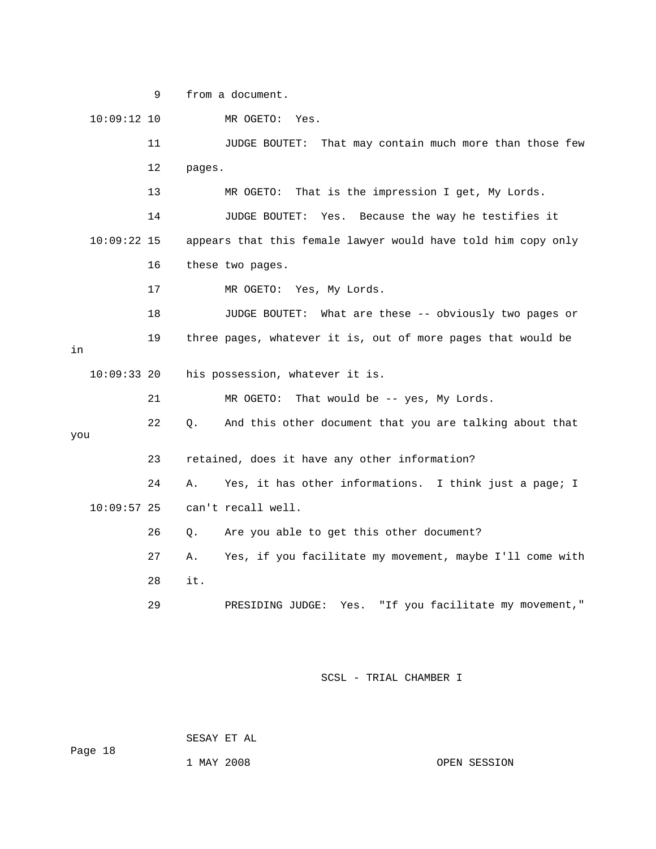9 from a document.

|     | $10:09:12$ 10 |    |        | MR OGETO:<br>Yes.                                             |
|-----|---------------|----|--------|---------------------------------------------------------------|
|     |               | 11 |        | That may contain much more than those few<br>JUDGE BOUTET:    |
|     |               | 12 | pages. |                                                               |
|     |               | 13 |        | That is the impression I get, My Lords.<br>MR OGETO:          |
|     |               | 14 |        | Because the way he testifies it<br>JUDGE BOUTET:<br>Yes.      |
|     | $10:09:22$ 15 |    |        | appears that this female lawyer would have told him copy only |
|     |               | 16 |        | these two pages.                                              |
|     |               | 17 |        | MR OGETO: Yes, My Lords.                                      |
|     |               | 18 |        | JUDGE BOUTET: What are these -- obviously two pages or        |
| in  |               | 19 |        | three pages, whatever it is, out of more pages that would be  |
|     | $10:09:33$ 20 |    |        | his possession, whatever it is.                               |
|     |               | 21 |        | That would be -- yes, My Lords.<br>MR OGETO:                  |
| you |               | 22 | О.     | And this other document that you are talking about that       |
|     |               | 23 |        | retained, does it have any other information?                 |
|     |               | 24 | Α.     | Yes, it has other informations. I think just a page; I        |
|     | $10:09:57$ 25 |    |        | can't recall well.                                            |
|     |               | 26 | О.     | Are you able to get this other document?                      |
|     |               | 27 | Α.     | Yes, if you facilitate my movement, maybe I'll come with      |
|     |               | 28 | it.    |                                                               |
|     |               | 29 |        | Yes. "If you facilitate my movement,"<br>PRESIDING JUDGE:     |
|     |               |    |        |                                                               |

SCSL - TRIAL CHAMBER I

SESAY ET AL

1 MAY 2008 OPEN SESSION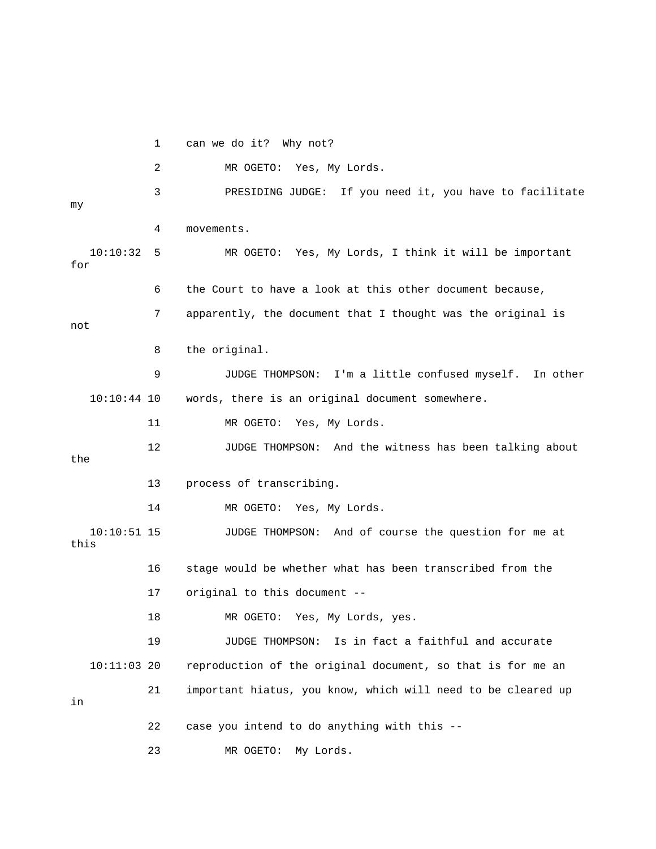1 can we do it? Why not?

2 MR OGETO: Yes, My Lords.

 3 PRESIDING JUDGE: If you need it, you have to facilitate 4 movements. 10:10:32 5 MR OGETO: Yes, My Lords, I think it will be important my for

6 the Court to have a look at this other document because,

7 apparently, the document that I thought was the original is

not

8 the original.

 9 JUDGE THOMPSON: I'm a little confused myself. In other words, there is an original document somewhere.  $10:10:44$  10

11 MR OGETO: Yes, My Lords.

 12 JUDGE THOMPSON: And the witness has been talking about the

13 process of transcribing.

14 MR OGETO: Yes, My Lords.

this 10:10:51 15 JUDGE THOMPSON: And of course the question for me at

16 stage would be whether what has been transcribed from the 17 original to this document --

18 MR OGETO: Yes, My Lords, yes.

 $10:11:03$  20 reproduction of the original document, so that is for me an 21 important hiatus, you know, which will need to be cleared up 19 JUDGE THOMPSON: Is in fact a faithful and accurate

in

22 case you intend to do anything with this --

23 MR OGETO: My Lords.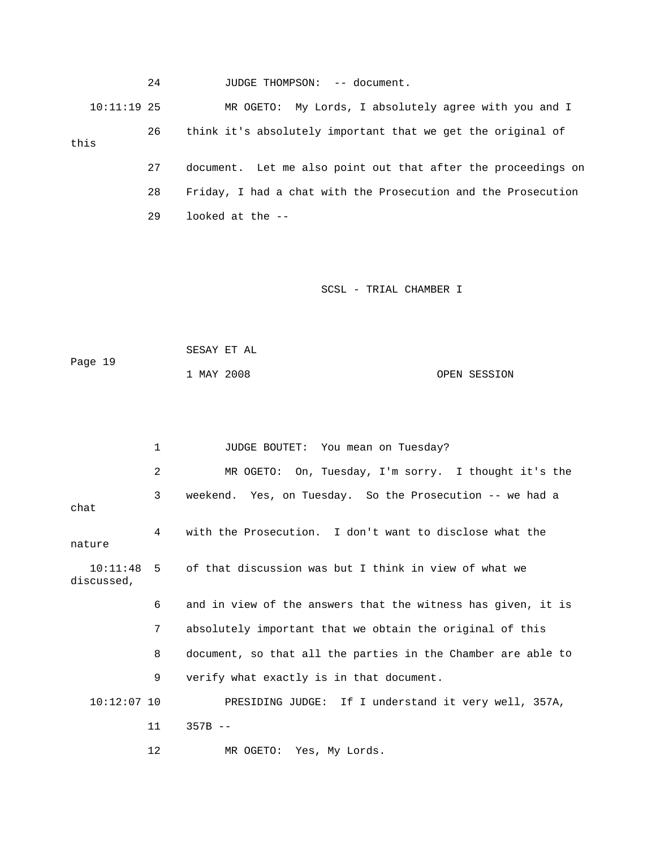|               | 24 | JUDGE THOMPSON: -- document.                                  |
|---------------|----|---------------------------------------------------------------|
| $10:11:19$ 25 |    | MR OGETO: My Lords, I absolutely agree with you and I         |
| this          | 26 | think it's absolutely important that we get the original of   |
|               | 27 | document. Let me also point out that after the proceedings on |
|               | 28 | Friday, I had a chat with the Prosecution and the Prosecution |
|               | 29 | looked at the --                                              |

| Page 19 | SESAY ET AL |  |              |
|---------|-------------|--|--------------|
|         | 1 MAY 2008  |  | OPEN SESSION |

|                        | 1              | JUDGE BOUTET: You mean on Tuesday?                           |
|------------------------|----------------|--------------------------------------------------------------|
|                        | $\overline{2}$ | MR OGETO: On, Tuesday, I'm sorry. I thought it's the         |
| chat                   | 3              | weekend. Yes, on Tuesday. So the Prosecution -- we had a     |
| nature                 | 4              | with the Prosecution. I don't want to disclose what the      |
| 10:11:48<br>discussed, |                | 5 of that discussion was but I think in view of what we      |
|                        | 6              | and in view of the answers that the witness has given, it is |
|                        | 7              | absolutely important that we obtain the original of this     |
|                        | 8              | document, so that all the parties in the Chamber are able to |
|                        | 9              | verify what exactly is in that document.                     |
| $10:12:07$ 10          |                | PRESIDING JUDGE: If I understand it very well, 357A,         |
|                        | 11             | $357B - -$                                                   |
|                        | 12             | MR OGETO: Yes, My Lords.                                     |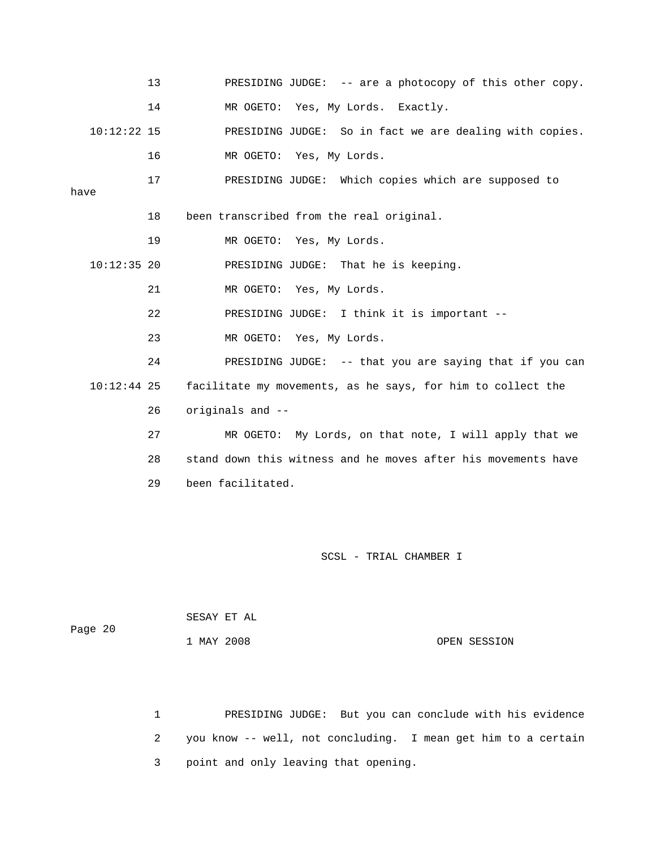|      |               | 13 | PRESIDING JUDGE: -- are a photocopy of this other copy.       |
|------|---------------|----|---------------------------------------------------------------|
|      |               | 14 | MR OGETO: Yes, My Lords. Exactly.                             |
|      | $10:12:22$ 15 |    | PRESIDING JUDGE: So in fact we are dealing with copies.       |
|      |               | 16 | MR OGETO: Yes, My Lords.                                      |
| have |               | 17 | PRESIDING JUDGE: Which copies which are supposed to           |
|      |               | 18 | been transcribed from the real original.                      |
|      |               | 19 | MR OGETO: Yes, My Lords.                                      |
|      | $10:12:35$ 20 |    | PRESIDING JUDGE: That he is keeping.                          |
|      |               | 21 | MR OGETO: Yes, My Lords.                                      |
|      |               | 22 | PRESIDING JUDGE: I think it is important --                   |
|      |               | 23 | MR OGETO: Yes, My Lords.                                      |
|      |               | 24 | PRESIDING JUDGE: -- that you are saying that if you can       |
|      | $10:12:44$ 25 |    | facilitate my movements, as he says, for him to collect the   |
|      |               | 26 | originals and --                                              |
|      |               | 27 | MR OGETO: My Lords, on that note, I will apply that we        |
|      |               | 28 | stand down this witness and he moves after his movements have |
|      |               | 29 | been facilitated.                                             |
|      |               |    |                                                               |

| Page 20 | SESAY ET AL |  |              |
|---------|-------------|--|--------------|
|         | 1 MAY 2008  |  | OPEN SESSION |

1 PRESIDING JUDGE: But you can conclude with his evidence 2 you know -- well, not concluding. I mean get him to a certain 3 point and only leaving that opening.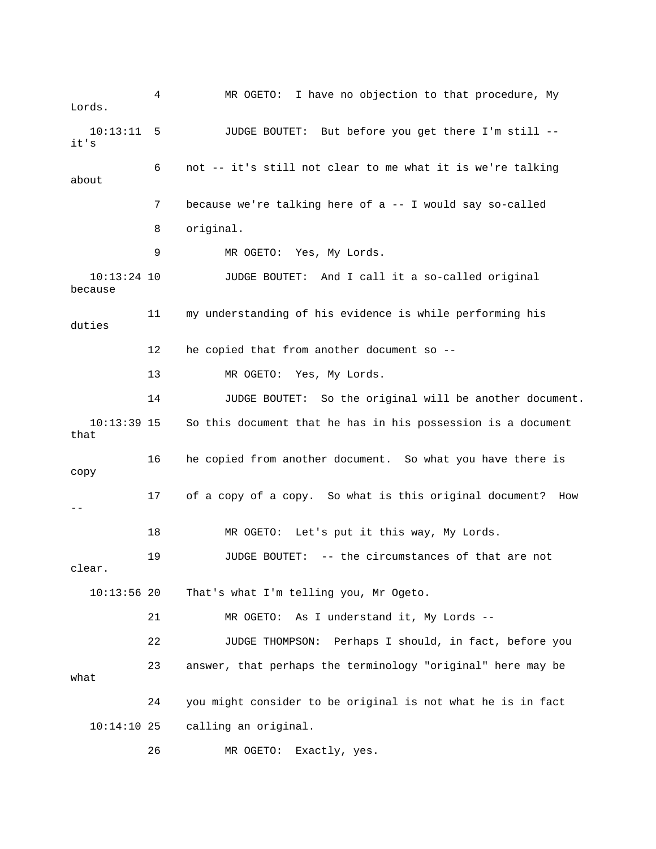4 MR OGETO: I have no objection to that procedure, My Lords. 10:13:11 5 JUDGE BOUTET: But before you get there I'm still - it's 8 original. 11 my understanding of his evidence is while performing his duties 13 MR OGETO: Yes, My Lords. 14 JUDGE BOUTET: So the original will be another document. So this document that he has in his possession is a document 16 he copied from another document. So what you have there is copy 18 MR OGETO: Let's put it this way, My Lords. 19 JUDGE BOUTET: -- the circumstances of that are not . clear That's what I'm telling you, Mr Ogeto. 22 JUDGE THOMPSON: Perhaps I should, in fact, before you 23 answer, that perhaps the terminology "original" here may be 24 you might consider to be original is not what he is in fact 6 not -- it's still not clear to me what it is we're talking about 7 because we're talking here of a -- I would say so-called 9 MR OGETO: Yes, My Lords. 10:13:24 10 JUDGE BOUTET: And I call it a so-called original because 12 he copied that from another document so --  $10:13:39$  15 that 17 of a copy of a copy. So what is this original document? How --  $10:13:56$  20 21 MR OGETO: As I understand it, My Lords - what 10:14:10 25 calling an original. 26 MR OGETO: Exactly, yes.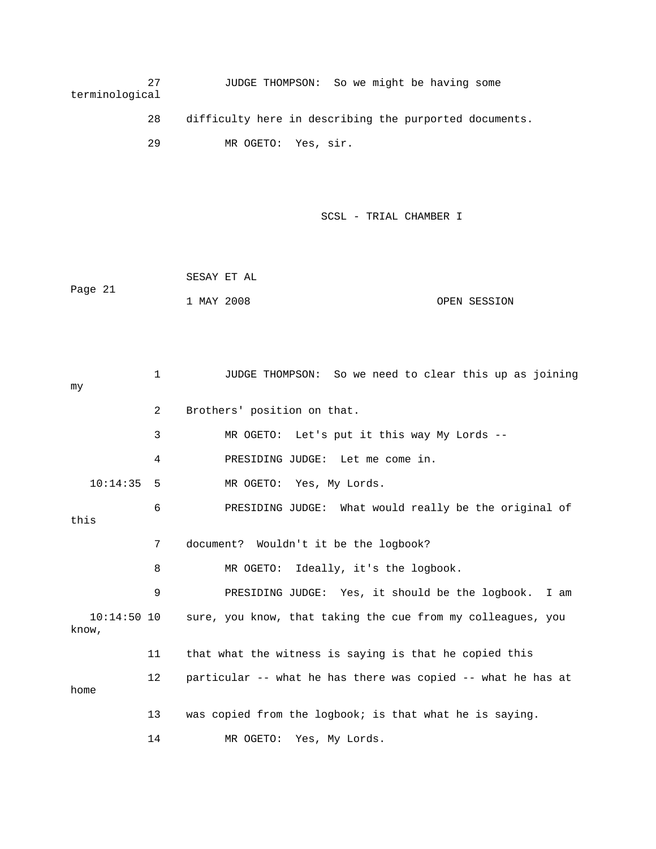| 27<br>terminological | JUDGE THOMPSON: So we might be having some             |  |
|----------------------|--------------------------------------------------------|--|
| 28                   | difficulty here in describing the purported documents. |  |

29 MR OGETO: Yes, sir.

|         | SESAY ET AL |              |
|---------|-------------|--------------|
| Page 21 |             |              |
|         | 1 MAY 2008  | OPEN SESSION |

| my    |               | $\mathbf 1$       | JUDGE THOMPSON: So we need to clear this up as joining       |
|-------|---------------|-------------------|--------------------------------------------------------------|
|       |               | $\overline{2}$    | Brothers' position on that.                                  |
|       |               | 3                 | MR OGETO: Let's put it this way My Lords --                  |
|       |               | 4                 | PRESIDING JUDGE: Let me come in.                             |
|       | 10:14:35      | -5                | MR OGETO: Yes, My Lords.                                     |
| this  |               | 6                 | PRESIDING JUDGE: What would really be the original of        |
|       |               | 7                 | document? Wouldn't it be the logbook?                        |
|       |               | 8                 | MR OGETO: Ideally, it's the logbook.                         |
|       |               | 9                 | PRESIDING JUDGE: Yes, it should be the logbook. I am         |
| know, | $10:14:50$ 10 |                   | sure, you know, that taking the cue from my colleagues, you  |
|       |               | 11                | that what the witness is saying is that he copied this       |
| home  |               | $12 \overline{ }$ | particular -- what he has there was copied -- what he has at |
|       |               | 13                | was copied from the logbook; is that what he is saying.      |
|       |               | 14                | MR OGETO:<br>Yes, My Lords.                                  |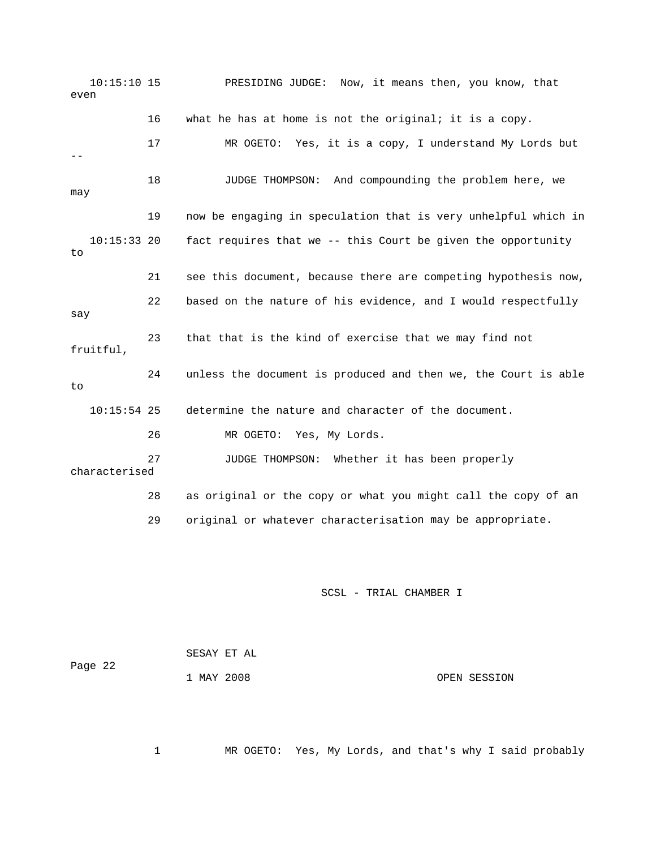10:15:10 15 PRESIDING JUDGE: Now, it means then, you know, that even 16 what he has at home is not the original; it is a copy. 17 MR OGETO: Yes, it is a copy, I understand My Lords but 18 JUDGE THOMPSON: And compounding the problem here, we may 19 now be engaging in speculation that is very unhelpful which in fact requires that we -- this Court be given the opportunity 21 see this document, because there are competing hypothesis now, 23 that that is the kind of exercise that we may find not 24 unless the document is produced and then we, the Court is able 10:15:54 25 determine the nature and character of the document. 26 MR OGETO: Yes, My Lords. characterised 28 as original or the copy or what you might call the copy of an 29 original or whatever characterisation may be appropriate. --  $10:15:33$  20 to 22 based on the nature of his evidence, and I would respectfully say fruitful, to 27 JUDGE THOMPSON: Whether it has been properly

SCSL - TRIAL CHAMBER I

| Page 22 | SESAY ET AL |              |  |
|---------|-------------|--------------|--|
|         | 1 MAY 2008  | OPEN SESSION |  |

1 MR OGETO: Yes, My Lords, and that's why I said probably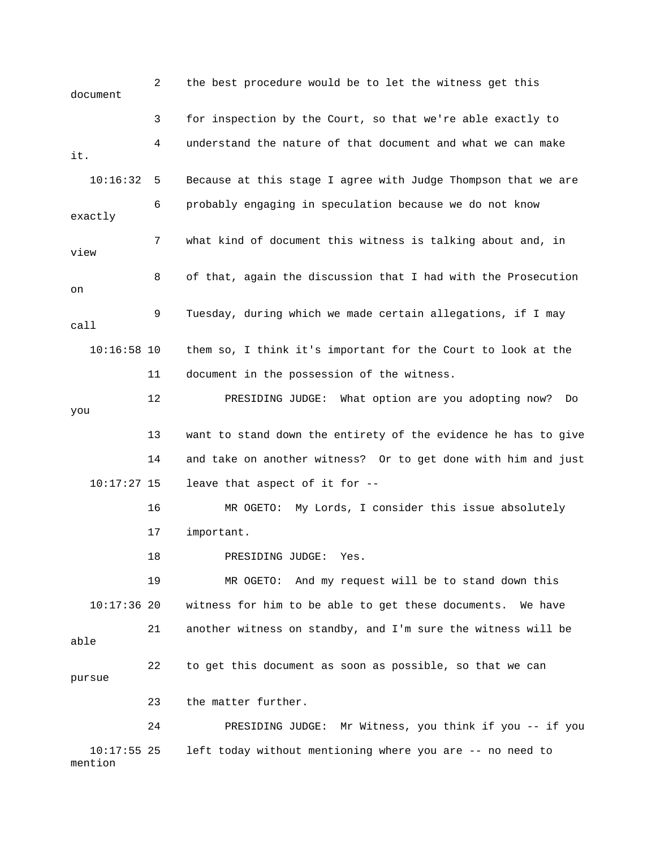2 the best procedure would be to let the witness get this document 3 for inspection by the Court, so that we're able exactly to . it Because at this stage I agree with Judge Thompson that we are exactly 7 what kind of document this witness is talking about and, in view 8 of that, again the discussion that I had with the Prosecution 11 document in the possession of the witness. 14 and take on another witness? Or to get done with him and just 16 MR OGETO: My Lords, I consider this issue absolutely 18 PRESIDING JUDGE: Yes. 19 MR OGETO: And my request will be to stand down this 21 another witness on standby, and I'm sure the witness will be 23 the matter further. 24 PRESIDING JUDGE: Mr Witness, you think if you -- if you 4 understand the nature of that document and what we can make 10:16:3 6 probably engaging in speculation because we do not know on 9 Tuesday, during which we made certain allegations, if I may call 10:16:58 10 them so, I think it's important for the Court to look at the 12 PRESIDING JUDGE: What option are you adopting now? Do you 13 want to stand down the entirety of the evidence he has to give 10:17:27 15 leave that aspect of it for -- 17 important. 10:17:36 20 witness for him to be able to get these documents. We have able 22 to get this document as soon as possible, so that we can pursue 10:17:55 25 left today without mentioning where you are -- no need to mention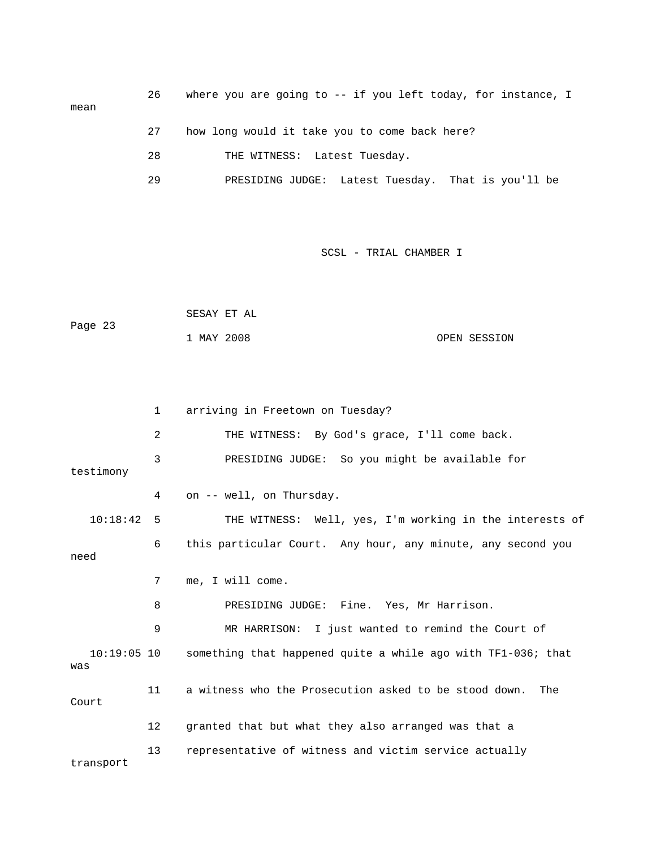| mean | 26 | where you are going to $-$ if you left today, for instance, I |
|------|----|---------------------------------------------------------------|
|      | 27 | how long would it take you to come back here?                 |
|      | 28 | THE WITNESS: Latest Tuesday.                                  |
|      | 29 | PRESIDING JUDGE: Latest Tuesday. That is you'll be            |

|         |            | SESAY ET AL |              |
|---------|------------|-------------|--------------|
| Page 23 |            |             |              |
|         | 1 MAY 2008 |             | OPEN SESSION |

|                      | $\mathbf{1}$      | arriving in Freetown on Tuesday?                             |
|----------------------|-------------------|--------------------------------------------------------------|
|                      | 2                 | THE WITNESS: By God's grace, I'll come back.                 |
| testimony            | 3                 | PRESIDING JUDGE: So you might be available for               |
|                      | 4                 | on -- well, on Thursday.                                     |
| 10:18:42 5           |                   | THE WITNESS: Well, yes, I'm working in the interests of      |
| need                 | 6                 | this particular Court. Any hour, any minute, any second you  |
|                      | 7                 | me, I will come.                                             |
|                      | 8                 | PRESIDING JUDGE: Fine. Yes, Mr Harrison.                     |
|                      | 9                 | MR HARRISON: I just wanted to remind the Court of            |
| $10:19:05$ 10<br>was |                   | something that happened quite a while ago with TF1-036; that |
| Court                | 11                | a witness who the Prosecution asked to be stood down.<br>The |
|                      | $12 \overline{ }$ | granted that but what they also arranged was that a          |
| transport            | 13                | representative of witness and victim service actually        |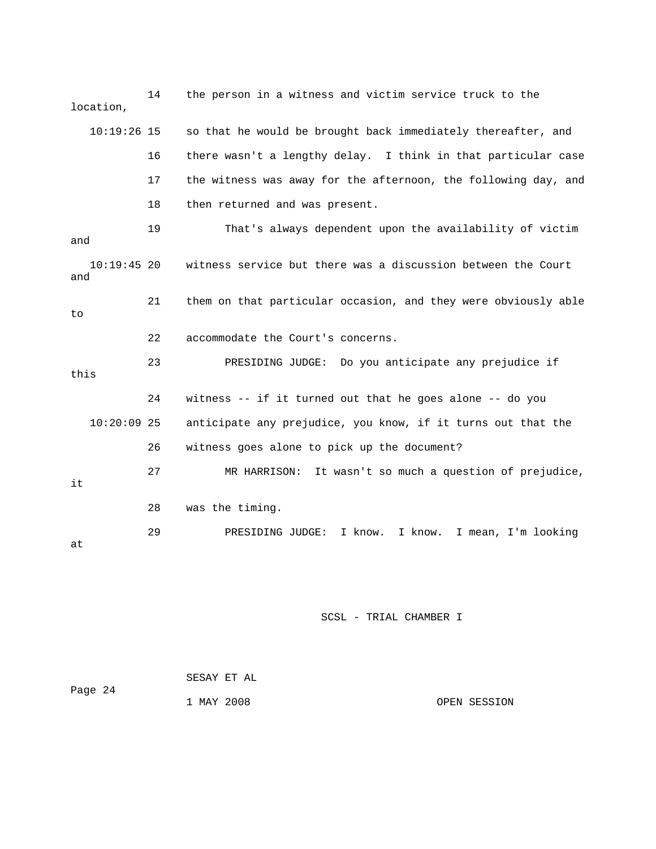14 the person in a witness and victim service truck to the location,  $10:19:26$  15 so that he would be brought back immediately thereafter, and 16 there wasn't a lengthy delay. I think in that particular case 17 the witness was away for the afternoon, the following day, and 18 then returned and was present. 10:19:45 20 witness service but there was a discussion between the Court 21 them on that particular occasion, and they were obviously able 22 accommodate the Court's concerns. 10:20:09 25 anticipate any prejudice, you know, if it turns out that the 26 witness goes alone to pick up the document? 27 MR HARRISON: It wasn't so much a question of prejudice, 28 was the timing. 19 That's always dependent upon the availability of victim and and to 23 PRESIDING JUDGE: Do you anticipate any prejudice if this 24 witness -- if it turned out that he goes alone -- do you it 29 PRESIDING JUDGE: I know. I know. I mean, I'm looking at

| Page 24 | SESAY ET AL |  |              |
|---------|-------------|--|--------------|
|         | 1 MAY 2008  |  | OPEN SESSION |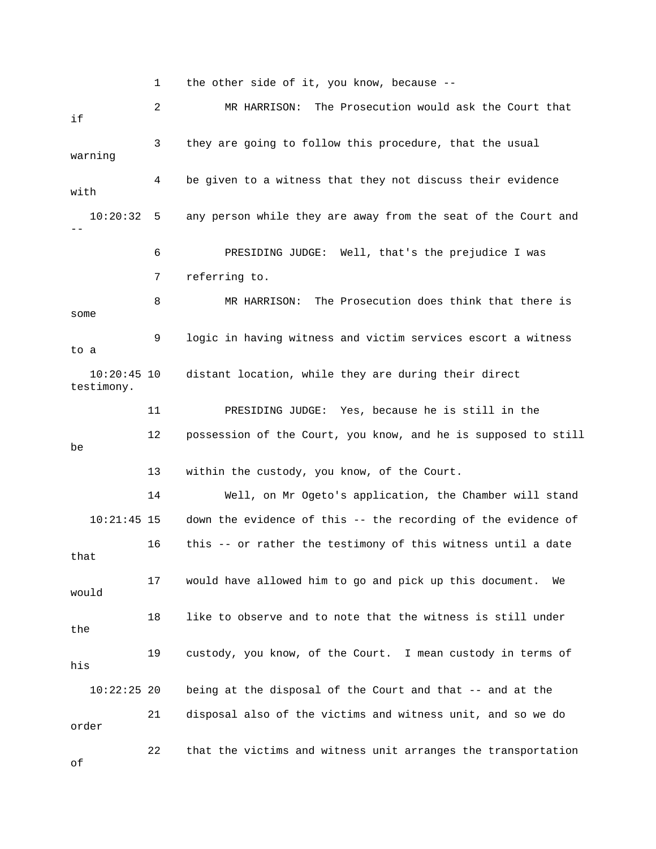1 the other side of it, you know, because -- 2 MR HARRISON: The Prosecution would ask the Court that 3 they are going to follow this procedure, that the usual warning 4 be given to a witness that they not discuss their evidence with any person while they are away from the seat of the Court and 6 PRESIDING JUDGE: Well, that's the prejudice I was 8 MR HARRISON: The Prosecution does think that there is 9 logic in having witness and victim services escort a witness 10:20:45 10 distant location, while they are during their direct 11 PRESIDING JUDGE: Yes, because he is still in the 14 Well, on Mr Ogeto's application, the Chamber will stand 10:21:45 15 down the evidence of this -- the recording of the evidence of 16 this -- or rather the testimony of this witness until a date that 17 would have allowed him to go and pick up this document. We the 19 custody, you know, of the Court. I mean custody in terms of his being at the disposal of the Court and that -- and at the if  $10:20:32$  5 -- 7 referring to. some to a testimony. 12 possession of the Court, you know, and he is supposed to still be 13 within the custody, you know, of the Court. would 18 like to observe and to note that the witness is still under  $10:22:25$  20 21 disposal also of the victims and witness unit, and so we do order 22 that the victims and witness unit arranges the transportation of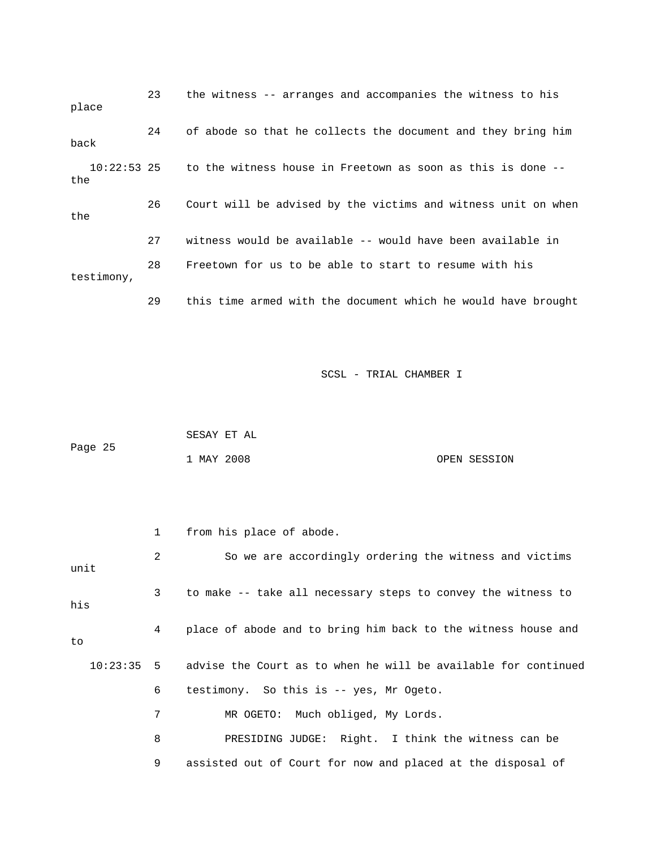| place                | 23 | the witness -- arranges and accompanies the witness to his    |
|----------------------|----|---------------------------------------------------------------|
| back                 | 24 | of abode so that he collects the document and they bring him  |
| $10:22:53$ 25<br>the |    | to the witness house in Freetown as soon as this is done --   |
| the                  | 26 | Court will be advised by the victims and witness unit on when |
|                      | 27 | witness would be available -- would have been available in    |
| testimony,           | 28 | Freetown for us to be able to start to resume with his        |
|                      | 29 | this time armed with the document which he would have brought |

|         | SESAY ET AL |  |              |
|---------|-------------|--|--------------|
| Page 25 |             |  |              |
|         | 1 MAY 2008  |  | OPEN SESSION |

|      | 1 | from his place of abode.                                                    |
|------|---|-----------------------------------------------------------------------------|
| unit | 2 | So we are accordingly ordering the witness and victims                      |
| his  | 3 | to make -- take all necessary steps to convey the witness to                |
| to   | 4 | place of abode and to bring him back to the witness house and               |
|      |   | $10:23:35$ 5 advise the Court as to when he will be available for continued |
|      | 6 | testimony. So this is -- yes, Mr Ogeto.                                     |
|      | 7 | MR OGETO: Much obliged, My Lords.                                           |
|      | 8 | PRESIDING JUDGE: Right. I think the witness can be                          |
|      | 9 | assisted out of Court for now and placed at the disposal of                 |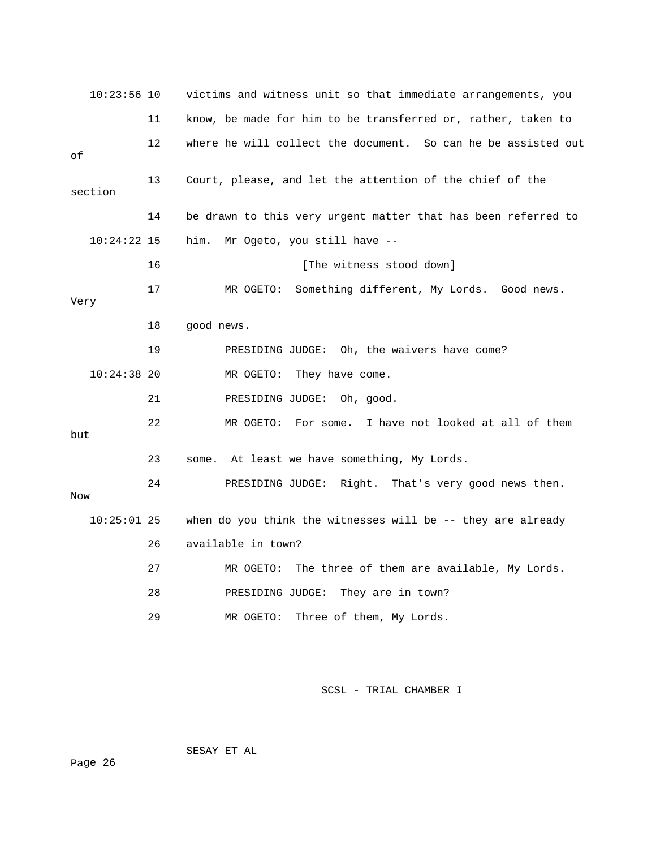| $10:23:56$ 10 |    | victims and witness unit so that immediate arrangements, you  |
|---------------|----|---------------------------------------------------------------|
|               | 11 | know, be made for him to be transferred or, rather, taken to  |
| οf            | 12 | where he will collect the document. So can he be assisted out |
| section       | 13 | Court, please, and let the attention of the chief of the      |
|               | 14 | be drawn to this very urgent matter that has been referred to |
| $10:24:22$ 15 |    | him.<br>Mr Ogeto, you still have --                           |
|               | 16 | [The witness stood down]                                      |
| Very          | 17 | Something different, My Lords. Good news.<br>MR OGETO:        |
|               | 18 | good news.                                                    |
|               | 19 | PRESIDING JUDGE: Oh, the waivers have come?                   |
| $10:24:38$ 20 |    | They have come.<br>MR OGETO:                                  |
|               | 21 | PRESIDING JUDGE:<br>Oh, good.                                 |
| but           | 22 | For some. I have not looked at all of them<br>MR OGETO:       |
|               | 23 | some. At least we have something, My Lords.                   |
| Now           | 24 | PRESIDING JUDGE: Right. That's very good news then.           |
| $10:25:01$ 25 |    | when do you think the witnesses will be $-$ they are already  |
|               | 26 | available in town?                                            |
|               | 27 | The three of them are available, My Lords.<br>MR OGETO:       |
|               | 28 | PRESIDING JUDGE:<br>They are in town?                         |
|               | 29 | Three of them, My Lords.<br>MR OGETO:                         |

SESAY ET AL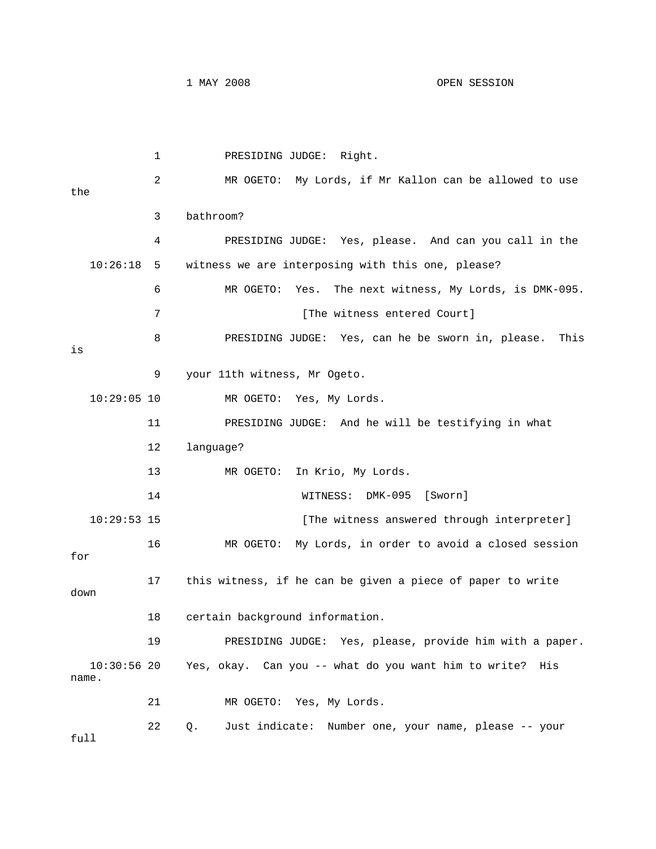1 PRESIDING JUDGE: Right. 2 MR OGETO: My Lords, if Mr Kallon can be allowed to use 3 bathroom? 4 PRESIDING JUDGE: Yes, please. And can you call in the 10:26:18 5 witness we are interposing with this one, please? [The witness entered Court] 8 PRESIDING JUDGE: Yes, can he be sworn in, please. This 11 PRESIDING JUDGE: And he will be testifying in what 13 MR OGETO: In Krio, My Lords. MK-095 [Sworn] 14 WITNESS: D 10:29:53 15 [The witness answered through interpreter] 16 MR OGETO: My Lords, in order to avoid a closed session 17 this witness, if he can be given a piece of paper to write down 18 certain background information. . 19 PRESIDING JUDGE: Yes, please, provide him with a paper Yes, okay. Can you -- what do you want him to write? His . name 21 MR OGETO: Yes, My Lords. 22 Q. Just indicate: Number one, your name, please -- your full the 6 MR OGETO: Yes. The next witness, My Lords, is DMK-095. 7 is 9 your 11th witness, Mr Ogeto. 10:29:05 10 MR OGETO: Yes, My Lords. 12 language? for  $10:30:56$  20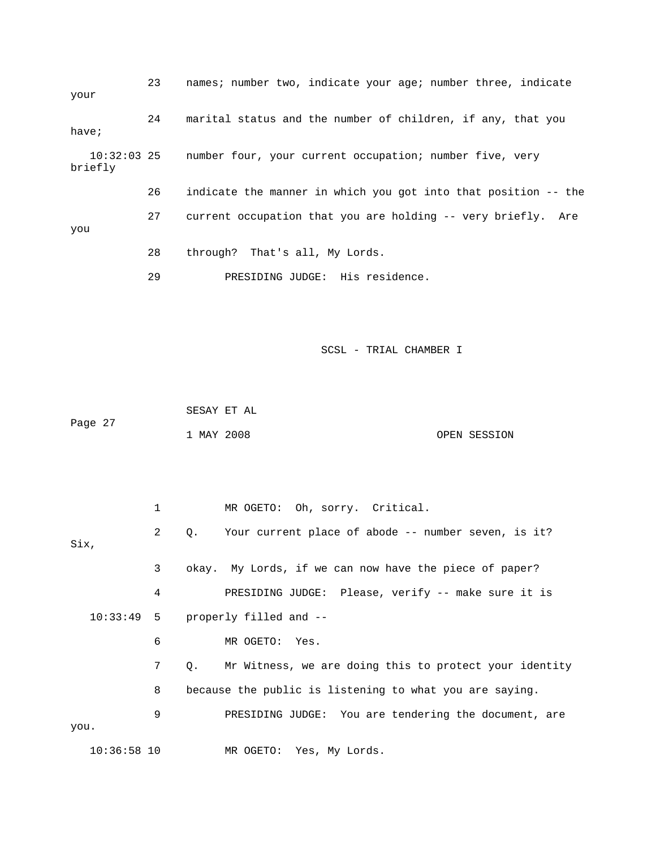| your                     | 23 | names; number two, indicate your age; number three, indicate    |
|--------------------------|----|-----------------------------------------------------------------|
| have;                    | 24 | marital status and the number of children, if any, that you     |
| $10:32:03$ 25<br>briefly |    | number four, your current occupation; number five, very         |
|                          | 26 | indicate the manner in which you got into that position -- the  |
| you                      | 27 | current occupation that you are holding -- very briefly.<br>Are |
|                          | 28 | through? That's all, My Lords.                                  |
|                          | 29 | PRESIDING JUDGE: His residence.                                 |

 SESAY ET AL Page 27 1 MAY 2008 OPEN SESSION

 1 MR OGETO: Oh, sorry. Critical. 3 okay. My Lords, if we can now have the piece of paper? 4 PRESIDING JUDGE: Please, verify -- make sure it is 7 Q. Mr Witness, we are doing this to protect your identity 8 because the public is listening to what you are saying. 9 PRESIDING JUDGE: You are tendering the document, are 10:36:58 10 MR OGETO: Yes, My Lords. 2 Q. Your current place of abode -- number seven, is it? Six, 10:33:49 5 properly filled and -- 6 MR OGETO: Yes. you.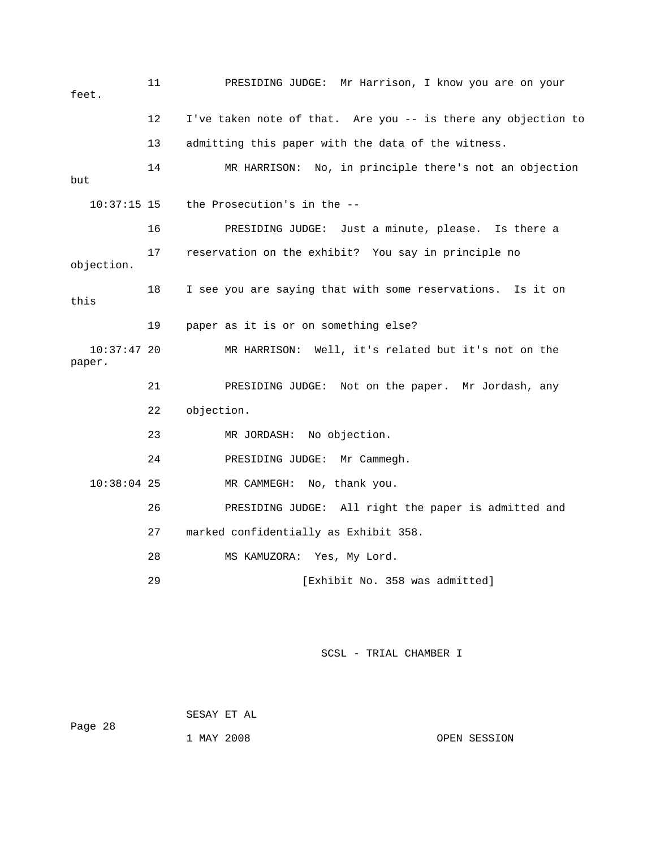11 PRESIDING JUDGE: Mr Harrison, I know you are on your feet. 12 I've taken note of that. Are you -- is there any objection to 13 admitting this paper with the data of the witness. 14 MR HARRISON: No, in principle there's not an objection but the Prosecution's in the -objection. 18 I see you are saying that with some reservations. Is it on this 19 paper as it is or on something else? 10:37:47 20 MR HARRISON: Well, it's related but it's not on the 22 objection. 10:38:04 25 MR CAMMEGH: No, thank you. 26 PRESIDING JUDGE: All right the paper is admitted and 27 marked confidentially as Exhibit 358. 28 MS KAMUZORA: Yes, My Lord. 29 [Exhibit No. 358 was admitted]  $10:37:15$  15 16 PRESIDING JUDGE: Just a minute, please. Is there a 17 reservation on the exhibit? You say in principle no paper. 21 PRESIDING JUDGE: Not on the paper. Mr Jordash, any 23 MR JORDASH: No objection. 24 PRESIDING JUDGE: Mr Cammegh.

SCSL - TRIAL CHAMBER I

 SESAY ET AL Page 28 1 MAY 2008 OPEN SESSION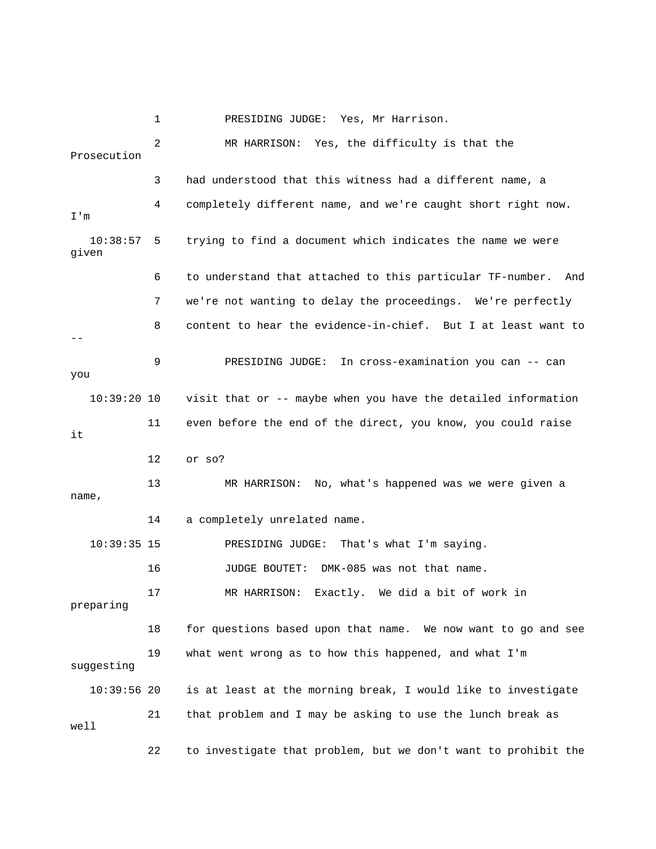1 PRESIDING JUDGE: Yes, Mr Harrison. 2 MR HARRISON: Yes, the difficulty is that the 3 had understood that this witness had a different name, a 4 completely different name, and we're caught short right now. m I' 10:38:57 5 trying to find a document which indicates the name we were 6 to understand that attached to this particular TF-number. And 7 we're not wanting to delay the proceedings. We're perfectly 8 content to hear the evidence-in-chief. But I at least want to 9 PRESIDING JUDGE: In cross-examination you can -- can you 10:39:20 10 visit that or -- maybe when you have the detailed information 12 or so? 13 MR HARRISON: No, what's happened was we were given a , name 14 a completely unrelated name. PRESIDING JUDGE: That's what I'm saying. 16 JUDGE BOUTET: DMK-085 was not that name. 17 MR HARRISON: Exactly. We did a bit of work in 18 for questions based upon that name. We now want to go and see 19 what went wrong as to how this happened, and what I'm 10:39:56 20 is at least at the morning break, I would like to investigate 21 that problem and I may be asking to use the lunch break as Prosecution given -- 11 even before the end of the direct, you know, you could raise it  $10:39:35$  15 preparing suggesting well 22 to investigate that problem, but we don't want to prohibit the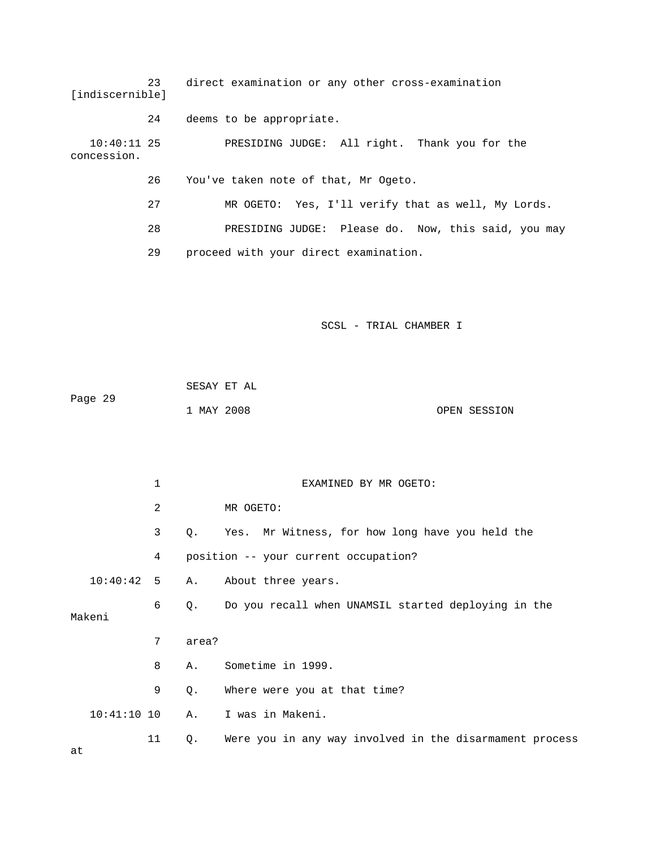| [indiscernible]              | 23 | direct examination or any other cross-examination   |
|------------------------------|----|-----------------------------------------------------|
|                              | 24 | deems to be appropriate.                            |
| $10:40:11$ 25<br>concession. |    | PRESIDING JUDGE: All right. Thank you for the       |
|                              | 26 | You've taken note of that, Mr Ogeto.                |
|                              | 27 | MR OGETO: Yes, I'll verify that as well, My Lords.  |
|                              | 28 | PRESIDING JUDGE: Please do. Now, this said, you may |
|                              | 29 | proceed with your direct examination.               |
|                              |    |                                                     |
|                              |    |                                                     |

| Page 29 | SESAY ET AL |              |
|---------|-------------|--------------|
|         | 1 MAY 2008  | OPEN SESSION |

|               | 1    |       | EXAMINED BY MR OGETO:                                   |  |  |
|---------------|------|-------|---------------------------------------------------------|--|--|
|               | 2    |       | MR OGETO:                                               |  |  |
|               | 3    | Q.    | Yes. Mr Witness, for how long have you held the         |  |  |
|               | 4    |       | position -- your current occupation?                    |  |  |
| 10:40:42      | $-5$ | Α.    | About three years.                                      |  |  |
| Makeni        | 6    |       | Q. Do you recall when UNAMSIL started deploying in the  |  |  |
|               |      |       |                                                         |  |  |
|               | 7    | area? |                                                         |  |  |
|               | 8    | Α.    | Sometime in 1999.                                       |  |  |
|               | 9    | Q.    | Where were you at that time?                            |  |  |
| $10:41:10$ 10 |      | Α.    | I was in Makeni.                                        |  |  |
| at            | 11   | Q.    | Were you in any way involved in the disarmament process |  |  |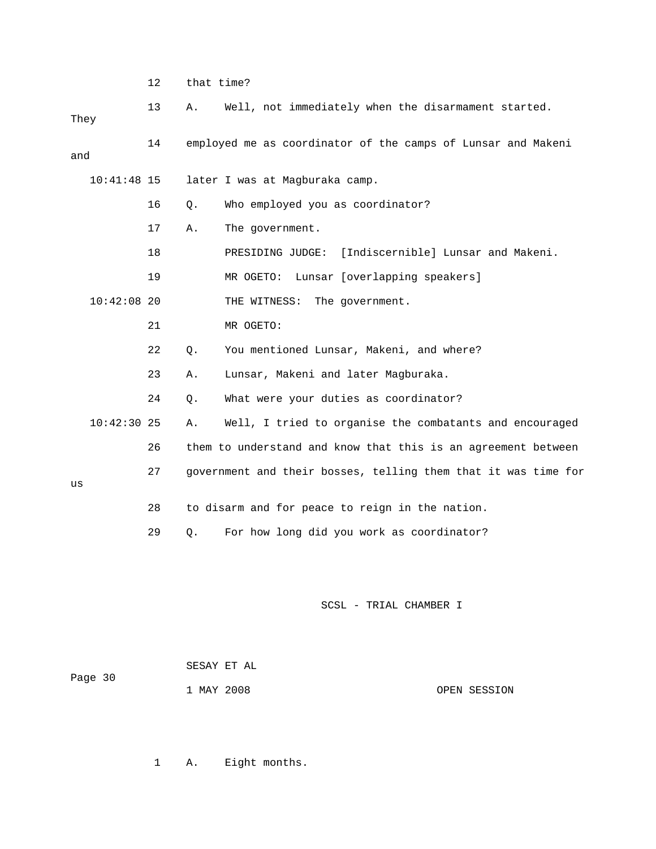|      |               | 12 | that time? |                                                                |
|------|---------------|----|------------|----------------------------------------------------------------|
| They |               | 13 | Α.         | Well, not immediately when the disarmament started.            |
| and  |               | 14 |            | employed me as coordinator of the camps of Lunsar and Makeni   |
|      | $10:41:48$ 15 |    |            | later I was at Magburaka camp.                                 |
|      |               | 16 | $Q$ .      | Who employed you as coordinator?                               |
|      |               | 17 | Α.         | The government.                                                |
|      |               | 18 |            | PRESIDING JUDGE: [Indiscernible] Lunsar and Makeni.            |
|      |               | 19 |            | MR OGETO: Lunsar [overlapping speakers]                        |
|      | $10:42:08$ 20 |    |            | THE WITNESS: The government.                                   |
|      |               | 21 |            | MR OGETO:                                                      |
|      |               | 22 | Q.         | You mentioned Lunsar, Makeni, and where?                       |
|      |               | 23 | Α.         | Lunsar, Makeni and later Magburaka.                            |
|      |               | 24 | О.         | What were your duties as coordinator?                          |
|      | $10:42:30$ 25 |    | Α.         | Well, I tried to organise the combatants and encouraged        |
|      |               | 26 |            | them to understand and know that this is an agreement between  |
| us   |               | 27 |            | government and their bosses, telling them that it was time for |
|      |               | 28 |            | to disarm and for peace to reign in the nation.                |
|      |               | 29 | Q.         | For how long did you work as coordinator?                      |
|      |               |    |            |                                                                |

| Page 30 | SESAY ET AL |              |
|---------|-------------|--------------|
|         | 1 MAY 2008  | OPEN SESSION |

1 A. Eight months.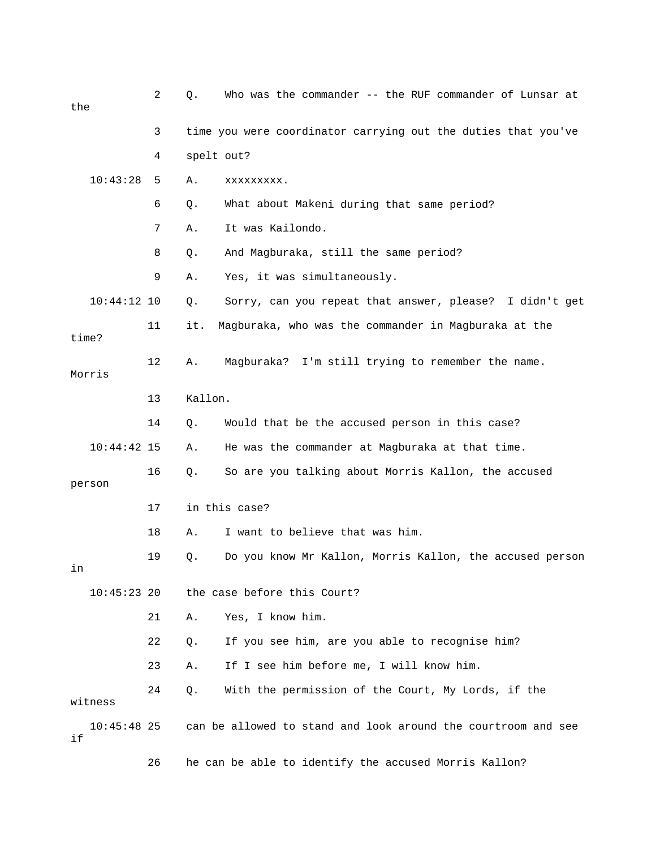| the                 | 2  | Q.            | Who was the commander -- the RUF commander of Lunsar at       |  |  |
|---------------------|----|---------------|---------------------------------------------------------------|--|--|
|                     | 3  |               | time you were coordinator carrying out the duties that you've |  |  |
|                     | 4  | spelt out?    |                                                               |  |  |
| 10:43:28            | 5  | Α.            | XXXXXXXXX.                                                    |  |  |
|                     | 6  | Q.            | What about Makeni during that same period?                    |  |  |
|                     | 7  | Α.            | It was Kailondo.                                              |  |  |
|                     | 8  | Q.            | And Magburaka, still the same period?                         |  |  |
|                     | 9  | Α.            | Yes, it was simultaneously.                                   |  |  |
| $10:44:12$ 10       |    | Q.            | Sorry, can you repeat that answer, please? I didn't get       |  |  |
| time?               | 11 | it.           | Magburaka, who was the commander in Magburaka at the          |  |  |
| Morris              | 12 | Α.            | Magburaka? I'm still trying to remember the name.             |  |  |
|                     | 13 | Kallon.       |                                                               |  |  |
|                     | 14 | Q.            | Would that be the accused person in this case?                |  |  |
| $10:44:42$ 15       |    | Α.            | He was the commander at Magburaka at that time.               |  |  |
| person              | 16 | Q.            | So are you talking about Morris Kallon, the accused           |  |  |
|                     | 17 | in this case? |                                                               |  |  |
|                     | 18 | Α.            | I want to believe that was him.                               |  |  |
| in                  | 19 | Q.            | Do you know Mr Kallon, Morris Kallon, the accused person      |  |  |
| 10:45:23 20         |    |               | the case before this Court?                                   |  |  |
|                     | 21 | Α.            | Yes, I know him.                                              |  |  |
|                     | 22 | Q.            | If you see him, are you able to recognise him?                |  |  |
|                     | 23 | Α.            | If I see him before me, I will know him.                      |  |  |
| witness             | 24 | Q.            | With the permission of the Court, My Lords, if the            |  |  |
| $10:45:48$ 25<br>if |    |               | can be allowed to stand and look around the courtroom and see |  |  |

26 he can be able to identify the accused Morris Kallon?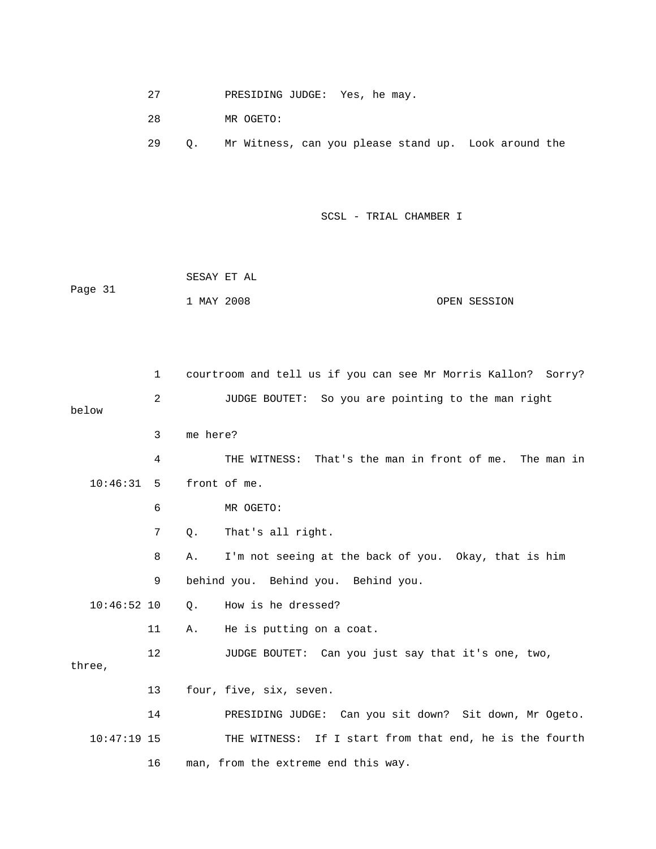27 PRESIDING JUDGE: Yes, he may.

28 MR OGETO:

29 Q. Mr Witness, can you please stand up. Look around the

|         | SESAY ET AL |              |
|---------|-------------|--------------|
| Page 31 |             |              |
|         | 1 MAY 2008  | OPEN SESSION |

|               | 1  | courtroom and tell us if you can see Mr Morris Kallon? Sorry? |
|---------------|----|---------------------------------------------------------------|
| below         | 2  | JUDGE BOUTET: So you are pointing to the man right            |
|               | 3  | me here?                                                      |
|               | 4  | THE WITNESS: That's the man in front of me. The man in        |
| 10:46:31      | 5  | front of me.                                                  |
|               | 6  | MR OGETO:                                                     |
|               | 7  | That's all right.<br>Q.                                       |
|               | 8  | I'm not seeing at the back of you. Okay, that is him<br>Α.    |
|               | 9  | behind you. Behind you. Behind you.                           |
| $10:46:52$ 10 |    | How is he dressed?<br>Q.                                      |
|               | 11 | He is putting on a coat.<br>Α.                                |
| three,        | 12 | JUDGE BOUTET: Can you just say that it's one, two,            |
|               | 13 | four, five, six, seven.                                       |
|               | 14 | PRESIDING JUDGE: Can you sit down? Sit down, Mr Ogeto.        |
| $10:47:19$ 15 |    | THE WITNESS: If I start from that end, he is the fourth       |
|               | 16 | man, from the extreme end this way.                           |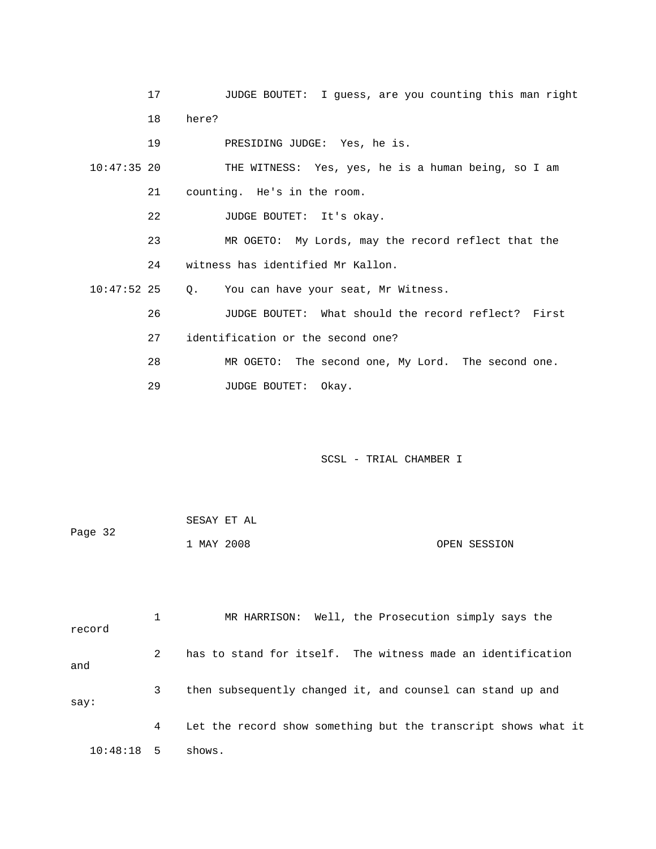|               | 17 |                                   | JUDGE BOUTET: I guess, are you counting this man right |
|---------------|----|-----------------------------------|--------------------------------------------------------|
|               | 18 | here?                             |                                                        |
|               | 19 |                                   | PRESIDING JUDGE: Yes, he is.                           |
| $10:47:35$ 20 |    |                                   | THE WITNESS: Yes, yes, he is a human being, so I am    |
|               | 21 | counting. He's in the room.       |                                                        |
|               | 22 |                                   | JUDGE BOUTET: It's okay.                               |
|               | 23 |                                   | MR OGETO: My Lords, may the record reflect that the    |
|               | 24 | witness has identified Mr Kallon. |                                                        |
| $10:47:52$ 25 |    |                                   | Q. You can have your seat, Mr Witness.                 |
|               | 26 |                                   | JUDGE BOUTET: What should the record reflect? First    |
|               | 27 | identification or the second one? |                                                        |
|               | 28 |                                   | MR OGETO: The second one, My Lord. The second one.     |
|               | 29 | <b>JUDGE BOUTET:</b>              | Okay.                                                  |

|         | SESAY ET AL |  |              |
|---------|-------------|--|--------------|
| Page 32 |             |  |              |
|         | 1 MAY 2008  |  | OPEN SESSION |

 1 MR HARRISON: Well, the Prosecution simply says the record 3 then subsequently changed it, and counsel can stand up and  $\mathop{\rm say}\nolimits$  : 4 Let the record show something but the transcript shows what it 2 has to stand for itself. The witness made an identification and 10:48:18 5 shows.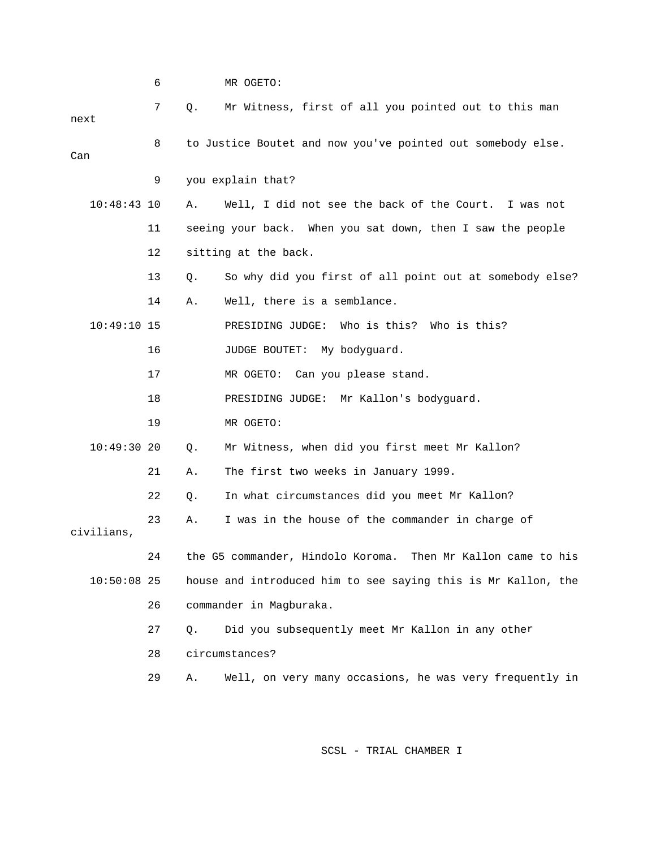|               | 6  |       | MR OGETO:                                                     |
|---------------|----|-------|---------------------------------------------------------------|
| next          | 7  | Q.    | Mr Witness, first of all you pointed out to this man          |
| Can           | 8  |       | to Justice Boutet and now you've pointed out somebody else.   |
|               | 9  |       | you explain that?                                             |
| $10:48:43$ 10 |    | Α.    | Well, I did not see the back of the Court.<br>I was not       |
|               | 11 |       | seeing your back. When you sat down, then I saw the people    |
|               | 12 |       | sitting at the back.                                          |
|               | 13 | Q.    | So why did you first of all point out at somebody else?       |
|               | 14 | Α.    | Well, there is a semblance.                                   |
| $10:49:10$ 15 |    |       | PRESIDING JUDGE: Who is this? Who is this?                    |
|               | 16 |       | JUDGE BOUTET: My bodyguard.                                   |
|               | 17 |       | MR OGETO: Can you please stand.                               |
|               | 18 |       | PRESIDING JUDGE: Mr Kallon's bodyguard.                       |
|               | 19 |       | MR OGETO:                                                     |
| $10:49:30$ 20 |    | Q.    | Mr Witness, when did you first meet Mr Kallon?                |
|               | 21 | Α.    | The first two weeks in January 1999.                          |
|               | 22 | Q.    | In what circumstances did you meet Mr Kallon?                 |
| civilians,    | 23 | Α.    | I was in the house of the commander in charge of              |
|               | 24 |       | the G5 commander, Hindolo Koroma. Then Mr Kallon came to his  |
| $10:50:08$ 25 |    |       | house and introduced him to see saying this is Mr Kallon, the |
|               | 26 |       | commander in Magburaka.                                       |
|               | 27 | $Q$ . | Did you subsequently meet Mr Kallon in any other              |
|               | 28 |       | circumstances?                                                |
|               | 29 | Α.    | Well, on very many occasions, he was very frequently in       |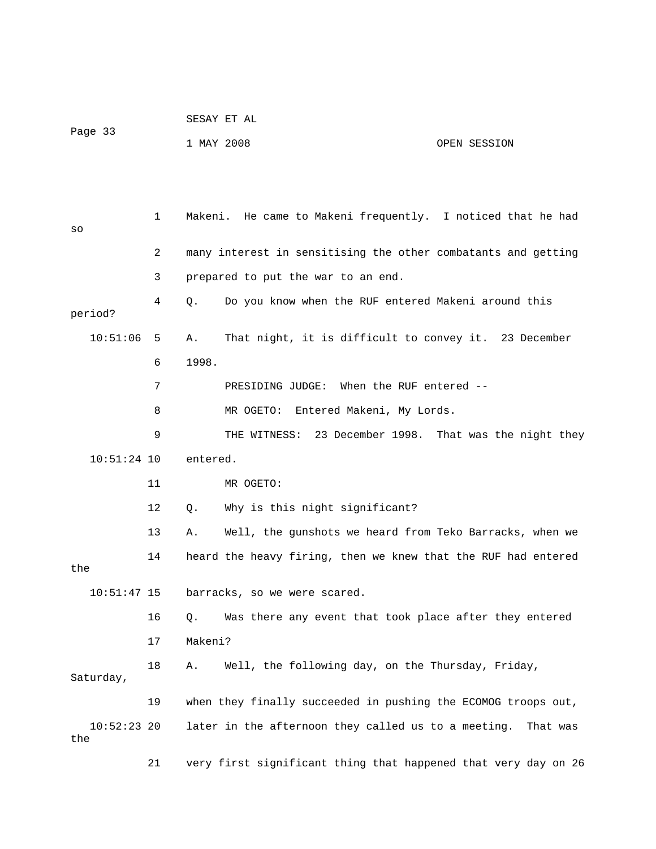| Page 33              |    | SESAY ET AL                |                                                                |          |  |
|----------------------|----|----------------------------|----------------------------------------------------------------|----------|--|
|                      |    | 1 MAY 2008<br>OPEN SESSION |                                                                |          |  |
|                      |    |                            |                                                                |          |  |
|                      |    |                            |                                                                |          |  |
| SO                   | 1  |                            | Makeni. He came to Makeni frequently. I noticed that he had    |          |  |
|                      | 2  |                            | many interest in sensitising the other combatants and getting  |          |  |
|                      | 3  |                            | prepared to put the war to an end.                             |          |  |
| period?              | 4  | Q.                         | Do you know when the RUF entered Makeni around this            |          |  |
| 10:51:06             | 5  | Α.                         | That night, it is difficult to convey it. 23 December          |          |  |
|                      | 6  | 1998.                      |                                                                |          |  |
|                      | 7  |                            | PRESIDING JUDGE: When the RUF entered --                       |          |  |
|                      | 8  |                            | Entered Makeni, My Lords.<br>MR OGETO:                         |          |  |
|                      | 9  |                            | THE WITNESS: 23 December 1998. That was the night they         |          |  |
| $10:51:24$ 10        |    | entered.                   |                                                                |          |  |
|                      | 11 |                            | MR OGETO:                                                      |          |  |
|                      | 12 | Q.                         | Why is this night significant?                                 |          |  |
|                      | 13 | Α.                         | Well, the gunshots we heard from Teko Barracks, when we        |          |  |
|                      | 14 |                            | heard the heavy firing, then we knew that the RUF had entered  |          |  |
| the                  |    |                            |                                                                |          |  |
| 10:51:47 15          |    |                            | barracks, so we were scared.                                   |          |  |
|                      | 16 | Q.                         | Was there any event that took place after they entered         |          |  |
|                      | 17 | Makeni?                    |                                                                |          |  |
| Saturday,            | 18 | Α.                         | Well, the following day, on the Thursday, Friday,              |          |  |
|                      | 19 |                            | when they finally succeeded in pushing the ECOMOG troops out,  |          |  |
| $10:52:23$ 20<br>the |    |                            | later in the afternoon they called us to a meeting.            | That was |  |
|                      | 21 |                            | very first significant thing that happened that very day on 26 |          |  |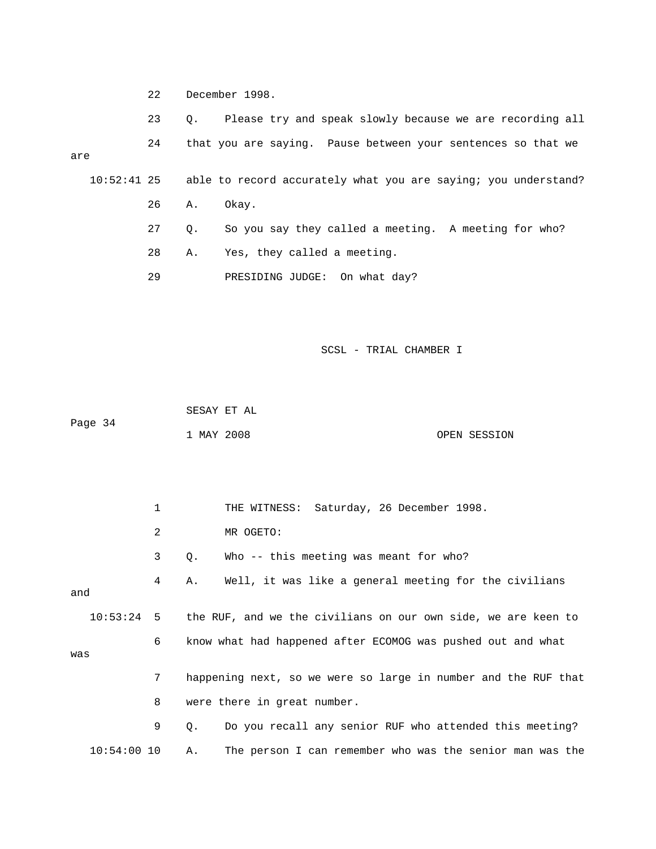22 December 1998.

23 Q. Please try and speak slowly because we are recording all 24 that you are saying. Pause between your sentences so that we 27 Q. So you say they called a meeting. A meeting for who? 28 A. Yes, they called a meeting. are 10:52:41 25 able to record accurately what you are saying; you understand? 26 A. Okay. 29 PRESIDING JUDGE: On what day?

SCSL - TRIAL CHAMBER I

 SESAY ET AL Page 34

1 MAY 2008 OPEN SESSION

 1 THE WITNESS: Saturday, 26 December 1998. 2 MR OGETO: 4 A. Well, it was like a general meeting for the civilians and 10:53:24 5 the RUF, and we the civilians on our own side, we are keen to 6 know what had happened after ECOMOG was pushed out and what 7 happening next, so we were so large in number and the RUF that A. The person I can remember who was the senior man was the 3 Q. Who -- this meeting was meant for who? was 8 were there in great number. 9 Q. Do you recall any senior RUF who attended this meeting?  $10:54:00$  10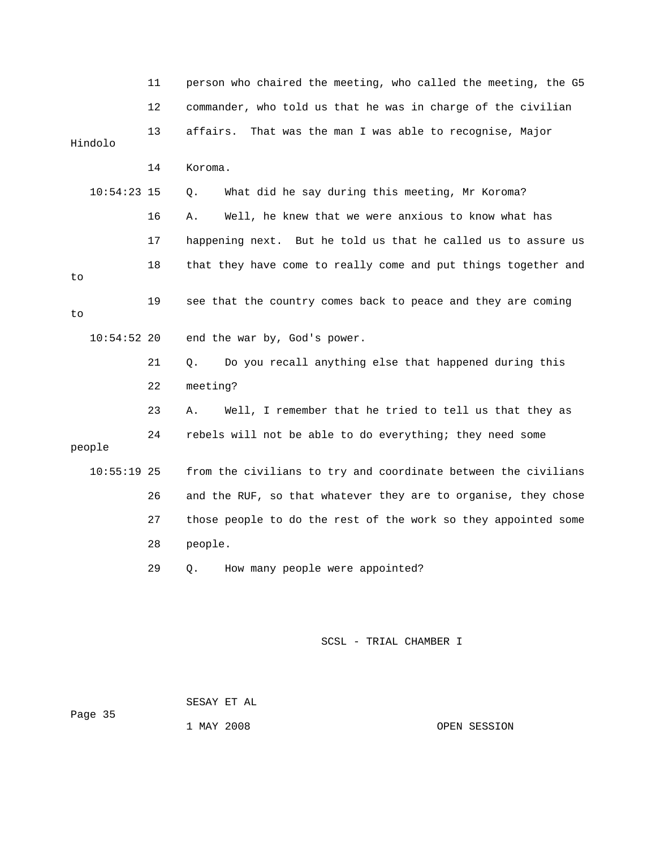|               | 11 | person who chaired the meeting, who called the meeting, the G5 |
|---------------|----|----------------------------------------------------------------|
|               | 12 | commander, who told us that he was in charge of the civilian   |
| Hindolo       | 13 | That was the man I was able to recognise, Major<br>affairs.    |
|               | 14 | Koroma.                                                        |
| $10:54:23$ 15 |    | What did he say during this meeting, Mr Koroma?<br>Q.          |
|               | 16 | Well, he knew that we were anxious to know what has<br>Α.      |
|               | 17 | happening next. But he told us that he called us to assure us  |
| to            | 18 | that they have come to really come and put things together and |
| to            | 19 | see that the country comes back to peace and they are coming   |
| $10:54:52$ 20 |    | end the war by, God's power.                                   |
|               | 21 | Do you recall anything else that happened during this<br>Q.    |
|               | 22 | meeting?                                                       |
|               | 23 | Well, I remember that he tried to tell us that they as<br>Α.   |
| people        | 24 | rebels will not be able to do everything; they need some       |
| $10:55:19$ 25 |    | from the civilians to try and coordinate between the civilians |
|               | 26 | and the RUF, so that whatever they are to organise, they chose |
|               | 27 | those people to do the rest of the work so they appointed some |
|               | 28 | people.                                                        |
|               | 29 | How many people were appointed?<br>Q.                          |
|               |    |                                                                |
|               |    | SCSL - TRIAL CHAMBER I                                         |

 SESAY ET AL Page 35

1 MAY 2008 OPEN SESSION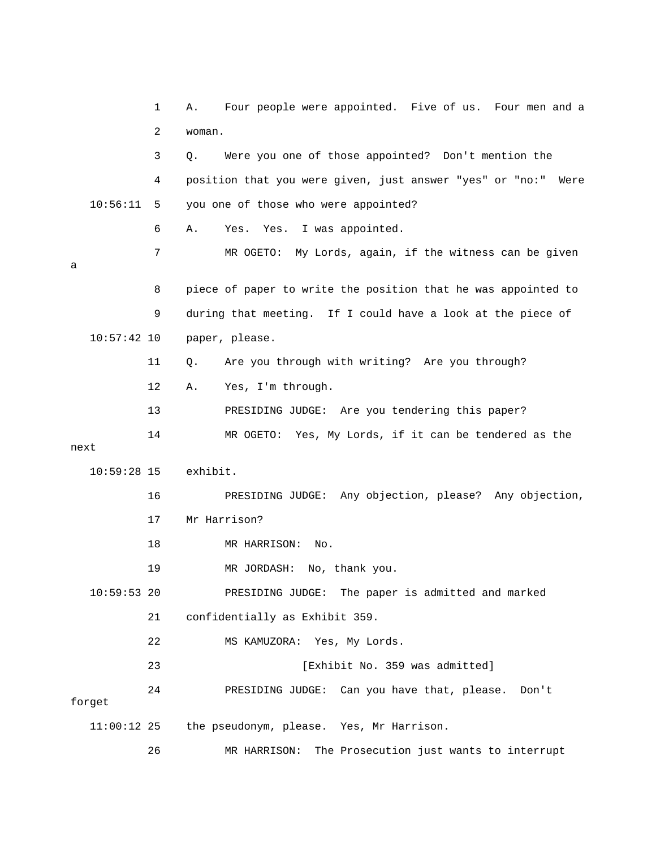|               | 1  | Four people were appointed. Five of us. Four men and a<br>Α.  |
|---------------|----|---------------------------------------------------------------|
|               | 2  | woman.                                                        |
|               | 3  | Were you one of those appointed? Don't mention the<br>Q.      |
|               | 4  | position that you were given, just answer "yes" or "no:" Were |
| 10:56:11      | 5  | you one of those who were appointed?                          |
|               | 6  | Yes. I was appointed.<br>Yes.<br>Α.                           |
| а             | 7  | MR OGETO:<br>My Lords, again, if the witness can be given     |
|               | 8  | piece of paper to write the position that he was appointed to |
|               | 9  | during that meeting. If I could have a look at the piece of   |
| $10:57:42$ 10 |    | paper, please.                                                |
|               | 11 | Are you through with writing? Are you through?<br>Q.          |
|               | 12 | Yes, I'm through.<br>Α.                                       |
|               | 13 | PRESIDING JUDGE: Are you tendering this paper?                |
| next          | 14 | MR OGETO: Yes, My Lords, if it can be tendered as the         |
| $10:59:28$ 15 |    | exhibit.                                                      |
|               | 16 | PRESIDING JUDGE: Any objection, please? Any objection,        |
|               | 17 | Mr Harrison?                                                  |
|               | 18 | MR HARRISON:<br>No.                                           |
|               | 19 | MR JORDASH: No, thank you.                                    |
| $10:59:53$ 20 |    | The paper is admitted and marked<br>PRESIDING JUDGE:          |
|               | 21 | confidentially as Exhibit 359.                                |
|               | 22 | MS KAMUZORA: Yes, My Lords.                                   |
|               | 23 | [Exhibit No. 359 was admitted]                                |
| forget        | 24 | PRESIDING JUDGE: Can you have that, please.<br>Don't          |
| $11:00:12$ 25 |    | the pseudonym, please. Yes, Mr Harrison.                      |
|               | 26 | The Prosecution just wants to interrupt<br>MR HARRISON:       |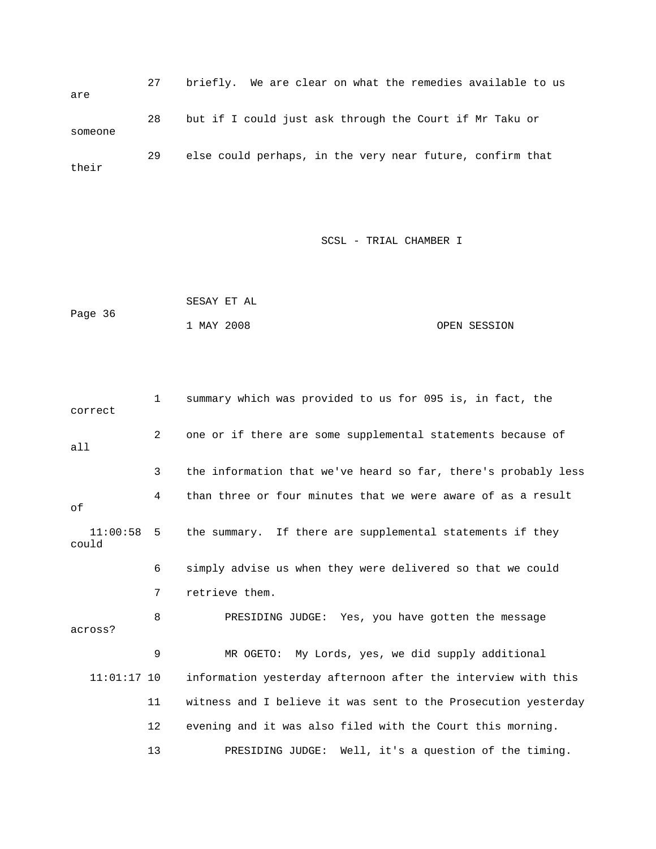27 briefly. We are clear on what the remedies available to us 28 but if I could just ask through the Court if Mr Taku or 29 else could perhaps, in the very near future, confirm that are someone their

|         | SESAY ET AL |              |
|---------|-------------|--------------|
| Page 36 |             |              |
|         | 1 MAY 2008  | OPEN SESSION |

| correct           | $\mathbf{1}$   | summary which was provided to us for 095 is, in fact, the      |
|-------------------|----------------|----------------------------------------------------------------|
| a11               | $\overline{2}$ | one or if there are some supplemental statements because of    |
|                   | 3              | the information that we've heard so far, there's probably less |
| оf                | 4              | than three or four minutes that we were aware of as a result   |
| 11:00:58<br>could | -5             | the summary. If there are supplemental statements if they      |
|                   | 6              | simply advise us when they were delivered so that we could     |
|                   | 7              | retrieve them.                                                 |
| across?           | 8              | PRESIDING JUDGE: Yes, you have gotten the message              |
|                   | 9              | MR OGETO: My Lords, yes, we did supply additional              |
| $11:01:17$ 10     |                | information yesterday afternoon after the interview with this  |
|                   | 11             | witness and I believe it was sent to the Prosecution yesterday |
|                   | 12             | evening and it was also filed with the Court this morning.     |
|                   | 13             | Well, it's a question of the timing.<br>PRESIDING JUDGE:       |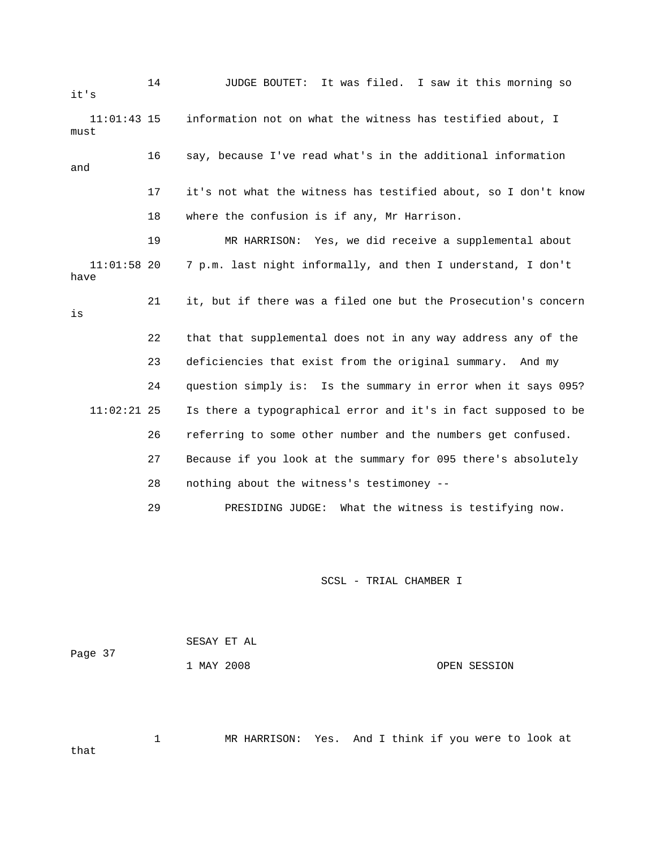| it's                  | 14 | <b>JUDGE BOUTET:</b><br>It was filed. I saw it this morning so |
|-----------------------|----|----------------------------------------------------------------|
| $11:01:43$ 15<br>must |    | information not on what the witness has testified about, I     |
| and                   | 16 | say, because I've read what's in the additional information    |
|                       | 17 | it's not what the witness has testified about, so I don't know |
|                       | 18 | where the confusion is if any, Mr Harrison.                    |
|                       | 19 | MR HARRISON: Yes, we did receive a supplemental about          |
| $11:01:58$ 20<br>have |    | 7 p.m. last night informally, and then I understand, I don't   |
| is                    | 21 | it, but if there was a filed one but the Prosecution's concern |
|                       | 22 | that that supplemental does not in any way address any of the  |
|                       | 23 | deficiencies that exist from the original summary. And my      |
|                       | 24 | question simply is: Is the summary in error when it says 095?  |
| $11:02:21$ 25         |    | Is there a typographical error and it's in fact supposed to be |
|                       | 26 | referring to some other number and the numbers get confused.   |
|                       | 27 | Because if you look at the summary for 095 there's absolutely  |
|                       | 28 | nothing about the witness's testimoney --                      |
|                       | 29 | PRESIDING JUDGE: What the witness is testifying now.           |

Page 37 SESAY ET AL 1 MAY 2008 OPEN SESSION

that

1 MR HARRISON: Yes. And I think if you were to look at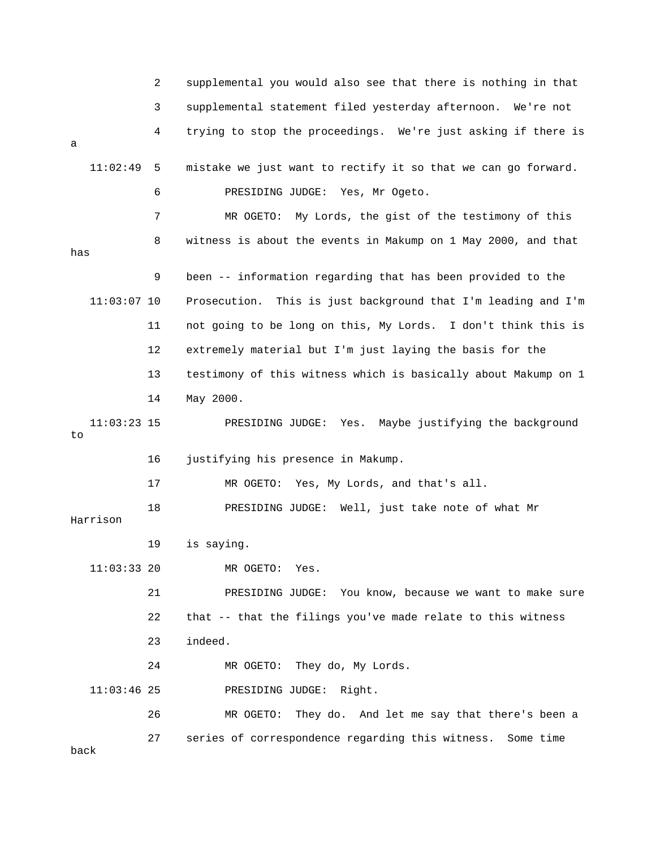|                     | 2  | supplemental you would also see that there is nothing in that    |
|---------------------|----|------------------------------------------------------------------|
|                     | 3  | supplemental statement filed yesterday afternoon. We're not      |
| a                   | 4  | trying to stop the proceedings. We're just asking if there is    |
| 11:02:49            | 5  | mistake we just want to rectify it so that we can go forward.    |
|                     | 6  | PRESIDING JUDGE: Yes, Mr Ogeto.                                  |
|                     | 7  | MR OGETO: My Lords, the gist of the testimony of this            |
| has                 | 8  | witness is about the events in Makump on 1 May 2000, and that    |
|                     | 9  | been -- information regarding that has been provided to the      |
| $11:03:07$ 10       |    | Prosecution.<br>This is just background that I'm leading and I'm |
|                     | 11 | not going to be long on this, My Lords. I don't think this is    |
|                     | 12 | extremely material but I'm just laying the basis for the         |
|                     | 13 | testimony of this witness which is basically about Makump on 1   |
|                     | 14 | May 2000.                                                        |
| $11:03:23$ 15<br>to |    | Yes. Maybe justifying the background<br>PRESIDING JUDGE:         |
|                     | 16 | justifying his presence in Makump.                               |
|                     | 17 | Yes, My Lords, and that's all.<br>MR OGETO:                      |
| Harrison            | 18 | PRESIDING JUDGE: Well, just take note of what Mr                 |
|                     | 19 | is saying.                                                       |
| $11:03:33$ 20       |    | MR OGETO:<br>Yes.                                                |
|                     | 21 | PRESIDING JUDGE:<br>You know, because we want to make sure       |
|                     | 22 | that -- that the filings you've made relate to this witness      |
|                     | 23 | indeed.                                                          |
|                     | 24 | They do, My Lords.<br>MR OGETO:                                  |
| $11:03:46$ 25       |    | PRESIDING JUDGE:<br>Right.                                       |
|                     | 26 | They do. And let me say that there's been a<br>MR OGETO:         |
| back                | 27 | series of correspondence regarding this witness. Some time       |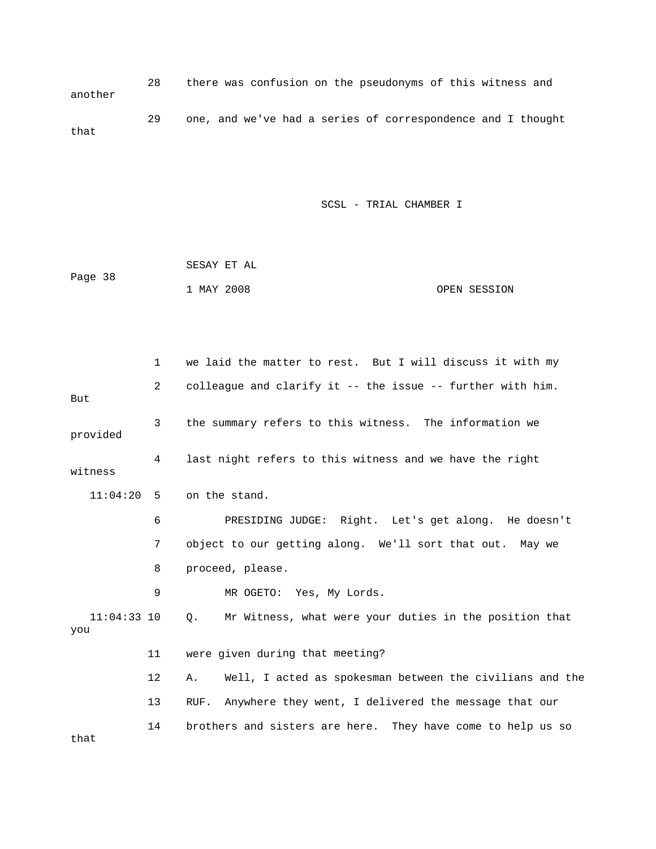28 there was confusion on the pseudonyms of this witness and another 29 one, and we've had a series of correspondence and I thought that

|         |            | SESAY ET AL |              |
|---------|------------|-------------|--------------|
| Page 38 |            |             |              |
|         | 1 MAY 2008 |             | OPEN SESSION |

|                      | 1              | we laid the matter to rest. But I will discuss it with my           |
|----------------------|----------------|---------------------------------------------------------------------|
| But                  | $\overline{2}$ | colleague and clarify it -- the issue -- further with him.          |
| provided             | 3              | the summary refers to this witness. The information we              |
| witness              | 4              | last night refers to this witness and we have the right             |
| $11:04:20$ 5         |                | on the stand.                                                       |
|                      | 6              | PRESIDING JUDGE: Right. Let's get along. He doesn't                 |
|                      | 7              | object to our getting along. We'll sort that out. May we            |
|                      | 8              | proceed, please.                                                    |
|                      | 9              | MR OGETO: Yes, My Lords.                                            |
| $11:04:33$ 10<br>you |                | Mr Witness, what were your duties in the position that<br>$\circ$ . |
|                      | 11             | were given during that meeting?                                     |
|                      | 12             | Well, I acted as spokesman between the civilians and the<br>Α.      |
|                      | 13             | Anywhere they went, I delivered the message that our<br>RUF.        |
| that                 | 14             | brothers and sisters are here. They have come to help us so         |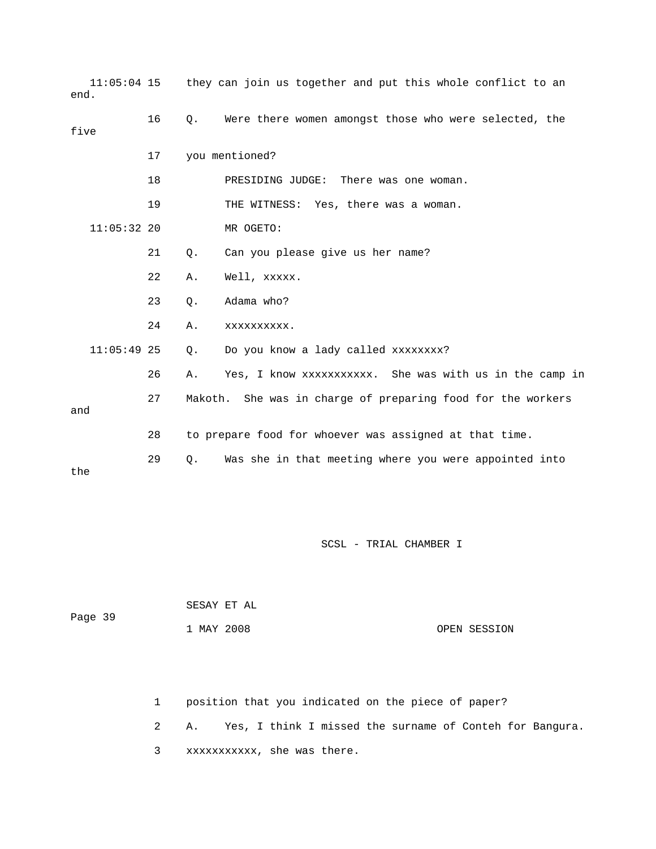| $11:05:04$ 15<br>end. |    |           | they can join us together and put this whole conflict to an |
|-----------------------|----|-----------|-------------------------------------------------------------|
| five                  | 16 | Q.        | Were there women amongst those who were selected, the       |
|                       | 17 |           | you mentioned?                                              |
|                       | 18 |           | PRESIDING JUDGE: There was one woman.                       |
|                       | 19 |           | THE WITNESS: Yes, there was a woman.                        |
| $11:05:32$ 20         |    |           | MR OGETO:                                                   |
|                       | 21 | Q.        | Can you please give us her name?                            |
|                       | 22 | Α.        | Well, xxxxx.                                                |
|                       | 23 | Q.        | Adama who?                                                  |
|                       | 24 | Α.        | XXXXXXXXXX.                                                 |
| $11:05:49$ 25         |    | $\circ$ . | Do you know a lady called xxxxxxxx?                         |
|                       | 26 | Α.        | Yes, I know xxxxxxxxxxx. She was with us in the camp in     |
| and                   | 27 |           | Makoth. She was in charge of preparing food for the workers |
|                       | 28 |           | to prepare food for whoever was assigned at that time.      |
| the                   | 29 | Q.        | Was she in that meeting where you were appointed into       |

|         | SESAY ET AL |  |              |
|---------|-------------|--|--------------|
| Page 39 |             |  |              |
|         | 1 MAY 2008  |  | OPEN SESSION |

1 position that you indicated on the piece of paper?

2 A. Yes, I think I missed the surname of Conteh for Bangura.

3 xxxxxxxxxxx, she was there.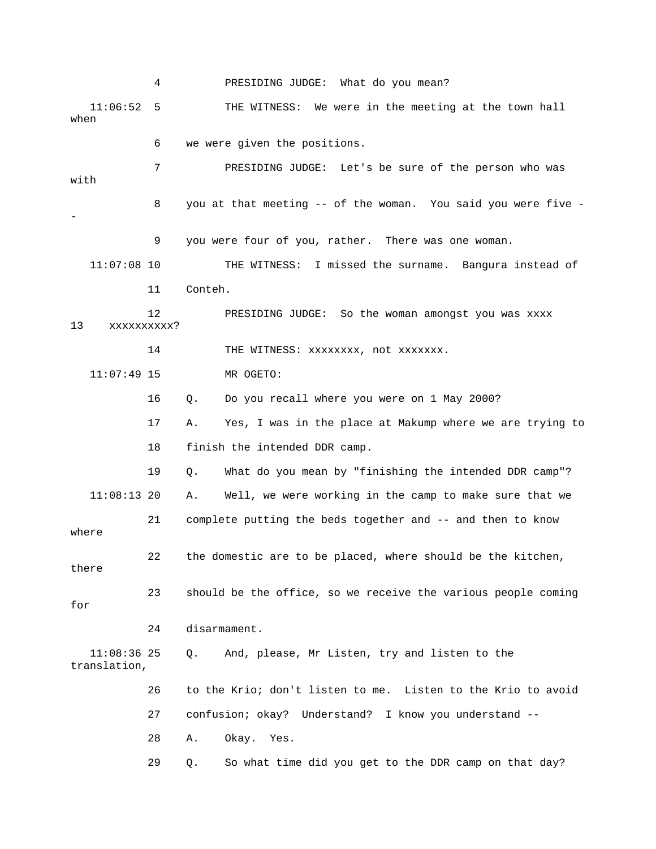4 PRESIDING JUDGE: What do you mean? 11:06:52 5 THE WITNESS: We were in the meeting at the tow n hall when 6 we were given the positions. 7 PRESIDING JUDGE: Let's be sure of the person who was 9 you were four of you, rather. There was one woman. 11:07:08 10 THE WITNESS: I missed the surname. Bangura instead of 11 Conteh. 12 PRESIDING JUDGE: So the woman amongst you was xxxx xxxxxxxxxx? 14 THE WITNESS: xxxxxxxx, not xxxxxxx. 16 Q. Do you recall where you were on 1 May 2000? 17 A. Yes, I was in the place at Makump where we are trying to 18 finish the intended DDR camp. 19 Q. What do you mean by "finishing the intended DDR camp"? 21 complete putting the beds together and -- and then to know 22 the domestic are to be placed, where should be the kitchen, 24 disarmament. 11:08:36 25 Q. And, please, Mr Listen, try and listen to the 26 to the Krio; don't listen to me. Listen to the Krio to avoid 27 confusion; okay? Understand? I know you understand -- 28 A. Okay. Yes. 29 Q. So what time did you get to the DDR camp on that day? with 8 you at that meeting -- of the woman. You said you were five - - 13 11:07:49 15 MR OGETO: 11:08:13 20 A. Well, we were working in the camp to make sure that we where there 23 should be the office, so we receive the various people coming for translation,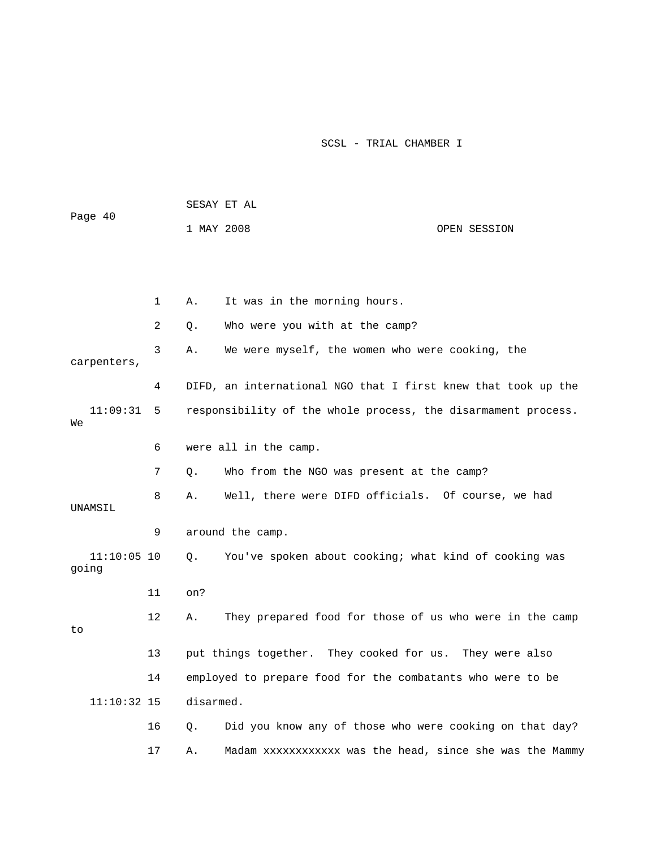|                        |              |            | SESAY ET AL                                                   |              |
|------------------------|--------------|------------|---------------------------------------------------------------|--------------|
| Page 40                |              | 1 MAY 2008 |                                                               | OPEN SESSION |
|                        |              |            |                                                               |              |
|                        |              |            |                                                               |              |
|                        | $\mathbf{1}$ | Α.         | It was in the morning hours.                                  |              |
|                        | 2            | Q.         | Who were you with at the camp?                                |              |
| carpenters,            | 3            | Α.         | We were myself, the women who were cooking, the               |              |
|                        | 4            |            | DIFD, an international NGO that I first knew that took up the |              |
| 11:09:31<br>We         | 5            |            | responsibility of the whole process, the disarmament process. |              |
|                        | 6            |            | were all in the camp.                                         |              |
|                        | 7            | О.         | Who from the NGO was present at the camp?                     |              |
| UNAMSIL                | 8            | Α.         | Well, there were DIFD officials. Of course, we had            |              |
|                        | 9            |            | around the camp.                                              |              |
| $11:10:05$ 10<br>going |              | Q.         | You've spoken about cooking; what kind of cooking was         |              |
|                        | 11           | on?        |                                                               |              |
| to                     | 12           | Α.         | They prepared food for those of us who were in the camp       |              |
|                        | 13           |            | put things together. They cooked for us. They were also       |              |
|                        | 14           |            | employed to prepare food for the combatants who were to be    |              |
| $11:10:32$ 15          |              | disarmed.  |                                                               |              |
|                        | 16           | Q.         | Did you know any of those who were cooking on that day?       |              |
|                        | 17           | Α.         | Madam xxxxxxxxxxxx was the head, since she was the Mammy      |              |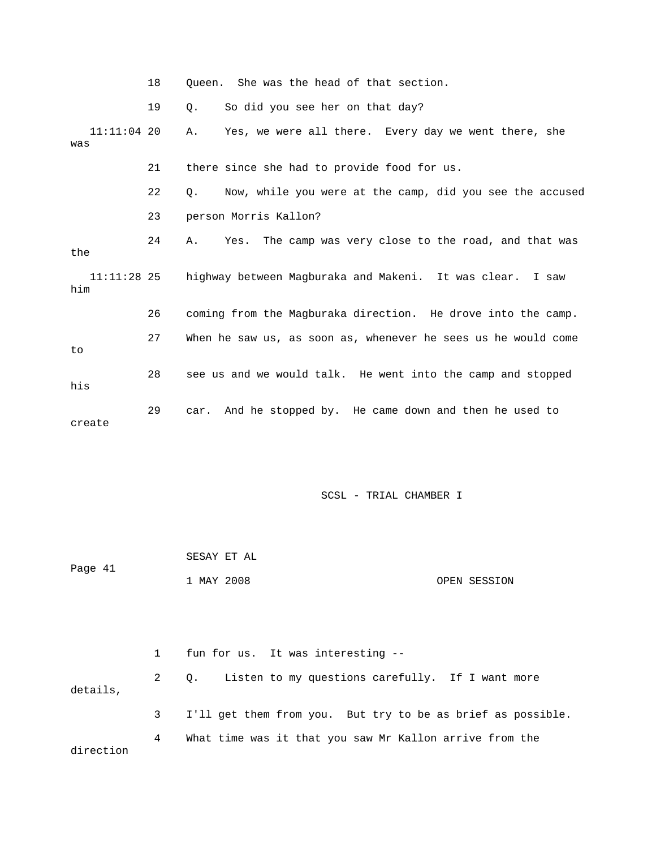|                      | 18 | Oueen. She was the head of that section.                              |
|----------------------|----|-----------------------------------------------------------------------|
|                      | 19 | О.<br>So did you see her on that day?                                 |
| $11:11:04$ 20<br>was |    | Yes, we were all there. Every day we went there, she<br>Α.            |
|                      | 21 | there since she had to provide food for us.                           |
|                      | 22 | Now, while you were at the camp, did you see the accused<br>$\circ$ . |
|                      | 23 | person Morris Kallon?                                                 |
| the                  | 24 | Yes. The camp was very close to the road, and that was<br>Α.          |
| 11:11:28 25<br>him   |    | highway between Magburaka and Makeni. It was clear. I saw             |
|                      | 26 | coming from the Magburaka direction. He drove into the camp.          |
| to                   | 27 | When he saw us, as soon as, whenever he sees us he would come         |
| his                  | 28 | see us and we would talk. He went into the camp and stopped           |
| create               | 29 | car. And he stopped by. He came down and then he used to              |

|         | SESAY ET AL |              |
|---------|-------------|--------------|
| Page 41 | 1 MAY 2008  | OPEN SESSION |
|         |             |              |
|         |             |              |

|           | $\mathbf{1}$ | fun for us. It was interesting --                           |
|-----------|--------------|-------------------------------------------------------------|
| details,  | 2            | Q. Listen to my questions carefully. If I want more         |
|           | $3 \sim$     | I'll get them from you. But try to be as brief as possible. |
| direction | 4            | What time was it that you saw Mr Kallon arrive from the     |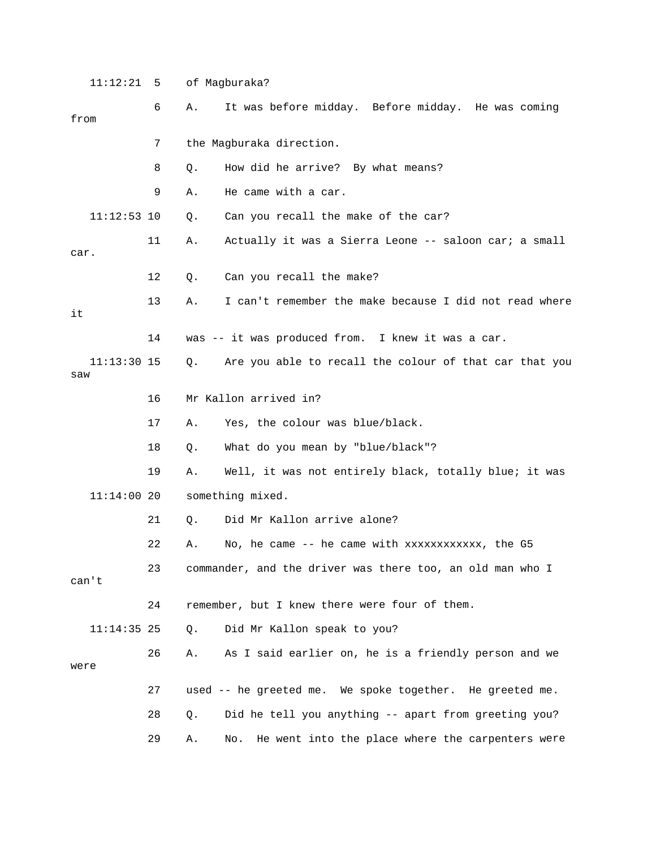| 11:12:21             | 5  |    | of Magburaka?                                             |
|----------------------|----|----|-----------------------------------------------------------|
| from                 | 6  | Α. | It was before midday. Before midday. He was coming        |
|                      | 7  |    | the Magburaka direction.                                  |
|                      | 8  | Q. | How did he arrive? By what means?                         |
|                      | 9  | Α. | He came with a car.                                       |
| $11:12:53$ 10        |    | Q. | Can you recall the make of the car?                       |
| car.                 | 11 | Α. | Actually it was a Sierra Leone -- saloon car; a small     |
|                      | 12 | Q. | Can you recall the make?                                  |
| it                   | 13 | Α. | I can't remember the make because I did not read where    |
|                      | 14 |    | was -- it was produced from. I knew it was a car.         |
| $11:13:30$ 15<br>saw |    | Q. | Are you able to recall the colour of that car that you    |
|                      | 16 |    | Mr Kallon arrived in?                                     |
|                      | 17 | Α. | Yes, the colour was blue/black.                           |
|                      | 18 | Q. | What do you mean by "blue/black"?                         |
|                      | 19 | Α. | Well, it was not entirely black, totally blue; it was     |
| $11:14:00$ 20        |    |    | something mixed.                                          |
|                      | 21 | Q. | Did Mr Kallon arrive alone?                               |
|                      | 22 | Α. | No, he came -- he came with xxxxxxxxxxxx, the G5          |
| can't                | 23 |    | commander, and the driver was there too, an old man who I |
|                      | 24 |    | remember, but I knew there were four of them.             |
| $11:14:35$ 25        |    | Q. | Did Mr Kallon speak to you?                               |
| were                 | 26 | Α. | As I said earlier on, he is a friendly person and we      |
|                      | 27 |    | used -- he greeted me. We spoke together. He greeted me.  |
|                      | 28 | Q. | Did he tell you anything -- apart from greeting you?      |
|                      | 29 | Α. | He went into the place where the carpenters were<br>No.   |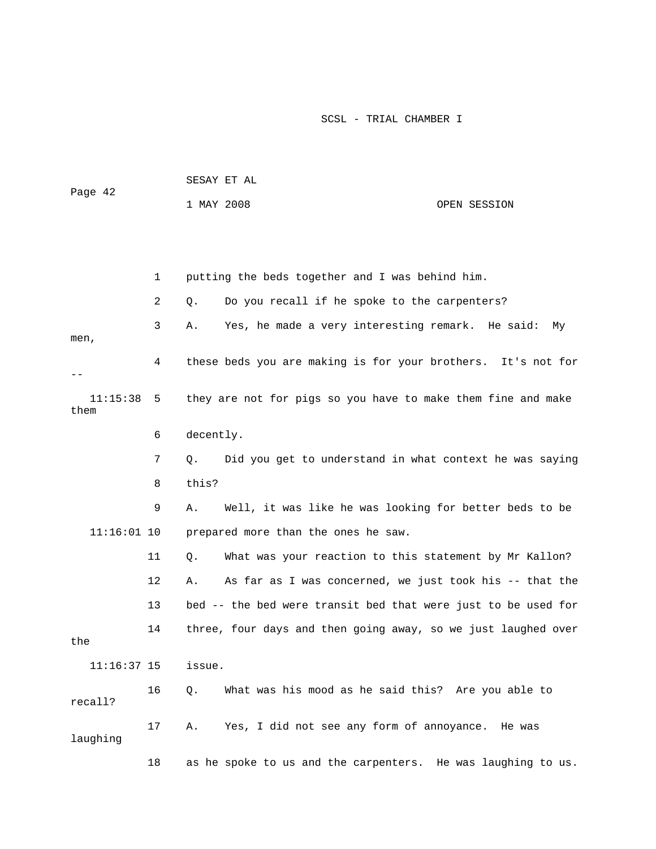|         |            | SESAY ET AL |              |
|---------|------------|-------------|--------------|
| Page 42 |            |             |              |
|         | 1 MAY 2008 |             | OPEN SESSION |

 1 putting the beds together and I was behind him. 2 Q. Do you recall if he spoke to the carpenters? 3 A. Yes, he made a very interesting remark. He said: My men, 4 these beds you are making is for your brothers. It's not for they are not for pigs so you have to make them fine and make 6 decently. 7 Q. Did you get to understand in what context he was saying 9 A. Well, it was like he was looking for better beds to be 11 Q. What was your reaction to this statement by Mr Kallon? 13 bed -- the bed were transit bed that were just to be used for 14 three, four days and then going away, so we just laughed over 11:16:37 15 issue. 16 Q. What was his mood as he said this? Are you able to laughing 18 as he spoke to us and the carpenters. He was laughing to us. -- 11:15:38 5 them 8 this? 11:16:01 10 prepared more than the ones he saw. 12 A. As far as I was concerned, we just took his -- that the the recall? 17 A. Yes, I did not see any form of annoyance. He was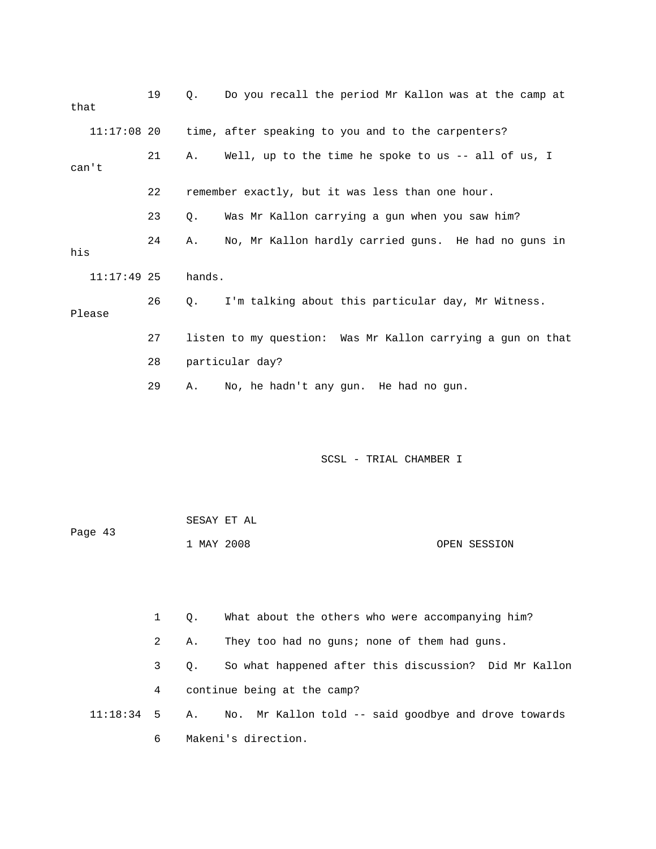| that |               | 19 | $\circ$ . | Do you recall the period Mr Kallon was at the camp at       |
|------|---------------|----|-----------|-------------------------------------------------------------|
|      | $11:17:08$ 20 |    |           | time, after speaking to you and to the carpenters?          |
|      | can't         | 21 | Α.        | Well, up to the time he spoke to us -- all of us, I         |
|      |               | 22 |           | remember exactly, but it was less than one hour.            |
|      |               | 23 | Q.        | Was Mr Kallon carrying a gun when you saw him?              |
| his  |               | 24 | Α.        | No, Mr Kallon hardly carried guns. He had no guns in        |
|      | $11:17:49$ 25 |    | hands.    |                                                             |
|      | Please        | 26 | $\circ$ . | I'm talking about this particular day, Mr Witness.          |
|      |               | 27 |           | listen to my question: Was Mr Kallon carrying a gun on that |
|      |               | 28 |           | particular day?                                             |
|      |               | 29 | Α.        | No, he hadn't any gun. He had no gun.                       |

|         | SESAY ET AL |              |
|---------|-------------|--------------|
| Page 43 |             |              |
|         | 1 MAY 2008  | OPEN SESSION |

2 A. They too had no guns; none of them had guns. 3 Q. So what happened after this discussion? Did Mr Kallon 4 continue being at the camp? 11:18:34 5 A. No. Mr Kallon told -- said goodbye and drove towards 6 Makeni's direction.

1 Q. What about the others who were accompanying him?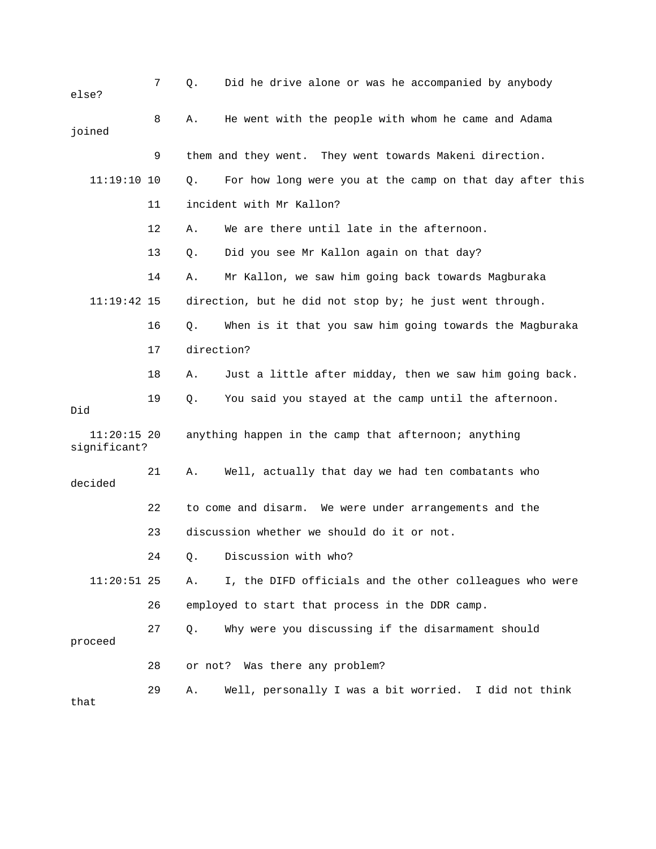| else?                         | 7  | Q.         | Did he drive alone or was he accompanied by anybody      |
|-------------------------------|----|------------|----------------------------------------------------------|
| joined                        | 8  | Α.         | He went with the people with whom he came and Adama      |
|                               | 9  |            | them and they went. They went towards Makeni direction.  |
| $11:19:10$ 10                 |    | Q.         | For how long were you at the camp on that day after this |
|                               | 11 |            | incident with Mr Kallon?                                 |
|                               | 12 | Α.         | We are there until late in the afternoon.                |
|                               | 13 | Q.         | Did you see Mr Kallon again on that day?                 |
|                               | 14 | Α.         | Mr Kallon, we saw him going back towards Magburaka       |
| 11:19:42 15                   |    |            | direction, but he did not stop by; he just went through. |
|                               | 16 | $Q$ .      | When is it that you saw him going towards the Magburaka  |
|                               | 17 | direction? |                                                          |
|                               | 18 | Α.         | Just a little after midday, then we saw him going back.  |
| Did                           | 19 | Q.         | You said you stayed at the camp until the afternoon.     |
| $11:20:15$ 20<br>significant? |    |            | anything happen in the camp that afternoon; anything     |
| decided                       | 21 | Α.         | Well, actually that day we had ten combatants who        |
|                               | 22 |            | to come and disarm. We were under arrangements and the   |
|                               | 23 |            | discussion whether we should do it or not.               |
|                               | 24 |            | Q. Discussion with who?                                  |
| $11:20:51$ 25                 |    | Α.         | I, the DIFD officials and the other colleagues who were  |
|                               | 26 |            | employed to start that process in the DDR camp.          |
| proceed                       | 27 | О.         | Why were you discussing if the disarmament should        |
|                               | 28 |            | or not? Was there any problem?                           |
| that                          | 29 | Α.         | Well, personally I was a bit worried. I did not think    |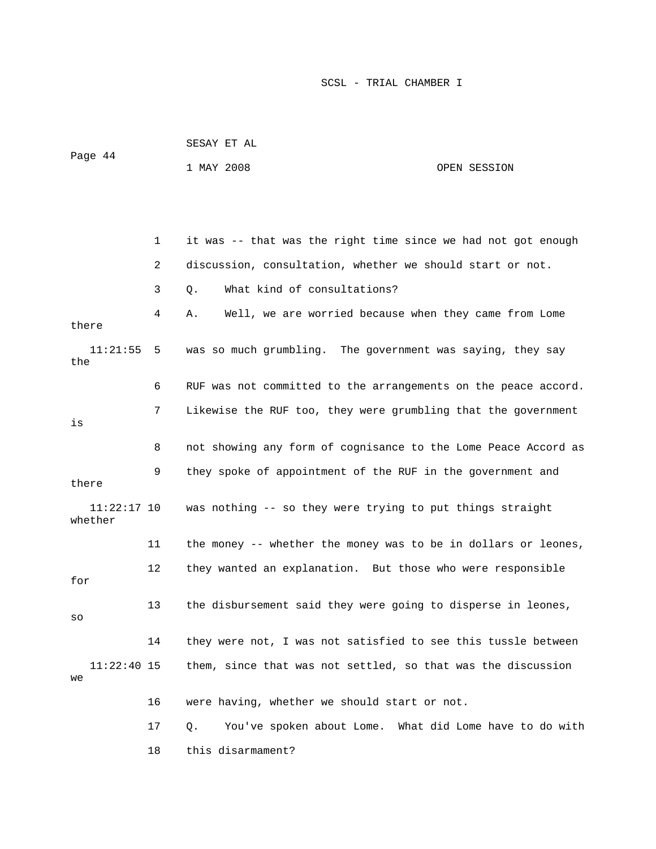|                          |    | PEPAI FI UT                                                    |              |
|--------------------------|----|----------------------------------------------------------------|--------------|
| Page 44                  |    | 1 MAY 2008                                                     | OPEN SESSION |
|                          |    |                                                                |              |
|                          |    |                                                                |              |
|                          |    |                                                                |              |
|                          | 1  | it was -- that was the right time since we had not got enough  |              |
|                          | 2  | discussion, consultation, whether we should start or not.      |              |
|                          | 3  | What kind of consultations?<br>Q.                              |              |
| there                    | 4  | Well, we are worried because when they came from Lome<br>Α.    |              |
| 11:21:55<br>the          | 5  | was so much grumbling. The government was saying, they say     |              |
|                          | 6  | RUF was not committed to the arrangements on the peace accord. |              |
| is                       | 7  | Likewise the RUF too, they were grumbling that the government  |              |
|                          | 8  | not showing any form of cognisance to the Lome Peace Accord as |              |
| there                    | 9  | they spoke of appointment of the RUF in the government and     |              |
| $11:22:17$ 10<br>whether |    | was nothing -- so they were trying to put things straight      |              |
|                          | 11 | the money -- whether the money was to be in dollars or leones, |              |
| for                      | 12 | they wanted an explanation. But those who were responsible     |              |
| SO                       | 13 | the disbursement said they were going to disperse in leones,   |              |
|                          | 14 | they were not, I was not satisfied to see this tussle between  |              |
| $11:22:40$ 15<br>we      |    | them, since that was not settled, so that was the discussion   |              |
|                          | 16 | were having, whether we should start or not.                   |              |
|                          | 17 | You've spoken about Lome. What did Lome have to do with<br>Q.  |              |
|                          | 18 | this disarmament?                                              |              |

SESAY ET AL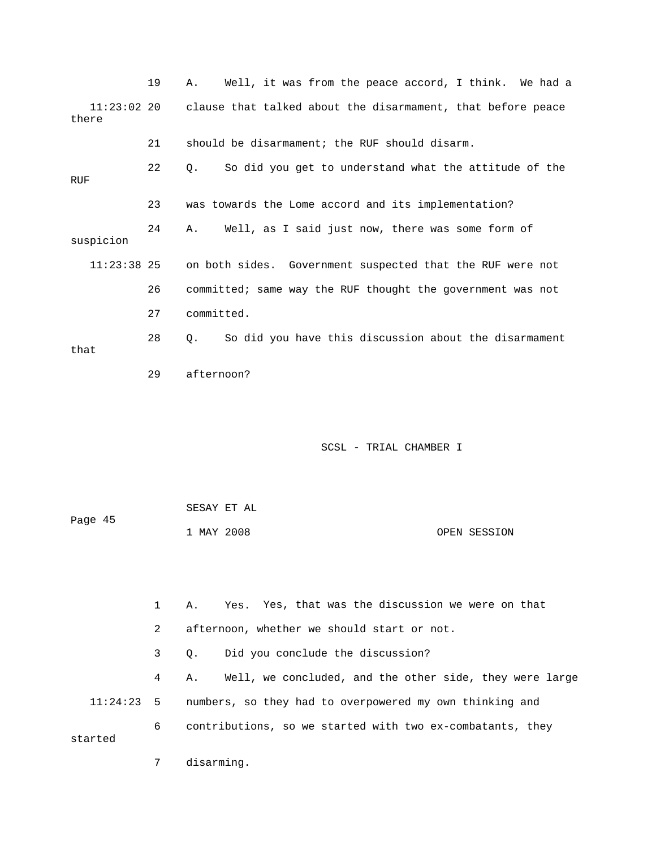|                        | 19 | Well, it was from the peace accord, I think. We had a<br>Α.   |
|------------------------|----|---------------------------------------------------------------|
| $11:23:02$ 20<br>there |    | clause that talked about the disarmament, that before peace   |
|                        | 21 | should be disarmament; the RUF should disarm.                 |
| RUF                    | 22 | So did you get to understand what the attitude of the<br>Q.   |
|                        | 23 | was towards the Lome accord and its implementation?           |
| suspicion              | 24 | Well, as I said just now, there was some form of<br>Α.        |
| $11:23:38$ 25          |    | on both sides. Government suspected that the RUF were not     |
|                        | 26 | committed; same way the RUF thought the government was not    |
|                        | 27 | committed.                                                    |
| that                   | 28 | So did you have this discussion about the disarmament<br>Q.   |
|                        | 29 | afternoon?                                                    |
|                        |    |                                                               |
|                        |    | SCSL - TRIAL CHAMBER I                                        |
|                        |    | SESAY ET AL                                                   |
| Page 45                |    | OPEN SESSION<br>1 MAY 2008                                    |
|                        |    |                                                               |
|                        | 1  | Yes. Yes, that was the discussion we were on that<br>Α.       |
|                        | 2  | afternoon, whether we should start or not.                    |
|                        | 3  | Did you conclude the discussion?<br>Q.                        |
|                        | 4  | Well, we concluded, and the other side, they were large<br>Α. |

 11:24:23 5 numbers, so they had to overpowered my own thinking and 6 contributions, so we started with two ex-combatants, they started

7 disarming.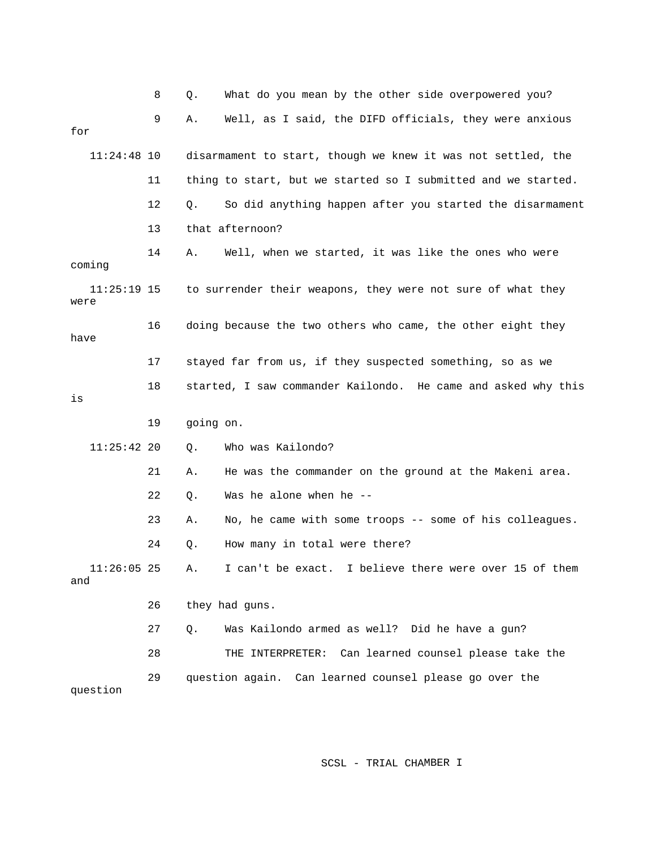|                      | 8  | Q.        | What do you mean by the other side overpowered you?           |
|----------------------|----|-----------|---------------------------------------------------------------|
| for                  | 9  | Α.        | Well, as I said, the DIFD officials, they were anxious        |
| $11:24:48$ 10        |    |           | disarmament to start, though we knew it was not settled, the  |
|                      | 11 |           | thing to start, but we started so I submitted and we started. |
|                      | 12 | Q.        | So did anything happen after you started the disarmament      |
|                      | 13 |           | that afternoon?                                               |
| coming               | 14 | Α.        | Well, when we started, it was like the ones who were          |
| 11:25:19 15<br>were  |    |           | to surrender their weapons, they were not sure of what they   |
| have                 | 16 |           | doing because the two others who came, the other eight they   |
|                      | 17 |           | stayed far from us, if they suspected something, so as we     |
| is                   | 18 |           | started, I saw commander Kailondo. He came and asked why this |
|                      |    |           |                                                               |
|                      | 19 | going on. |                                                               |
| $11:25:42$ 20        |    | Q.        | Who was Kailondo?                                             |
|                      | 21 | Α.        | He was the commander on the ground at the Makeni area.        |
|                      | 22 | Q.        | Was he alone when he --                                       |
|                      | 23 | Α.        | No, he came with some troops -- some of his colleagues.       |
|                      | 24 | Q.        | How many in total were there?                                 |
| $11:26:05$ 25<br>and |    | А.        | I can't be exact. I believe there were over 15 of them        |
|                      | 26 |           | they had guns.                                                |
|                      | 27 | Q.        | Was Kailondo armed as well? Did he have a gun?                |
|                      | 28 |           | THE INTERPRETER: Can learned counsel please take the          |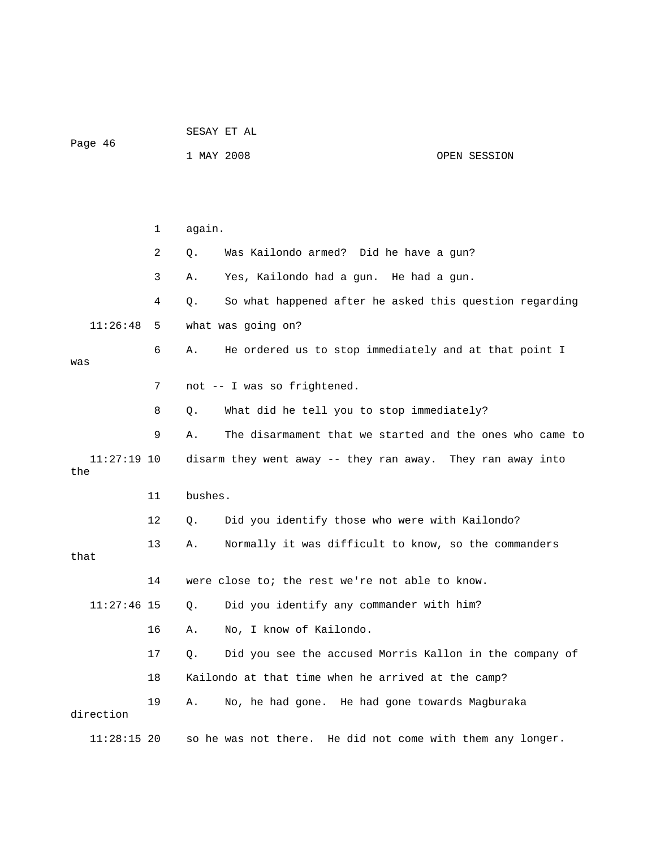|   |         | SESAY ET AL |  |
|---|---------|-------------|--|
| - | $\cdot$ |             |  |

Page 46

1 MAY 2008 OPEN SESSION

 1 again. 2 Q. Was Kailondo armed? Did he have a gun? . 3 A. Yes, Kailondo had a gun. He had a gun 4 Q. So what happened after he asked this question regarding 11:26:48 5 what was going on? 7 not -- I was so frightened. 8 Q. What did he tell you to stop immediately? 9 A. The disarmament that we started and the ones who came to disarm they went away -- they ran away. They ran away into 13 A. Wormally it was difficult to know, so the commanders that 14 were close to; the rest we're not able to know. 11:27:46 15 Q. Did you identify any commander with him? 19 A. No, he had gone. He had gone towards Magburaka  $11:28:15$  20 so he was not there. He did not come with them any longer. 6 A. He ordered us to stop immediately and at that point I was  $11:27:19$  10 the 11 bushes. 12 Q. Did you identify those who were with Kailondo? 16 A. No, I know of Kailondo. 17 Q. Did you see the accused Morris Kallon in the company of 18 Kailondo at that time when he arrived at the camp? direction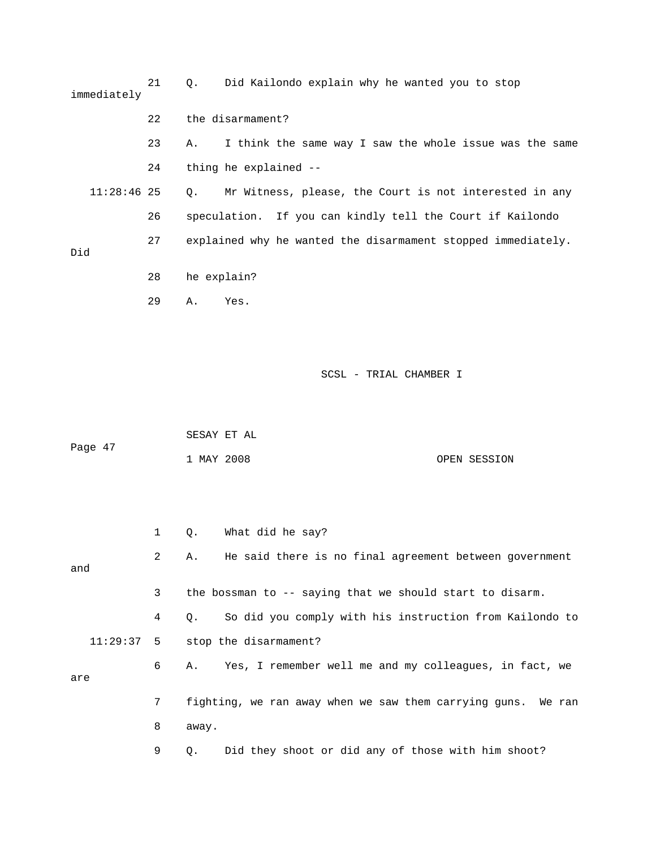| immediately                                                               | 21 | 0.          | Did Kailondo explain why he wanted you to stop            |
|---------------------------------------------------------------------------|----|-------------|-----------------------------------------------------------|
|                                                                           | 22 |             | the disarmament?                                          |
|                                                                           | 23 | Α.          | I think the same way I saw the whole issue was the same   |
|                                                                           | 24 |             | thing he explained --                                     |
| $11:28:46$ 25                                                             |    | Ο.          | Mr Witness, please, the Court is not interested in any    |
|                                                                           | 26 |             | speculation. If you can kindly tell the Court if Kailondo |
| 27<br>explained why he wanted the disarmament stopped immediately.<br>Did |    |             |                                                           |
|                                                                           | 28 | he explain? |                                                           |
|                                                                           | 29 | Α.          | Yes.                                                      |
|                                                                           |    |             |                                                           |
|                                                                           |    |             |                                                           |
|                                                                           |    |             | SCSL - TRIAL CHAMBER I                                    |
|                                                                           |    |             |                                                           |

| Page 47 | SESAY ET AL |  |              |
|---------|-------------|--|--------------|
|         | 1 MAY 2008  |  | OPEN SESSION |

|     |                | What did he say?<br>$\circ$ .                                 |
|-----|----------------|---------------------------------------------------------------|
| and | $2^{\circ}$    | He said there is no final agreement between government<br>Α.  |
|     |                |                                                               |
|     | 3              | the bossman to $-$ - saying that we should start to disarm.   |
|     | 4              | So did you comply with his instruction from Kailondo to<br>О. |
|     |                | $11:29:37$ 5 stop the disarmament?                            |
| are | ნ —            | A. Yes, I remember well me and my colleagues, in fact, we     |
|     | 7 <sup>7</sup> | fighting, we ran away when we saw them carrying guns. We ran  |
|     | 8              | away.                                                         |
|     | 9              | Did they shoot or did any of those with him shoot?<br>О.      |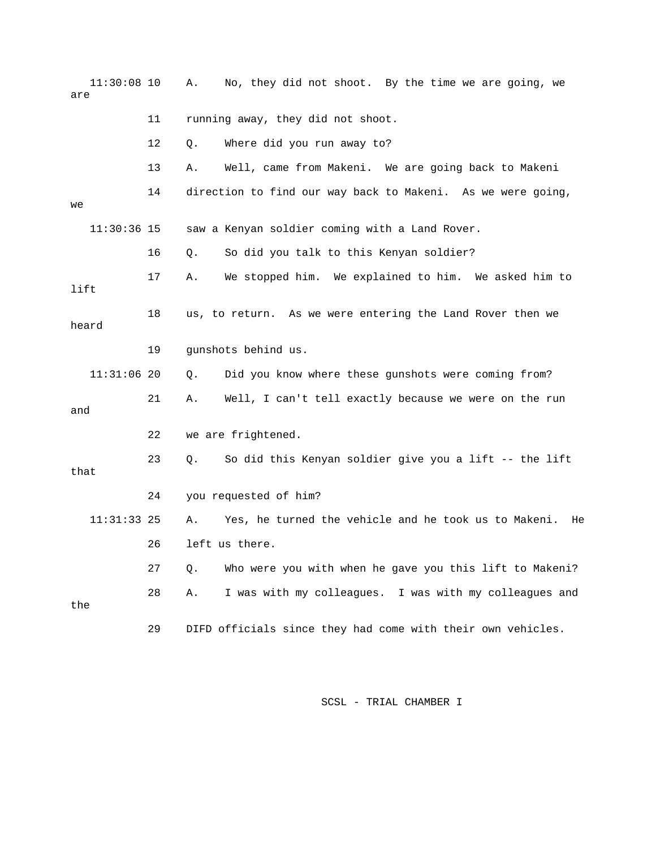| $11:30:08$ 10<br>are |    | No, they did not shoot. By the time we are going, we<br>Α.       |
|----------------------|----|------------------------------------------------------------------|
|                      | 11 | running away, they did not shoot.                                |
|                      | 12 | Q.<br>Where did you run away to?                                 |
|                      | 13 | Well, came from Makeni. We are going back to Makeni<br>Α.        |
| we                   | 14 | direction to find our way back to Makeni. As we were going,      |
| $11:30:36$ 15        |    | saw a Kenyan soldier coming with a Land Rover.                   |
|                      | 16 | So did you talk to this Kenyan soldier?<br>Q.                    |
| lift                 | 17 | We stopped him. We explained to him. We asked him to<br>Α.       |
| heard                | 18 | us, to return. As we were entering the Land Rover then we        |
|                      | 19 | gunshots behind us.                                              |
| $11:31:06$ 20        |    | Did you know where these gunshots were coming from?<br>$Q$ .     |
| and                  | 21 | Well, I can't tell exactly because we were on the run<br>Α.      |
|                      | 22 | we are frightened.                                               |
| that                 | 23 | So did this Kenyan soldier give you a lift -- the lift<br>Q.     |
|                      | 24 | you requested of him?                                            |
| $11:31:33$ 25        |    | Yes, he turned the vehicle and he took us to Makeni.<br>Α.<br>He |
|                      | 26 | left us there.                                                   |
|                      | 27 | Who were you with when he gave you this lift to Makeni?<br>Q.    |
| the                  | 28 | I was with my colleagues. I was with my colleagues and<br>Α.     |
|                      | 29 | DIFD officials since they had come with their own vehicles.      |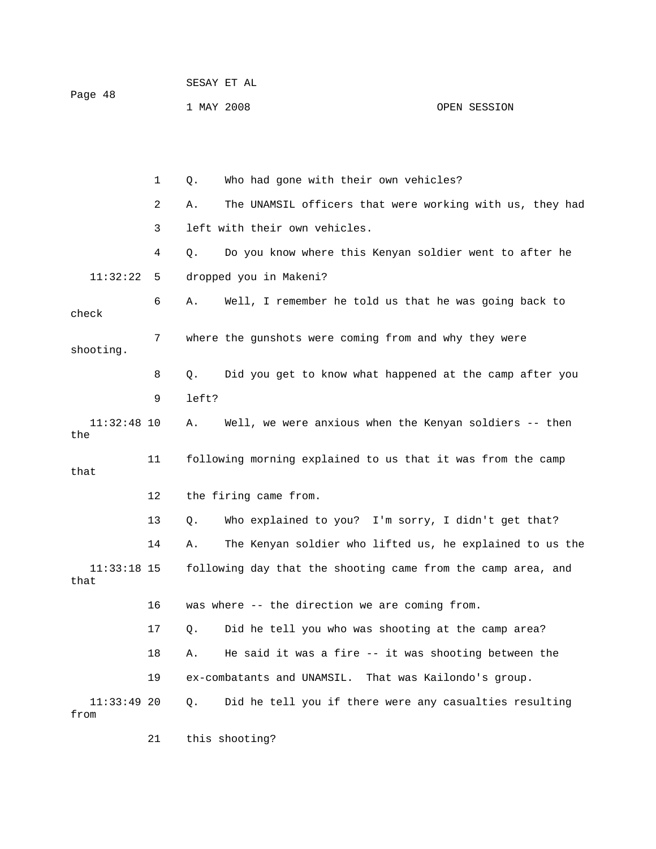| Page 48 | SESAY ET AL |              |
|---------|-------------|--------------|
|         | 1 MAY 2008  | OPEN SESSION |

|                       | 1  | Q.    | Who had gone with their own vehicles?                        |
|-----------------------|----|-------|--------------------------------------------------------------|
|                       | 2  | Α.    | The UNAMSIL officers that were working with us, they had     |
|                       | 3  |       | left with their own vehicles.                                |
|                       | 4  | Q.    | Do you know where this Kenyan soldier went to after he       |
| 11:32:22              | 5  |       | dropped you in Makeni?                                       |
| check                 | 6  | Α.    | Well, I remember he told us that he was going back to        |
| shooting.             | 7  |       | where the gunshots were coming from and why they were        |
|                       | 8  | Q.    | Did you get to know what happened at the camp after you      |
|                       | 9  | left? |                                                              |
| $11:32:48$ 10<br>the  |    | Α.    | Well, we were anxious when the Kenyan soldiers -- then       |
| that                  | 11 |       | following morning explained to us that it was from the camp  |
|                       | 12 |       | the firing came from.                                        |
|                       | 13 | Q.    | Who explained to you? I'm sorry, I didn't get that?          |
|                       | 14 | Α.    | The Kenyan soldier who lifted us, he explained to us the     |
| $11:33:18$ 15<br>that |    |       | following day that the shooting came from the camp area, and |
|                       | 16 |       | was where -- the direction we are coming from.               |
|                       | 17 | О.    | Did he tell you who was shooting at the camp area?           |
|                       | 18 | Α.    | He said it was a fire -- it was shooting between the         |
|                       | 19 |       | ex-combatants and UNAMSIL. That was Kailondo's group.        |
| $11:33:49$ 20<br>from |    | Q.    | Did he tell you if there were any casualties resulting       |

21 this shooting?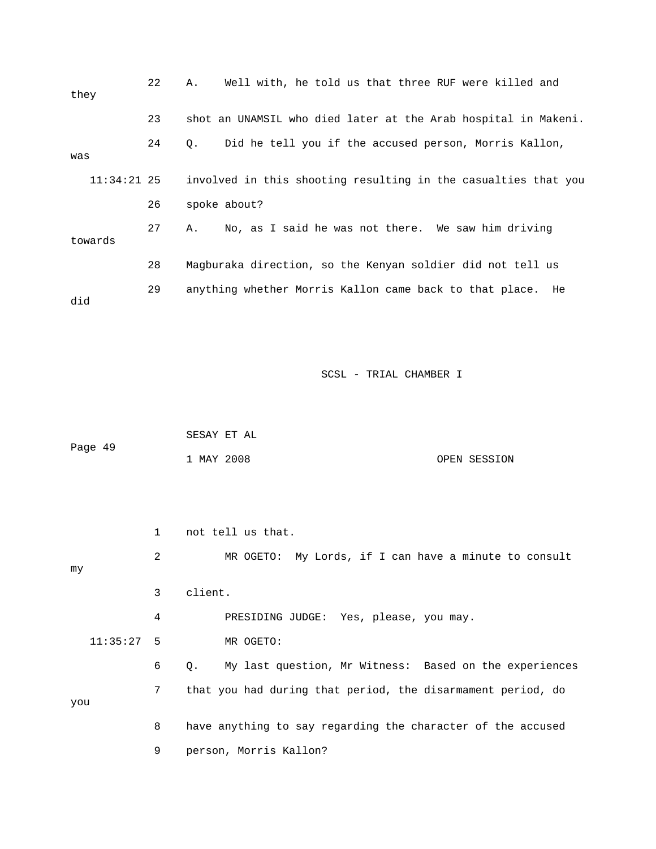| they    | 22            | Well with, he told us that three RUF were killed and<br>Α.     |
|---------|---------------|----------------------------------------------------------------|
|         | 23            | shot an UNAMSIL who died later at the Arab hospital in Makeni. |
| was     | 24            | Did he tell you if the accused person, Morris Kallon,<br>Q.    |
|         | $11:34:21$ 25 | involved in this shooting resulting in the casualties that you |
|         | 26            | spoke about?                                                   |
| towards | 27            | No, as I said he was not there. We saw him driving<br>Α.       |
|         | 28            | Magburaka direction, so the Kenyan soldier did not tell us     |
| did     | 29            | anything whether Morris Kallon came back to that place. He     |

| Page 49 | SESAY ET AL |  |              |
|---------|-------------|--|--------------|
|         | 1 MAY 2008  |  | OPEN SESSION |

 1 not tell us that. 2 MR OGETO: My Lords, if I can have a minute to consult 4 PRESIDING JUDGE: Yes, please, you may. 11:35:27 5 MR OGETO: 6 Q. My last question, Mr Witness: Based on the experiences 7 that you had during that period, the disarmament period, do you 8 have anything to say regarding the character of the accused my 3 client.

9 person, Morris Kallon?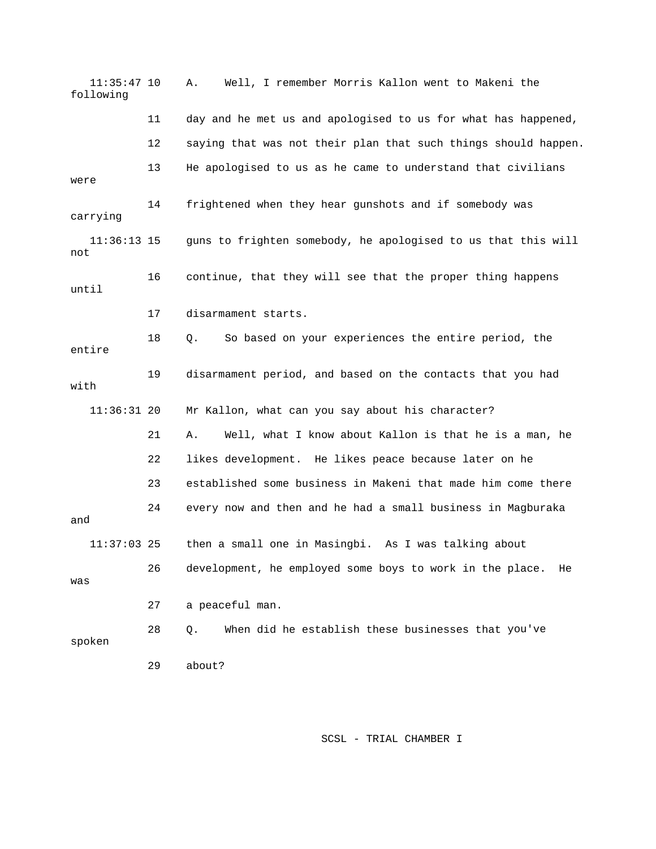11:35:47 10 A. Well, I remember Morris Kallon went to Makeni the following 11 day and he met us and apologised to us for what has happened, 12 saying that was not their plan that such things should happen. 13 He apologised to us as he came to understand that civilians were l 11:36:13 15 guns to frighten somebody, he apologised to us that this wil 16 continue, that they will see that the proper thing happens until 17 disarmament starts. 19 disarmament period, and based on the contacts that you had 11:36:31 20 Mr Kallon, what can you say about his character? 21 A. Well, what I know about Kallon is that he is a man, he 23 established some business in Makeni that made him come there 24 every now and then and he had a small business in Magburaka and 11:37:03 25 then a small one in Masingbi. As I was talking about 26 development, he employed some boys to work in the place. He was 28 Q. When did he establish these businesses that you've 29 about? 14 frightened when they hear gunshots and if somebody was carrying not 18 Q. So based on your experiences the entire period, the entire with 22 likes development. He likes peace because later on he 27 a peaceful man. spoken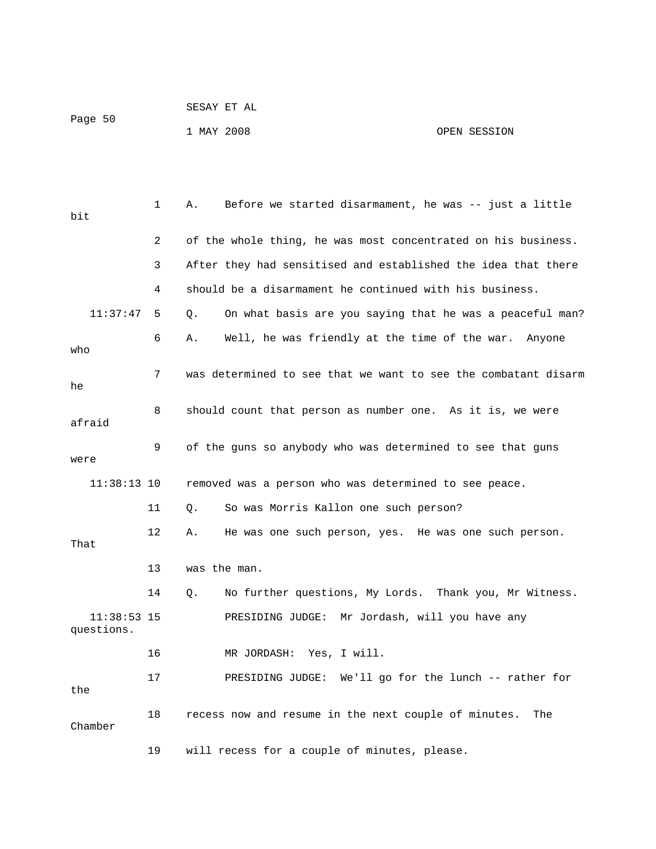| Page 50 | SESAY ET AL |  |              |
|---------|-------------|--|--------------|
|         | 1 MAY 2008  |  | OPEN SESSION |

| bit                         | $\mathbf 1$ | Before we started disarmament, he was -- just a little<br>Α.   |
|-----------------------------|-------------|----------------------------------------------------------------|
|                             | 2           | of the whole thing, he was most concentrated on his business.  |
|                             | 3           | After they had sensitised and established the idea that there  |
|                             | 4           | should be a disarmament he continued with his business.        |
| 11:37:47                    | 5           | On what basis are you saying that he was a peaceful man?<br>Q. |
| who                         | 6           | Well, he was friendly at the time of the war.<br>Α.<br>Anyone  |
| he                          | 7           | was determined to see that we want to see the combatant disarm |
| afraid                      | 8           | should count that person as number one. As it is, we were      |
| were                        | 9           | of the guns so anybody who was determined to see that guns     |
| $11:38:13$ 10               |             | removed was a person who was determined to see peace.          |
|                             | 11          | So was Morris Kallon one such person?<br>О.                    |
| That                        | 12          | He was one such person, yes. He was one such person.<br>Α.     |
|                             | 13          | was the man.                                                   |
|                             | 14          | No further questions, My Lords. Thank you, Mr Witness.<br>Q.   |
| $11:38:53$ 15<br>questions. |             | PRESIDING JUDGE: Mr Jordash, will you have any                 |
|                             | 16          | MR JORDASH:<br>Yes, I will.                                    |
| the                         | 17          | PRESIDING JUDGE: We'll go for the lunch -- rather for          |
| Chamber                     | 18          | recess now and resume in the next couple of minutes.<br>The    |
|                             | 19          | will recess for a couple of minutes, please.                   |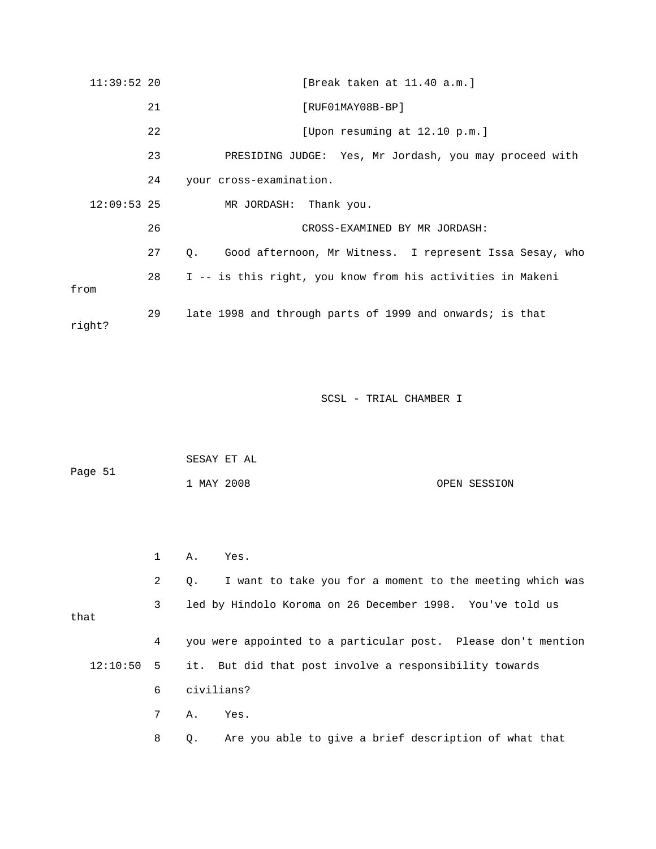| $11:39:52$ 20 |    | [Break taken at 11.40 a.m.]                                          |
|---------------|----|----------------------------------------------------------------------|
|               | 21 | $[RUF01MAY08B-BP]$                                                   |
|               | 22 | [Upon resuming at 12.10 p.m.]                                        |
|               | 23 | PRESIDING JUDGE: Yes, Mr Jordash, you may proceed with               |
|               | 24 | your cross-examination.                                              |
| $12:09:53$ 25 |    | MR JORDASH:<br>Thank you.                                            |
|               | 26 | CROSS-EXAMINED BY MR JORDASH:                                        |
|               | 27 | Good afternoon, Mr Witness. I represent Issa Sesay, who<br>$\circ$ . |
| from          | 28 | I -- is this right, you know from his activities in Makeni           |
| right?        | 29 | late 1998 and through parts of 1999 and onwards; is that             |

SCSL - TRIAL CHAMBER I SCSL SECTION AND SCSL SECTION OF SALES

| Page 51 | SESAY ET AL |  |              |
|---------|-------------|--|--------------|
|         | 1 MAY 2008  |  | OPEN SESSION |

|              | $\mathbf{1}$ | A. Yes.                                                               |
|--------------|--------------|-----------------------------------------------------------------------|
|              | 2            | I want to take you for a moment to the meeting which was<br>$\circ$ . |
| that         | 3            | led by Hindolo Koroma on 26 December 1998. You've told us             |
|              | 4            | you were appointed to a particular post. Please don't mention         |
| $12:10:50$ 5 |              | it. But did that post involve a responsibility towards                |
|              | 6            | civilians?                                                            |
|              | 7            | A.,<br>Yes.                                                           |
|              | 8            | Are you able to give a brief description of what that<br>$\circ$ .    |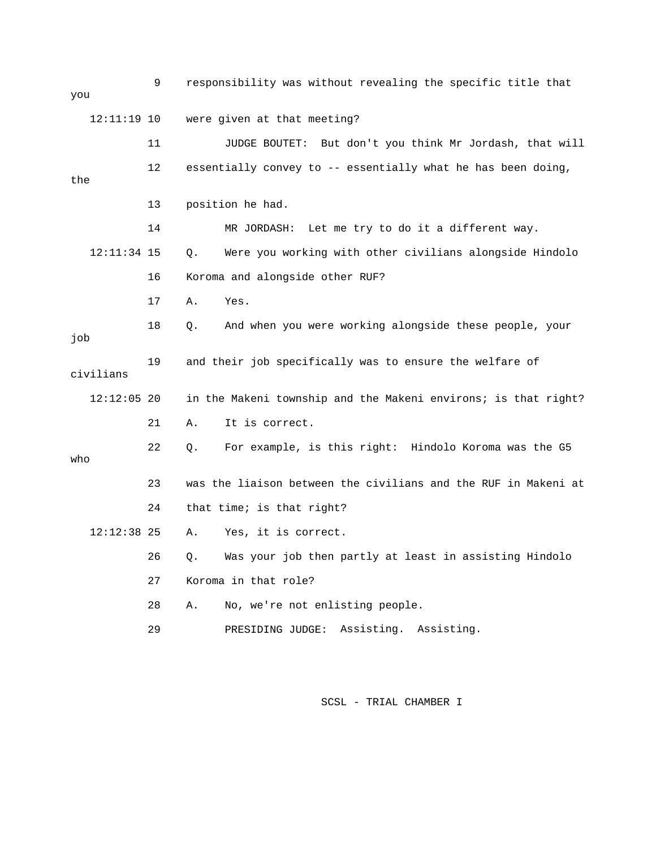9 responsibility was without revealing the specific title that 11 JUDGE BOUTET: But don't you think Mr Jordash, that will the 13 position he had. 14 MR JORDASH: Let me try to do it a different way. 12:11:34 15 Q. Were you working with other civilians alongside Hindolo 17 A. Yes. 18 Q. And when you were working alongside these people, your job 19 and their job specifically was to ensure the welfare of 12:12:05 20 in the Makeni township and the Makeni environs; is that right? 21 A. It is correct. 22 Q. For example, is this right: Hindolo Koroma was the G5 23 was the liaison between the civilians and the RUF in Makeni at 24 that time; is that right? 26 Q. Was your job then partly at least in assisting Hindolo 27 Koroma in that role? 29 PRESIDING JUDGE: Assisting. Assisting. you 12:11:19 10 were given at that meeting? 12 essentially convey to -- essentially what he has been doing, 16 Koroma and alongside other RUF? civilians who 12:12:38 25 A. Yes, it is correct. 28 A. No, we're not enlisting people.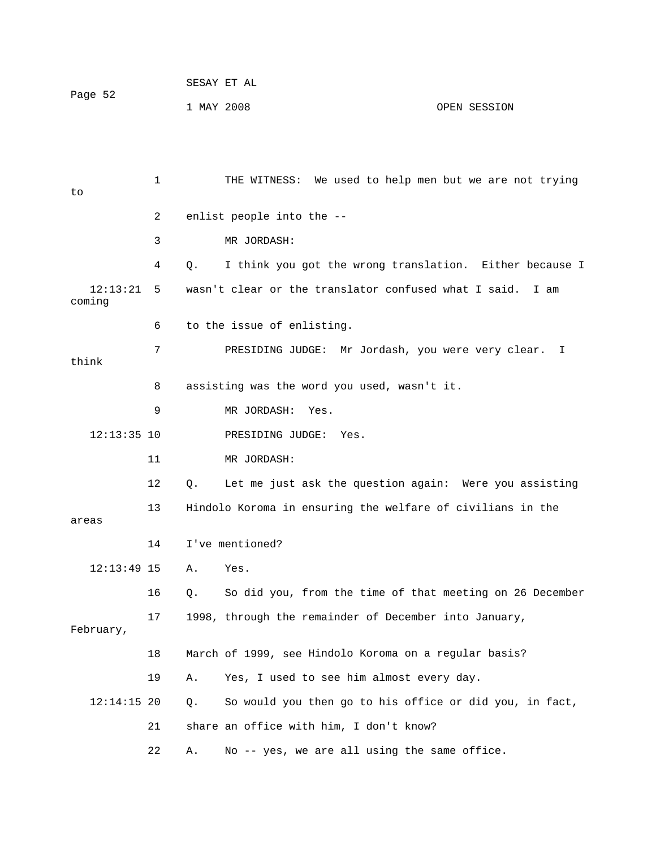| Page 52 | SESAY ET AL |  |              |
|---------|-------------|--|--------------|
|         | 1 MAY 2008  |  | OPEN SESSION |

 1 THE WITNESS: We used to help men but we are not trying 3 MR JORDASH: 4 Q. I think you got the wrong translation. Either because I wasn't clear or the translator confused what I said. I am 6 to the issue of enlisting. 7 PRESIDING JUDGE: Mr Jordash, you were very clear. I think 8 assisting was the word you used, wasn't it. 12:13:35 10 PRESIDING JUDGE: Yes. 12 Q. Let me just ask the question again: Were you assisting 13 Hindolo Koroma in ensuring the welfare of civilians in the 13:49 15 A. Yes. 12: 16 Q. So did you, from the time of that meeting on 26 December 17 1998, through the remainder of December into January, 18 March of 1999, see Hindolo Koroma on a regular basis? 12:14:15 20 Q. So would you then go to his office or did you, in fact, 21 share an office with him, I don't know? 22 A. No -- yes, we are all using the same office. to 2 enlist people into the --  $12:13:21$  5 coming 9 MR JORDASH: Yes. 11 MR JORDASH: areas 14 I've mentioned? February, 19 A. Yes, I used to see him almost every day.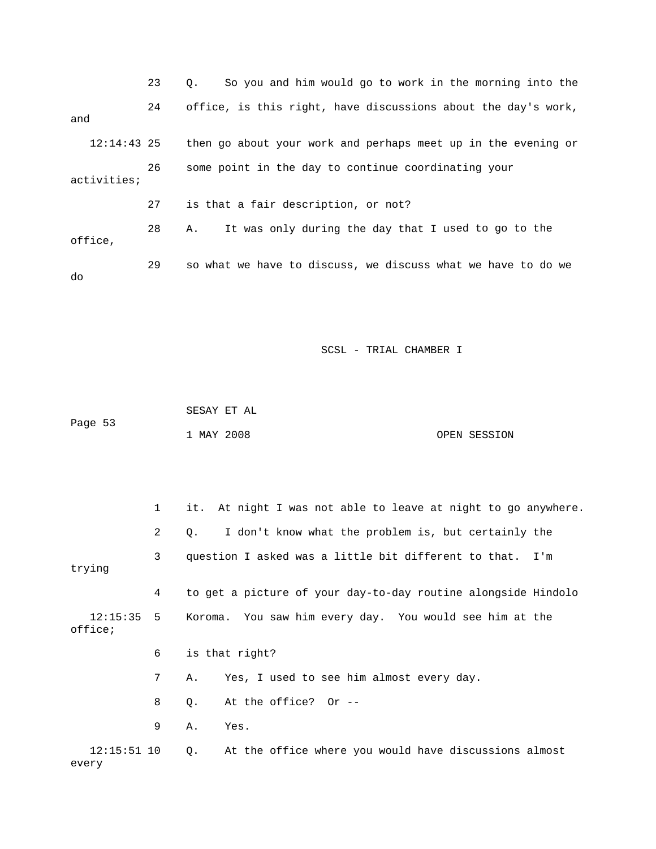|         |               | 23 | So you and him would go to work in the morning into the<br>0. |
|---------|---------------|----|---------------------------------------------------------------|
| and     |               | 24 | office, is this right, have discussions about the day's work, |
|         | $12:14:43$ 25 |    | then go about your work and perhaps meet up in the evening or |
|         | activities;   | 26 | some point in the day to continue coordinating your           |
|         |               | 27 | is that a fair description, or not?                           |
| office, |               | 28 | It was only during the day that I used to go to the<br>Α.     |
| do      |               | 29 | so what we have to discuss, we discuss what we have to do we  |

 SESAY ET AL 1 MAY 2008 OPEN SESSION Page 53

 1 it. At night I was not able to leave at night to go anywhere. 2 Q. I don't know what the problem is, but certainly the 3 question I asked was a little bit different to that. I'm trying 4 to get a picture of your day-to-day routine alongside Hindolo 12:15:35 5 Koroma. You saw him every day. You would see him at the 6 is that right? 7 A. Yes, I used to see him almost every day. office; 8 Q. At the office? Or -- 9 A. Yes. 12:15:51 10 Q. At the office where you would have discussions almost every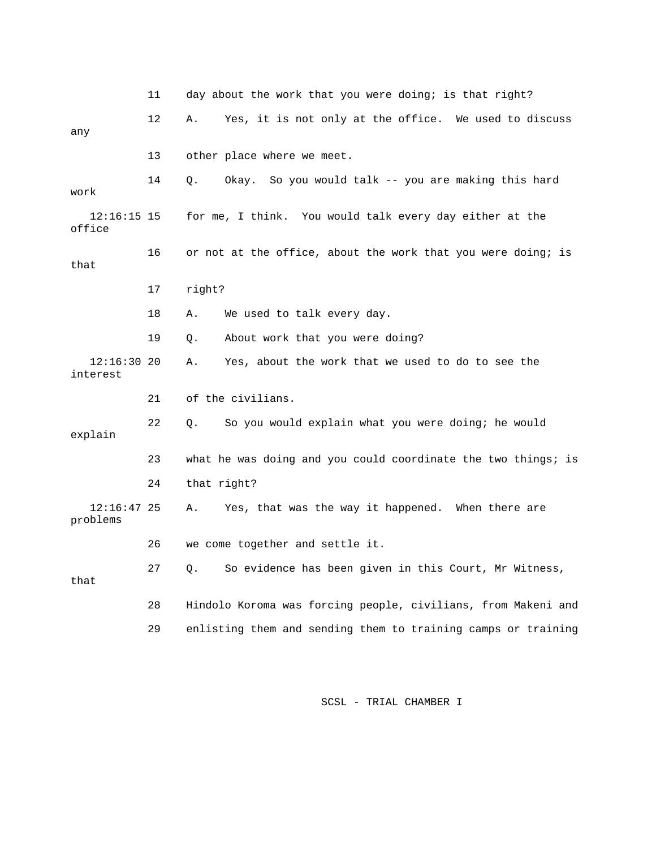|                           | 11              | day about the work that you were doing; is that right?        |
|---------------------------|-----------------|---------------------------------------------------------------|
| any                       | 12 <sup>°</sup> | Yes, it is not only at the office. We used to discuss<br>Α.   |
|                           | 13              | other place where we meet.                                    |
| work                      | 14              | Okay. So you would talk -- you are making this hard<br>Q.     |
| $12:16:15$ 15<br>office   |                 | for me, I think. You would talk every day either at the       |
| that                      | 16              | or not at the office, about the work that you were doing; is  |
|                           | 17              | right?                                                        |
|                           | 18              | We used to talk every day.<br>Α.                              |
|                           | 19              | About work that you were doing?<br>Q.                         |
| 12:16:3020<br>interest    |                 | Yes, about the work that we used to do to see the<br>Α.       |
|                           | 21              | of the civilians.                                             |
| explain                   | 22              | So you would explain what you were doing; he would<br>Q.      |
|                           | 23              | what he was doing and you could coordinate the two things; is |
|                           | 24              | that right?                                                   |
| $12:16:47$ 25<br>problems |                 | Yes, that was the way it happened. When there are<br>Α.       |
|                           | 26              | we come together and settle it.                               |
| that                      | 27              | So evidence has been given in this Court, Mr Witness,<br>О.   |
|                           | 28              | Hindolo Koroma was forcing people, civilians, from Makeni and |
|                           | 29              | enlisting them and sending them to training camps or training |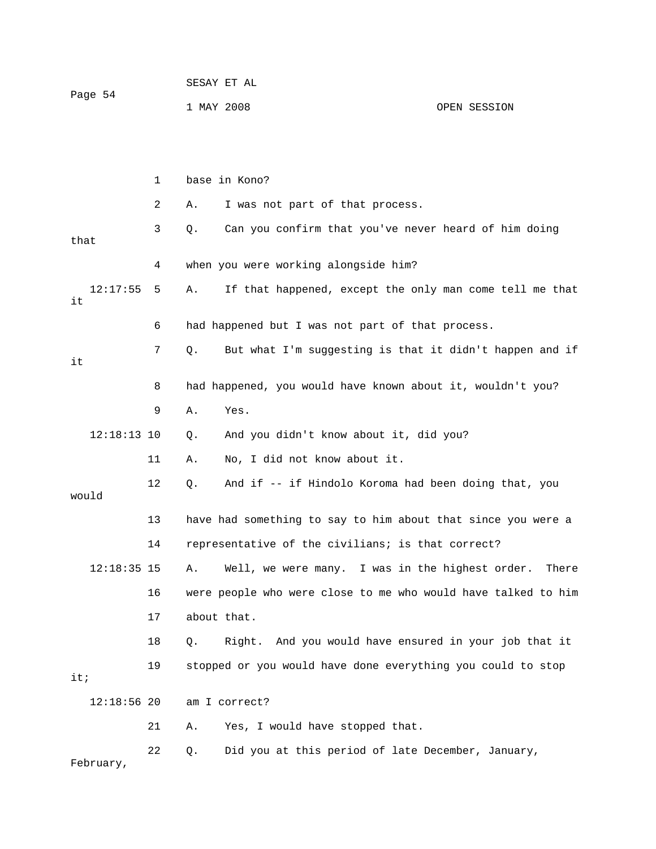|         | SESAY ET AL |              |
|---------|-------------|--------------|
| Page 54 |             |              |
|         | 1 MAY 2008  | OPEN SESSION |

|      |               | 1  | base in Kono?                                                  |
|------|---------------|----|----------------------------------------------------------------|
|      |               | 2  | I was not part of that process.<br>Α.                          |
| that |               | 3  | Can you confirm that you've never heard of him doing<br>$Q$ .  |
|      |               | 4  | when you were working alongside him?                           |
| it   | 12:17:55      | 5  | If that happened, except the only man come tell me that<br>Α.  |
|      |               | 6  | had happened but I was not part of that process.               |
| it   |               | 7  | But what I'm suggesting is that it didn't happen and if<br>Q.  |
|      |               | 8  | had happened, you would have known about it, wouldn't you?     |
|      |               | 9  | Yes.<br>Α.                                                     |
|      | $12:18:13$ 10 |    | And you didn't know about it, did you?<br>Q.                   |
|      |               | 11 | No, I did not know about it.<br>Α.                             |
|      | would         | 12 | And if -- if Hindolo Koroma had been doing that, you<br>Q.     |
|      |               | 13 | have had something to say to him about that since you were a   |
|      |               | 14 | representative of the civilians; is that correct?              |
|      | $12:18:35$ 15 |    | Well, we were many. I was in the highest order.<br>Α.<br>There |
|      |               | 16 | were people who were close to me who would have talked to him  |
|      |               | 17 | about that.                                                    |
|      |               | 18 | Right. And you would have ensured in your job that it<br>Q.    |
| it:  |               | 19 | stopped or you would have done everything you could to stop    |
|      | $12:18:56$ 20 |    | am I correct?                                                  |
|      |               | 21 | Yes, I would have stopped that.<br>Α.                          |
|      | February,     | 22 | Did you at this period of late December, January,<br>Q.        |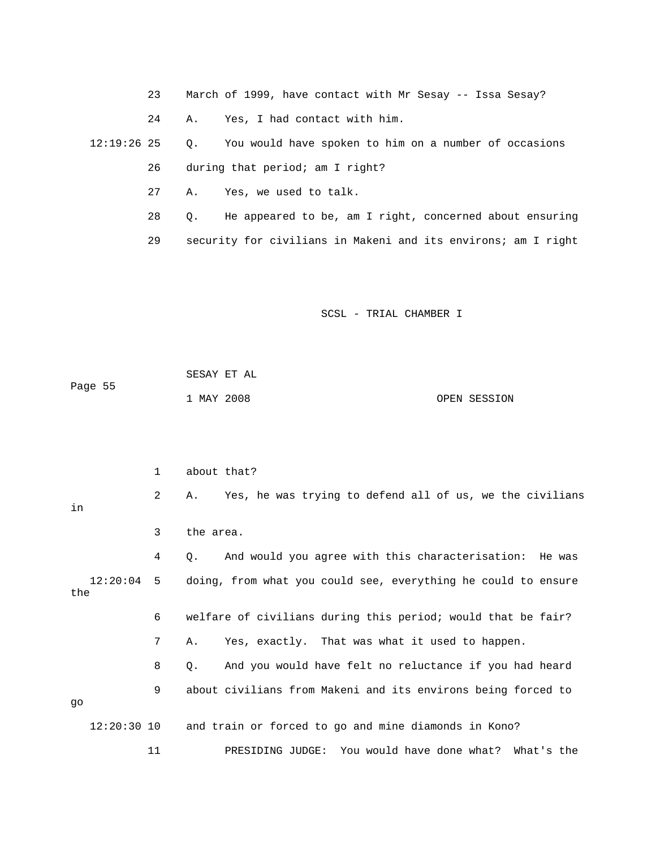- 23 March of 1999, have contact with Mr Sesay -- Issa Sesay?
- 24 A. Yes, I had contact with him.

 12:19:26 25 Q. You would have spoken to him on a number of occasions 26 during that period; am I right?

- 27 A. Yes, we used to talk.
- 28 Q. He appeared to be, am I right, concerned about ensuring
- 29 security for civilians in Makeni and its environs; am I right

| Paqe 55 | SESAY ET AL |              |
|---------|-------------|--------------|
|         | 1 MAY 2008  | OPEN SESSION |

|                 | 1  | about that?                                                    |  |
|-----------------|----|----------------------------------------------------------------|--|
| in              | 2  | Yes, he was trying to defend all of us, we the civilians<br>Α. |  |
|                 | 3  | the area.                                                      |  |
|                 | 4  | And would you agree with this characterisation: He was<br>Ο.   |  |
| 12:20:04<br>the | 5  | doing, from what you could see, everything he could to ensure  |  |
|                 | 6  | welfare of civilians during this period; would that be fair?   |  |
|                 | 7  | Yes, exactly. That was what it used to happen.<br>Α.           |  |
|                 | 8  | And you would have felt no reluctance if you had heard<br>О.   |  |
| qo              | 9  | about civilians from Makeni and its environs being forced to   |  |
| $12:20:30$ 10   |    | and train or forced to go and mine diamonds in Kono?           |  |
|                 | 11 | PRESIDING JUDGE: You would have done what? What's the          |  |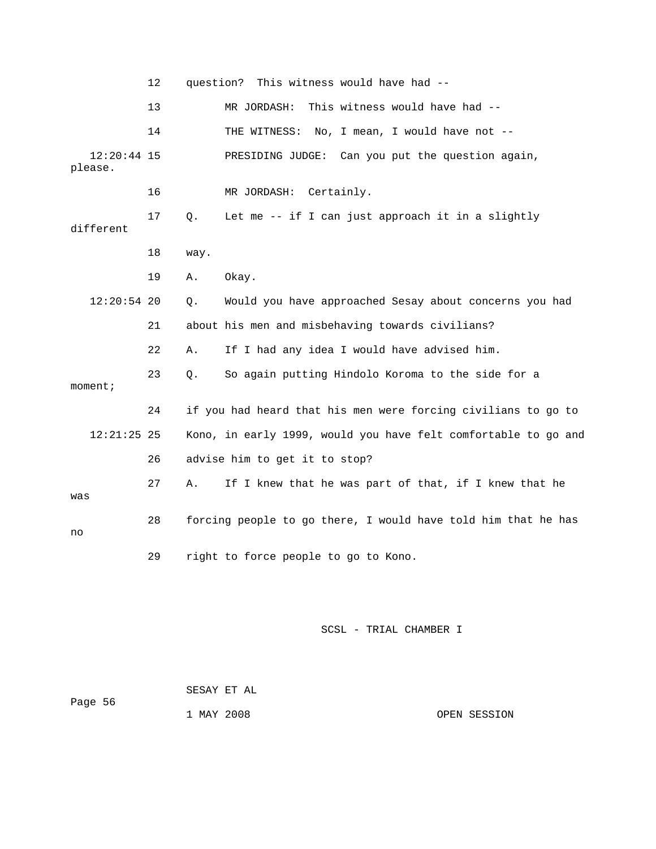|                          | 12 | question? This witness would have had --                       |
|--------------------------|----|----------------------------------------------------------------|
|                          | 13 | This witness would have had --<br>MR JORDASH:                  |
|                          | 14 | THE WITNESS: No, I mean, I would have not --                   |
| $12:20:44$ 15<br>please. |    | Can you put the question again,<br>PRESIDING JUDGE:            |
|                          | 16 | MR JORDASH:<br>Certainly.                                      |
| different                | 17 | Let me -- if I can just approach it in a slightly<br>Q.        |
|                          | 18 | way.                                                           |
|                          | 19 | Okay.<br>Α.                                                    |
| $12:20:54$ 20            |    | Would you have approached Sesay about concerns you had<br>О.   |
|                          | 21 | about his men and misbehaving towards civilians?               |
|                          | 22 | If I had any idea I would have advised him.<br>Α.              |
| moment;                  | 23 | So again putting Hindolo Koroma to the side for a<br>Q.        |
|                          | 24 | if you had heard that his men were forcing civilians to go to  |
| $12:21:25$ 25            |    | Kono, in early 1999, would you have felt comfortable to go and |
|                          | 26 | advise him to get it to stop?                                  |
| was                      | 27 | If I knew that he was part of that, if I knew that he<br>Α.    |
| no                       | 28 | forcing people to go there, I would have told him that he has  |
|                          | 29 | right to force people to go to Kono.                           |

| Page 56 | SESAY ET AL |  |              |
|---------|-------------|--|--------------|
|         | 1 MAY 2008  |  | OPEN SESSION |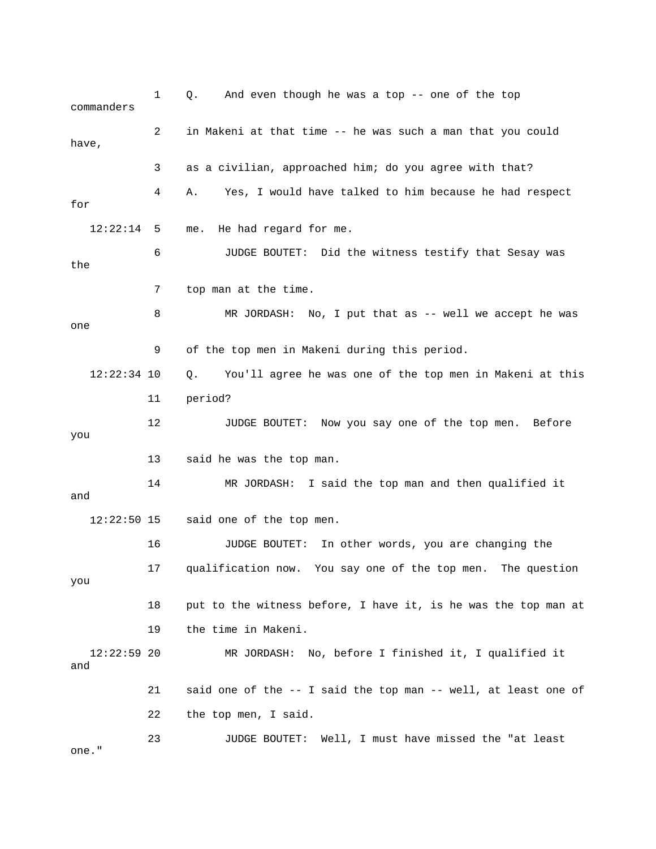1 Q. And even though he was a top -- one of the top commanders 2 in Makeni at that time -- he was such a man that you could have, 3 as a civilian, approached him; do you agree with that? 12:22:14 5 me. He had regard for me. 6 JUDGE BOUTET: Did the witness testify that Sesay was the 8 MR JORDASH: No, I put that as -- well we accept he was 12:22:34 10 Q. You'll agree he was one of the top men in Makeni at this 11 period? 12 JUDGE BOUTET: Now you say one of the top men. Before you 14 MR JORDASH: I said the top man and then qualified it said one of the top men. 16 JUDGE BOUTET: In other words, you are changing the 17 qualification now. You say one of the top men. The question 18 put to the witness before, I have it, is he was the top man at 12:22:59 20 MR JORDASH: No, before I finished it, I qualified it 21 said one of the -- I said the top man -- well, at least one of 22 the top men, I said. 23 JUDGE BOUTET: Well, I must have missed the "at least 4 A. Yes, I would have talked to him because he had respect for 7 top man at the time. one 9 of the top men in Makeni during this period. 13 said he was the top man. and  $12:22:50$  15 you 19 the time in Makeni. and

one."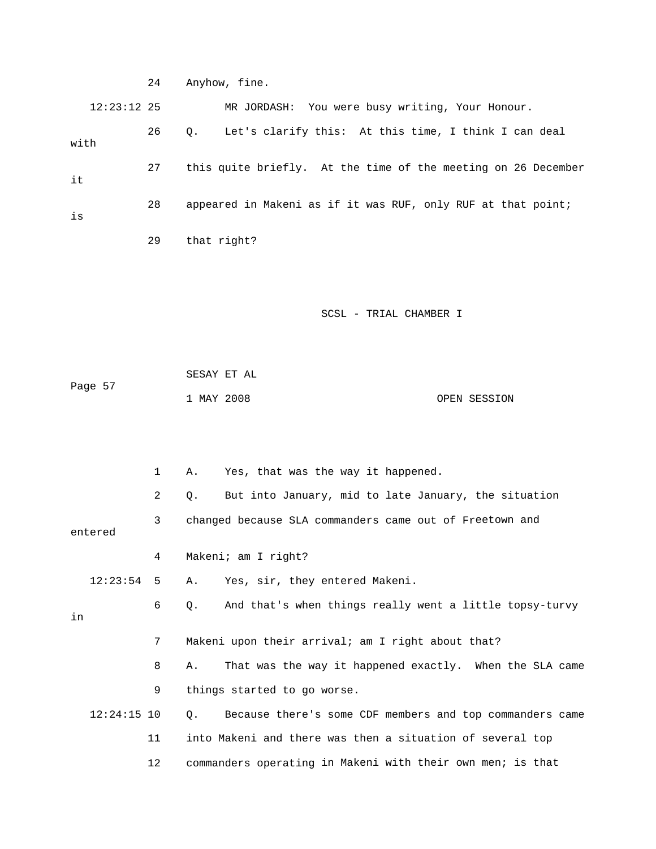|               | 24 | Anyhow, fine.                                                       |
|---------------|----|---------------------------------------------------------------------|
| $12:23:12$ 25 |    | MR JORDASH: You were busy writing, Your Honour.                     |
| with          | 26 | Let's clarify this: At this time, I think I can deal<br>$Q_{\star}$ |
| it            | 27 | this quite briefly. At the time of the meeting on 26 December       |
| is            | 28 | appeared in Makeni as if it was RUF, only RUF at that point;        |
|               | 29 | that right?                                                         |
|               |    |                                                                     |
|               |    | SCSL - TRIAL CHAMBER I                                              |
|               |    |                                                                     |
|               |    | SESAY ET AL                                                         |
| Page 57       |    | 1 MAY 2008<br>OPEN SESSION                                          |
|               |    |                                                                     |
|               | 1  | Yes, that was the way it happened.<br>Α.                            |
|               | 2  | But into January, mid to late January, the situation<br>Q.          |
| entered       | 3  | changed because SLA commanders came out of Freetown and             |
|               | 4  | Makeni; am I right?                                                 |
| 12:23:54      | 5  | Yes, sir, they entered Makeni.<br>Α.                                |
| in            | 6  | And that's when things really went a little topsy-turvy<br>Q.       |
|               | 7  | Makeni upon their arrival; am I right about that?                   |
|               | 8  | That was the way it happened exactly. When the SLA came<br>Α.       |
|               | 9  | things started to go worse.                                         |
| $12:24:15$ 10 |    | Because there's some CDF members and top commanders came<br>Q.      |
|               | 11 | into Makeni and there was then a situation of several top           |
|               | 12 | commanders operating in Makeni with their own men; is that          |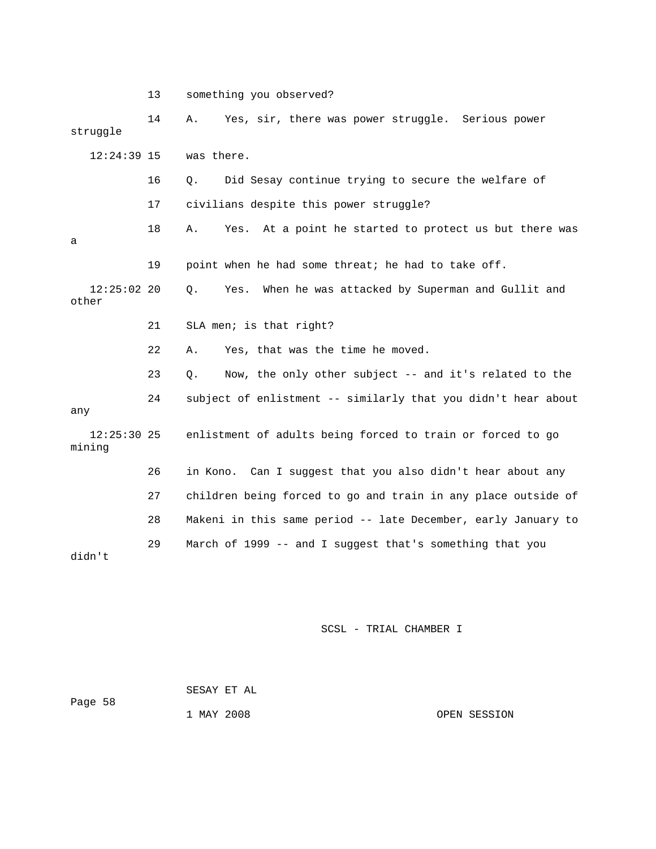13 something you observed? 14 A. Yes, sir, there was power struggle. Serious power struggle 17 civilians despite this power struggle? 19 point when he had some threat; he had to take off. 12:25:02 20 Q. Yes. When he was attacked by Superman and Gullit and 22 A. Yes, that was the time he moved. 23 Q. Now, the only other subject -- and it's related to the 24 subject of enlistment -- similarly that you didn't hear about mining 26 in Kono. Can I suggest that you also didn't hear about any 28 Makeni in this same period -- late December, early January to 29 March of 1999 -- and I suggest that's something that you 12:24:39 15 was there. 16 Q. Did Sesay continue trying to secure the welfare of 18 A. Yes. At a point he started to protect us but there was a other 21 SLA men; is that right? any 12:25:30 25 enlistment of adults being forced to train or forced to go 27 children being forced to go and train in any place outside of didn't

#### SCSL - TRIAL CHAMBER I

 SESAY ET AL Page 58 1 MAY 2008 OPEN SESSION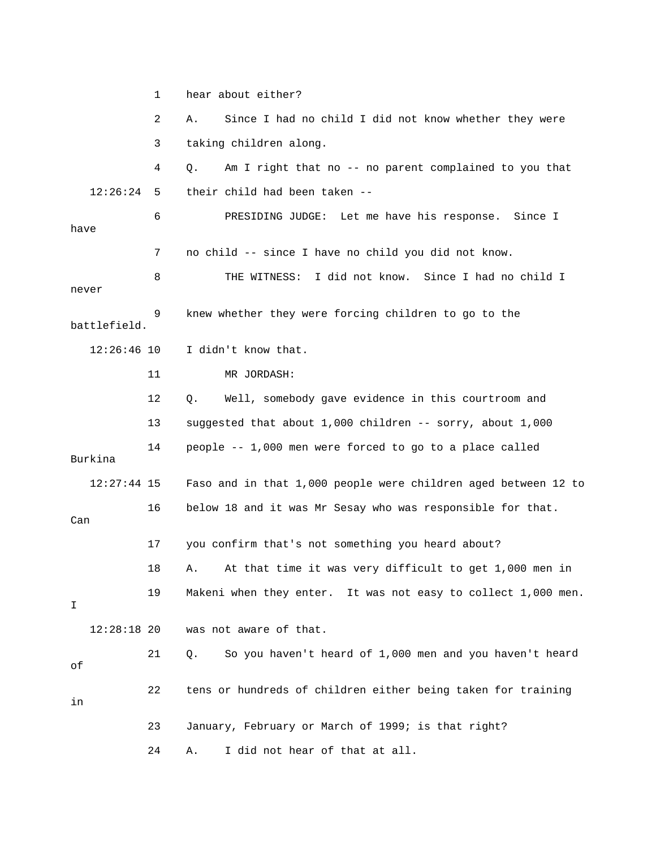1 hear about either? 2 A. Since I had no child I did not know whether they were 4 Q. Am I right that no -- no parent complained to you that 12:26:24 5 their child had been taken -- 6 PRESIDING JUDGE: Let me have his response. Since I 7 no child -- since I have no child you did not know. 8 THE WITNESS: I did not know. Since I had no child I never 12 Q. Well, somebody gave evidence in this courtroom and 14 people -- 1,000 men were forced to go to a place called 12:27:44 15 Faso and in that 1,000 people were children aged between 12 to 16 below 18 and it was Mr Sesay who was responsible for that. 17 you confirm that's not something you heard about? 18 A. At that time it was very difficult to get 1,000 men in 19 Makeni when they enter. It was not easy to collect 1,000 men. 21 Q. So you haven't heard of 1,000 men and you haven't heard 23 January, February or March of 1999; is that right? 3 taking children along. have 9 knew whether they were forcing children to go to the battlefield. 12:26:46 10 I didn't know that. 11 MR JORDASH: 13 suggested that about 1,000 children -- sorry, about 1,000 Burkina Can I 12:28:18 20 was not aware of that. of 22 tens or hundreds of children either being taken for training in 24 A. I did not hear of that at all.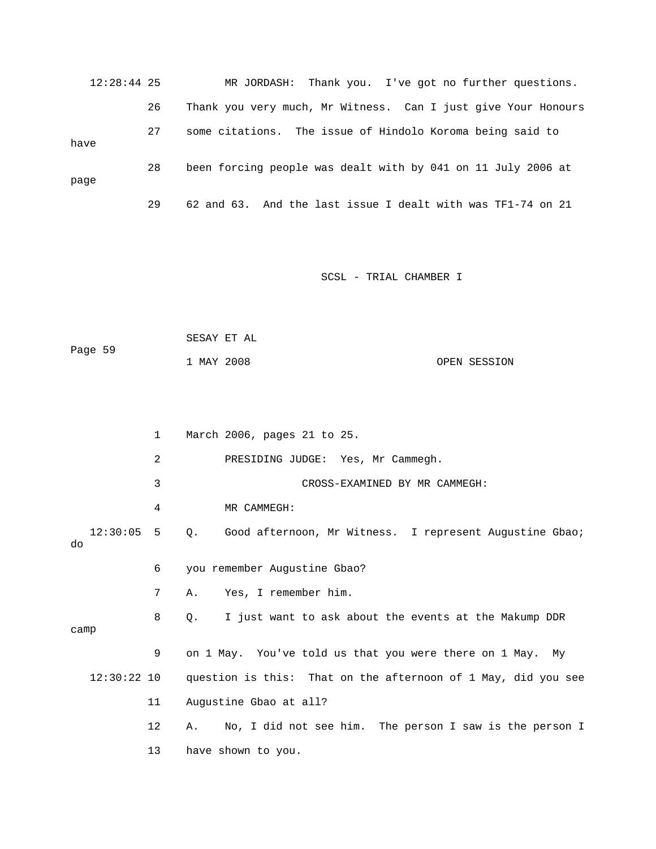12:28:44 25 MR JORDASH: Thank you. I've got no further questions. 26 Thank you very much, Mr Witness. Can I just give Your Honours 27 some citations. The is sue of Hindolo Koroma being said to have 28 been forcing people was dealt with by 041 on 11 July 2006 at page 29 62 and 63. And the last issue I dealt with was TF1-74 on 21

SCSL - TRIAL CHAMBER I

```
Page 59
            1 MAY 2008 OPEN SESSION 
            SESAY ET AL
```
 1 March 2006, pages 21 to 25. 2 PRESIDING JUDGE: Yes, Mr Cammegh. 3 CROSS-EXAMINED BY MR CAMMEGH: 4 MR CAMMEGH: 12:30:05 5 Q. Good afternoon, Mr Witness. I represent Augustine Gbao; 7 A. Yes, I remember him. 8 Q. I just want to ask about the events at the Makump DDR camp 9 on 1 May. You've told us that you were there on 1 May. My 12:30:22 10 question is this: That on the afternoon of 1 May, did you see 11 Augustine Gbao at all? do 6 you remember Augustine Gbao? 12 A. No, I did not see him. The person I saw is the person I 13 have shown to you.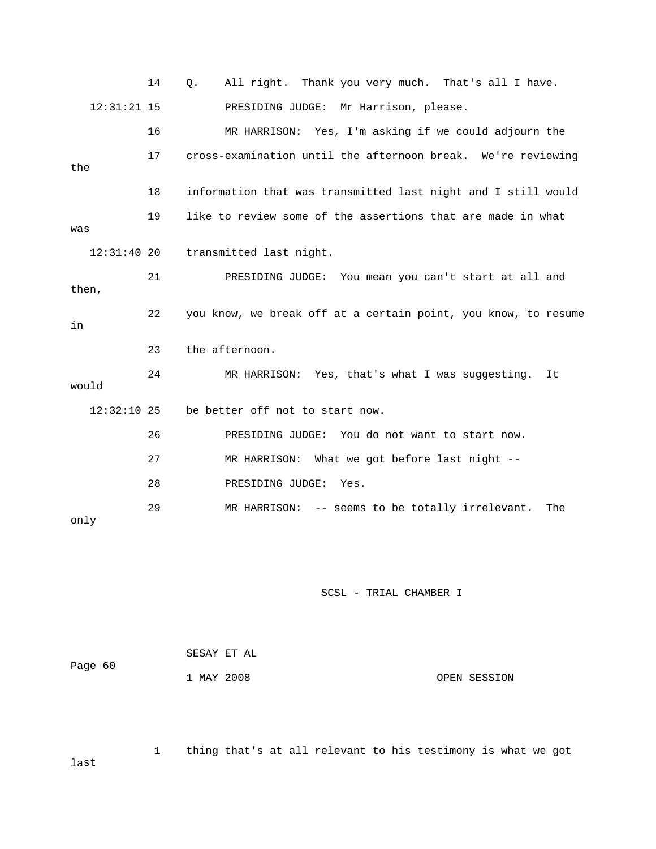|               | 14 | All right. Thank you very much. That's all I have.<br>Q.       |
|---------------|----|----------------------------------------------------------------|
| $12:31:21$ 15 |    | PRESIDING JUDGE: Mr Harrison, please.                          |
|               | 16 | MR HARRISON: Yes, I'm asking if we could adjourn the           |
| the           | 17 | cross-examination until the afternoon break. We're reviewing   |
|               | 18 | information that was transmitted last night and I still would  |
| was           | 19 | like to review some of the assertions that are made in what    |
| $12:31:40$ 20 |    | transmitted last night.                                        |
| then,         | 21 | PRESIDING JUDGE: You mean you can't start at all and           |
| in            | 22 | you know, we break off at a certain point, you know, to resume |
|               | 23 | the afternoon.                                                 |
| would         | 24 | MR HARRISON: Yes, that's what I was suggesting.<br>It          |
| $12:32:10$ 25 |    | be better off not to start now.                                |
|               | 26 | PRESIDING JUDGE: You do not want to start now.                 |
|               | 27 | MR HARRISON: What we got before last night --                  |
|               | 28 | PRESIDING JUDGE:<br>Yes.                                       |
| only          | 29 | MR HARRISON: -- seems to be totally irrelevant.<br>The         |

|         | SESAY ET AL |  |              |
|---------|-------------|--|--------------|
| Page 60 |             |  |              |
|         | 1 MAY 2008  |  | OPEN SESSION |

 1 thing that's at all relevant to his testimony is what we got st la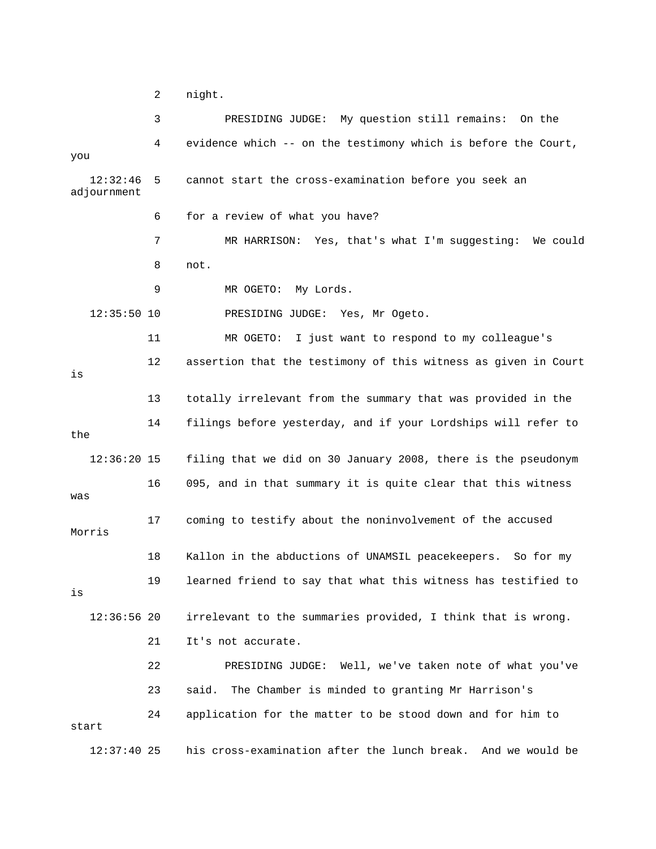2 night.

 3 PRESIDING JUDGE: My question still remains: On the 4 evidence which -- on the testimony which is before the Court, you cannot start the cross-examination before you seek an 6 for a review of what you have? 7 MR HARRISON: Yes, that's what I'm suggesting: We could 9 MR OGETO: My Lords. 11 MR OGETO: I just want to respond to my colleague's 12 assertion that the testimony of this witness as given in Court 3 totally irrelevant from the summary that was provided in the 14 filings before yesterday, and if your Lordships will refer to the 16 095, and in that summary it is quite clear that this witness 17 coming to testify about the noninvolvement of the accused 18 Kallon in the abductions of UNAMSIL peacekeepers. So for my 19 learned friend to say that what this witness has testified to 12:36:56 20 irrelevant to the summaries provided, I think that is wrong. 24 application for the matter to be stood down and for him to his cross-examination after the lunch break. And we would be  $12:32:46$  5 adjournment 8 not. 12:35:50 10 PRESIDING JUDGE: Yes, Mr Ogeto. is 1 12:36:20 15 filing that we did on 30 January 2008, there is the pseudonym was Morris is 21 It's not accurate. 22 PRESIDING JUDGE: Well, we've taken note of what you've 23 said. The Chamber is minded to granting Mr Harrison's start  $12:37:40$  25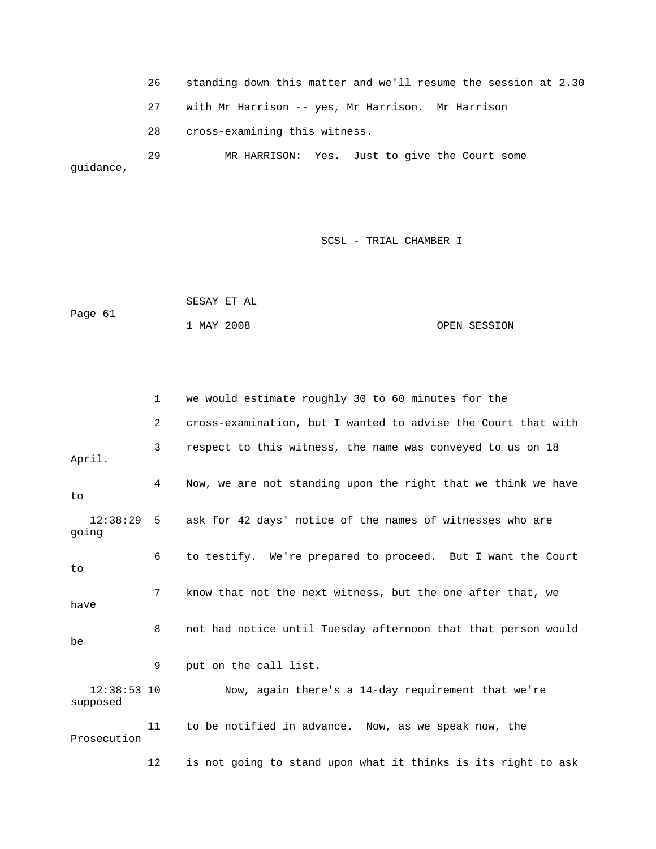26 standing down this matter and we'll resume the session at 2.30

27 with Mr Harrison -- yes, Mr Harrison. Mr Harrison

28 cross-examining this witness.

29 MR HARRISON: Yes. Just to give the Court some guidance,

### SCSL - TRIAL CHAMBER I

 SESAY ET AL Page 61 1 MAY 2008 OPEN SESSION

|                           | $\mathbf{1}$ | we would estimate roughly 30 to 60 minutes for the            |
|---------------------------|--------------|---------------------------------------------------------------|
|                           | 2            | cross-examination, but I wanted to advise the Court that with |
| April.                    | 3            | respect to this witness, the name was conveyed to us on 18    |
| to                        | 4            | Now, we are not standing upon the right that we think we have |
| $12:38:29$ 5<br>going     |              | ask for 42 days' notice of the names of witnesses who are     |
| to                        | 6            | to testify. We're prepared to proceed. But I want the Court   |
| have                      | 7            | know that not the next witness, but the one after that, we    |
| be                        | 8            | not had notice until Tuesday afternoon that that person would |
|                           | 9            | put on the call list.                                         |
| $12:38:53$ 10<br>supposed |              | Now, again there's a 14-day requirement that we're            |
| Prosecution               | 11           | to be notified in advance. Now, as we speak now, the          |
|                           | 12           | is not going to stand upon what it thinks is its right to ask |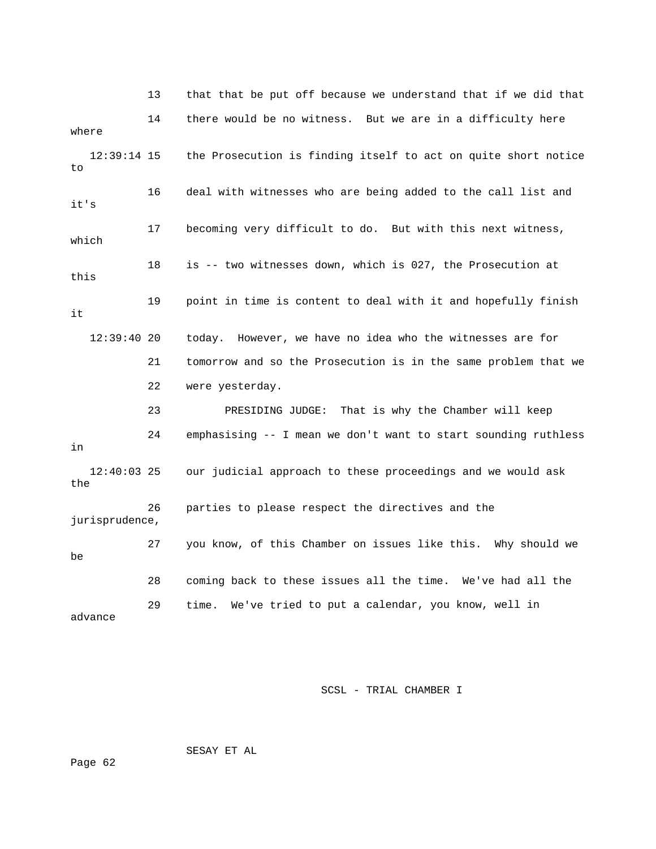13 that that be put off because we understand that if we did that 16 deal with witnesses who are being added to the call list and 17 becoming very difficult to do. But with this next witness, 8 is -- two witnesses down, which is 027, the Prosecution at 19 point in time is content to deal with it and hopefully finish 21 tomorrow and so the Prosecution is in the same problem that we 22 were yesterday. 24 emphasising -- I mean we don't want to start sounding ruthless 12:40:03 25 our judicial approach to these proceedings and we would ask 26 parties to please respect the directives and the 27 you know, of this Chamber on issues like this. Why should we 29 time. We've tried to put a calendar, you know, well in advance 14 there would be no witness. But we are in a difficulty here where 12:39:14 15 the Prosecution is finding itself to act on quite short notice to it's which 1 this it 12:39:40 20 today. However, we have no idea who the witnesses are for 23 PRESIDING JUDGE: That is why the Chamber will keep in the jurisprudence, be 28 coming back to these issues all the time. We've had all the

SCSL - TRIAL CHAMBER I

SESAY ET AL

Page 62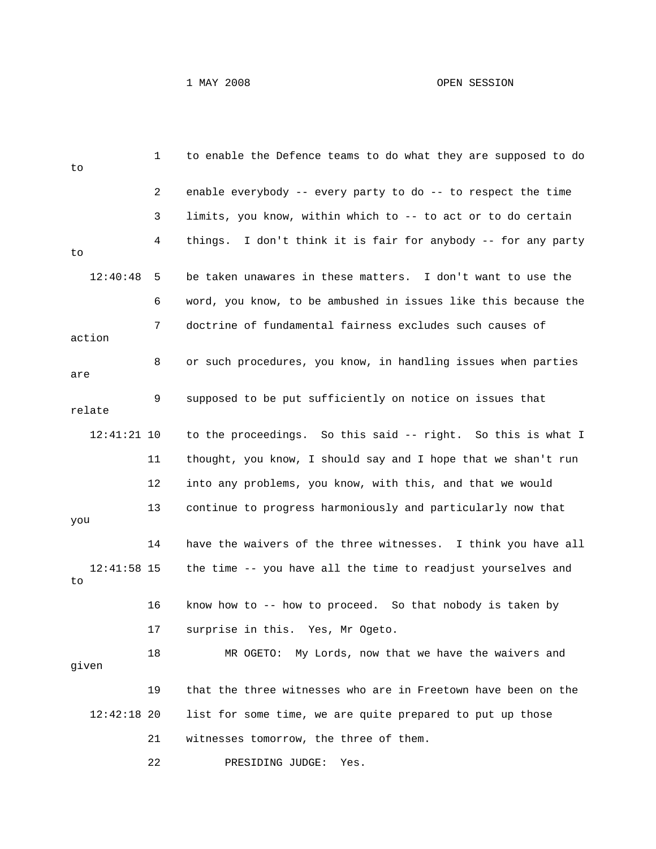## 1 MAY 2008 OPEN SESSION

| to  |               | 1  | to enable the Defence teams to do what they are supposed to do |
|-----|---------------|----|----------------------------------------------------------------|
|     |               | 2  | enable everybody -- every party to do -- to respect the time   |
|     |               | 3  | limits, you know, within which to -- to act or to do certain   |
| to  |               | 4  | things. I don't think it is fair for anybody -- for any party  |
|     | 12:40:48      | 5  | be taken unawares in these matters. I don't want to use the    |
|     |               | 6  | word, you know, to be ambushed in issues like this because the |
|     | action        | 7  | doctrine of fundamental fairness excludes such causes of       |
| are |               | 8  | or such procedures, you know, in handling issues when parties  |
|     | relate        | 9  | supposed to be put sufficiently on notice on issues that       |
|     | $12:41:21$ 10 |    | to the proceedings. So this said -- right. So this is what I   |
|     |               | 11 | thought, you know, I should say and I hope that we shan't run  |
|     |               | 12 | into any problems, you know, with this, and that we would      |
| you |               | 13 | continue to progress harmoniously and particularly now that    |
|     |               | 14 | have the waivers of the three witnesses. I think you have all  |
| to  | $12:41:58$ 15 |    | the time -- you have all the time to readjust yourselves and   |
|     |               | 16 | know how to -- how to proceed. So that nobody is taken by      |
|     |               | 17 | surprise in this. Yes, Mr Ogeto.                               |
|     | given         | 18 | MR OGETO: My Lords, now that we have the waivers and           |
|     |               | 19 | that the three witnesses who are in Freetown have been on the  |
|     | $12:42:18$ 20 |    | list for some time, we are quite prepared to put up those      |
|     |               | 21 | witnesses tomorrow, the three of them.                         |
|     |               | 22 | PRESIDING JUDGE:<br>Yes.                                       |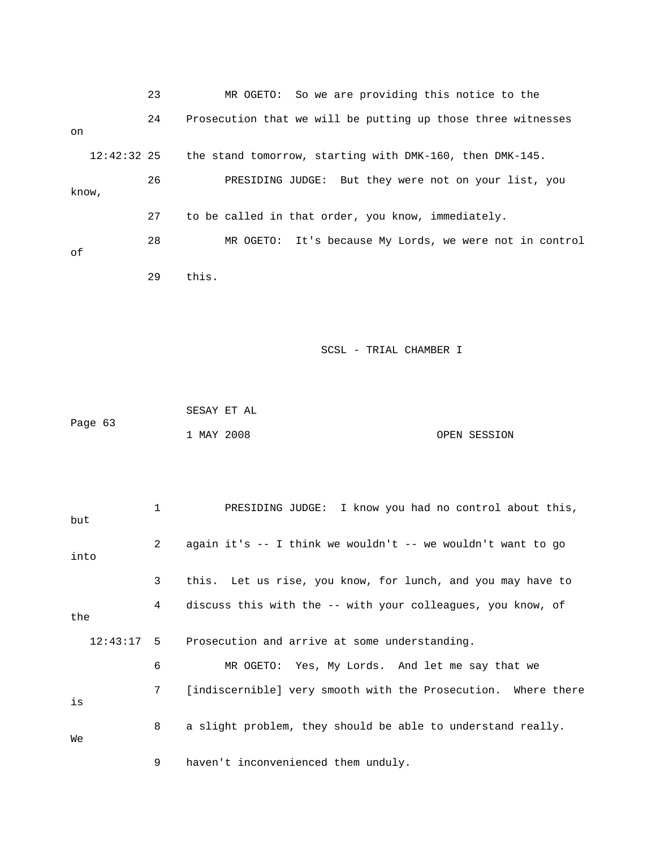|       |               | 23 | MR OGETO: So we are providing this notice to the             |
|-------|---------------|----|--------------------------------------------------------------|
| on    |               | 24 | Prosecution that we will be putting up those three witnesses |
|       | $12:42:32$ 25 |    | the stand tomorrow, starting with DMK-160, then DMK-145.     |
| know, |               | 26 | PRESIDING JUDGE: But they were not on your list, you         |
|       |               | 27 | to be called in that order, you know, immediately.           |
| оf    |               | 28 | MR OGETO: It's because My Lords, we were not in control      |
|       |               | 29 | this.                                                        |

|         | SESAY ET AL |              |
|---------|-------------|--------------|
| Page 63 |             |              |
|         | 1 MAY 2008  | OPEN SESSION |

| but  | 1              | PRESIDING JUDGE: I know you had no control about this,        |
|------|----------------|---------------------------------------------------------------|
| into | $\overline{2}$ | again it's $-$ I think we wouldn't $-$ we wouldn't want to go |
|      | 3              | this. Let us rise, you know, for lunch, and you may have to   |
| the  | 4              | discuss this with the -- with your colleagues, you know, of   |
|      |                | 12:43:17 5 Prosecution and arrive at some understanding.      |
|      | 6              | MR OGETO: Yes, My Lords. And let me say that we               |
| is   | 7              | [indiscernible] very smooth with the Prosecution. Where there |
| Wе   | 8              | a slight problem, they should be able to understand really.   |
|      | 9              | haven't inconvenienced them unduly.                           |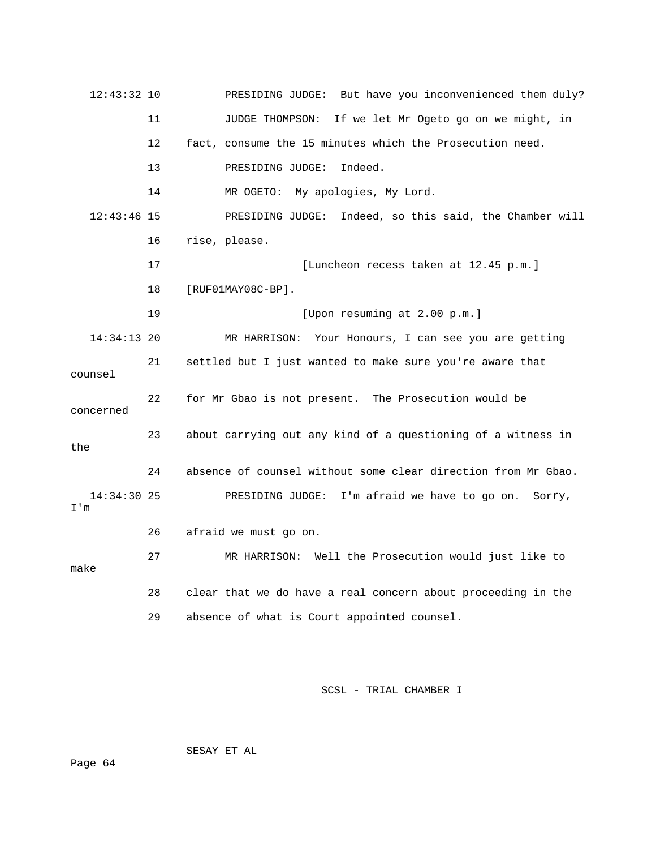| 12:43:32 10          |    | PRESIDING JUDGE: But have you inconvenienced them duly?       |
|----------------------|----|---------------------------------------------------------------|
|                      | 11 | JUDGE THOMPSON: If we let Mr Ogeto go on we might, in         |
|                      | 12 | fact, consume the 15 minutes which the Prosecution need.      |
|                      | 13 | Indeed.<br>PRESIDING JUDGE:                                   |
|                      | 14 | MR OGETO: My apologies, My Lord.                              |
| $12:43:46$ 15        |    | PRESIDING JUDGE: Indeed, so this said, the Chamber will       |
|                      | 16 | rise, please.                                                 |
|                      | 17 | [Luncheon recess taken at 12.45 p.m.]                         |
|                      | 18 | $[RUF01MAY08C-BP]$ .                                          |
|                      | 19 | [Upon resuming at 2.00 p.m.]                                  |
| $14:34:13$ 20        |    | MR HARRISON: Your Honours, I can see you are getting          |
| counsel              | 21 | settled but I just wanted to make sure you're aware that      |
| concerned            | 22 | for Mr Gbao is not present. The Prosecution would be          |
| the                  | 23 | about carrying out any kind of a questioning of a witness in  |
|                      | 24 | absence of counsel without some clear direction from Mr Gbao. |
| $14:34:30$ 25<br>I'm |    | PRESIDING JUDGE: I'm afraid we have to go on. Sorry,          |
|                      | 26 | afraid we must go on.                                         |
| make                 | 27 | MR HARRISON: Well the Prosecution would just like to          |
|                      | 28 | clear that we do have a real concern about proceeding in the  |
|                      | 29 | absence of what is Court appointed counsel.                   |

SESAY ET AL

Page 64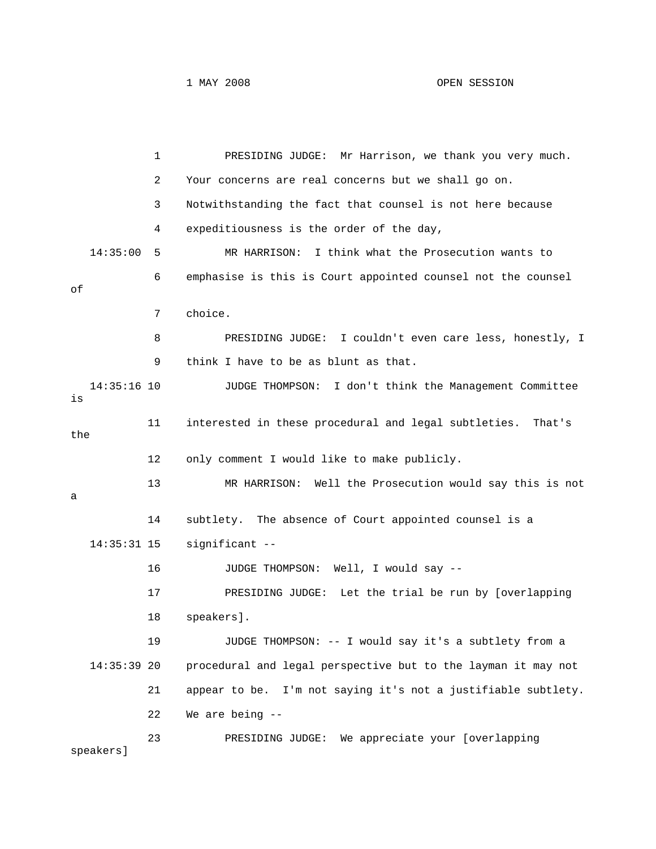1 PRESIDING JUDGE: Mr Harrison, we thank you very much. 2 Your concerns are real concerns but we shall go on. 3 Notwithstanding the fact that counsel is not here because 14:35:00 5 MR HARRISON: I think what the Prosecution wants to 8 PRESIDING JUDGE: I couldn't even care less, honestly, I 9 think I have to be as blunt as that. 11 interested in these procedural and legal subtleties. That's 12 only comment I would like to make publicly. 13 MR HARRISON: Well the Prosecution would say this is not 14 subtlety. The absence of Court appointed counsel is a significant --17 PRESIDING JUDGE: Let the trial be run by [overlapping 19 JUDGE THOMPSON: -- I would say it's a subtlety from a procedural and legal perspective but to the layman it may not 21 appear to be. I'm not saying it's not a justifiable subtlety. 23 PRESIDING JUDGE: We appreciate your [overlapping 4 expeditiousness is the order of the day, 6 emphasise is this is Court appointed counsel not the counsel of 7 choice. 14:35:16 10 JUDGE THOMPSON: I don't think the Management Committee is the a  $14:35:31$  15 16 JUDGE THOMPSON: Well, I would say -- 18 speakers].  $14:35:39$  20 22 We are being - speakers]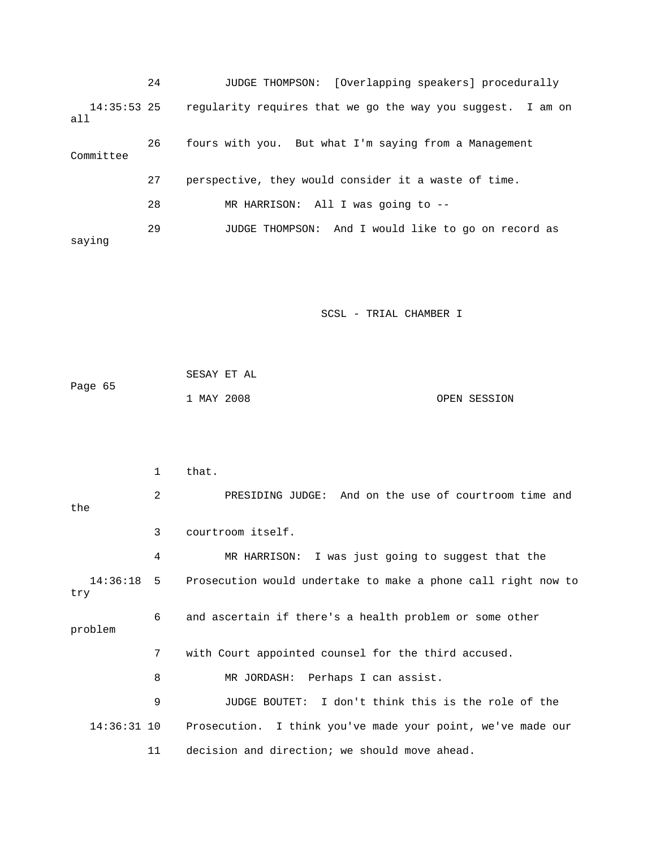|                      | 24 | JUDGE THOMPSON: [Overlapping speakers] procedurally         |
|----------------------|----|-------------------------------------------------------------|
| $14:35:53$ 25<br>all |    | reqularity requires that we go the way you suggest. I am on |
| Committee            | 26 | fours with you. But what I'm saying from a Management       |
|                      | 27 | perspective, they would consider it a waste of time.        |
|                      | 28 | MR HARRISON: All I was going to $-$ -                       |
| saying               | 29 | And I would like to go on record as<br>JUDGE THOMPSON:      |

|         | SESAY ET AL |  |              |
|---------|-------------|--|--------------|
| Page 65 |             |  |              |
|         | 1 MAY 2008  |  | OPEN SESSION |

|               | $\mathbf{1}$ | that.                                                                    |
|---------------|--------------|--------------------------------------------------------------------------|
| the           | 2            | PRESIDING JUDGE: And on the use of courtroom time and                    |
|               | 3            | courtroom itself.                                                        |
|               | 4            | MR HARRISON: I was just going to suggest that the                        |
| try           |              | 14:36:18 5 Prosecution would undertake to make a phone call right now to |
| problem       | 6            | and ascertain if there's a health problem or some other                  |
|               | 7            | with Court appointed counsel for the third accused.                      |
|               | 8            | MR JORDASH: Perhaps I can assist.                                        |
|               | 9            | JUDGE BOUTET: I don't think this is the role of the                      |
| $14:36:31$ 10 |              | Prosecution. I think you've made your point, we've made our              |
|               | 11           | decision and direction; we should move ahead.                            |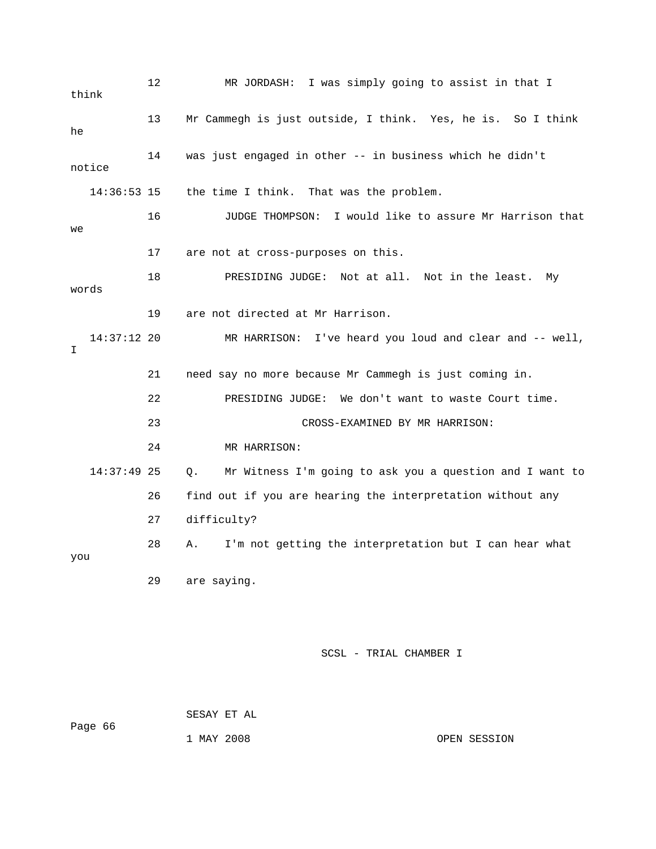12 MR JORDASH: I was simply going to assist in that I 16 JUDGE THOMPSON: I would like to assure Mr Harrison that 17 are not at cross-purposes on this. e least. My 18 PRESIDING JUDGE: Not at all. Not in th 14:37:12 20 MR HARRISON: I've heard you loud and clear and -- well, 21 need say no more because Mr Cammegh is just coming in. 22 PRESIDING JUDGE: We don't want to waste Court time. 23 CROSS-EXAMINED BY MR HARRISON: 14:37:49 25 Q. Mr Witness I'm going to ask you a question and I want to 26 find out if you are hearing the interpretation without any 27 difficulty? 28 A. I'm not getting the interpretation but I can hear what you 29 are saying. think 13 Mr Cammegh is just outside, I think. Yes, he is. So I think he 14 was just engaged in other -- in business which he didn't notice 14:36:53 15 the time I think. That was the problem. we words 19 are not directed at Mr Harrison. I 24 MR HARRISON:

SCSL - TRIAL CHAMBER I

 SESAY ET AL Page 66

1 MAY 2008 OPEN SESSION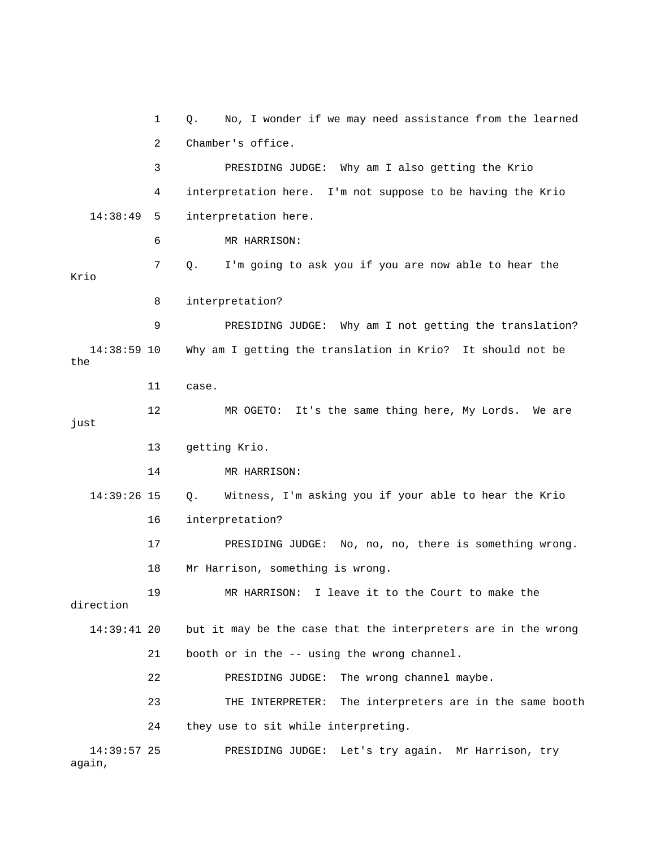1 Q. No, I wonder if we may need assistance from the learned 2 Chamber's office. 3 PRESIDING JUDGE: Why am I also getting the Krio 4 interpretation here. I'm not suppose to be having the Krio 14:38:49 5 interpretation here. 6 MR HARRISON: 8 interpretation? 9 PRESIDING JUDGE: Why am I not getting the translation? 12 MR OGETO: It's the same thing here, My Lords. We are 13 getting Krio. 14 MR HARRISON: 14:39:26 15 Q. Witness, I'm asking you if your able to hear the Krio 16 interpretation? 17 PRESIDING JUDGE: No, no, no, there is something wrong. but it may be the case that the interpreters are in the wrong 22 PRESIDING JUDGE: The wrong channel maybe. 23 THE INTERPRETER: The interpreters are in the same booth 7 Q. I'm going to ask you if you are now able to hear the Krio 14:38:59 10 Why am I getting the translation in Krio? It should not be the 11 case. just 18 Mr Harrison, something is wrong. 19 MR HARRISON: I leave it to the Court to make the direction  $14:39:41$  20 21 booth or in the -- using the wrong channel. 24 they use to sit while interpreting. 14:39:57 25 PRESIDING JUDGE: Let's try again. Mr Harrison, try again,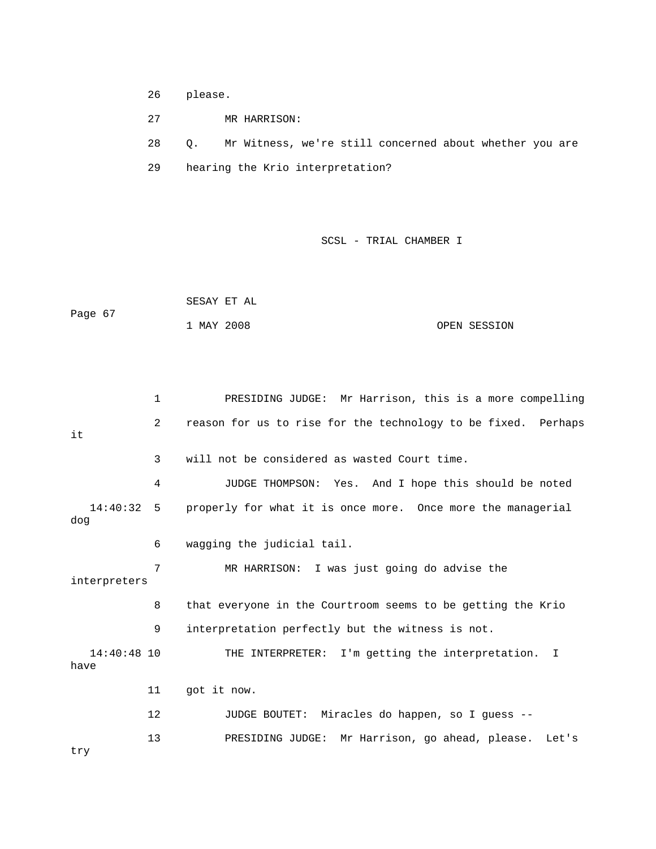- 26 please.
- 27 MR HARRISON:

28 Q. Mr Witness, we're still concerned about whether you are

29 hearing the Krio interpretation?

|         | SESAY ET AL |              |
|---------|-------------|--------------|
| Page 67 |             |              |
|         | 1 MAY 2008  | OPEN SESSION |

```
 1 PRESIDING JUDGE: Mr Harrison, this is a more compelling 
2 reason for us to rise for the technology to be fixed. Perhaps
            3 will not be considered as wasted Court time. 
4 JUDGE THOMPSON: Yes. And I hope this should be noted
   14:40:32 5 properly for what it is once more. Once more the managerial 
dog
interpreters
            8 that everyone in the Courtroom seems to be getting the Krio 
            9 interpretation perfectly but the witness is not. 
   14:40:48 10 THE INTERPRETER: I'm getting the interpretation. I 
           11 got it now. 
12              JUDGE BOUTET:  Miracles do happen, so I guess --
           13 PRESIDING JUDGE: Mr Harrison, go ahead, please. Let's 
it
            6 wagging the judicial tail. 
            7 MR HARRISON: I was just going do advise the 
have 
try
```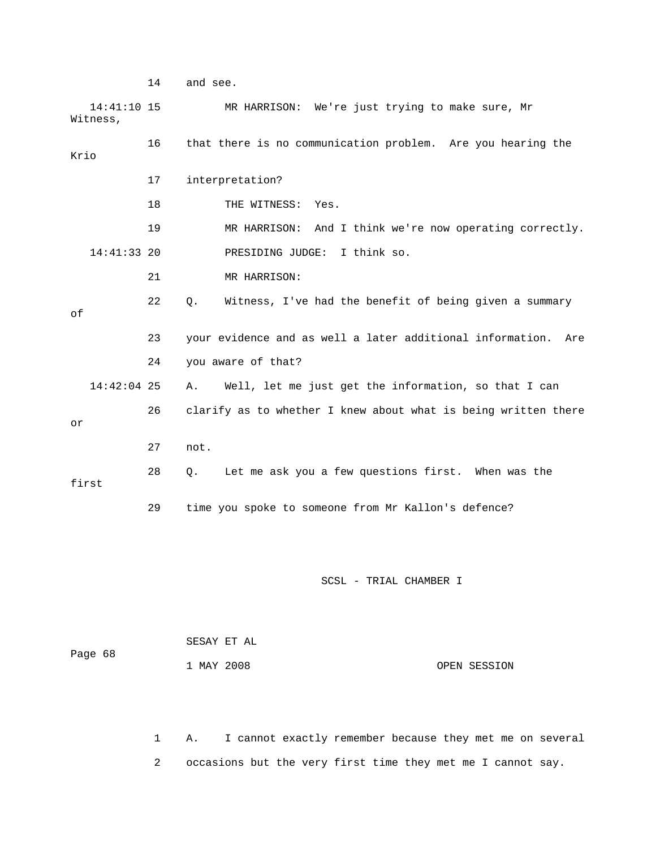14 and see. 14:41:10 15 MR HARRISON: We're just trying to make sure, Mr 16 that there is no communication problem. Are you hearing the 19 MR HARRISON: And I think we're now operating correctly. 14:41:33 20 PRESIDING JUDGE: I think so. 22 Q. Witness, I've had the benefit of being given a summary 23 your evidence and as well a later additional information. Are 24 you aware of that? 26 clarify as to whether I knew about what is being written there first 29 time you spoke to someone from Mr Kallon's defence? Witness, Krio 17 interpretation? 18 THE WITNESS: Yes. 21 MR HARRISON: of 14:42:04 25 A. Well, let me just get the information, so that I can or 27 not. 28 Q. Let me ask you a few questions first. When was the SCSL - TRIAL CHAMBER I

|         |            | SESAY ET AL |              |
|---------|------------|-------------|--------------|
| Page 68 |            |             |              |
|         | 1 MAY 2008 |             | OPEN SESSION |

 1 A. I cannot exactly remember because they met me on several 2 occasions but the very first time they met me I cannot say.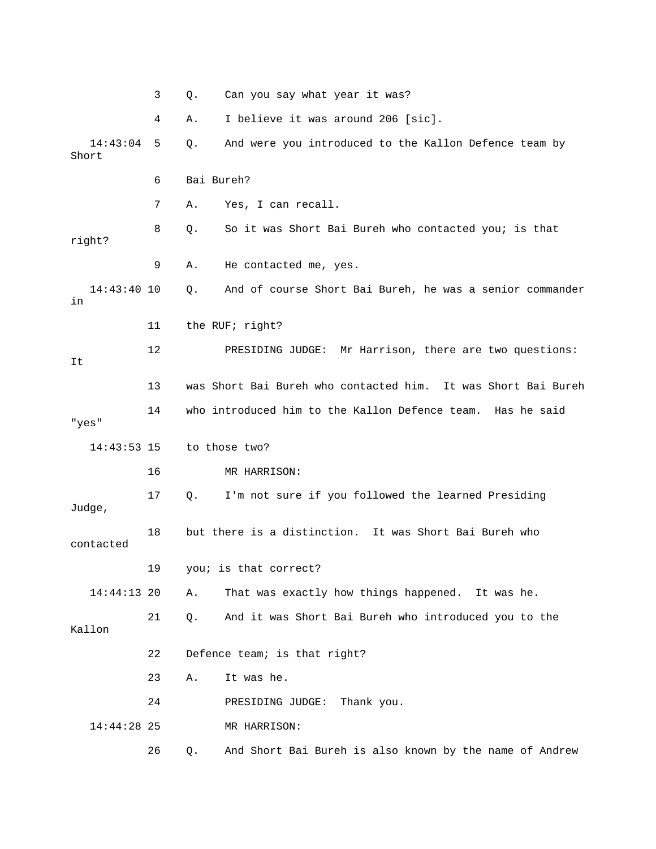|                   | 3  | Can you say what year it was?<br>Q.                            |
|-------------------|----|----------------------------------------------------------------|
|                   | 4  | I believe it was around 206 [sic].<br>Α.                       |
| 14:43:04<br>Short | 5  | Q.<br>And were you introduced to the Kallon Defence team by    |
|                   | 6  | Bai Bureh?                                                     |
|                   | 7  | Yes, I can recall.<br>Α.                                       |
| right?            | 8  | So it was Short Bai Bureh who contacted you; is that<br>Q.     |
|                   | 9  | He contacted me, yes.<br>Α.                                    |
| 14:43:40 10<br>in |    | And of course Short Bai Bureh, he was a senior commander<br>Q. |
|                   | 11 | the RUF; right?                                                |
| It                | 12 | PRESIDING JUDGE: Mr Harrison, there are two questions:         |
|                   | 13 | was Short Bai Bureh who contacted him. It was Short Bai Bureh  |
| "yes"             | 14 | who introduced him to the Kallon Defence team. Has he said     |
| $14:43:53$ 15     |    | to those two?                                                  |
|                   | 16 | MR HARRISON:                                                   |
| Judge,            | 17 | I'm not sure if you followed the learned Presiding<br>Q.       |
| contacted         | 18 | but there is a distinction.<br>It was Short Bai Bureh who      |
|                   | 19 | you; is that correct?                                          |
| 14:44:13 20       |    | That was exactly how things happened. It was he.<br>Α.         |
| Kallon            | 21 | And it was Short Bai Bureh who introduced you to the<br>Q.     |
|                   | 22 | Defence team; is that right?                                   |
|                   | 23 | Α.<br>It was he.                                               |
|                   | 24 | PRESIDING JUDGE: Thank you.                                    |
| 14:44:28 25       |    | MR HARRISON:                                                   |
|                   | 26 | And Short Bai Bureh is also known by the name of Andrew<br>Q.  |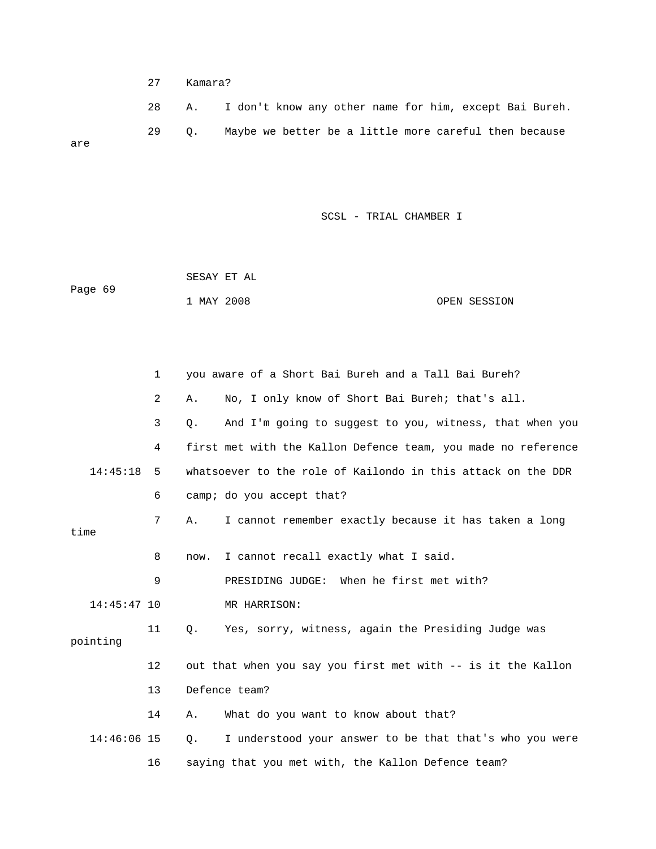27 Kamara?

 28 A. I don't know any other name for him, except Bai Bureh. 29 Q. Maybe we better be a little more careful then because are

|         | SESAY ET AL |  |              |
|---------|-------------|--|--------------|
| Page 69 |             |  |              |
|         | 1 MAY 2008  |  | OPEN SESSION |

|               | 1              | you aware of a Short Bai Bureh and a Tall Bai Bureh?          |
|---------------|----------------|---------------------------------------------------------------|
|               | $\overline{2}$ | No, I only know of Short Bai Bureh; that's all.<br>Α.         |
|               | 3              | And I'm going to suggest to you, witness, that when you<br>Q. |
|               | 4              | first met with the Kallon Defence team, you made no reference |
| 14:45:18      | 5              | whatsoever to the role of Kailondo in this attack on the DDR  |
|               | 6              | camp; do you accept that?                                     |
| time          | 7              | I cannot remember exactly because it has taken a long<br>Α.   |
|               | 8              | I cannot recall exactly what I said.<br>now.                  |
|               | 9              | PRESIDING JUDGE: When he first met with?                      |
| $14:45:47$ 10 |                | MR HARRISON:                                                  |
| pointing      | 11             | О.<br>Yes, sorry, witness, again the Presiding Judge was      |
|               | 12             | out that when you say you first met with -- is it the Kallon  |
|               | 13             | Defence team?                                                 |
|               | 14             | What do you want to know about that?<br>Α.                    |
| 14:46:06 15   |                | I understood your answer to be that that's who you were<br>0. |
|               | 16             | saying that you met with, the Kallon Defence team?            |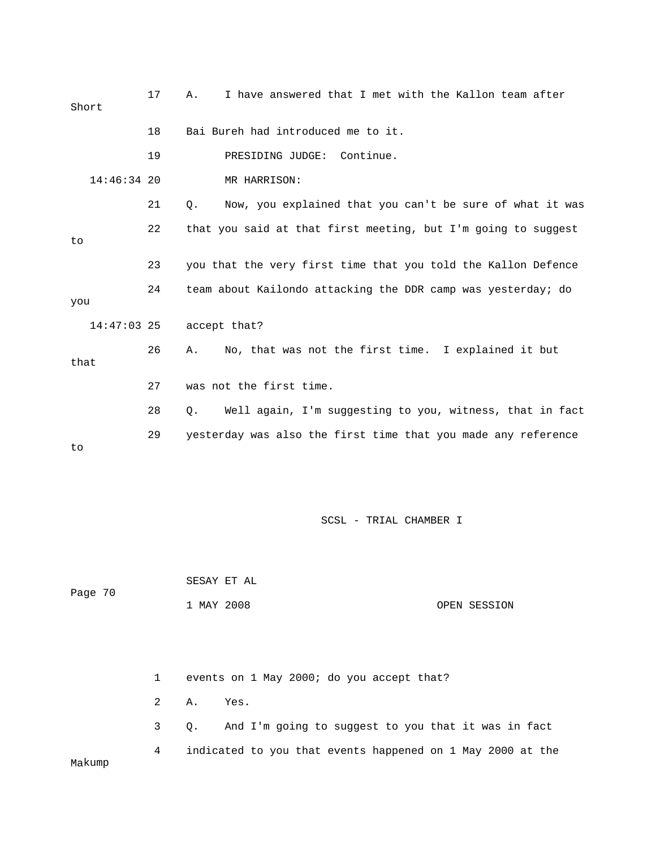| Short         | 17 | I have answered that I met with the Kallon team after<br>Α.    |
|---------------|----|----------------------------------------------------------------|
|               | 18 | Bai Bureh had introduced me to it.                             |
|               | 19 | PRESIDING JUDGE: Continue.                                     |
| $14:46:34$ 20 |    | MR HARRISON:                                                   |
|               | 21 | Now, you explained that you can't be sure of what it was<br>Q. |
| to            | 22 | that you said at that first meeting, but I'm going to suggest  |
|               | 23 | you that the very first time that you told the Kallon Defence  |
| you           | 24 | team about Kailondo attacking the DDR camp was yesterday; do   |
| $14:47:03$ 25 |    | accept that?                                                   |
| that          | 26 | No, that was not the first time. I explained it but<br>Α.      |
|               | 27 | was not the first time.                                        |
|               | 28 | Well again, I'm suggesting to you, witness, that in fact<br>Q. |
| to            | 29 | yesterday was also the first time that you made any reference  |

|         |  | SESAY ET AL |            |  |  |  |                                           |              |
|---------|--|-------------|------------|--|--|--|-------------------------------------------|--------------|
| Page 70 |  |             | 1 MAY 2008 |  |  |  |                                           | OPEN SESSION |
|         |  |             |            |  |  |  |                                           |              |
|         |  |             |            |  |  |  |                                           |              |
|         |  | 1           |            |  |  |  | events on 1 May 2000; do you accept that? |              |

 2 A. Yes. 3 Q. And I'm going to suggest to you that it was in fact 4 indicated to you that events happened on 1 May 2000 at the kump Ma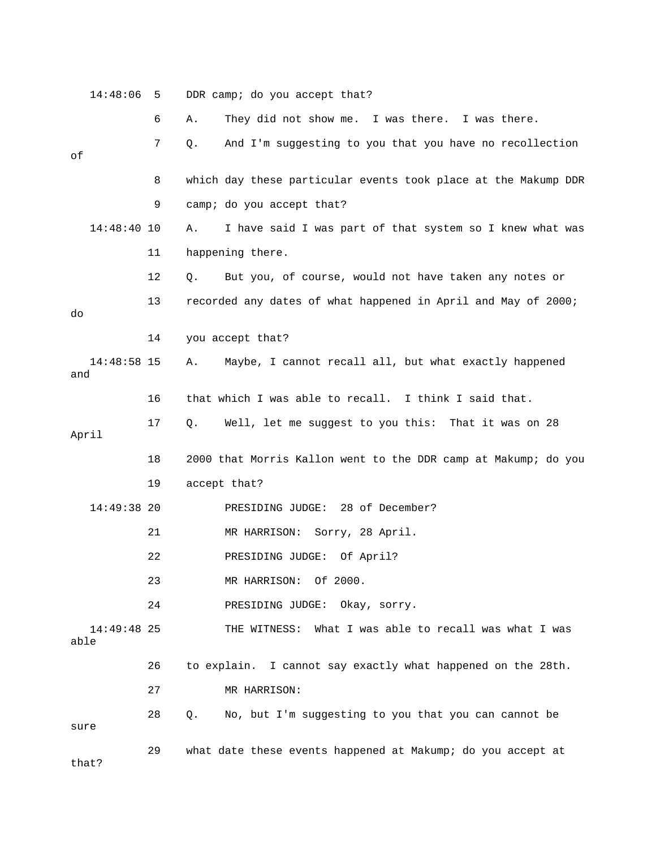14:48:06 5 DDR camp; do you accept that? 6 A. They did not show me. I was there. I was there. 8 which day these particular events took place at the Makump DDR 9 camp; do you accept that? 14:48:40 10 A. I have said I was part of that system so I knew what was 11 happening there. 12 Q. But you, of course, would not have taken any notes or 13 recorded any dates of what happened in April and May of 2000; 14 you accept that? 14:48:58 15 A. Maybe, I cannot recall all, but what exactly happened 17 Q. Well, let me suggest to you this: That it was on 28 18 2000 that Morris Kallon went to the DDR camp at Makump; do you 14:49:38 20 PRESIDING JUDGE: 28 of December? 23 MR HARRISON: Of 2000. 24 PRESIDING JUDGE: Okay, sorry. THE WITNESS: What I was able to recall was what I was 26 to explain. I cannot say exactly what happened on the 28th. 27 MR HARRISON: 29 what date these events happened at Makump; do you accept at 7 Q. And I'm suggesting to you that you have no recollection of do and 16 that which I was able to recall. I think I said that. April 19 accept that? 21 MR HARRISON: Sorry, 28 April. 22 PRESIDING JUDGE: Of April?  $14:49:48$  25 able 28 Q. No, but I'm suggesting to you that you can cannot be sure that?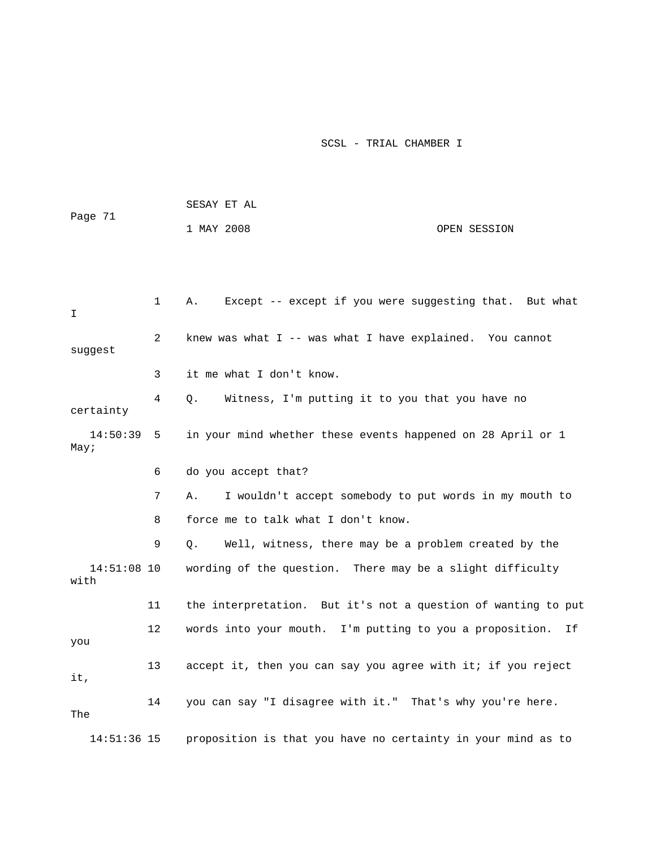|                       |              | SESAY ET AL                                                   |              |  |  |  |
|-----------------------|--------------|---------------------------------------------------------------|--------------|--|--|--|
| Page 71               |              | 1 MAY 2008                                                    | OPEN SESSION |  |  |  |
|                       |              |                                                               |              |  |  |  |
|                       |              |                                                               |              |  |  |  |
| I                     | $\mathbf{1}$ | Except -- except if you were suggesting that. But what<br>Α.  |              |  |  |  |
| suggest               | 2            | knew was what I -- was what I have explained. You cannot      |              |  |  |  |
|                       | 3            | it me what I don't know.                                      |              |  |  |  |
| certainty             | 4            | Witness, I'm putting it to you that you have no<br>О.         |              |  |  |  |
| $14:50:39$ 5<br>May;  |              | in your mind whether these events happened on 28 April or 1   |              |  |  |  |
|                       | 6            | do you accept that?                                           |              |  |  |  |
|                       | 7            | I wouldn't accept somebody to put words in my mouth to<br>Α.  |              |  |  |  |
|                       | 8            | force me to talk what I don't know.                           |              |  |  |  |
|                       | 9            | Well, witness, there may be a problem created by the<br>О.    |              |  |  |  |
| $14:51:08$ 10<br>with |              | wording of the question. There may be a slight difficulty     |              |  |  |  |
|                       | 11           | the interpretation. But it's not a question of wanting to put |              |  |  |  |
| you                   | 12           | words into your mouth. I'm putting to you a proposition.      | Ιf           |  |  |  |
| it,                   | 13           | accept it, then you can say you agree with it; if you reject  |              |  |  |  |
| The                   | 14           | you can say "I disagree with it." That's why you're here.     |              |  |  |  |
| 14:51:36 15           |              | proposition is that you have no certainty in your mind as to  |              |  |  |  |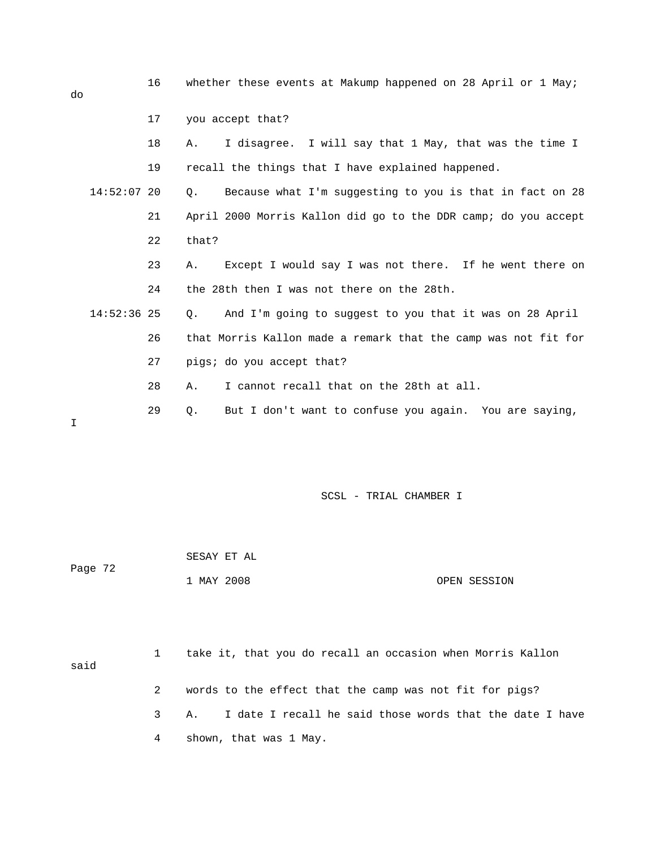16 whether these events at Makump happened on 28 April or 1 May;

 18 A. I disagree. I will say that 1 May, that was the time I 19 recall the things that I have explained happened. 23 A. Except I would say I was not there. If he went there on 26 that Morris Kallon made a remark that the camp was not fit for 27 pigs; do you accept that? 28 A. I cannot recall that on the 28th at all. 29 Q. But I don't want to confuse you again. You are saying, 17 you accept that? 14:52:07 20 Q. Because what I'm suggesting to you is that in fact on 28 21 April 2000 Morris Kallon did go to the DDR camp; do you accept 22 that? 24 the 28th then I was not there on the 28th. 14:52:36 25 Q. And I'm going to suggest to you that it was on 28 April

SCSL - TRIAL CHAMBER I

|         | SESAY ET AL |              |
|---------|-------------|--------------|
| Page 72 |             |              |
|         | 1 MAY 2008  | OPEN SESSION |

| said |   | take it, that you do recall an occasion when Morris Kallon    |
|------|---|---------------------------------------------------------------|
|      |   | words to the effect that the camp was not fit for pigs?       |
|      |   | 3 A. I date I recall he said those words that the date I have |
|      | 4 | shown, that was 1 May.                                        |

do

I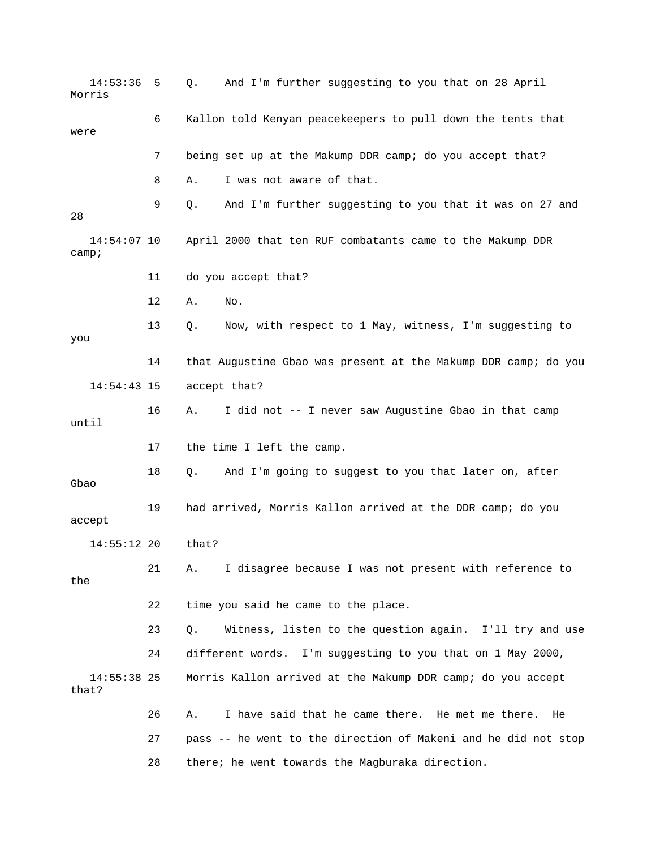14:53:36 5 Q. And I'm further suggesting to you that on 28 April Morris 6 Kallon told Kenyan peacekeepers to pull down the tents that 7 being set up at the Makump DDR camp; do you accept that? 8 A. I was not aware of that. 9 Q. And I'm further suggesting to you that it was on 27 and 13 Q. Now, with respect to 1 May, witness, I'm suggesting to you 14 that Augustine Gbao was present at the Makump DDR camp; do you 16 A. I did not -- I never saw Augustine Gbao in that camp 21 A. I disagree because I was not present with reference to the 24 different words. I'm suggesting to you that on 1 May 2000, 26 A. I have said that he came there. He met me there. He 27 pass -- he went to the direction of Makeni and he did not stop 28 there; he went towards the Magburaka direction. were 28 14:54:07 10 April 2000 that ten RUF combatants came to the Makump DDR camp; 11 do you accept that? 12 A. No. 14:54:43 15 accept that? until 17 the time I left the camp. 18 Q. And I'm going to suggest to you that later on, after Gbao 19 had arrived, Morris Kallon arrived at the DDR camp; do you accept 14:55:12 20 that? 22 time you said he came to the place. 23 Q. Witness, listen to the question again. I'll try and use 14:55:38 25 Morris Kallon arrived at the Makump DDR camp; do you accept that?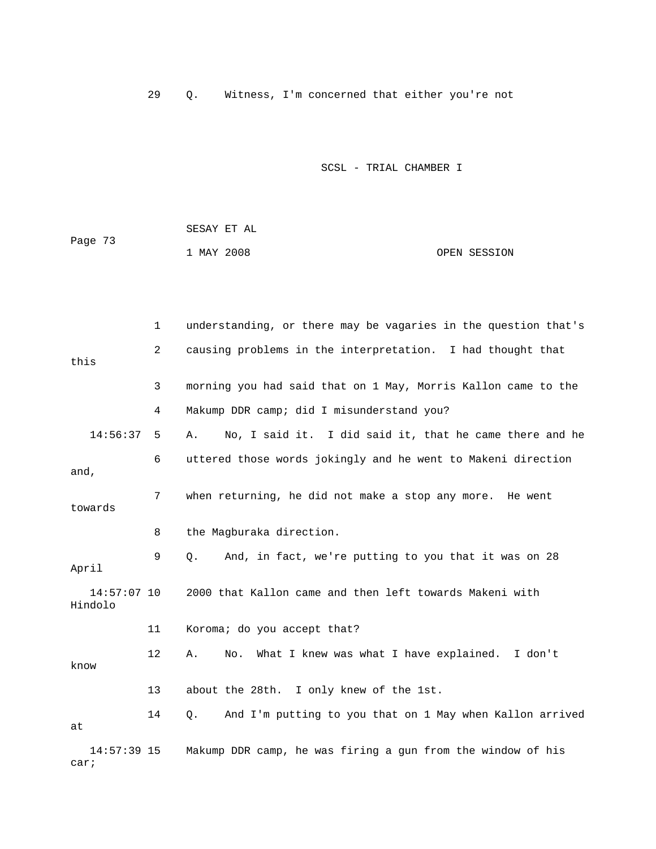29 Q. Witness, I'm concerned that either you're not

|         | SESAY ET AL |  |              |
|---------|-------------|--|--------------|
| Page 73 |             |  |              |
|         | 1 MAY 2008  |  | OPEN SESSION |

|                          | $\mathbf{1}$   | understanding, or there may be vagaries in the question that's |
|--------------------------|----------------|----------------------------------------------------------------|
| this                     | $\overline{2}$ | causing problems in the interpretation. I had thought that     |
|                          | 3              | morning you had said that on 1 May, Morris Kallon came to the  |
|                          | 4              | Makump DDR camp; did I misunderstand you?                      |
| 14:56:37                 | 5              | No, I said it. I did said it, that he came there and he<br>Α.  |
| and,                     | 6              | uttered those words jokingly and he went to Makeni direction   |
| towards                  | 7              | when returning, he did not make a stop any more. He went       |
|                          | 8              | the Magburaka direction.                                       |
| April                    | 9              | And, in fact, we're putting to you that it was on 28<br>Q.     |
| $14:57:07$ 10<br>Hindolo |                | 2000 that Kallon came and then left towards Makeni with        |
|                          | 11             | Koroma; do you accept that?                                    |
| know                     | 12             | No. What I knew was what I have explained. I don't<br>Α.       |
|                          | 13             | about the 28th. I only knew of the 1st.                        |
| at                       | 14             | And I'm putting to you that on 1 May when Kallon arrived<br>Q. |
| $14:57:39$ 15<br>car;    |                | Makump DDR camp, he was firing a gun from the window of his    |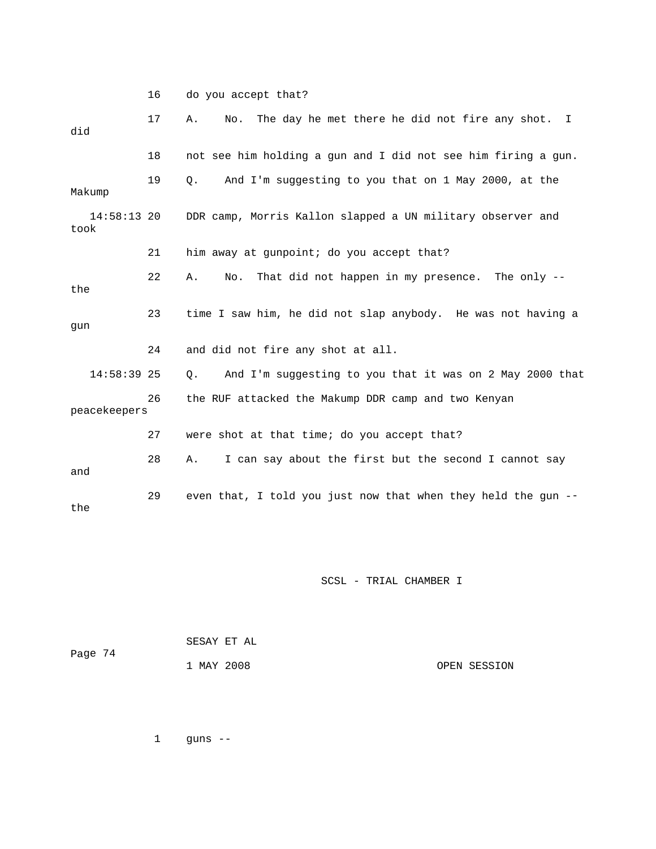16 do you accept that? 17 A. No. The day he met there he did not fire any shot. I 18 not see him holding a gun and I did not see him firing a gun. e 19 Q. And I'm suggesting to you that on 1 May 2000, at th 14:58:13 20 DDR camp, Morris Kallon slapped a UN military observer and took 21 him away at gunpoint; do you accept that? 22 A. No. That did not happen in my presence. The only -the 23 time I saw him, he did not slap anybody. He was not having a gun 24 and did not fire any shot at all.  $14:58:39$  25 Q. And I'm suggesting to you that it was on 2 May 2000 that peacekeepers 29 even that, I told you just now that when they held the gun -did Makump 26 the RUF attacked the Makump DDR camp and two Kenyan 27 were shot at that time; do you accept that? 28 A. I can say about the first but the second I cannot say and the

SCSL - TRIAL CHAMBER I

| Page 74 |            | SESAY ET AL |              |
|---------|------------|-------------|--------------|
|         | 1 MAY 2008 |             | OPEN SESSION |

1 guns --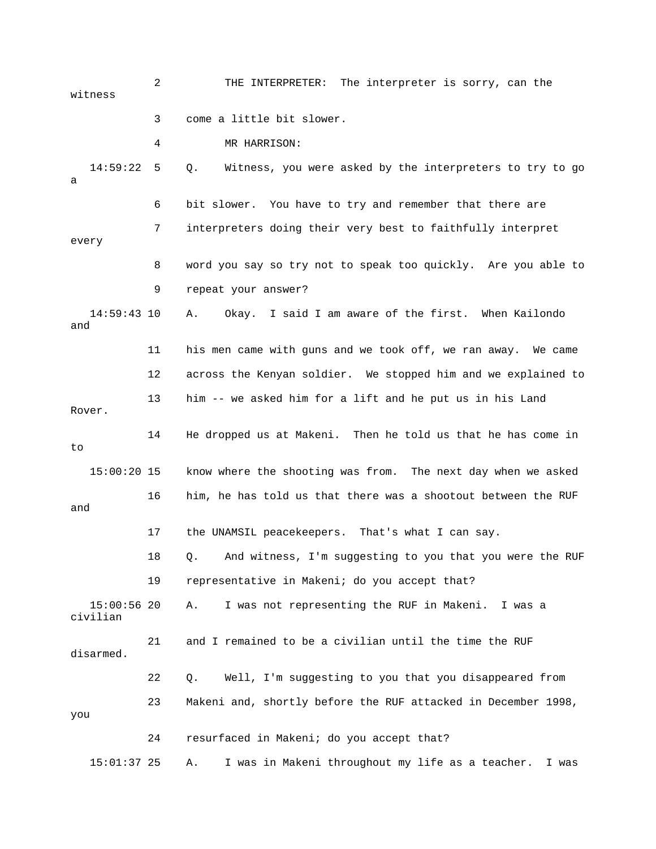2 THE INTERPRETER: The interpreter is sorry, can the 3 come a little bit slower. 4 MR HARRISON: 14:59:22 5 Q. Witness, you were asked by the interpreters to try to go 6 bit slower. You have to try and remember that there are 7 interpreters doing their very best to faithfully interpret 8 word you say so try not to speak too quickly. Are you able to 9 repeat your answer? 14:59:43 10 A. Okay. I said I am aware of the first. When Kailondo and 11 his men came with guns and we took off, we ran away. We came 12 across the Kenyan soldier. We stopped him and we explained to 13 him -- we asked him for a lift and he put us in his Land Rover. 14 He dropped us at Makeni. Then he told us that he has come in 15:00:20 15 know where the shooting was from. The next day when we asked 16 him, he has told us that there was a shootout between the RUF 17 the UNAMSIL peacekeepers. That's what I can say. 18 Q. And witness, I'm suggesting to you that you were the RUF 19 representative in Makeni; do you accept that? civilian 22 Q. Well, I'm suggesting to you that you disappeared from 23 Makeni and, shortly before the RUF attacked in December 1998, 24 resurfaced in Makeni; do you accept that? 15:01:37 25 A. I was in Makeni throughout my life as a teacher. I was witness a every to and 15:00:56 20 A. I was not representing the RUF in Makeni. I was a 21 and I remained to be a civilian until the time the RUF disarmed. you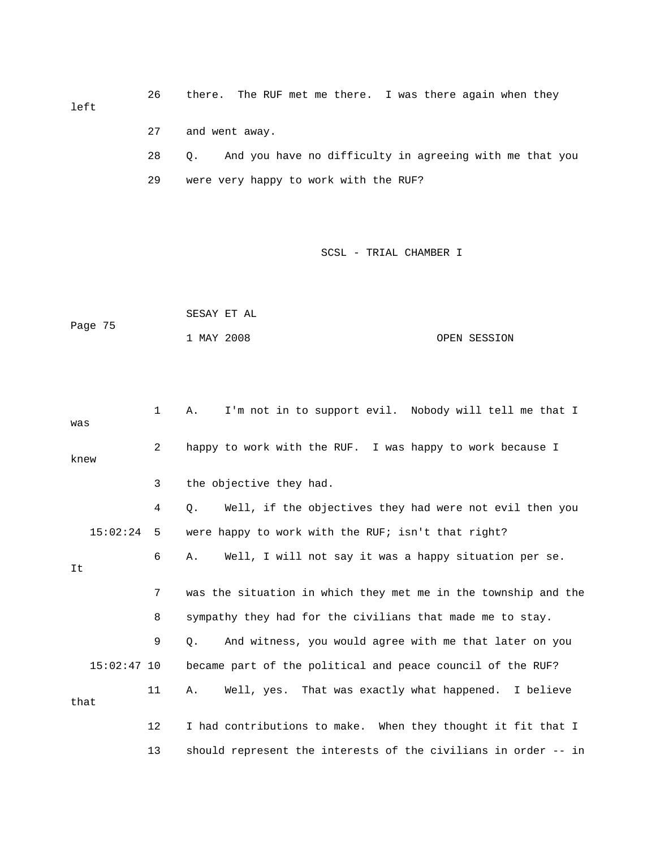26 there. The RUF met me there. I was there again when they left 28 Q. And you have no difficulty in agreeing with me that you 29 were very happy to work with the RUF? 27 and went away.

|         | SESAY ET AL |  |              |
|---------|-------------|--|--------------|
| Page 75 |             |  |              |
|         | 1 MAY 2008  |  | OPEN SESSION |

| was      |               | 1              | I'm not in to support evil. Nobody will tell me that I<br>Α.   |
|----------|---------------|----------------|----------------------------------------------------------------|
| knew     |               | $\overline{2}$ | happy to work with the RUF. I was happy to work because I      |
|          |               | 3              | the objective they had.                                        |
|          |               | 4              | Well, if the objectives they had were not evil then you<br>Q.  |
| 15:02:24 |               | - 5            | were happy to work with the RUF; isn't that right?             |
| It       |               | 6              | Well, I will not say it was a happy situation per se.<br>Α.    |
|          |               | 7              | was the situation in which they met me in the township and the |
|          |               | 8              | sympathy they had for the civilians that made me to stay.      |
|          |               | 9              | And witness, you would agree with me that later on you<br>О.   |
|          | $15:02:47$ 10 |                | became part of the political and peace council of the RUF?     |
| that     |               | 11             | Well, yes. That was exactly what happened. I believe<br>Α.     |
|          |               | 12             | I had contributions to make. When they thought it fit that I   |
|          |               | 13             | should represent the interests of the civilians in order -- in |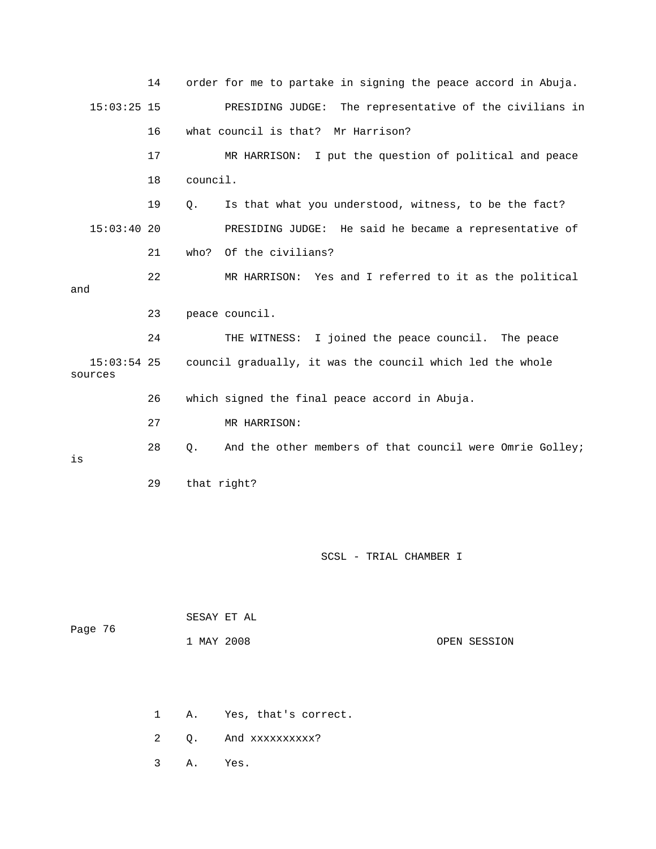|                          | 14 | order for me to partake in signing the peace accord in Abuja.  |
|--------------------------|----|----------------------------------------------------------------|
| $15:03:25$ 15            |    | PRESIDING JUDGE: The representative of the civilians in        |
|                          | 16 | what council is that? Mr Harrison?                             |
|                          | 17 | MR HARRISON: I put the question of political and peace         |
|                          | 18 | council.                                                       |
|                          | 19 | Is that what you understood, witness, to be the fact?<br>Q.    |
| 15:03:4020               |    | PRESIDING JUDGE: He said he became a representative of         |
|                          | 21 | who? Of the civilians?                                         |
| and                      | 22 | MR HARRISON: Yes and I referred to it as the political         |
|                          |    |                                                                |
|                          | 23 | peace council.                                                 |
|                          | 24 | THE WITNESS: I joined the peace council. The peace             |
| $15:03:54$ 25<br>sources |    | council gradually, it was the council which led the whole      |
|                          | 26 | which signed the final peace accord in Abuja.                  |
|                          | 27 | MR HARRISON:                                                   |
| is                       | 28 | And the other members of that council were Omrie Golley;<br>Q. |
|                          | 29 | that right?                                                    |

| Page 76 | SESAY ET AL |              |
|---------|-------------|--------------|
|         | 1 MAY 2008  | OPEN SESSION |

- 1 A. Yes, that's correct.
	- 2 Q. And xxxxxxxxxx?
	- 3 A. Yes.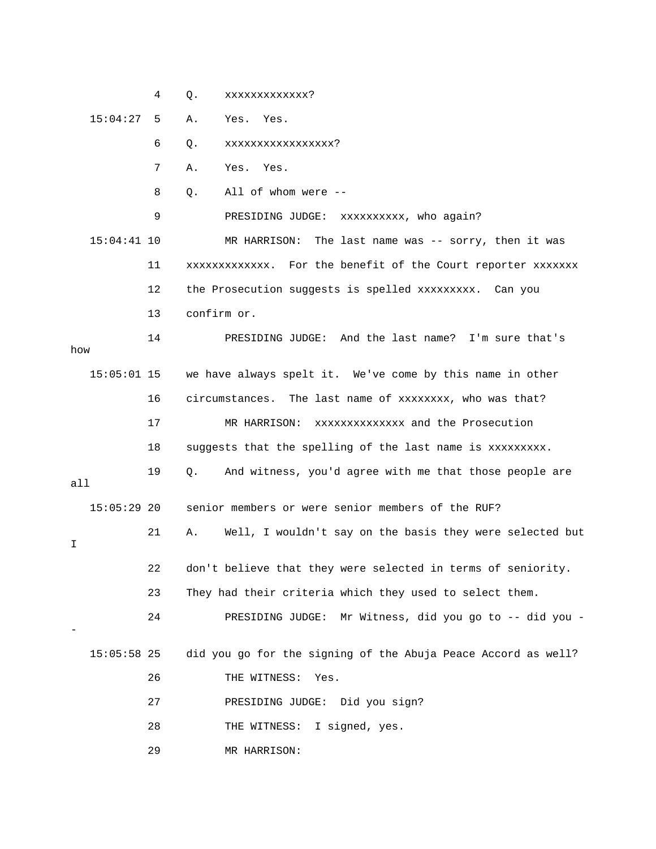4 Q. xxxxxxxxxxxxxx?

15:04:27 5 A. Yes. Yes.

6 Q. xxxxxxxxxxxxxxxxx?

7 A. Yes. Yes.

8 Q. All of whom were --

9 PRESIDING JUDGE: xxxxxxxxxx, who again?

 15:04:41 10 MR HARRISON: The last name was -- sorry, then it was 11 xxxxxxxxxxxxx. For the benefit of the Court reporter xxxxxxx 12 the Prosecution suggests is spelled xxxxxxxxx. Can you 13 confirm or.

 14 PRESIDING JUDGE: And the last name? I'm sure that's 15:05:01 15 we have always spelt it. We've come by this name in other 16 circumstances. The last name of xxxxxxxx, who was that? 17 MR HARRISON: xxxxxxxxxxxx and the Prosecution 18 suggests that the spelling of the last name is xxxxxxxxx. 19 Q. And witness, you'd agree with me that those people are all 15:05:29 20 senior members or were senior members of the RUF? 21 A. Well, I wouldn't say on the basis they were selected but 22 don't believe that they were selected in terms of seniority. 23 They had their criteria which they used to select them. - 24 PRESIDING JUDGE: Mr Witness, did you go to -- did you ? 15:05:58 25 did you go for the signing of the Abuja Peace Accord as well how I - 26 THE WITNESS: Yes. 27 PRESIDING JUDGE: Did you sign? 28 THE WITNESS: I signed, yes.

29 MR HARRISON: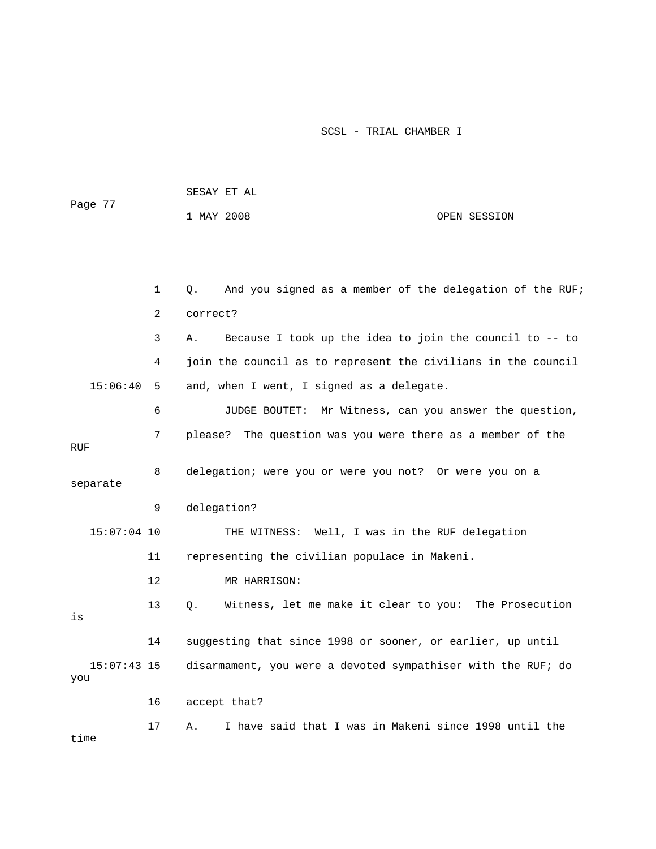| Page 77              |              | SESAY ET AL                                                    |  |  |  |  |
|----------------------|--------------|----------------------------------------------------------------|--|--|--|--|
|                      |              | 1 MAY 2008<br>OPEN SESSION                                     |  |  |  |  |
|                      |              |                                                                |  |  |  |  |
|                      |              |                                                                |  |  |  |  |
|                      | $\mathbf{1}$ | And you signed as a member of the delegation of the RUF;<br>Q. |  |  |  |  |
|                      | 2            | correct?                                                       |  |  |  |  |
|                      | 3            | Because I took up the idea to join the council to -- to<br>Α.  |  |  |  |  |
|                      | 4            | join the council as to represent the civilians in the council  |  |  |  |  |
| 15:06:40             | 5            | and, when I went, I signed as a delegate.                      |  |  |  |  |
|                      | 6            | JUDGE BOUTET: Mr Witness, can you answer the question,         |  |  |  |  |
| RUF                  | 7            | please? The question was you were there as a member of the     |  |  |  |  |
| separate             | 8            | delegation; were you or were you not? Or were you on a         |  |  |  |  |
|                      | 9            | delegation?                                                    |  |  |  |  |
| $15:07:04$ 10        |              | THE WITNESS: Well, I was in the RUF delegation                 |  |  |  |  |
|                      | 11           | representing the civilian populace in Makeni.                  |  |  |  |  |
|                      | 12           | MR HARRISON:                                                   |  |  |  |  |
| is                   | 13           | Witness, let me make it clear to you: The Prosecution<br>Q.    |  |  |  |  |
|                      | 14           | suggesting that since 1998 or sooner, or earlier, up until     |  |  |  |  |
| $15:07:43$ 15<br>you |              | disarmament, you were a devoted sympathiser with the RUF; do   |  |  |  |  |
|                      | 16           | accept that?                                                   |  |  |  |  |
| time                 | 17           | I have said that I was in Makeni since 1998 until the<br>Α.    |  |  |  |  |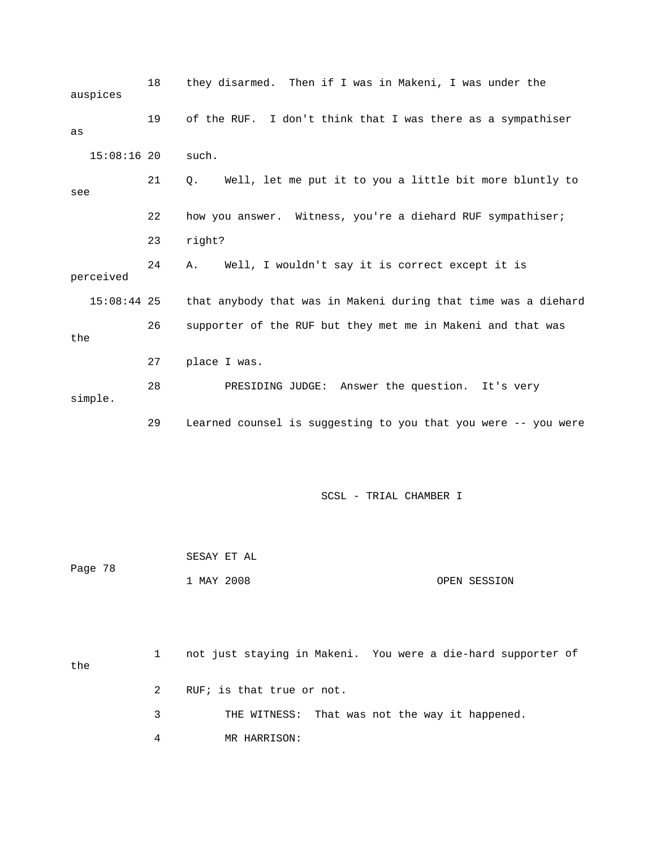| auspices      | 18 | they disarmed. Then if I was in Makeni, I was under the        |
|---------------|----|----------------------------------------------------------------|
| as            | 19 | of the RUF. I don't think that I was there as a sympathiser    |
| $15:08:16$ 20 |    | such.                                                          |
| see           | 21 | Well, let me put it to you a little bit more bluntly to<br>Q.  |
|               | 22 | how you answer. Witness, you're a diehard RUF sympathiser;     |
|               | 23 | right?                                                         |
| perceived     | 24 | Well, I wouldn't say it is correct except it is<br>Α.          |
| $15:08:44$ 25 |    | that anybody that was in Makeni during that time was a diehard |
| the           | 26 | supporter of the RUF but they met me in Makeni and that was    |
|               | 27 | place I was.                                                   |
| simple.       | 28 | PRESIDING JUDGE: Answer the question. It's very                |
|               | 29 | Learned counsel is suggesting to you that you were -- you were |
|               |    |                                                                |
|               |    | SCSL - TRIAL CHAMBER I                                         |
|               |    | SESAY ET AL                                                    |

 1 MAY 2008 OPEN SESSION Page 78

| the |               | not just staying in Makeni. You were a die-hard supporter of |
|-----|---------------|--------------------------------------------------------------|
|     | 2             | RUF; is that true or not.                                    |
|     | $\mathcal{R}$ | THE WITNESS: That was not the way it happened.               |
|     | 4             | MR HARRISON:                                                 |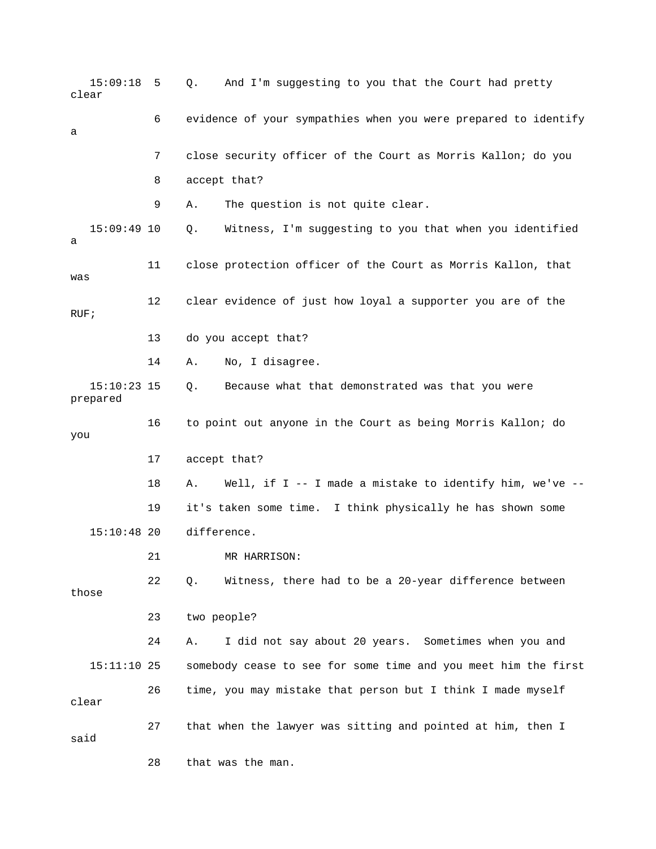15:09:18 5 Q. And I'm suggesting to you that the Court had pretty clear 6 evidence of your sympathies when you were prepared to identify 7 close security officer of the Court as Morris Kallon; do you 8 accept that? 9 A. The question is not quite clear. 11 close protection officer of the Court as Morris Kallon, that 12 clear evidence of just how loyal a supporter you are of the 14 A. No, I disagree. prepared you 18 A. Well, if I -- I made a mistake to identify him, we've -- 19 it's taken some time. I think physically he has shown some 21 MR HARRISON: 22 Q. Witness, there had to be a 20-year difference between those 23 two people? 24 A. I did not say about 20 years. Sometimes when you and somebody cease to see for some time and you meet him the first 27 that when the lawyer was sitting and pointed at him, then I said 28 that was the man. a 15:09:49 10 Q. Witness, I'm suggesting to you that when you identified a was RUF; 13 do you accept that? 15:10:23 15 Q. Because what that demonstrated was that you were 16 to point out anyone in the Court as being Morris Kallon; do 17 accept that? 15:10:48 20 difference. 15:11:1 26 time, you may mistake that person but I think I made myself clear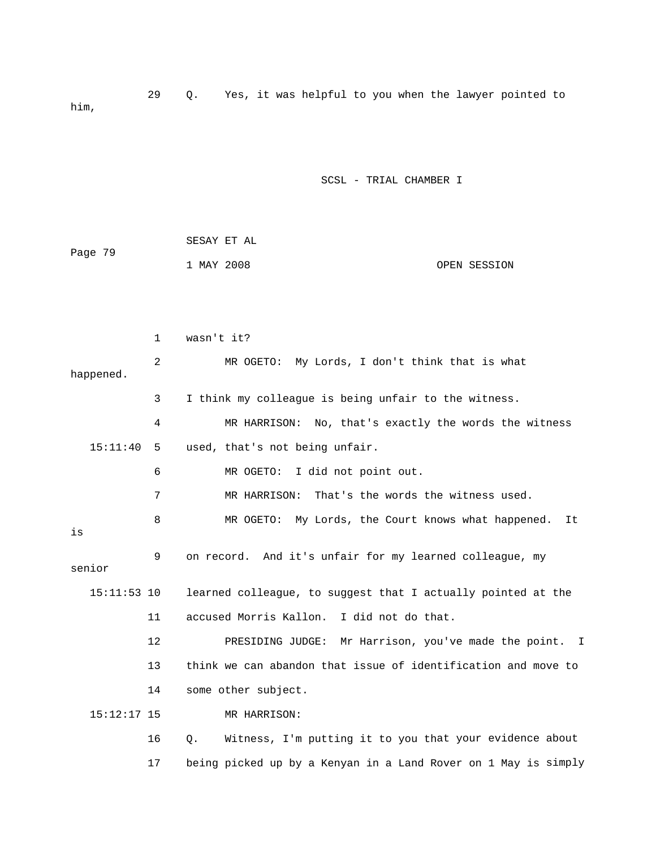29 Q. Yes, i t was helpful to you when the lawyer pointed to him,

SCSL - TRIAL CHAMBER I

|         |            | SESAY ET AL |              |
|---------|------------|-------------|--------------|
| Page 79 |            |             |              |
|         | 1 MAY 2008 |             | OPEN SESSION |

|               | $\mathbf{1}$ | wasn't it?                                                       |
|---------------|--------------|------------------------------------------------------------------|
| happened.     | 2            | MR OGETO: My Lords, I don't think that is what                   |
|               | 3            | I think my colleague is being unfair to the witness.             |
|               | 4            | MR HARRISON: No, that's exactly the words the witness            |
| 15:11:40      | -5           | used, that's not being unfair.                                   |
|               | 6            | MR OGETO:<br>I did not point out.                                |
|               | 7            | That's the words the witness used.<br>MR HARRISON:               |
| is            | 8            | MR OGETO: My Lords, the Court knows what happened. It            |
| senior        | 9            | on record. And it's unfair for my learned colleague, my          |
| $15:11:53$ 10 |              | learned colleague, to suggest that I actually pointed at the     |
|               | 11           | accused Morris Kallon. I did not do that.                        |
|               | $12 \,$      | PRESIDING JUDGE: Mr Harrison, you've made the point. I           |
|               | 13           | think we can abandon that issue of identification and move to    |
|               | 14           | some other subject.                                              |
| $15:12:17$ 15 |              | MR HARRISON:                                                     |
|               | 16           | Witness, I'm putting it to you that your evidence about<br>$Q$ . |

17 being picked up by a Kenyan in a Land Rover on 1 May is simply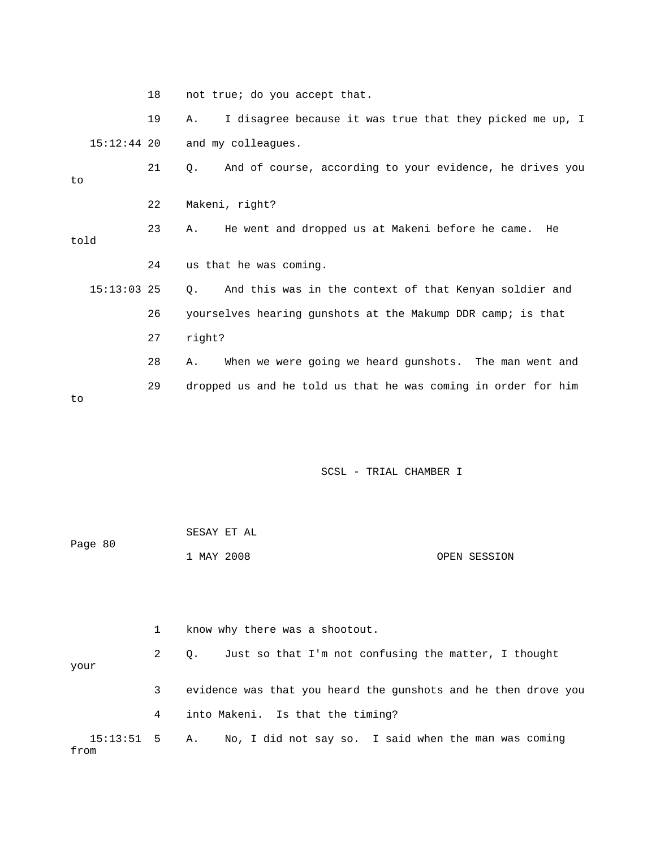18 not true; do you accept that.

 19 A. I disagree because it was true that they picked me up, I and my colleagues. 15:12

 23 A. He went and dropped us at Makeni before he came. He 21 Q. And of course, according to your evidence, he drives you to 22 Makeni, right? told

. 24 us that he was coming

 $15:13:03$  25 Q. And this was in the context of that Kenyan soldier and 28 A. When we were going we heard gunshots. The man went and 26 yourselves hearing gunshots at the Makump DDR camp; is that 27 right? 29 dropped us and he told us that he was coming in order for him

to

#### SCSL - TRIAL CHAMBER I

|         | SESAY ET AL |  |              |
|---------|-------------|--|--------------|
| Page 80 |             |  |              |
|         | 1 MAY 2008  |  | OPEN SESSION |

 3 evidence was that you heard the gunshots and he then drove you 4 into Makeni. Is that the timing? 15:13:51 5 A. No, I did not say so. I said when the man was coming 1 know why there was a shootout. 2 Q. Just so that I'm not confusing the matter, I thought your from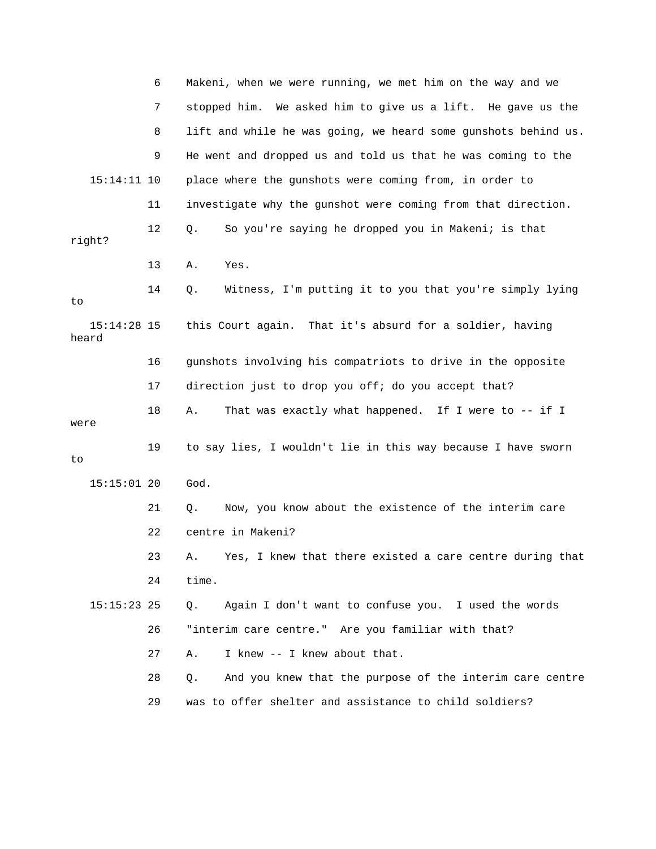|                        | 6  | Makeni, when we were running, we met him on the way and we        |
|------------------------|----|-------------------------------------------------------------------|
|                        | 7  | stopped him. We asked him to give us a lift. He gave us the       |
|                        | 8  | lift and while he was going, we heard some gunshots behind us.    |
|                        | 9  | He went and dropped us and told us that he was coming to the      |
| $15:14:11$ 10          |    | place where the gunshots were coming from, in order to            |
|                        | 11 | investigate why the gunshot were coming from that direction.      |
| right?                 | 12 | So you're saying he dropped you in Makeni; is that<br>Q.          |
|                        | 13 | Yes.<br>Α.                                                        |
| to                     | 14 | Witness, I'm putting it to you that you're simply lying<br>Q.     |
| $15:14:28$ 15<br>heard |    | this Court again. That it's absurd for a soldier, having          |
|                        | 16 | gunshots involving his compatriots to drive in the opposite       |
|                        | 17 | direction just to drop you off; do you accept that?               |
|                        |    |                                                                   |
| were                   | 18 | That was exactly what happened. If I were to -- if I<br>Α.        |
| to                     | 19 | to say lies, I wouldn't lie in this way because I have sworn      |
| $15:15:01$ 20          |    | God.                                                              |
|                        | 21 | Now, you know about the existence of the interim care<br>Q.       |
|                        | 22 | centre in Makeni?                                                 |
|                        | 23 | A. Yes, I knew that there existed a care centre during that       |
|                        | 24 | time.                                                             |
| $15:15:23$ 25          |    | Again I don't want to confuse you. I used the words<br>Q.         |
|                        | 26 | "interim care centre." Are you familiar with that?                |
|                        | 27 | I knew -- I knew about that.<br>Α.                                |
|                        | 28 | And you knew that the purpose of the interim care centre<br>$Q$ . |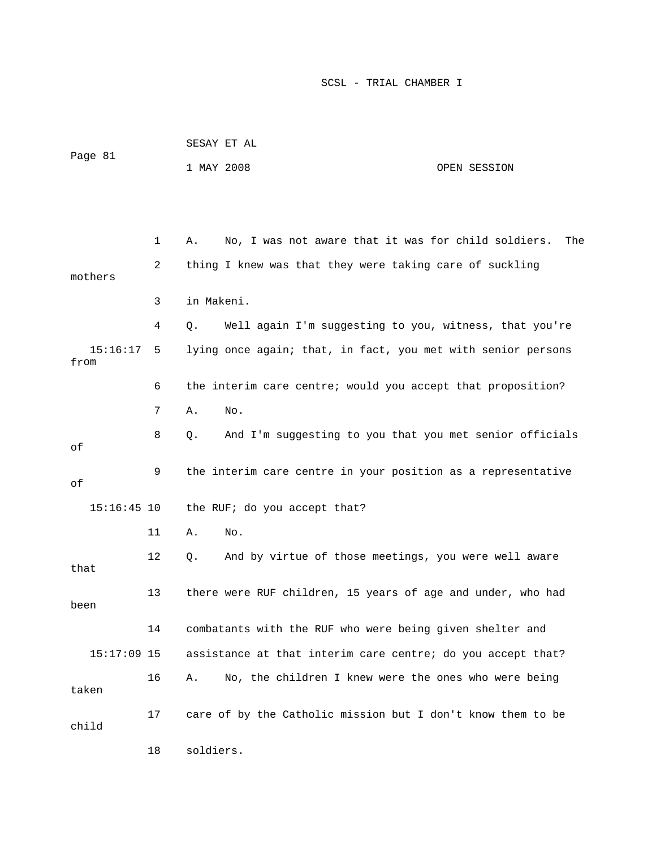|                  |    |            | SESAY ET AL                                                  |              |  |  |  |
|------------------|----|------------|--------------------------------------------------------------|--------------|--|--|--|
| Page 81          |    | 1 MAY 2008 |                                                              | OPEN SESSION |  |  |  |
|                  |    |            |                                                              |              |  |  |  |
|                  |    |            |                                                              |              |  |  |  |
|                  | 1  | Α.         | No, I was not aware that it was for child soldiers.          | The          |  |  |  |
| mothers          | 2  |            | thing I knew was that they were taking care of suckling      |              |  |  |  |
|                  | 3  | in Makeni. |                                                              |              |  |  |  |
|                  | 4  | $Q$ .      | Well again I'm suggesting to you, witness, that you're       |              |  |  |  |
| 15:16:17<br>from | 5  |            | lying once again; that, in fact, you met with senior persons |              |  |  |  |
|                  | 6  |            | the interim care centre; would you accept that proposition?  |              |  |  |  |
|                  | 7  | Α.         | No.                                                          |              |  |  |  |
| оf               | 8  | $Q$ .      | And I'm suggesting to you that you met senior officials      |              |  |  |  |
| оf               | 9  |            | the interim care centre in your position as a representative |              |  |  |  |
| $15:16:45$ 10    |    |            | the RUF; do you accept that?                                 |              |  |  |  |
|                  | 11 | Α.         | No.                                                          |              |  |  |  |
| that             | 12 | Q.         | And by virtue of those meetings, you were well aware         |              |  |  |  |
| been             | 13 |            | there were RUF children, 15 years of age and under, who had  |              |  |  |  |
|                  | 14 |            | combatants with the RUF who were being given shelter and     |              |  |  |  |
| $15:17:09$ 15    |    |            | assistance at that interim care centre; do you accept that?  |              |  |  |  |
| taken            | 16 | Α.         | No, the children I knew were the ones who were being         |              |  |  |  |
| child            | 17 |            | care of by the Catholic mission but I don't know them to be  |              |  |  |  |
|                  | 18 | soldiers.  |                                                              |              |  |  |  |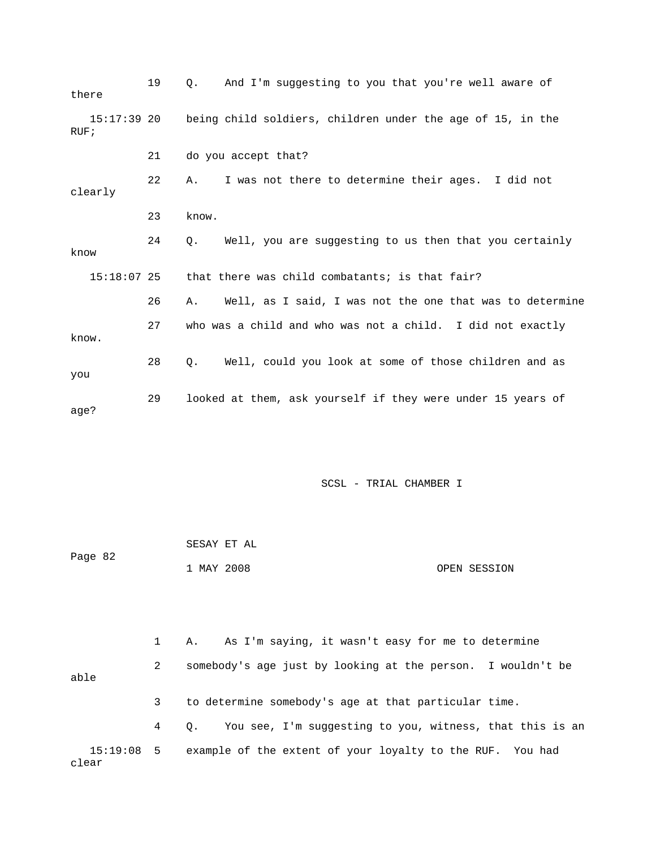| there               | 19 | And I'm suggesting to you that you're well aware of<br>$\circ$ .    |
|---------------------|----|---------------------------------------------------------------------|
| 15:17:39 20<br>RUF; |    | being child soldiers, children under the age of 15, in the          |
|                     | 21 | do you accept that?                                                 |
| clearly             | 22 | I was not there to determine their ages. I did not<br>Α.            |
|                     | 23 | know.                                                               |
| know                | 24 | Well, you are suggesting to us then that you certainly<br>$\circ$ . |
| $15:18:07$ 25       |    | that there was child combatants; is that fair?                      |
|                     | 26 | Well, as I said, I was not the one that was to determine<br>Α.      |
| know.               | 27 | who was a child and who was not a child. I did not exactly          |
| you                 | 28 | Well, could you look at some of those children and as<br>0.         |
| age?                | 29 | looked at them, ask yourself if they were under 15 years of         |

|         | SESAY ET AL |              |
|---------|-------------|--------------|
| Page 82 |             |              |
|         | 1 MAY 2008  | OPEN SESSION |

 3 to determine somebody's age at that particular time. 4 Q. You see, I'm suggesting to you, witness, that this is an 15:19:08 5 example of the extent of your loyalty to the RUF. You had clear 1 A. As I'm saying, it wasn't easy for me to determine 2 somebody's age just by looking at the person. I wouldn't be able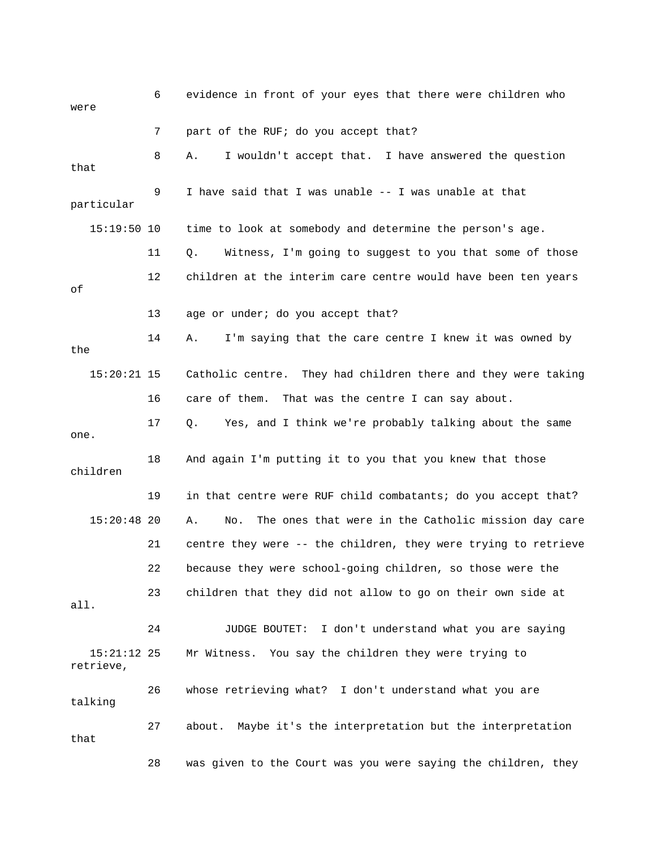| were                       | 6  | evidence in front of your eyes that there were children who      |
|----------------------------|----|------------------------------------------------------------------|
|                            | 7  | part of the RUF; do you accept that?                             |
| that                       | 8  | I wouldn't accept that. I have answered the question<br>Α.       |
| particular                 | 9  | I have said that I was unable -- I was unable at that            |
| $15:19:50$ 10              |    | time to look at somebody and determine the person's age.         |
|                            | 11 | Witness, I'm going to suggest to you that some of those<br>Q.    |
| оf                         | 12 | children at the interim care centre would have been ten years    |
|                            | 13 | age or under; do you accept that?                                |
| the                        | 14 | I'm saying that the care centre I knew it was owned by<br>Α.     |
| $15:20:21$ 15              |    | Catholic centre. They had children there and they were taking    |
|                            | 16 | care of them. That was the centre I can say about.               |
| one.                       | 17 | Yes, and I think we're probably talking about the same<br>Q.     |
| children                   | 18 | And again I'm putting it to you that you knew that those         |
|                            | 19 | in that centre were RUF child combatants; do you accept that?    |
| $15:20:48$ 20              |    | The ones that were in the Catholic mission day care<br>Α.<br>No. |
|                            | 21 | centre they were -- the children, they were trying to retrieve   |
|                            | 22 | because they were school-going children, so those were the       |
| all.                       | 23 | children that they did not allow to go on their own side at      |
|                            | 24 | JUDGE BOUTET: I don't understand what you are saying             |
| $15:21:12$ 25<br>retrieve, |    | Mr Witness. You say the children they were trying to             |
| talking                    | 26 | whose retrieving what? I don't understand what you are           |
| that                       | 27 | about. Maybe it's the interpretation but the interpretation      |
|                            | 28 | was given to the Court was you were saying the children, they    |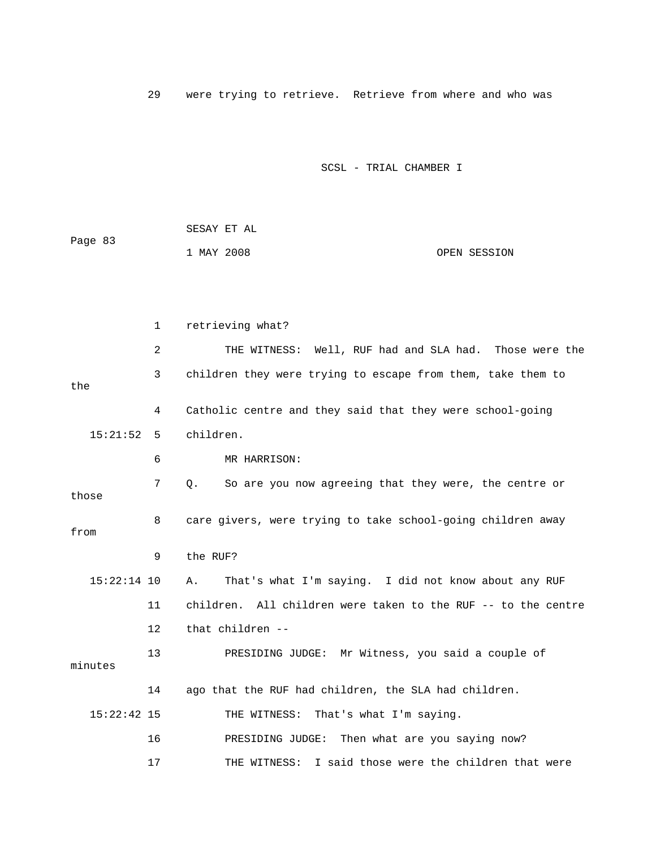29 were trying to retrieve. Retrieve from where and who was

|         | SESAY ET AL |  |              |
|---------|-------------|--|--------------|
| Page 83 |             |  |              |
|         | 1 MAY 2008  |  | OPEN SESSION |

|               | $\mathbf{1}$ | retrieving what?                                              |
|---------------|--------------|---------------------------------------------------------------|
|               | 2            | THE WITNESS: Well, RUF had and SLA had. Those were the        |
| the           | 3            | children they were trying to escape from them, take them to   |
|               | 4            | Catholic centre and they said that they were school-going     |
| 15:21:52      | 5            | children.                                                     |
|               | 6            | MR HARRISON:                                                  |
| those         | 7            | So are you now agreeing that they were, the centre or<br>Q.   |
| from          | 8            | care givers, were trying to take school-going children away   |
|               | 9            | the RUF?                                                      |
| $15:22:14$ 10 |              | That's what I'm saying. I did not know about any RUF<br>Α.    |
|               | 11           | children. All children were taken to the RUF -- to the centre |
|               | 12           | that children --                                              |
| minutes       | 13           | PRESIDING JUDGE: Mr Witness, you said a couple of             |
|               | 14           | ago that the RUF had children, the SLA had children.          |
| $15:22:42$ 15 |              | THE WITNESS: That's what I'm saying.                          |
|               | 16           | PRESIDING JUDGE: Then what are you saying now?                |
|               | 17           | I said those were the children that were<br>THE WITNESS:      |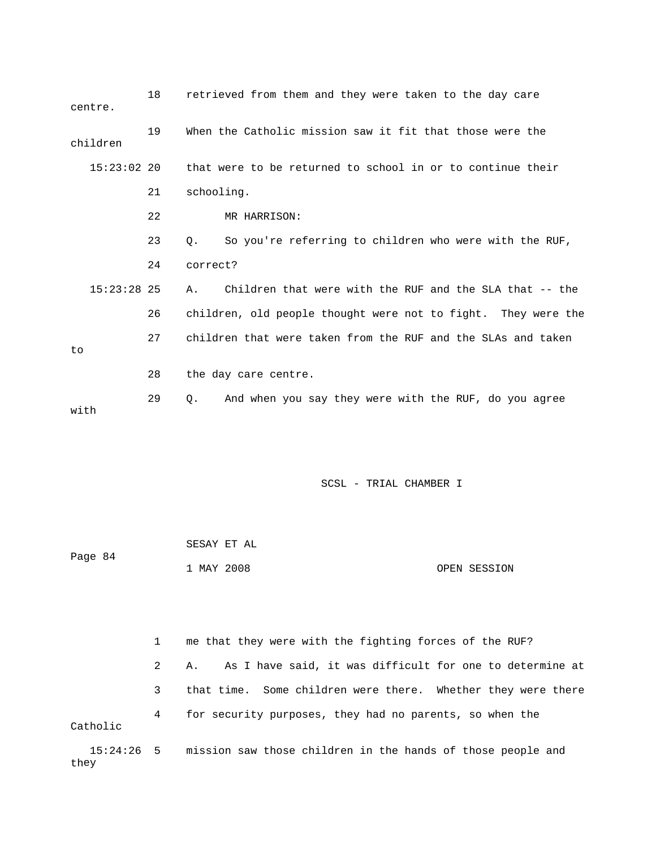| centre.       | 18 | retrieved from them and they were taken to the day care       |
|---------------|----|---------------------------------------------------------------|
| children      | 19 | When the Catholic mission saw it fit that those were the      |
| $15:23:02$ 20 |    | that were to be returned to school in or to continue their    |
|               | 21 | schooling.                                                    |
|               | 22 | MR HARRISON:                                                  |
|               | 23 | So you're referring to children who were with the RUF,<br>О.  |
|               | 24 | correct?                                                      |
| $15:23:28$ 25 |    | Children that were with the RUF and the SLA that -- the<br>Α. |
|               | 26 | children, old people thought were not to fight. They were the |
| to.           | 27 | children that were taken from the RUF and the SLAs and taken  |
|               | 28 | the day care centre.                                          |
| with          | 29 | And when you say they were with the RUF, do you agree<br>Ο.   |

|         | SESAY ET AL |              |
|---------|-------------|--------------|
| Page 84 |             |              |
|         | 1 MAY 2008  | OPEN SESSION |

1 me that they were with the fighting forces of the RUF? 2 A. As I have said, it was difficult for one to determine at 3 that time. Some children were there. Whether they were there 4 for security purposes, they had no parents, so when the tholic Ca

15:24:26 5 mission saw those children in the hands of those people and they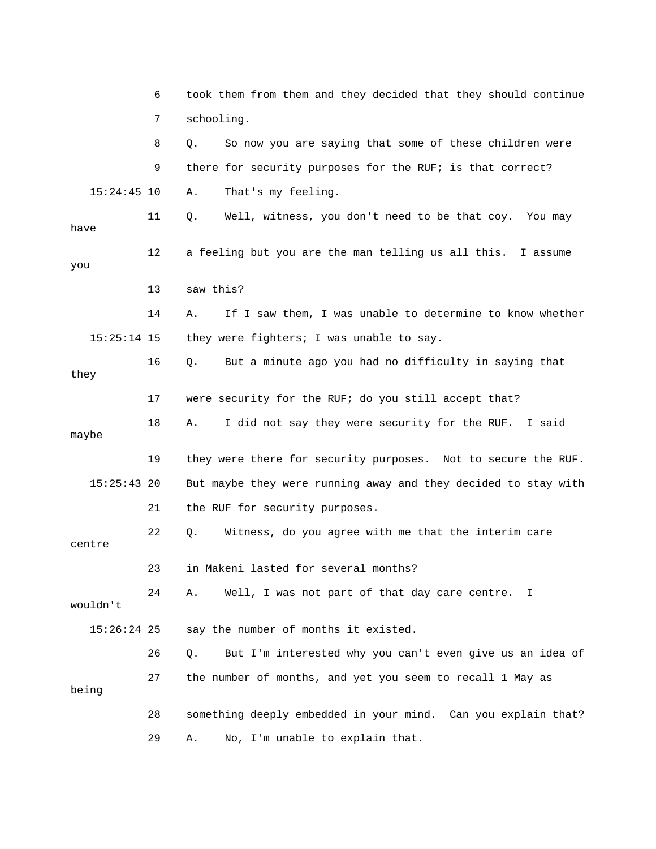|               | 6  | took them from them and they decided that they should continue |
|---------------|----|----------------------------------------------------------------|
|               | 7  | schooling.                                                     |
|               | 8  | So now you are saying that some of these children were<br>Q.   |
|               | 9  | there for security purposes for the RUF; is that correct?      |
| $15:24:45$ 10 |    | That's my feeling.<br>Α.                                       |
| have          | 11 | Q.<br>Well, witness, you don't need to be that coy. You may    |
| you           | 12 | a feeling but you are the man telling us all this. I assume    |
|               | 13 | saw this?                                                      |
|               | 14 | If I saw them, I was unable to determine to know whether<br>Α. |
| $15:25:14$ 15 |    | they were fighters; I was unable to say.                       |
| they          | 16 | But a minute ago you had no difficulty in saying that<br>Q.    |
|               | 17 | were security for the RUF; do you still accept that?           |
| maybe         | 18 | I did not say they were security for the RUF. I said<br>Α.     |
|               | 19 | they were there for security purposes. Not to secure the RUF.  |
| $15:25:43$ 20 |    | But maybe they were running away and they decided to stay with |
|               | 21 | the RUF for security purposes.                                 |
| centre        | 22 | Witness, do you agree with me that the interim care<br>Q.      |
|               | 23 | in Makeni lasted for several months?                           |
| wouldn't      | 24 | Well, I was not part of that day care centre.<br>Α.<br>I       |
| $15:26:24$ 25 |    | say the number of months it existed.                           |
|               | 26 | But I'm interested why you can't even give us an idea of<br>Q. |
| being         | 27 | the number of months, and yet you seem to recall 1 May as      |
|               | 28 | something deeply embedded in your mind. Can you explain that?  |
|               | 29 | No, I'm unable to explain that.<br>Α.                          |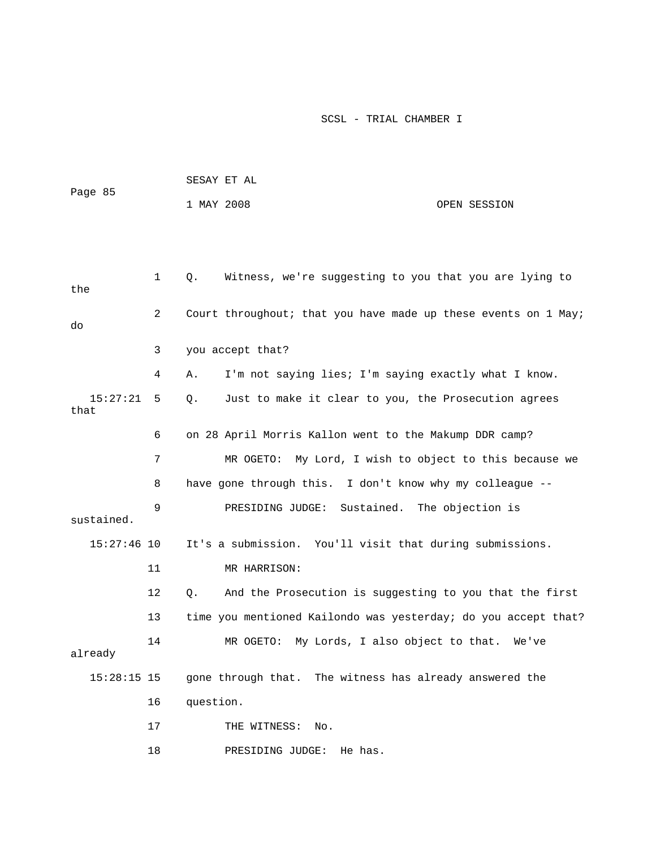| Page 85 | SESAY ET AL |  |              |
|---------|-------------|--|--------------|
|         | 1 MAY 2008  |  | OPEN SESSION |

| the              | $\mathbf 1$    | Witness, we're suggesting to you that you are lying to<br>Q.   |
|------------------|----------------|----------------------------------------------------------------|
| do               | $\overline{2}$ | Court throughout; that you have made up these events on 1 May; |
|                  | 3              | you accept that?                                               |
|                  | 4              | I'm not saying lies; I'm saying exactly what I know.<br>Α.     |
| 15:27:21<br>that | 5              | Just to make it clear to you, the Prosecution agrees<br>Q.     |
|                  | 6              | on 28 April Morris Kallon went to the Makump DDR camp?         |
|                  | 7              | MR OGETO:<br>My Lord, I wish to object to this because we      |
|                  | 8              | have gone through this. I don't know why my colleague --       |
| sustained.       | 9              | PRESIDING JUDGE:<br>Sustained.<br>The objection is             |
| $15:27:46$ 10    |                | It's a submission. You'll visit that during submissions.       |
|                  | 11             | MR HARRISON:                                                   |
|                  | 12             | And the Prosecution is suggesting to you that the first<br>Q.  |
|                  | 13             | time you mentioned Kailondo was yesterday; do you accept that? |
| already          | 14             | My Lords, I also object to that.<br>MR OGETO:<br>We've         |
| $15:28:15$ 15    |                | gone through that. The witness has already answered the        |
|                  | 16             | question.                                                      |
|                  | 17             | THE WITNESS:<br>No.                                            |
|                  | 18             | He has.<br>PRESIDING JUDGE:                                    |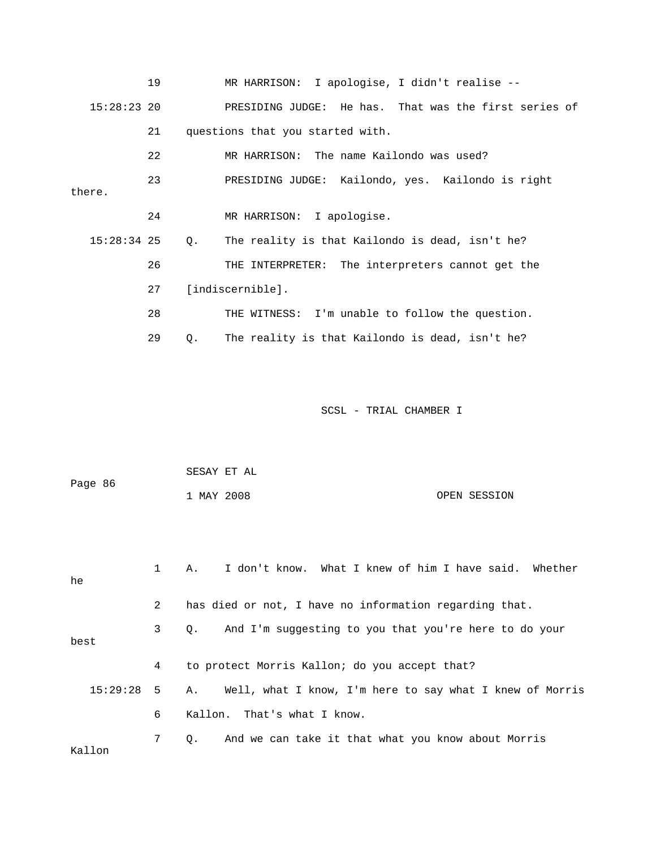19 MR HARRISON: I apologise, I didn't realise -- 15:28:23 20 PRESIDING JUDGE: He has. That was the first series of 21 questions that you started with. 22 MR HARRISON: The name Kailondo was used? 23 PRESIDING JUDGE: Kailondo, yes. Kailondo is right 26 THE INTERPRETER: The interpreters cannot get the 27 [indiscernible]. 28 THE WITNESS: I'm unable to follow the question. 29 Q. The reality is that Kailondo is dead, isn't he? there. 24 MR HARRISON: I apologise. 15:28:34 25 Q. The reality is that Kailondo is dead, isn't he?

| Page 86  |              | SESAY ET AL                                                    |
|----------|--------------|----------------------------------------------------------------|
|          |              | 1 MAY 2008<br>OPEN SESSION                                     |
|          |              |                                                                |
|          |              |                                                                |
| he       | $\mathbf{1}$ | I don't know. What I knew of him I have said. Whether<br>Α.    |
|          | 2            | has died or not, I have no information regarding that.         |
| best     | 3            | And I'm suggesting to you that you're here to do your<br>О.    |
|          | 4            | to protect Morris Kallon; do you accept that?                  |
| 15:29:28 | 5            | Well, what I know, I'm here to say what I knew of Morris<br>Α. |
|          | 6            | Kallon. That's what I know.                                    |
| Kallon   | 7            | And we can take it that what you know about Morris<br>О.       |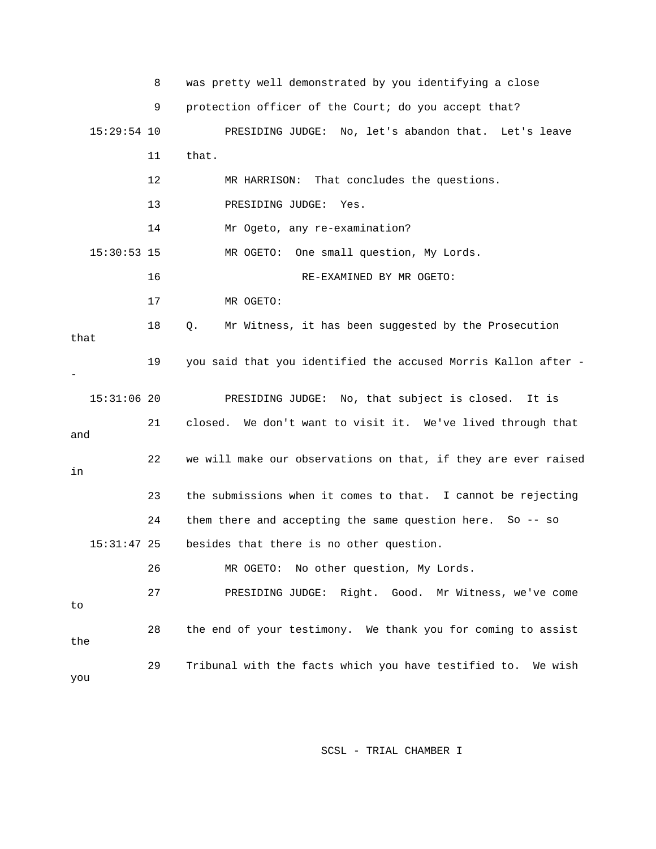|               | 8  | was pretty well demonstrated by you identifying a close        |
|---------------|----|----------------------------------------------------------------|
|               | 9  | protection officer of the Court; do you accept that?           |
| $15:29:54$ 10 |    | PRESIDING JUDGE: No, let's abandon that. Let's leave           |
|               | 11 | that.                                                          |
|               | 12 | MR HARRISON: That concludes the questions.                     |
|               | 13 | PRESIDING JUDGE:<br>Yes.                                       |
|               | 14 | Mr Ogeto, any re-examination?                                  |
| $15:30:53$ 15 |    | One small question, My Lords.<br>MR OGETO:                     |
|               | 16 | RE-EXAMINED BY MR OGETO:                                       |
|               | 17 | MR OGETO:                                                      |
| that          | 18 | Mr Witness, it has been suggested by the Prosecution<br>Q.     |
|               | 19 | you said that you identified the accused Morris Kallon after - |
| $15:31:06$ 20 |    | PRESIDING JUDGE: No, that subject is closed.<br>It is          |
| and           | 21 | closed. We don't want to visit it. We've lived through that    |
| in            | 22 | we will make our observations on that, if they are ever raised |
|               | 23 | the submissions when it comes to that. I cannot be rejecting   |
|               | 24 | them there and accepting the same question here. So -- so      |
| $15:31:47$ 25 |    | besides that there is no other question.                       |
|               | 26 | MR OGETO: No other question, My Lords.                         |
| to            | 27 | PRESIDING JUDGE: Right. Good. Mr Witness, we've come           |
| the           | 28 | the end of your testimony. We thank you for coming to assist   |
| you           | 29 | Tribunal with the facts which you have testified to. We wish   |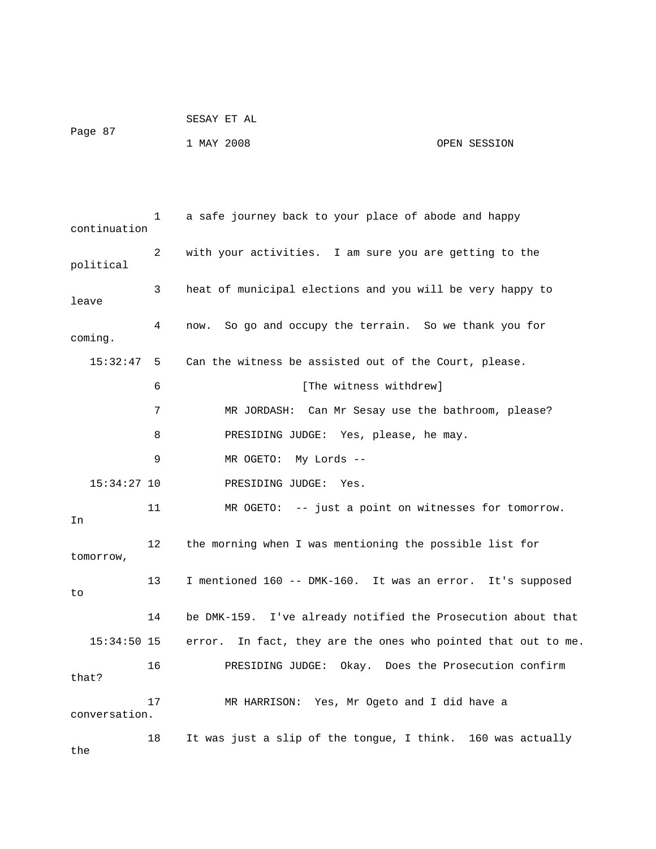|         | SESAY ET AL |              |
|---------|-------------|--------------|
| Page 87 | 1 MAY 2008  | OPEN SESSION |

 1 a safe journey back to your place of abode and happy continuation 2 with your activities. I am sure you are getting to the political 3 heat of municipal elections and you will be very happy to leave 4 now. So go and occupy the terrain. So we thank you for coming. 15:32:47 5 Can the witness be assisted out of the Court, please. ase? 7 MR JORDASH: Can Mr Sesay use the bathroom, ple 8 PRESIDING JUDGE: Yes, please, he may. 9 MR OGETO: My Lords -- 11 MR OGETO: -- just a point on witnesses for tomorrow. 12 the morning when I was mentioning the possible list for 13 I mentioned 160 -- DMK-160. It was an error. It's supposed 14 be DMK-159. I've already notified the Prosecution about that  $15:34:50$  15 error. In fact, they are the ones who pointed that out to me. 16 PRESIDING JUDGE: Okay. Does the Prosecution confirm 17 MR HARRISON: Yes, Mr Ogeto and I did have a 18 It was just a slip of the tongue, I think. 160 was actually 6 [The witness withdrew] 15:34:27 10 PRESIDING JUDGE: Yes. In tomorrow, to that? conversation.

the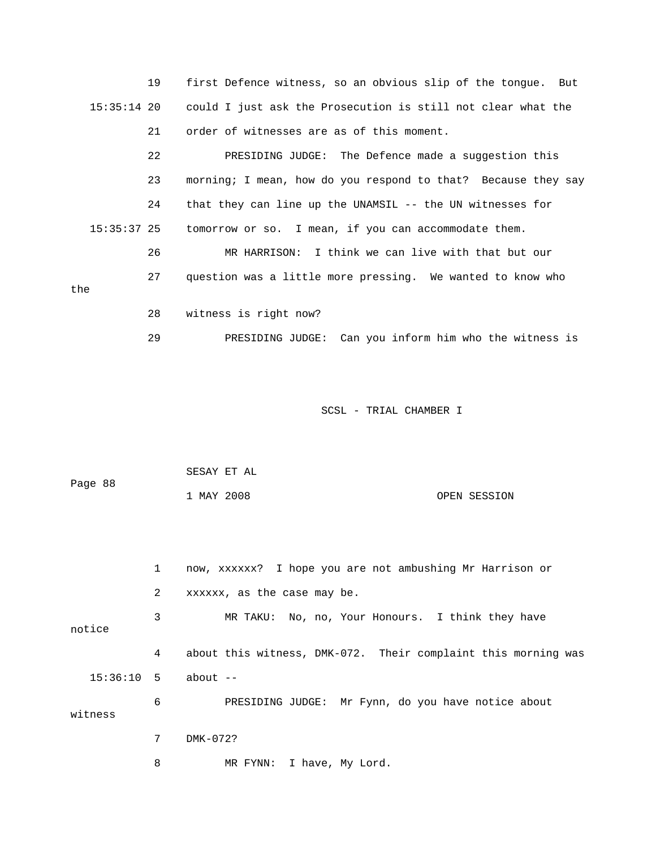19 first Defence witness, so an obvious slip of the tongue. But 15:35:14 20 could I just ask the Prosecution is still not clear what the 21 order of witnesses are as of this moment.

 23 morning; I mean, how do you respond to that? Because they say 15:35:37 25 tomorrow or so. I mean, if you can accommodate them. 26 MR HARRISON: I think we can live with that but our 27 question was a little more pressing. We wanted to know who 22 PRESIDING JUDGE: The Defence made a suggestion this 24 that they can line up the UNAMSIL -- the UN witnesses for

#### the

28 witness is right now?

29 PRESIDING JUDGE: Can you inform him who the witness is

SCSL - TRIAL CHAMBER I

|         | SESAY ET AL |  |              |
|---------|-------------|--|--------------|
| Page 88 |             |  |              |
|         | 1 MAY 2008  |  | OPEN SESSION |

 1 now, xxxxxx? I hope you are not ambushing Mr Harrison or 2 xxxxxx, as the case may be. 3 MR TAKU: No, no, Your Honours. I think they have notice 4 about this witness, DMK-072. Their complaint this morning was 6 PRESIDING JUDGE: Mr Fynn, do you have notice about witness 15:36:10 5 about -- 7 DMK-072?

8 MR FYNN: I have, My Lord.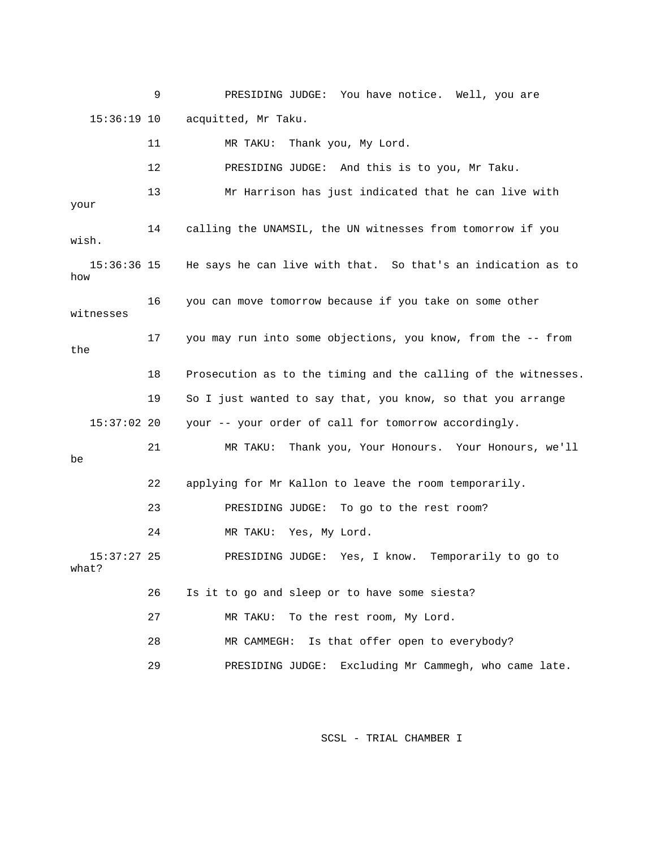9 PRESIDING JUDGE: You have notice. Well, you are 15:36:19 10 acquitted, Mr Taku.

12 PRESIDING JUDGE: And this is to you, Mr Taku. 15:36:36 15 He says he can live with that. So that's an indication as to 16 you can move tomorrow because if you take on some other 17 you may run into some objections, you know, from the -- from 18 Prosecution as to the timing and the calling of the witnesses. 19 So I just wanted to say that, you know, so that you arrange 15:37:02 20 your -- your order of call for tomorrow accordingly. , we'll 21 MR TAKU: Thank you, Your Honours. Your Honours 22 applying for Mr Kallon to leave the room temporarily. 24 MR TAKU: Yes, My Lord. PRESIDING JUDGE: Yes, I know. Temporarily to go to ? what 26 Is it to go and sleep or to have some siesta? 28 MR CAMMEGH: Is that offer open to everybody? 29 PRESIDING JUDGE: Excluding Mr Cammegh, who came late. 11 MR TAKU: Thank you, My Lord. 13 Mr Harrison has just indicated that he can live with your 14 calling the UNAMSIL, the UN witnesses from tomorrow if you wish. how witnesses the be 23 PRESIDING JUDGE: To go to the rest room?  $15:37:27$  25 27 MR TAKU: To the rest room, My Lord.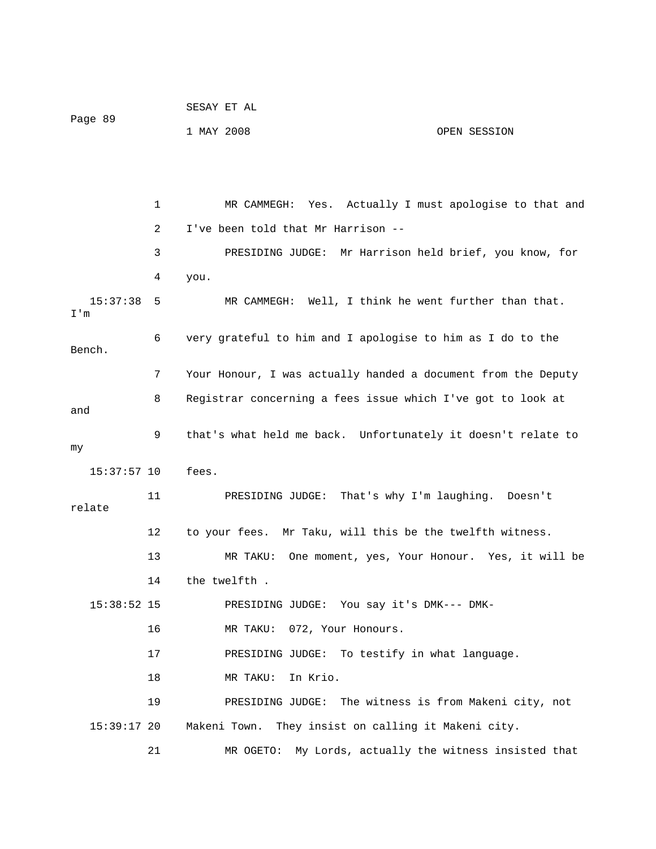```
 SESAY ET AL 
Page 89 
             1 MAY 2008 OPEN SESSION
```
1 MR CAMMEGH: Yes. Actually I must apologise to that and 4 you. 15:37:38 5 MR CAMMEGH: Well, I think he went further than that. 6 very grateful to him and I apologise to him as I do to the Bench. 7 Your Honour, I was actually handed a document from the Deputy 8 Registrar concerning a fees issue which I've got to look at 9 that's what held me back. Unfortunately it doesn't relate to 15:37:57 10 fees. MR TAKU: One moment, yes, Your Honour. Yes, it will be PRESIDING JUDGE: You say it's DMK--- DMK- 16 MR TAKU: 072, Your Honours. 19 PRESIDING JUDGE: The witness is from Makeni city, not Makeni Town. They insist on calling it Makeni city. MR OGETO: My Lords, actually the witness insisted that 2 I've been told that Mr Harrison -- 3 PRESIDING JUDGE: Mr Harrison held brief, you know, for I'm and my 11 PRESIDING JUDGE: That's why I'm laughing. Doesn't relate 12 to your fees. Mr Taku, will this be the twelfth witness. 13 14 the twelfth .  $15:38:52$  15 17 PRESIDING JUDGE: To testify in what language. 18 MR TAKU: In Krio.  $15:39:17$  20 21 M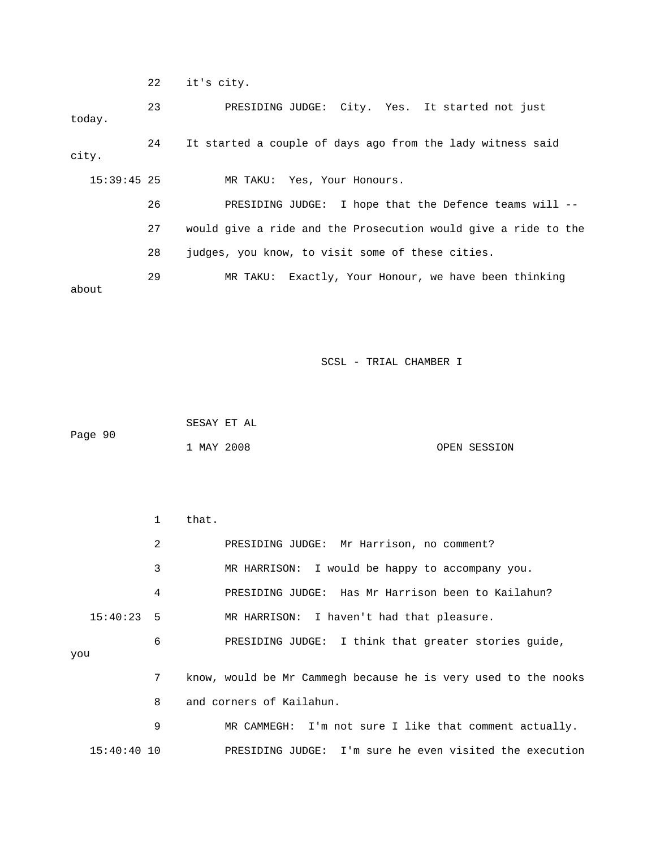22 it's city.

 23 PRESIDING JUDGE: City. Yes. It started not just city. 15:39:45 25 MR TAKU: Yes, Your Honours. the Defence teams will -- 26 PRESIDING JUDGE: I hope that 27 would give a ride and the Prosecution would give a ride to the 28 judges, you know, to visit some of these cities. today. 24 It started a couple of days ago from the lady witness said 29 MR TAKU: Exactly, Your Honour, we have been thinking about

SCSL - TRIAL CHAMBER I

 1 MAY 2008 OPEN SESSION SESAY ET AL Page 90

 1 that. 2 PRESIDING JUDGE: Mr Harrison, no comment? 4 PRESIDING JUDGE: Has Mr Harrison been to Kailahun? 15:40:23 5 MR HARRISON: I haven't had that pleasure. 6 BRESIDING JUDGE: I think that greater stories guide, you 7 know, would be Mr Cammegh because he is very used to the nooks 9 MR CAMMEGH: I'm not sure I like that comment actually. 15:40:40 10 PRESIDING JUDGE: I'm sure he even visited the execution 3 MR HARRISON: I would be happy to accompany you. 8 and corners of Kailahun.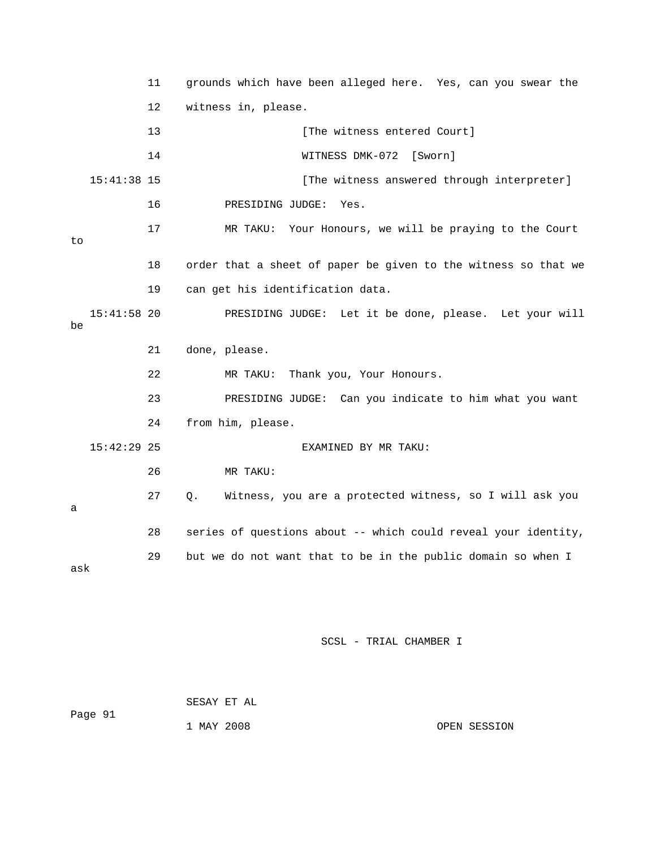|     |               | 11 | grounds which have been alleged here. Yes, can you swear the   |
|-----|---------------|----|----------------------------------------------------------------|
|     |               | 12 | witness in, please.                                            |
|     |               | 13 | [The witness entered Court]                                    |
|     |               | 14 | WITNESS DMK-072 [Sworn]                                        |
|     | $15:41:38$ 15 |    | [The witness answered through interpreter]                     |
|     |               | 16 | PRESIDING JUDGE:<br>Yes.                                       |
| to  |               | 17 | MR TAKU: Your Honours, we will be praying to the Court         |
|     |               | 18 | order that a sheet of paper be given to the witness so that we |
|     |               | 19 | can get his identification data.                               |
| be  | $15:41:58$ 20 |    | PRESIDING JUDGE: Let it be done, please. Let your will         |
|     |               | 21 | done, please.                                                  |
|     |               | 22 | Thank you, Your Honours.<br>MR TAKU:                           |
|     |               | 23 | PRESIDING JUDGE: Can you indicate to him what you want         |
|     |               | 24 | from him, please.                                              |
|     | $15:42:29$ 25 |    | EXAMINED BY MR TAKU:                                           |
|     |               | 26 | MR TAKU:                                                       |
| a   |               | 27 | Witness, you are a protected witness, so I will ask you<br>Q.  |
|     |               | 28 | series of questions about -- which could reveal your identity, |
| ask |               | 29 | but we do not want that to be in the public domain so when I   |

 SESAY ET AL Page 91 1 MAY 2008

OPEN SESSION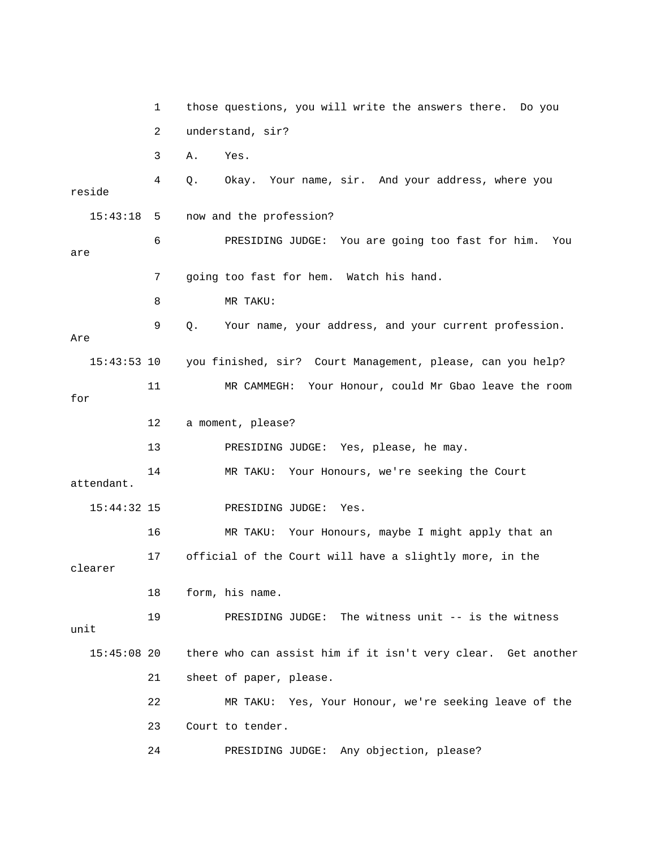1 those questions, you will write the answers there. Do you 3 A. Yes. 4 Q. Okay. Your name, sir. And your address, where you reside 15:43:18 5 now and the profession? 6 PRESIDING JUDGE: You are going too fast for him. You are 8 MR TAKU: 9 Q. Your name, your address, and your current profession. Are 15:43:53 10 you finished, sir? Court Management, please, can you help? for 13 PRESIDING JUDGE: Yes, please, he may. 14 MR TAKU: Your Honours, we're seeking the Court attendant. 15:44:32 15 PRESIDING JUDGE: Yes. 17 official of the Court will have a slightly more, in the 18 form, his name. 19 PRESIDING JUDGE: The witness unit -- is the witness unit 15:45:08 20 there who can assist him if it isn't very clear. Get another 22 MR TAKU: Yes, Your Honour, we're seeking leave of the 2 understand, sir? 7 going too fast for hem. Watch his hand. 11 MR CAMMEGH: Your Honour, could Mr Gbao leave the room 12 a moment, please? 16 MR TAKU: Your Honours, maybe I might apply that an clearer 21 sheet of paper, please. 23 Court to tender. 24 PRESIDING JUDGE: Any objection, please?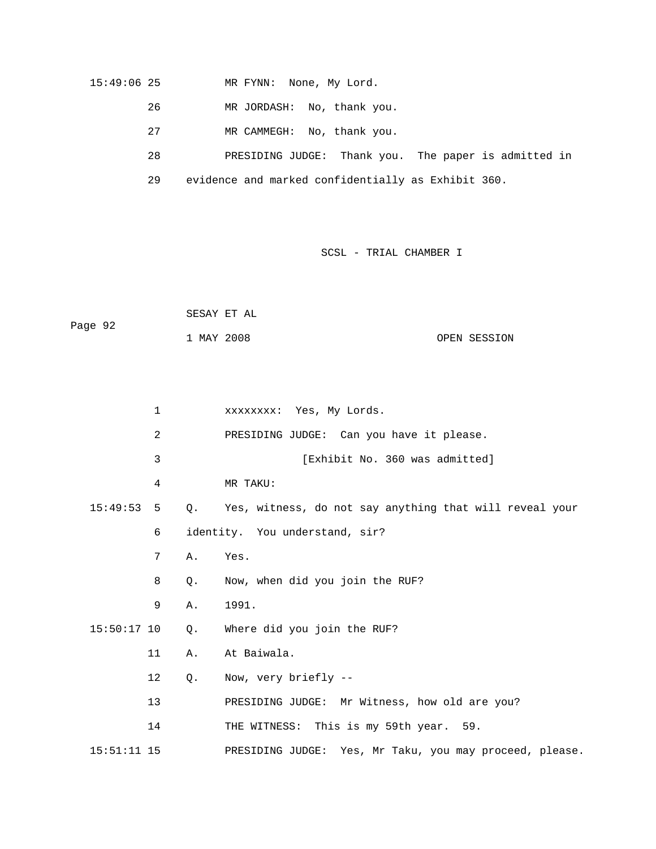### 15:49:06 25 MR FYNN: None, My Lord.

- 26 MR JORDASH: No, thank you.
- 27 MR CAMMEGH: No, thank you.

28 PRESIDING JUDGE: Thank you. The paper is admitted in

29 evidence and marked confidentially as Exhibit 360.

|         | SESAY ET AL |  |              |
|---------|-------------|--|--------------|
| Page 92 |             |  |              |
|         | 1 MAY 2008  |  | OPEN SESSION |

| $\mathbf 1$    |             | XXXXXXXX: Yes, My Lords.                                |
|----------------|-------------|---------------------------------------------------------|
| $\overline{2}$ |             | PRESIDING JUDGE: Can you have it please.                |
| 3              |             | [Exhibit No. 360 was admitted]                          |
| 4              |             | MR TAKU:                                                |
| 15:49:53<br>5  | $Q_{\star}$ | Yes, witness, do not say anything that will reveal your |
| 6              |             | identity. You understand, sir?                          |
| 7              | Α.          | Yes.                                                    |
| 8              | Q.          | Now, when did you join the RUF?                         |
| 9              | Α.          | 1991.                                                   |
| $15:50:17$ 10  | $Q$ .       | Where did you join the RUF?                             |
| 11             | Α.          | At Baiwala.                                             |
| 12             | $Q$ .       | Now, very briefly --                                    |
| 13             |             | PRESIDING JUDGE: Mr Witness, how old are you?           |
| 14             |             | THE WITNESS: This is my 59th year. 59.                  |
| $15:51:11$ 15  |             | PRESIDING JUDGE: Yes, Mr Taku, you may proceed, please. |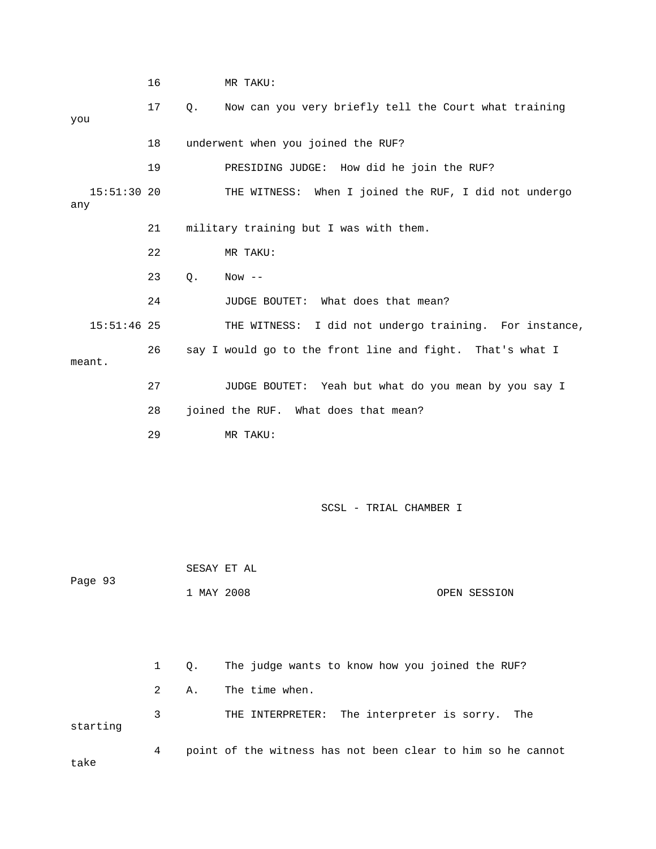16 MR TAKU: 17 Q. Now can you very briefly tell the Court what training 18 Underwent when you joined the RUF? 19 PRESIDING JUDGE: How did he join the RUF? THE WITNESS: When I joined the RUF, I did not undergo 21 military training but I was with them. 22 MR TAKU: 24 JUDGE BOUTET: What does that mean? 15:51:46 25 THE WITNESS: I did not undergo training. For instance, 26 say I would go to the front line and fight. That's what I 28 joined the RUF. What does that mean? 29 MR TAKU: SCSL - TRIAL CHAMBER I 1 MAY 2008 OPEN SESSION 3 THE INTERPRETER: The interpreter is sorry. The starting 4 point of the witness has not been clear to him so he cannot take you  $15:51:30$  20 any 23 Q. Now - meant. 27 JUDGE BOUTET: Yeah but what do you mean by you say I SESAY ET AL Page 93 1 Q. The judge wants to know how you joined the RUF? 2 A. The time when.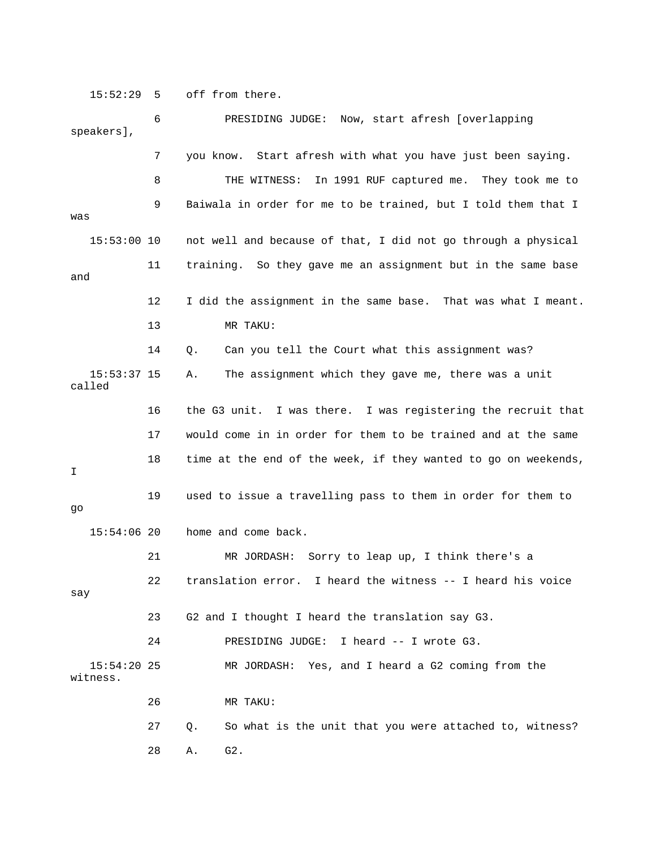15:52:29 5 off from there.

 6 PRESIDING JUDGE: Now, start afresh [overlapping speakers], 8 THE WITNESS: In 1991 RUF captured me. They took me to 9 Baiwala in order for me to be trained, but I told them that I was 15:53:00 10 not well and because of that, I did not go through a physical 11 training. So they gave me an assignment but in the same base 12 I did the assignment in the same base. That was what I meant. 13 MR TAKU: 14 Q. Can you tell the Court what this assignment was? 15:53:37 15 A. The assignment which they gave me, there was a unit 16 the G3 unit. I was there. I was registering the recruit that 21 MR JORDASH: Sorry to leap up, I think there's a  $\operatorname*{say}% \operatorname*{supp}\left( X_{0},\mathcal{N}\right) =\operatorname*{supp}\left( X_{0},\mathcal{N}\right)$  23 G2 and I thought I heard the translation say G3. MR JORDASH: Yes, and I heard a G2 coming from the . witness 26 MR TAKU: 7 you know. Start afresh with what you have just been saying. and called 17 would come in in order for them to be trained and at the same 18 time at the end of the week, if they wanted to go on weekends, I 19 used to issue a travelling pass to them in order for them to go 15:54:06 20 home and come back. 22 translation error. I heard the witness -- I heard his voice 24 PRESIDING JUDGE: I heard -- I wrote G3. 15:54:20 25 27 Q. So what is the unit that you were attached to, witness? 28 A. G2.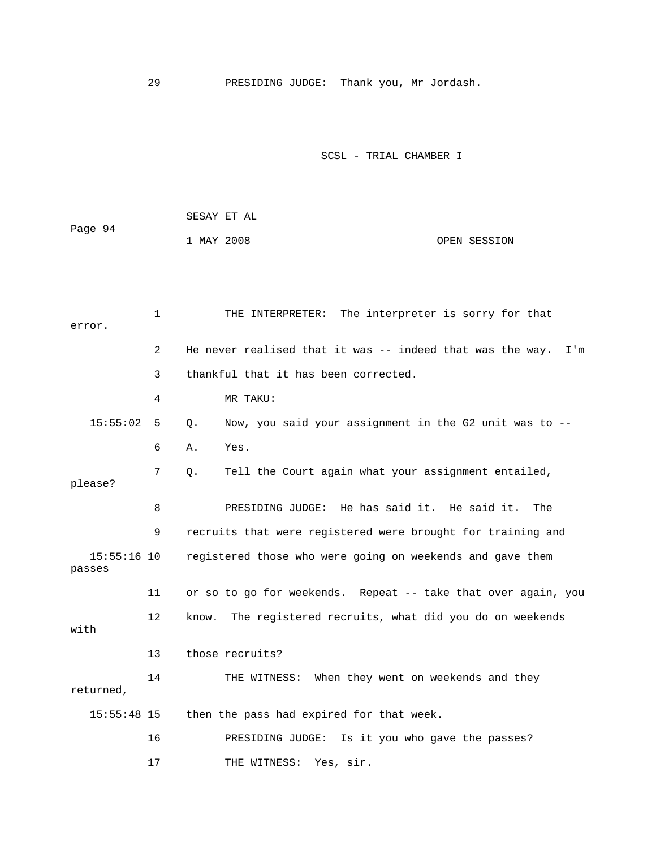29 PRESIDING JUDGE: Thank you, Mr Jordash.

|         | SESAY ET AL |              |
|---------|-------------|--------------|
| Page 94 |             |              |
|         | 1 MAY 2008  | OPEN SESSION |

| error.                  | $\mathbf{1}$   | THE INTERPRETER: The interpreter is sorry for that            |
|-------------------------|----------------|---------------------------------------------------------------|
|                         | $\overline{2}$ | He never realised that it was -- indeed that was the way. I'm |
|                         | 3              | thankful that it has been corrected.                          |
|                         | 4              | MR TAKU:                                                      |
| 15:55:02                | 5              | Now, you said your assignment in the G2 unit was to --<br>Q.  |
|                         | 6              | Yes.<br>Α.                                                    |
| please?                 | 7              | Tell the Court again what your assignment entailed,<br>Q.     |
|                         | 8              | PRESIDING JUDGE: He has said it. He said it.<br>The           |
|                         | 9              | recruits that were registered were brought for training and   |
| $15:55:16$ 10<br>passes |                | registered those who were going on weekends and gave them     |
|                         | 11             | or so to go for weekends. Repeat -- take that over again, you |
| with                    | 12             | The registered recruits, what did you do on weekends<br>know. |
|                         | 13             | those recruits?                                               |
| returned,               | 14             | THE WITNESS: When they went on weekends and they              |
| $15:55:48$ 15           |                | then the pass had expired for that week.                      |
|                         | 16             | PRESIDING JUDGE: Is it you who gave the passes?               |
|                         | 17             | Yes, sir.<br>THE WITNESS:                                     |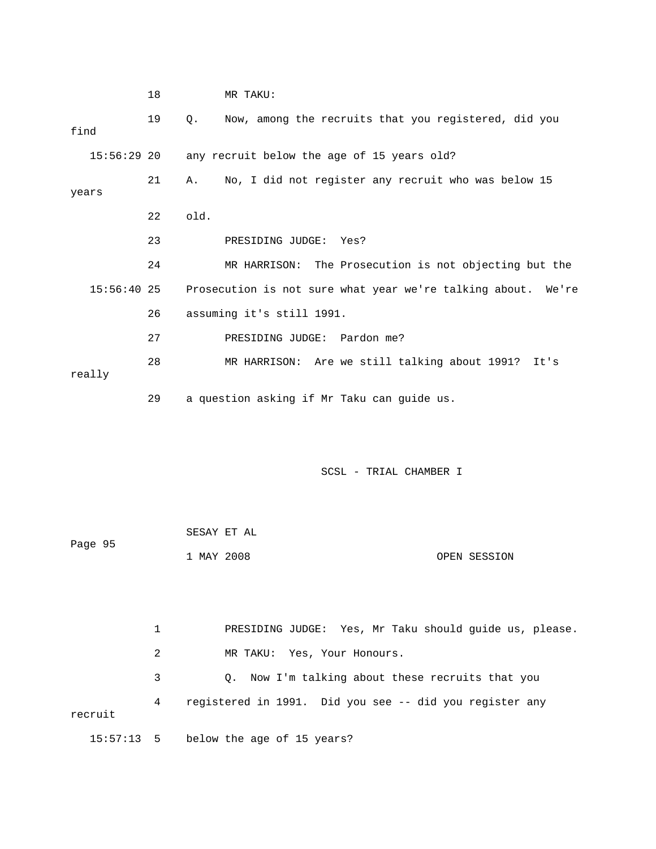18 MR TAKU: 19 Q. Now, among the recruits that you registered, did you find 15:56:29 20 any recruit below the age of 15 years old? years 22 old. 23 PRESIDING JUDGE: Yes? 24 MR HARRISON: The Prosecution is not objecting but the 15:56:40 25 Prosecution is not sure what year we're talking about. We're 27 PRESIDING JUDGE: Pardon me? 28 MR HARRISON: Are we still talking about 1991? It's 21 A. No, I did not register any recruit who was below 15 26 assuming it's still 1991. really 29 a question asking if Mr Taku can guide us.

SCSL - TRIAL CHAMBER I

 1 MAY 2008 OPEN SESSION SESAY ET AL Page 95

 1 PRESIDING JUDGE: Yes, Mr Taku should guide us, please. 2 MR TAKU: Yes, Your Honours. 3 G. Now I'm talking about these recruits that you 4 registered in 1991. Did you see -- did you register any recruit 15:57:13 5 below the age of 15 years?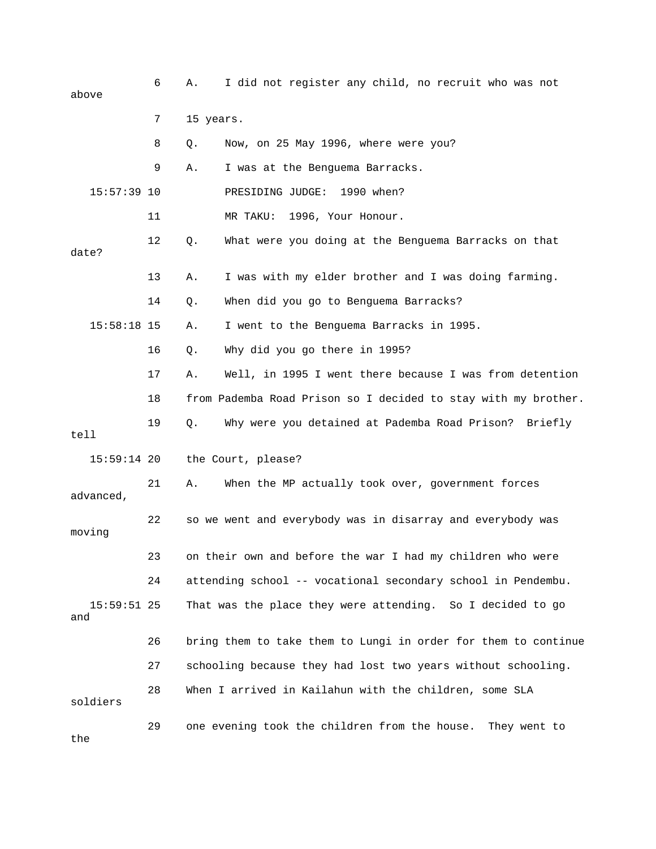| above                | 6  | Α.        | I did not register any child, no recruit who was not           |
|----------------------|----|-----------|----------------------------------------------------------------|
|                      | 7  | 15 years. |                                                                |
|                      | 8  | Q.        | Now, on 25 May 1996, where were you?                           |
|                      | 9  | Α.        | I was at the Benguema Barracks.                                |
| $15:57:39$ 10        |    |           | 1990 when?<br>PRESIDING JUDGE:                                 |
|                      | 11 |           | MR TAKU:<br>1996, Your Honour.                                 |
| date?                | 12 | Q.        | What were you doing at the Benguema Barracks on that           |
|                      | 13 | Α.        | I was with my elder brother and I was doing farming.           |
|                      | 14 | Q.        | When did you go to Benguema Barracks?                          |
| $15:58:18$ 15        |    | Α.        | I went to the Benguema Barracks in 1995.                       |
|                      | 16 | Q.        | Why did you go there in 1995?                                  |
|                      | 17 | Α.        | Well, in 1995 I went there because I was from detention        |
|                      | 18 |           | from Pademba Road Prison so I decided to stay with my brother. |
| tell                 | 19 | Q.        | Why were you detained at Pademba Road Prison? Briefly          |
| $15:59:14$ 20        |    |           | the Court, please?                                             |
| advanced,            | 21 | Α.        | When the MP actually took over, government forces              |
| moving               | 22 |           | so we went and everybody was in disarray and everybody was     |
|                      | 23 |           | on their own and before the war I had my children who were     |
|                      | 24 |           | attending school -- vocational secondary school in Pendembu.   |
| $15:59:51$ 25<br>and |    |           | That was the place they were attending. So I decided to go     |
|                      | 26 |           | bring them to take them to Lungi in order for them to continue |
|                      | 27 |           | schooling because they had lost two years without schooling.   |
| soldiers             | 28 |           | When I arrived in Kailahun with the children, some SLA         |
| the                  | 29 |           | one evening took the children from the house.<br>They went to  |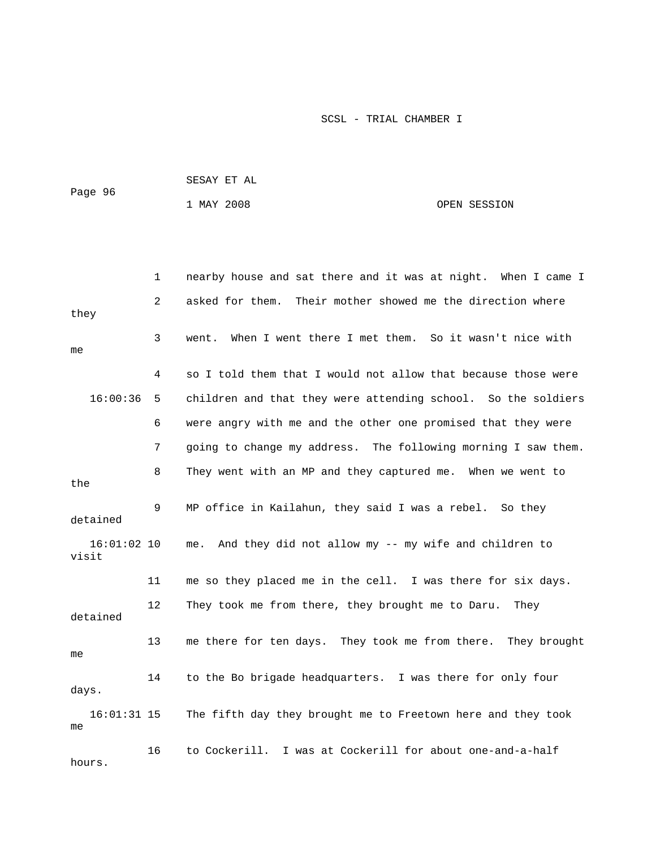| Page 96 | SESAY ET AL |  |              |
|---------|-------------|--|--------------|
|         | 1 MAY 2008  |  | OPEN SESSION |

|                        | 1  | nearby house and sat there and it was at night. When I came I |
|------------------------|----|---------------------------------------------------------------|
| they                   | 2  | Their mother showed me the direction where<br>asked for them. |
| me                     | 3  | When I went there I met them. So it wasn't nice with<br>went. |
|                        | 4  | so I told them that I would not allow that because those were |
| 16:00:36               | 5  | children and that they were attending school. So the soldiers |
|                        | 6  | were angry with me and the other one promised that they were  |
|                        | 7  | going to change my address. The following morning I saw them. |
| the                    | 8  | They went with an MP and they captured me. When we went to    |
| detained               | 9  | MP office in Kailahun, they said I was a rebel. So they       |
| $16:01:02$ 10<br>visit |    | And they did not allow my -- my wife and children to<br>me.   |
|                        | 11 | me so they placed me in the cell. I was there for six days.   |
| detained               | 12 | They took me from there, they brought me to Daru.<br>They     |
| me                     | 13 | me there for ten days. They took me from there. They brought  |
| days.                  | 14 | to the Bo brigade headquarters. I was there for only four     |
| $16:01:31$ 15<br>me    |    | The fifth day they brought me to Freetown here and they took  |
| hours.                 | 16 | I was at Cockerill for about one-and-a-half<br>to Cockerill.  |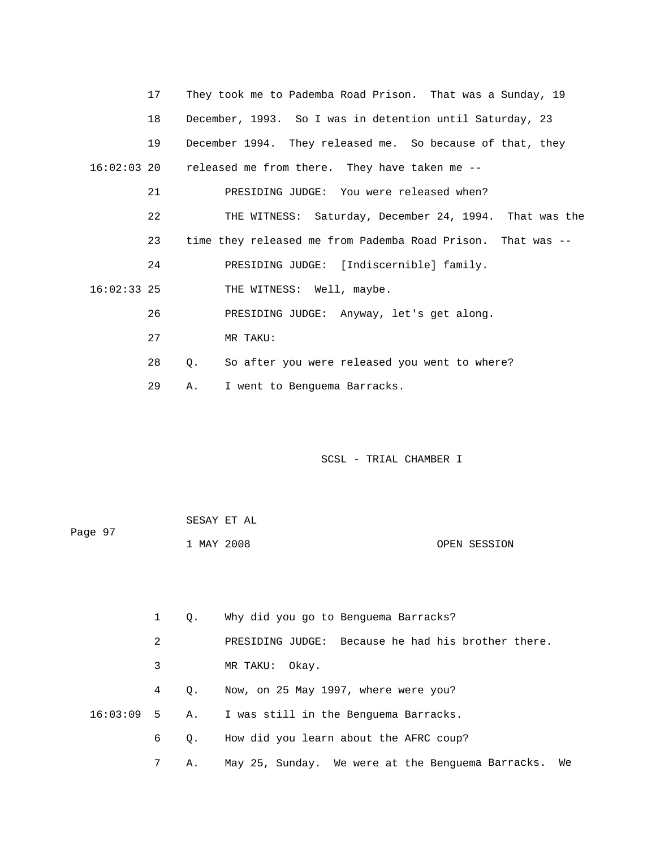|               | 17 | They took me to Pademba Road Prison. That was a Sunday, 19   |
|---------------|----|--------------------------------------------------------------|
|               | 18 | December, 1993. So I was in detention until Saturday, 23     |
|               | 19 | December 1994. They released me. So because of that, they    |
|               |    | 16:02:03 20 released me from there. They have taken me --    |
|               | 21 | PRESIDING JUDGE: You were released when?                     |
|               | 22 | THE WITNESS: Saturday, December 24, 1994. That was the       |
|               | 23 | time they released me from Pademba Road Prison. That was --  |
|               | 24 | PRESIDING JUDGE: [Indiscernible] family.                     |
| $16:02:33$ 25 |    | THE WITNESS: Well, maybe.                                    |
|               | 26 | PRESIDING JUDGE: Anyway, let's get along.                    |
|               | 27 | MR TAKU:                                                     |
|               | 28 | So after you were released you went to where?<br>$Q_{\star}$ |
|               | 29 | I went to Benquema Barracks.<br>А.                           |

|         | SESAY ET AL |              |
|---------|-------------|--------------|
| Page 97 |             |              |
|         | 1 MAY 2008  | OPEN SESSION |

| $\mathbf{1}$   | 0.        | Why did you go to Benguema Barracks?                  |
|----------------|-----------|-------------------------------------------------------|
| 2              |           | PRESIDING JUDGE: Because he had his brother there.    |
| 3              |           | MR TAKU: Okay.                                        |
| $\overline{4}$ | $\circ$ . | Now, on 25 May 1997, where were you?                  |
|                |           | $16:03:09$ 5 A. I was still in the Benguema Barracks. |
| 6              |           | 0. How did you learn about the AFRC coup?             |
| 7              | Α.        | May 25, Sunday. We were at the Benquema Barracks. We  |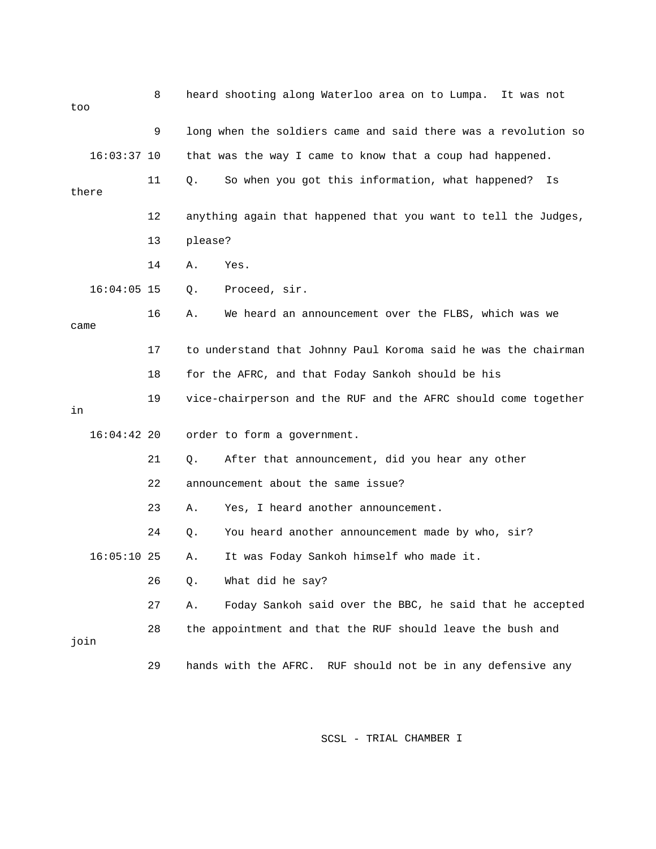| too  |               | 8  |                      | heard shooting along Waterloo area on to Lumpa.<br>It was not  |  |  |
|------|---------------|----|----------------------|----------------------------------------------------------------|--|--|
|      |               | 9  |                      | long when the soldiers came and said there was a revolution so |  |  |
|      | $16:03:37$ 10 |    |                      | that was the way I came to know that a coup had happened.      |  |  |
|      | there         | 11 | Q.                   | So when you got this information, what happened?<br>Is         |  |  |
|      |               | 12 |                      | anything again that happened that you want to tell the Judges, |  |  |
|      |               | 13 | please?              |                                                                |  |  |
|      |               | 14 | Yes.<br>Α.           |                                                                |  |  |
|      | $16:04:05$ 15 |    | Q.                   | Proceed, sir.                                                  |  |  |
| came |               | 16 | Α.                   | We heard an announcement over the FLBS, which was we           |  |  |
|      |               | 17 |                      | to understand that Johnny Paul Koroma said he was the chairman |  |  |
| 18   |               |    |                      | for the AFRC, and that Foday Sankoh should be his              |  |  |
| in   |               | 19 |                      | vice-chairperson and the RUF and the AFRC should come together |  |  |
|      | $16:04:42$ 20 |    |                      | order to form a government.                                    |  |  |
|      |               | 21 | Q.                   | After that announcement, did you hear any other                |  |  |
|      |               | 22 |                      | announcement about the same issue?                             |  |  |
|      |               | 23 | Α.                   | Yes, I heard another announcement.                             |  |  |
|      |               | 24 | Q.                   | You heard another announcement made by who, sir?               |  |  |
|      | $16:05:10$ 25 |    | Α.                   | It was Foday Sankoh himself who made it.                       |  |  |
|      |               | 26 | Q.                   | What did he say?                                               |  |  |
|      |               | 27 | Α.                   | Foday Sankoh said over the BBC, he said that he accepted       |  |  |
| join |               | 28 |                      | the appointment and that the RUF should leave the bush and     |  |  |
|      |               | 29 | hands with the AFRC. | RUF should not be in any defensive any                         |  |  |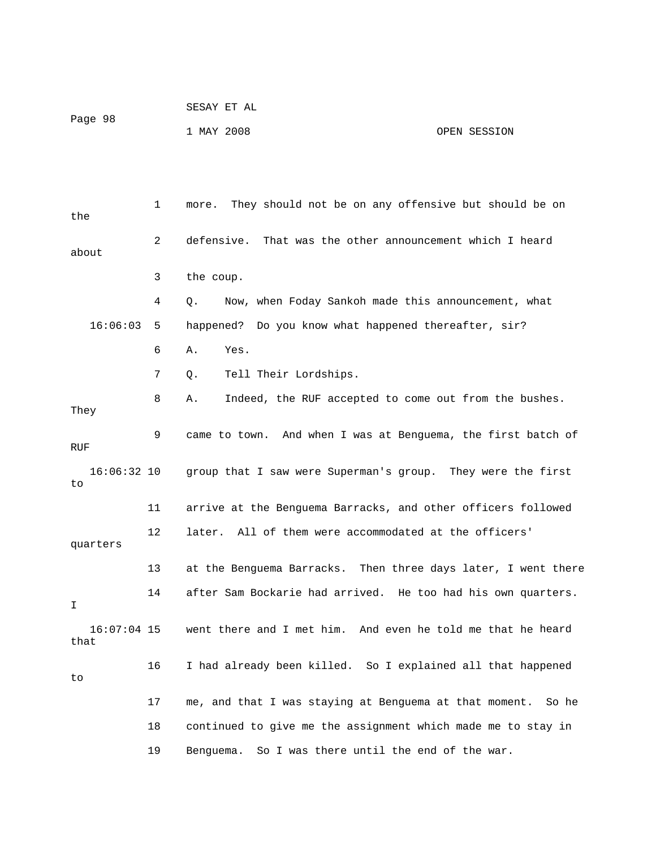|         | SESAY ET AL |              |
|---------|-------------|--------------|
| Page 98 |             |              |
|         | 1 MAY 2008  | OPEN SESSION |

 4 Q. Now, when Foday Sankoh made this announcement, what 16:06:03 5 happened? Do you know what happened thereafter, sir? 7 Q. Tell Their Lordships. 8 A. Indeed, the RUF accepted to come out from the bushes. 9 came to town. And when I was at Benguema, the first batch of RUF 16:06:32 10 group that I saw were Superman's group. They were the first 12 later. All of them were accommodated at the officers' 13 at the Benguema Barracks. Then three days later, I went there 14 after Sam Bockarie had arrived. He too had his own quarters. 16:07:04 15 went there and I met him. And even he told me that he heard 16 I had already been killed. So I explained all that happened 17 me, and that I was staying at Benguema at that moment. So he 18 continued to give me the assignment which made me to stay in 1 more. They should not be on any offensive but should be on the 2 defensive. That was the other announcement which I heard about 3 the coup. 6 A. Yes. They to 11 arrive at the Benguema Barracks, and other officers followed quarters I that to 19 Benguema. So I was there until the end of the war.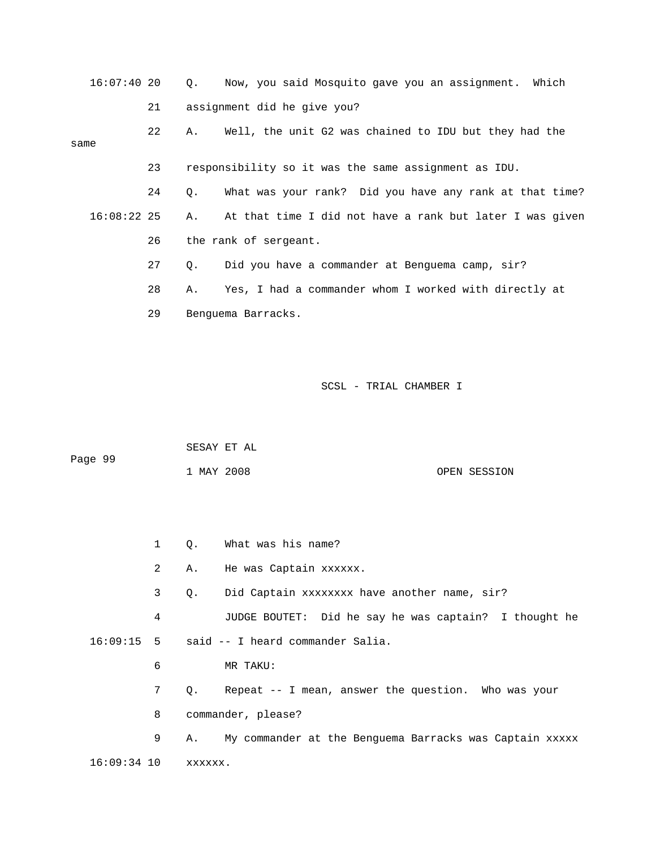| $16:07:40$ 20 |    |    | Q. Now, you said Mosquito gave you an assignment. Which  |  |  |  |  |
|---------------|----|----|----------------------------------------------------------|--|--|--|--|
|               | 21 |    | assignment did he give you?                              |  |  |  |  |
| same          | 22 | Α. | Well, the unit G2 was chained to IDU but they had the    |  |  |  |  |
|               |    |    |                                                          |  |  |  |  |
|               | 23 |    | responsibility so it was the same assignment as IDU.     |  |  |  |  |
|               | 24 | Q. | What was your rank? Did you have any rank at that time?  |  |  |  |  |
| $16:08:22$ 25 |    | Α. | At that time I did not have a rank but later I was given |  |  |  |  |
|               | 26 |    | the rank of sergeant.                                    |  |  |  |  |
|               | 27 | Q. | Did you have a commander at Benguema camp, sir?          |  |  |  |  |
|               | 28 | Α. | Yes, I had a commander whom I worked with directly at    |  |  |  |  |
|               | 29 |    | Benquema Barracks.                                       |  |  |  |  |
|               |    |    |                                                          |  |  |  |  |
|               |    |    |                                                          |  |  |  |  |

|         | SESAY ET AL |              |
|---------|-------------|--------------|
| Page 99 |             |              |
|         | 1 MAY 2008  | OPEN SESSION |

|                     |   | 1 Q. What was his name?                                    |
|---------------------|---|------------------------------------------------------------|
|                     | 2 | A. He was Captain xxxxxx.                                  |
|                     | 3 | 0. Did Captain xxxxxxxx have another name, sir?            |
|                     | 4 | JUDGE BOUTET: Did he say he was captain? I thought he      |
|                     |   | $16:09:15$ 5 said -- I heard commander Salia.              |
|                     | 6 | MR TAKU:                                                   |
|                     | 7 | Q. Repeat -- I mean, answer the question. Who was your     |
|                     | 8 | commander, please?                                         |
|                     | 9 | A. My commander at the Benguema Barracks was Captain xxxxx |
| 16:09:34 10 xxxxxx. |   |                                                            |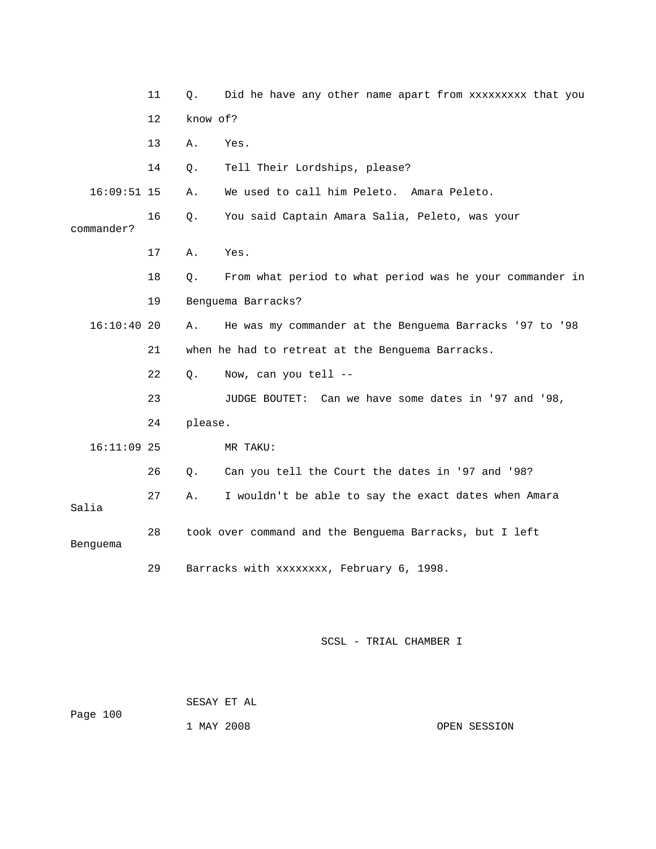|               | 11 | О.       | Did he have any other name apart from xxxxxxxxx that you |
|---------------|----|----------|----------------------------------------------------------|
|               | 12 | know of? |                                                          |
|               | 13 | Α.       | Yes.                                                     |
|               | 14 | Q.       | Tell Their Lordships, please?                            |
| $16:09:51$ 15 |    | Α.       | We used to call him Peleto. Amara Peleto.                |
| commander?    | 16 | Q.       | You said Captain Amara Salia, Peleto, was your           |
|               | 17 | Α.       | Yes.                                                     |
|               | 18 | Q.       | From what period to what period was he your commander in |
|               | 19 |          | Benguema Barracks?                                       |
| 16:10:4020    |    | Α.       | He was my commander at the Benguema Barracks '97 to '98  |
|               | 21 |          | when he had to retreat at the Benguema Barracks.         |
|               | 22 | О.       | Now, can you tell --                                     |
|               | 23 |          | JUDGE BOUTET: Can we have some dates in '97 and '98,     |
|               | 24 | please.  |                                                          |
| $16:11:09$ 25 |    |          | MR TAKU:                                                 |
|               | 26 | О.       | Can you tell the Court the dates in '97 and '98?         |
| Salia         | 27 | Α.       | I wouldn't be able to say the exact dates when Amara     |
| Benguema      | 28 |          | took over command and the Benguema Barracks, but I left  |
|               | 29 |          | Barracks with xxxxxxxx, February 6, 1998.                |

 SESAY ET AL Page 100 1 MAY 2008 OPEN SESSION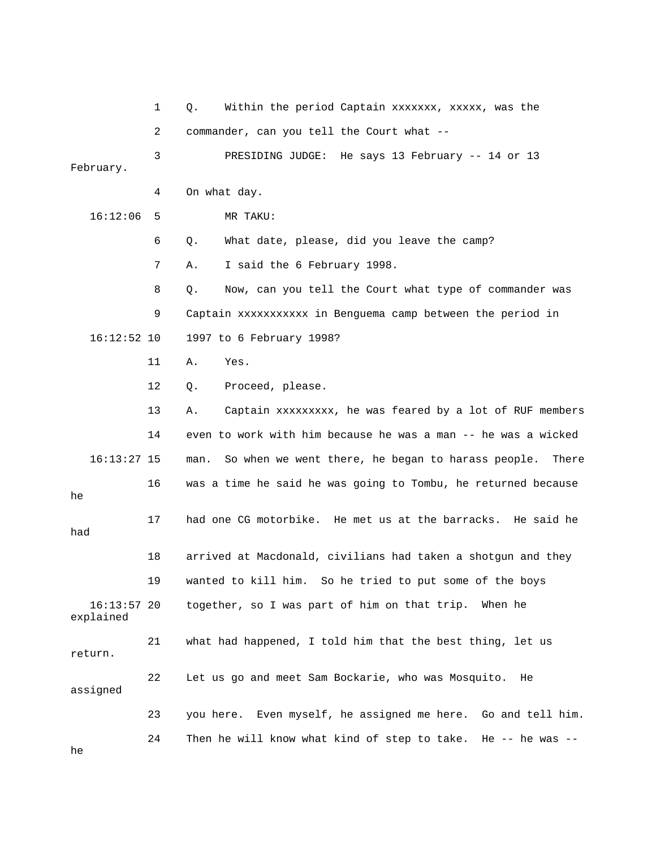1 Q. Within the period Captain xxxxxxx, xxxxx, was the 2 commander, can you tell the Court what -- 3 PRESIDING JUDGE: He says 13 February -- 14 or 13 4 On what day. 16:12:06 5 MR TAKU: 6 Q. What date, please, did you leave the camp? 7 A. I said the 6 February 1998. 8 Q. Now, can you tell the Court what type of commander was 9 Captain xxxxxxxxxxx in Benguema camp between the period in 12 Q. Proceed, please. 13 A. Captain xxxxxxxxx, he was feared by a lot of RUF members 14 even to work with him because he was a man -- he was a wicked 16:13:27 15 man. So when we went there, he began to harass people. There 16 was a time he said he was going to Tombu, he returned because 17 had one CG motorbike. He met us at the barracks. He said he 18 arrived at Macdonald, civilians had taken a shotgun and they 19 wanted to kill him. So he tried to put some of the boys  $16:13:57$  20 together, so I was part of him on that trip. When he return. 22 Let us go and meet Sam Bockarie, who was Mosquito. He 23 you here. Even myself, he assigned me here. Go and tell him. February. 16:12:52 10 1997 to 6 February 1998? 11 A. Yes. he had explained 21 what had happened, I told him that the best thing, let us assigned 24 Then he will know what kind of step to take. He -- he was --

he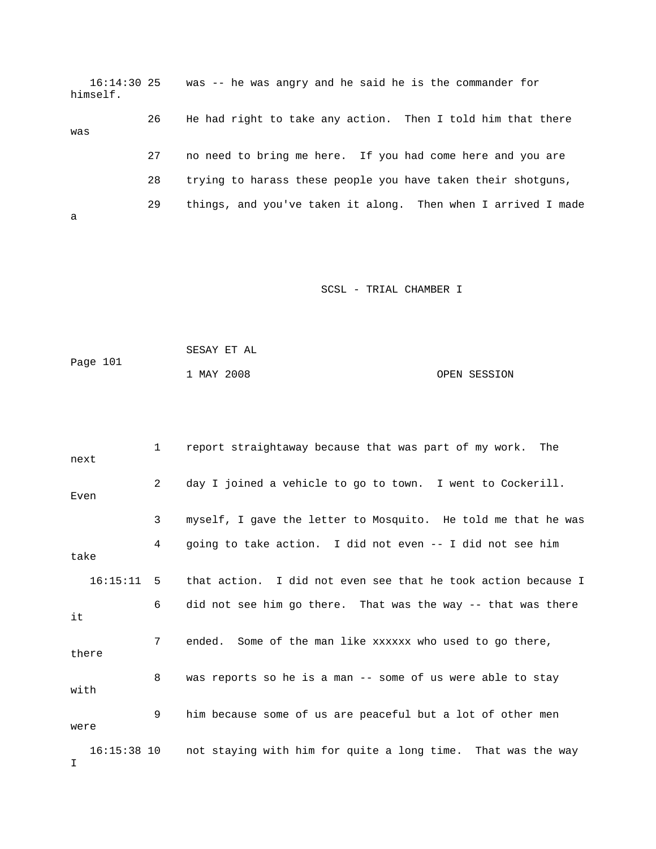16:14:30 25 was -- he was angry and he said he is the commander for 28 trying to harass these people you have taken their shotguns, 29 things, and you've taken it along. Then when I arrived I made himself. 26 He had right to take any action. Then I told him that there was 27 no need to bring me here. If you had come here and you are a

|          | SESAY ET AL |              |
|----------|-------------|--------------|
| Page 101 |             |              |
|          | 1 MAY 2008  | OPEN SESSION |

| next  |              | $1 \quad$      | report straightaway because that was part of my work. The                |
|-------|--------------|----------------|--------------------------------------------------------------------------|
| Even  |              | $2^{\circ}$    | day I joined a vehicle to go to town. I went to Cockerill.               |
|       |              | 3              | myself, I gave the letter to Mosquito. He told me that he was            |
| take  |              | 4              | going to take action. I did not even -- I did not see him                |
|       | $16:15:11$ 5 |                | that action. I did not even see that he took action because I            |
| it    |              | 6              | did not see him go there. That was the way -- that was there             |
| there |              | 7 <sup>7</sup> | ended. Some of the man like xxxxxx who used to go there,                 |
| with  |              | 8              | was reports so he is a man -- some of us were able to stay               |
| were  |              | 9              | him because some of us are peaceful but a lot of other men               |
| Ι.    |              |                | 16:15:38 10 not staying with him for quite a long time. That was the way |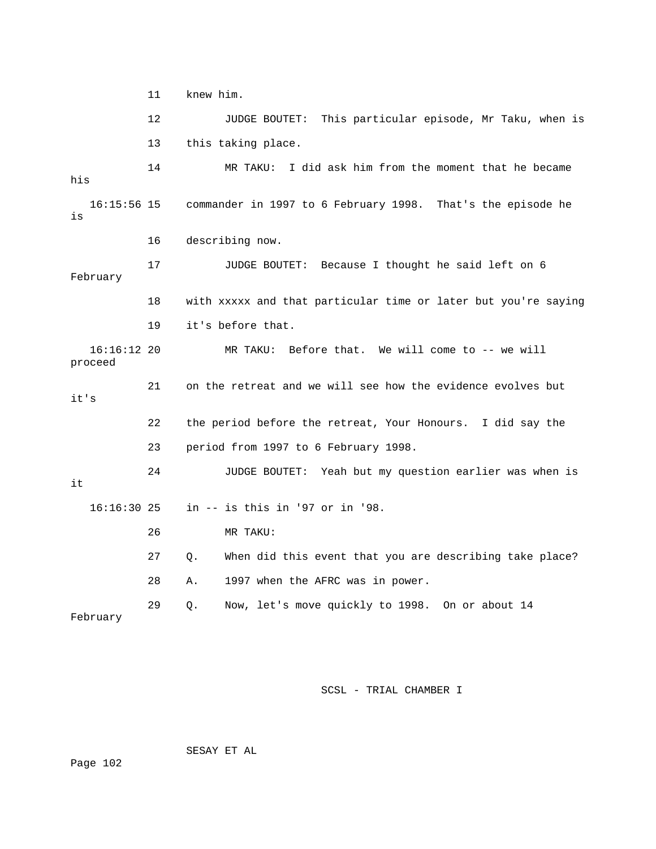11 knew him. 12 JUDGE BOUTET: This particular episode, Mr Taku, when is 13 this taking place. his commander in 1997 to 6 February 1998. That's the episode he 17 JUDGE BOUTET: Because I thought he said left on 6 18 with xxxxx and that particular time or later but you're saying 22 the period before the retreat, Your Honours. I did say the 23 period from 1997 to 6 February 1998. 24 JUDGE BOUTET: Yeah but my question earlier was when is 26 MR TAKU: 27 Q. When did this event that you are describing take place? 28 A. 1997 when the AFRC was in power. 14 MR TAKU: I did ask him from the moment that he became  $16:15:56$  15 is 16 describing now. February 19 it's before that. 16:16:12 20 MR TAKU: Before that. We will come to -- we will proceed 21 on the retreat and we will see how the evidence evolves but it's it 16:16:30 25 in -- is this in '97 or in '98. 29 Q. Now, let's move quickly to 1998. On or about 14 February

SCSL - TRIAL CHAMBER I

SESAY ET AL

Page 102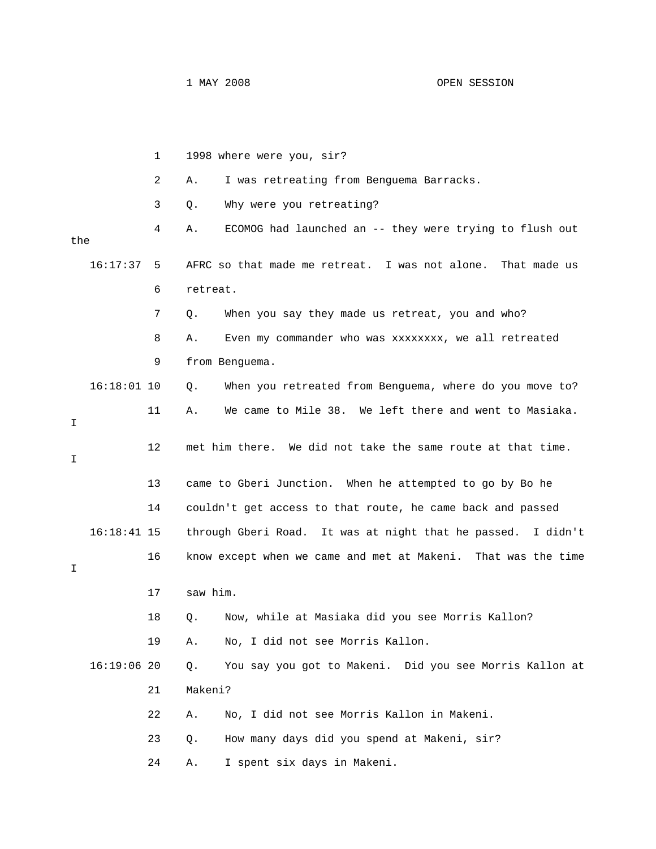|     |               | 1  | 1998 where were you, sir?                                      |
|-----|---------------|----|----------------------------------------------------------------|
|     |               | 2  | I was retreating from Benguema Barracks.<br>Α.                 |
|     |               | 3  | Why were you retreating?<br>Q.                                 |
| the |               | 4  | ECOMOG had launched an -- they were trying to flush out<br>Α.  |
|     | 16:17:37      | 5  | AFRC so that made me retreat. I was not alone.<br>That made us |
|     |               | 6  | retreat.                                                       |
|     |               | 7  | When you say they made us retreat, you and who?<br>Q.          |
|     |               | 8  | Even my commander who was xxxxxxxx, we all retreated<br>Α.     |
|     |               | 9  | from Benguema.                                                 |
|     | $16:18:01$ 10 |    | When you retreated from Benguema, where do you move to?<br>Q.  |
| I   |               | 11 | We came to Mile 38. We left there and went to Masiaka.<br>Α.   |
| Ι   |               | 12 | met him there. We did not take the same route at that time.    |
|     |               | 13 | came to Gberi Junction. When he attempted to go by Bo he       |
|     |               | 14 | couldn't get access to that route, he came back and passed     |
|     | $16:18:41$ 15 |    | through Gberi Road. It was at night that he passed. I didn't   |
| I   |               | 16 | know except when we came and met at Makeni. That was the time  |
|     |               | 17 | saw him.                                                       |
|     |               | 18 | Now, while at Masiaka did you see Morris Kallon?<br>Q.         |
|     |               | 19 | No, I did not see Morris Kallon.<br>Α.                         |
|     | $16:19:06$ 20 |    | You say you got to Makeni. Did you see Morris Kallon at<br>Q.  |
|     |               | 21 | Makeni?                                                        |
|     |               | 22 | No, I did not see Morris Kallon in Makeni.<br>Α.               |
|     |               | 23 | How many days did you spend at Makeni, sir?<br>Q.              |
|     |               | 24 | I spent six days in Makeni.<br>Α.                              |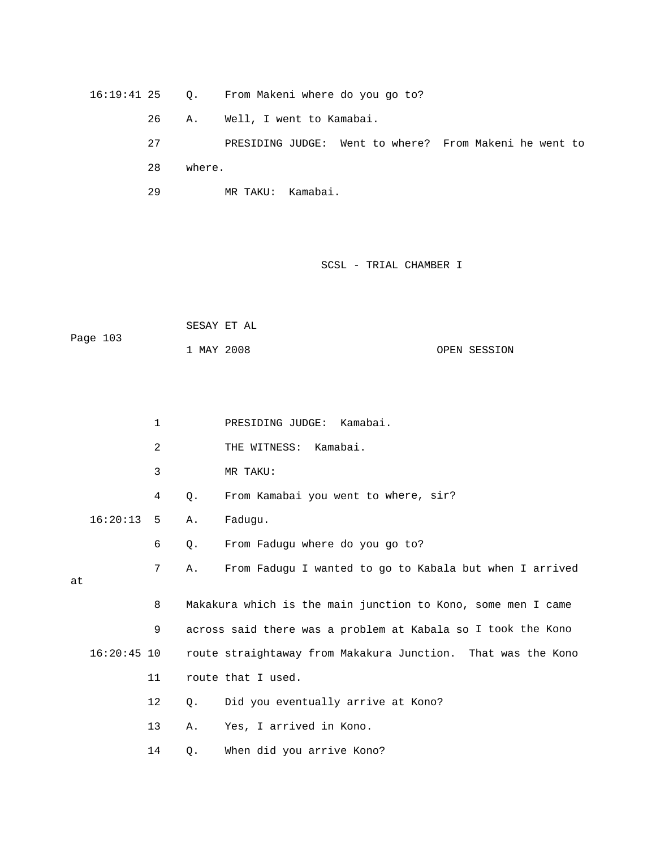16:19:41 25 Q. From Makeni where do you go to? 27 PRESIDING JUDGE: Went to where? From Makeni he went to 29 MR TAKU: Kamabai. 26 A. Well, I went to Kamabai. 28 where.

SCSL - TRIAL CHAMBER I

 SESAY ET AL OPEN SESSION Page 103 1 MAY 20

|    |               | $\mathbf{1}$ |       | PRESIDING JUDGE: Kamabai.                                    |
|----|---------------|--------------|-------|--------------------------------------------------------------|
|    |               | 2            |       | THE WITNESS: Kamabai.                                        |
|    |               | 3            |       | MR TAKU:                                                     |
|    |               | 4            | $Q$ . | From Kamabai you went to where, sir?                         |
|    | $16:20:13$ 5  |              | Α.    | Faduqu.                                                      |
|    |               | 6            | $Q$ . | From Fadugu where do you go to?                              |
| at |               | 7            | Α.    | From Fadugu I wanted to go to Kabala but when I arrived      |
|    |               | 8            |       | Makakura which is the main junction to Kono, some men I came |
|    |               | 9            |       | across said there was a problem at Kabala so I took the Kono |
|    | $16:20:45$ 10 |              |       | route straightaway from Makakura Junction. That was the Kono |
|    |               | 11           |       | route that I used.                                           |
|    |               | 12           | 0.    | Did you eventually arrive at Kono?                           |
|    |               | 13           | Α.    | Yes, I arrived in Kono.                                      |
|    |               | 14           | Q.    | When did you arrive Kono?                                    |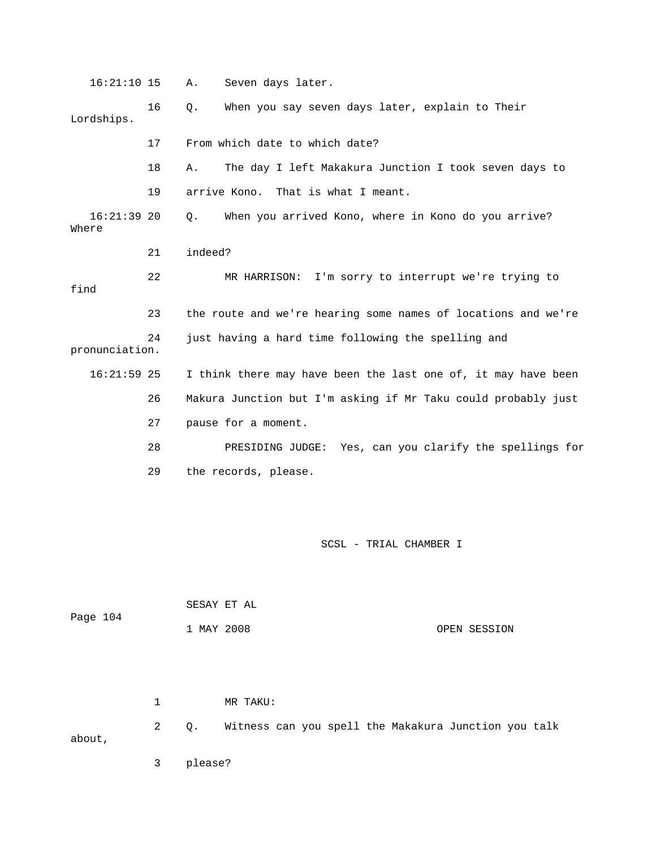| $16:21:10$ 15          |    | Seven days later.<br>Α.                                       |
|------------------------|----|---------------------------------------------------------------|
| Lordships.             | 16 | When you say seven days later, explain to Their<br>$Q$ .      |
|                        | 17 | From which date to which date?                                |
|                        | 18 | The day I left Makakura Junction I took seven days to<br>Α.   |
|                        | 19 | That is what I meant.<br>arrive Kono.                         |
| $16:21:39$ 20<br>Where |    | When you arrived Kono, where in Kono do you arrive?<br>Ο.     |
|                        | 21 | indeed?                                                       |
| find                   | 22 | I'm sorry to interrupt we're trying to<br>MR HARRISON:        |
|                        | 23 | the route and we're hearing some names of locations and we're |
| pronunciation.         | 24 | just having a hard time following the spelling and            |
| $16:21:59$ 25          |    | I think there may have been the last one of, it may have been |
|                        | 26 | Makura Junction but I'm asking if Mr Taku could probably just |
|                        | 27 | pause for a moment.                                           |
|                        | 28 | PRESIDING JUDGE: Yes, can you clarify the spellings for       |
|                        | 29 | the records, please.                                          |
|                        |    |                                                               |

| Page 104 |              |            | SESAY ET AL                                          |  |
|----------|--------------|------------|------------------------------------------------------|--|
|          |              | 1 MAY 2008 | OPEN SESSION                                         |  |
|          |              |            |                                                      |  |
|          | $\mathbf{1}$ |            | MR TAKU:                                             |  |
| about,   | 2            | Q.         | Witness can you spell the Makakura Junction you talk |  |

3 please?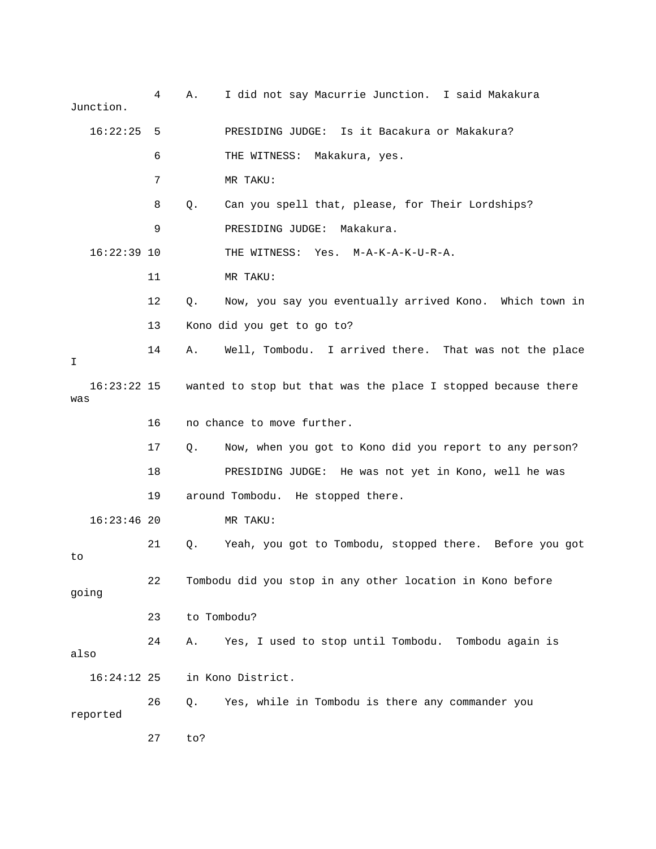| Junction.            | 4  | Α.          | I did not say Macurrie Junction. I said Makakura              |
|----------------------|----|-------------|---------------------------------------------------------------|
| $16:22:25$ 5         |    |             | PRESIDING JUDGE: Is it Bacakura or Makakura?                  |
|                      | 6  |             | THE WITNESS: Makakura, yes.                                   |
|                      | 7  |             | MR TAKU:                                                      |
|                      | 8  | Q.          | Can you spell that, please, for Their Lordships?              |
|                      | 9  |             | PRESIDING JUDGE: Makakura.                                    |
| $16:22:39$ 10        |    |             | THE WITNESS: Yes. M-A-K-A-K-U-R-A.                            |
|                      | 11 |             | MR TAKU:                                                      |
|                      | 12 | Q.          | Now, you say you eventually arrived Kono. Which town in       |
|                      | 13 |             | Kono did you get to go to?                                    |
| I.                   | 14 | Α.          | Well, Tombodu. I arrived there. That was not the place        |
| $16:23:22$ 15<br>was |    |             | wanted to stop but that was the place I stopped because there |
|                      | 16 |             | no chance to move further.                                    |
|                      | 17 | $Q_{\star}$ | Now, when you got to Kono did you report to any person?       |
|                      | 18 |             | PRESIDING JUDGE: He was not yet in Kono, well he was          |
|                      | 19 |             | around Tombodu. He stopped there.                             |
| $16:23:46$ 20        |    |             | MR TAKU:                                                      |
| to                   | 21 | Q.          | Yeah, you got to Tombodu, stopped there. Before you got       |
| going                | 22 |             | Tombodu did you stop in any other location in Kono before     |
|                      | 23 |             | to Tombodu?                                                   |
| also                 | 24 | Α.          | Yes, I used to stop until Tombodu.<br>Tombodu again is        |
| 16:24:12 25          |    |             | in Kono District.                                             |
| reported             | 26 | Q.          | Yes, while in Tombodu is there any commander you              |
|                      | 27 | to?         |                                                               |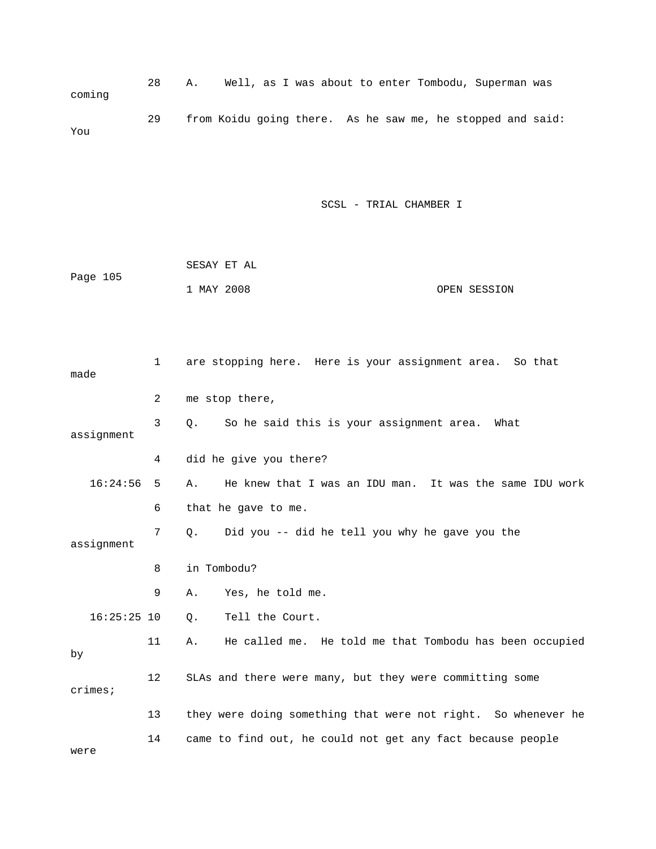28 A. Well, as I was about to enter Tombodu, Superman was coming 29 from Koidu going there. As he saw me, he stopped and said: You

|          | SESAY ET AL |  |              |
|----------|-------------|--|--------------|
| Page 105 |             |  |              |
|          | 1 MAY 2008  |  | OPEN SESSION |

| made          | 1  | are stopping here. Here is your assignment area. So that      |
|---------------|----|---------------------------------------------------------------|
|               | 2  | me stop there,                                                |
| assignment    | 3  | So he said this is your assignment area.<br>0.<br>What        |
|               | 4  | did he give you there?                                        |
| 16:24:56      | 5  | He knew that I was an IDU man. It was the same IDU work<br>Α. |
|               | 6  | that he gave to me.                                           |
| assignment    | 7  | Did you -- did he tell you why he gave you the<br>О.          |
|               | 8  | in Tombodu?                                                   |
|               | 9  | Yes, he told me.<br>Α.                                        |
| $16:25:25$ 10 |    | Tell the Court.<br>$\circ$ .                                  |
| by            | 11 | He called me. He told me that Tombodu has been occupied<br>Α. |
| crimes;       | 12 | SLAs and there were many, but they were committing some       |
|               | 13 | they were doing something that were not right. So whenever he |
| were          | 14 | came to find out, he could not get any fact because people    |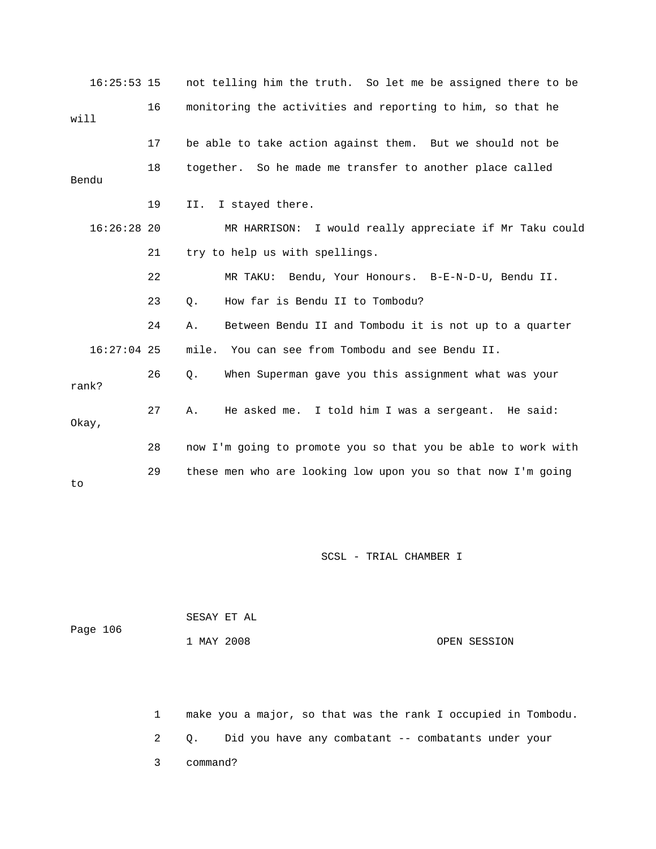| $16:25:53$ 15 |    | not telling him the truth. So let me be assigned there to be  |
|---------------|----|---------------------------------------------------------------|
| will          | 16 | monitoring the activities and reporting to him, so that he    |
|               | 17 | be able to take action against them. But we should not be     |
| Bendu         | 18 | together. So he made me transfer to another place called      |
|               | 19 | II.<br>I stayed there.                                        |
| $16:26:28$ 20 |    | MR HARRISON: I would really appreciate if Mr Taku could       |
|               | 21 | try to help us with spellings.                                |
|               | 22 | MR TAKU: Bendu, Your Honours. B-E-N-D-U, Bendu II.            |
|               | 23 | How far is Bendu II to Tombodu?<br>$\circ$ .                  |
|               | 24 | Between Bendu II and Tombodu it is not up to a quarter<br>Α.  |
| $16:27:04$ 25 |    | mile. You can see from Tombodu and see Bendu II.              |
| rank?         | 26 | When Superman gave you this assignment what was your<br>Q.    |
| Okay,         | 27 | He asked me. I told him I was a sergeant. He said:<br>Α.      |
|               | 28 | now I'm going to promote you so that you be able to work with |
| to            | 29 | these men who are looking low upon you so that now I'm going  |

| Page 106 | SESAY ET AL |              |
|----------|-------------|--------------|
|          | 1 MAY 2008  | OPEN SESSION |

 2 Q. Did you have any combatant -- combatants under your 3 command? 1 make you a major, so that was the rank I occupied in Tombodu.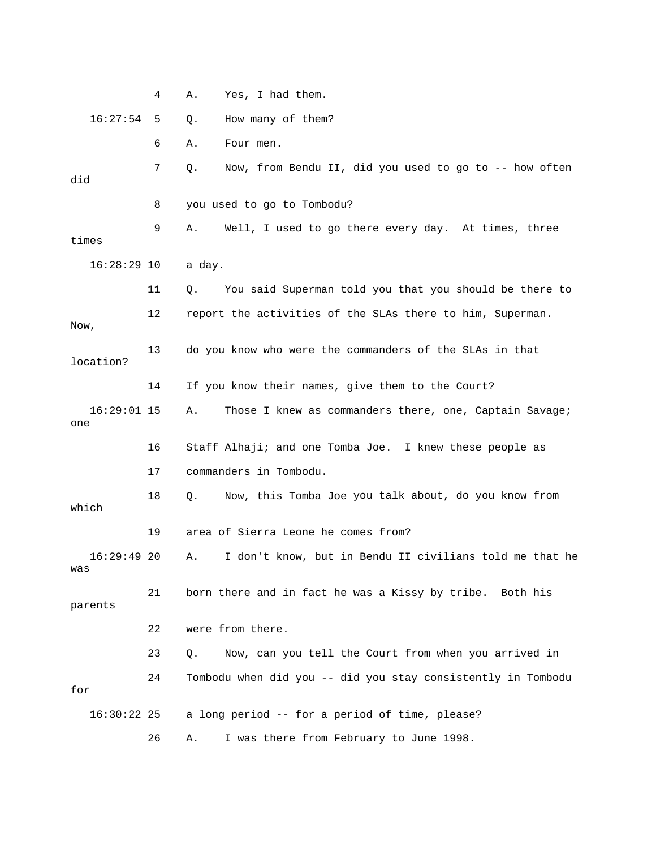4 A. Yes, I had them. 16:27:54 5 Q. How many of them? 6 A. Four men. 7 Q. Now, from Bendu II, did you used to go to -- how often did 8 you used to go to Tombodu? 9 A. Well, I used to go there every day. At times, three 16:28:29 10 a day. 11 Q. You said Superman told you that you should be there to 12 report the activities of the SLAs there to him, Superman. 13 do you know who were the commanders of the SLAs in that location? 16:29:01 15 A. Those I knew as commanders there, one, Captain Savage; 16 Staff Alhaji; and one Tomba Joe. I knew these people as 18 Q. Now, this Tomba Joe you talk about, do you know from which 19 area of Sierra Leone he comes from? A. I don't know, but in Bendu II civilians told me that he 21 born there and in fact he was a Kissy by tribe. Both his 22 were from there. 23 Q. Now, can you tell the Court from when you arrived in a long period -- for a period of time, please? 26 A. I was there from February to June 1998. times Now, 14 If you know their names, give them to the Court? one 17 commanders in Tombodu.  $16:29:49$  20 was parents 24 Tombodu when did you -- did you stay consistently in Tombodu for  $16:30:22$  25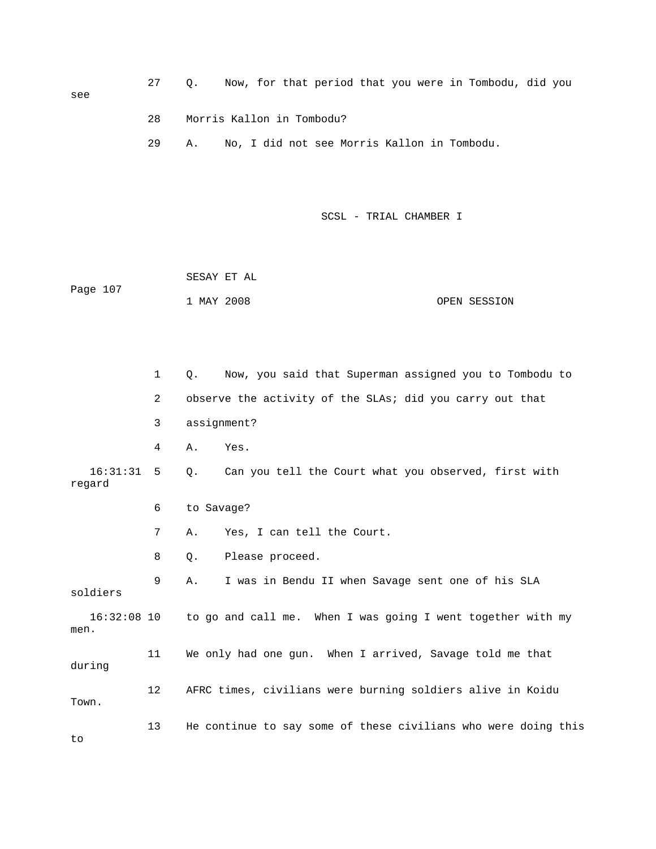27 Q. Now, for that period that you were in Tombodu, did you 28 Morris Kallon in Tombodu? 29 A. No, I did not see Morris Kallon in Tombodu. SCSL - TRIAL CHAMBER I 1 MAY 2008 OPEN SESSION 2 observe the activity of the SLAs; did you carry out that 4 A. Yes. Q. Can you tell the Court what you observed, first with regard 6 to Savage? 8 Q. Please proceed. 9 A. I was in Bendu II when Savage sent one of his SLA 16:32:08 10 to go and call me. When I was going I went together with my men. 12 AFRC times, civilians were burning soldiers alive in Koidu Town. 13 He continue to say some of these civilians who were doing this see SESAY ET AL Page 107 1 Q. Now, you said that Superman assigned you to Tombodu to 3 assignment?  $16:31:31 5$  7 A. Yes, I can tell the Court. soldiers 11 We only had one gun. When I arrived, Savage told me that during to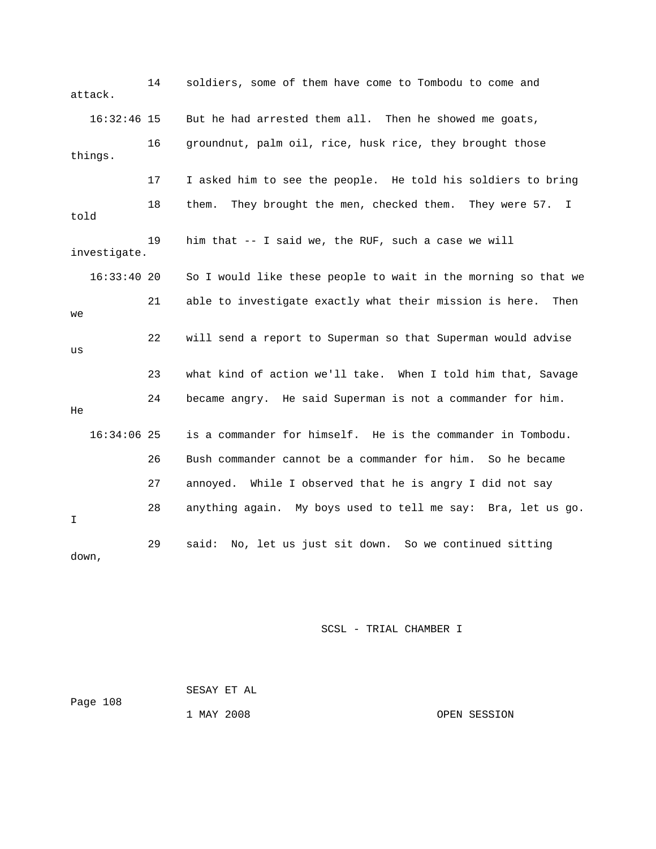14 soldiers, some of them have come to Tombodu to come and attack. 16:32:46 15 But he had arrested them all. Then he showed me goats, 16 groundnut, palm oil, rice, husk rice, they brought those 17 I asked him to see the people. He told his soldiers to bring 18 them. They brought the men, checked them. They were 57. I 19 him that -- I said we, the RUF, such a case we will investigate. So I would like these people to wait in the morning so that we e 22 will send a report to Superman so that Superman would advis e 23 what kind of action we'll take. When I told him that, Savag 24 became angry. He said Superman is not a commander for him. 16:34:06 25 is a commander for himself. He is the commander in Tombodu. 26 Bush commander cannot be a commander for him. So he became 28 anything again. My boys used to tell me say: Bra, let us go. down, things. told 16:33:4 21 able to investigate exactly what their mission is here. Then we us He 27 annoyed. While I observed that he is angry I did not say I 29 said: No, let us just sit down. So we continued sitting

SCSL - TRIAL CHAMBER I

 SESAY ET AL Page 108 1 MAY 2008 OPEN SESSION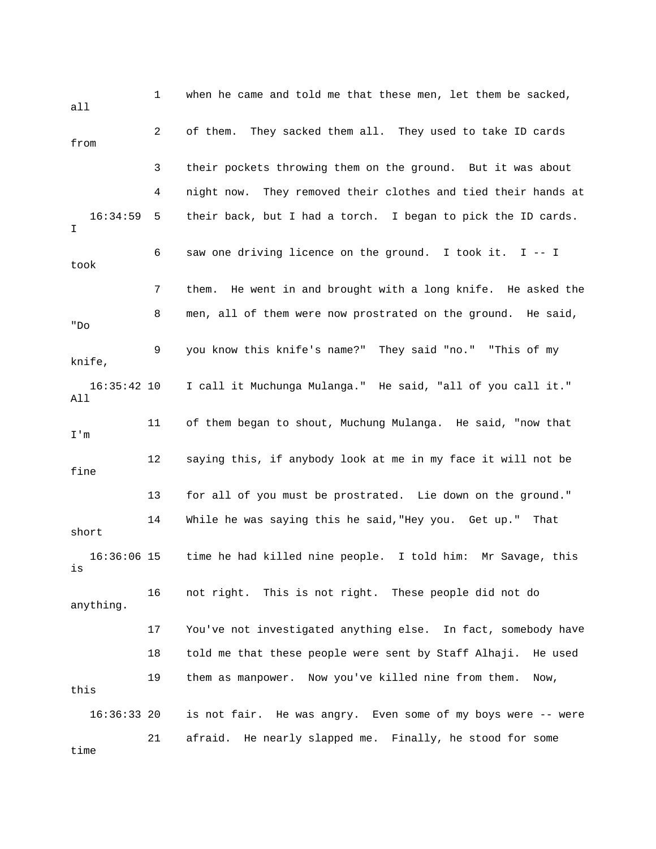1 when he came and told me that these men, let them be sacked, all 3 their pockets throwing them on the ground. But it was about 16:34:59 5 their back, but I had a torch. I began to pick the ID cards. 6 saw one driving licence on the ground. I took it. I -- I took 7 them. He went in and brought with a long knife. He asked the 8 men, all of them were now prostrated on the ground. He said, o "D 9 you know this knife's name?" They said "no." "This of my knife, 16:35:42 10 I call it Muchunga Mulanga." He said, "all of you call it." 11 of them began to shout, Muchung Mulanga. He said, "now that m I' 12 saying this, if anybody look at me in my face it will not be 13 for all of you must be prostrated. Lie down on the ground." 14 While he was saying this he said,"Hey you. Get up." That 16:36:06 15 time he had killed nine people. I told him: Mr Savage, this 17 You've not investigated anything else. In fact, somebody have 18 told me that these people were sent by Staff Alhaji. He used is not fair. He was angry. Even some of my boys were -- were 21 afraid. He nearly slapped me. Finally, he stood for some 2 of them. They sacked them all. They used to take ID cards from 4 night now. They removed their clothes and tied their hands at I All fine short is 16 not right. This is not right. These people did not do anything. 19 them as manpower. Now you've killed nine from them. Now, this  $16:36:33$  20 time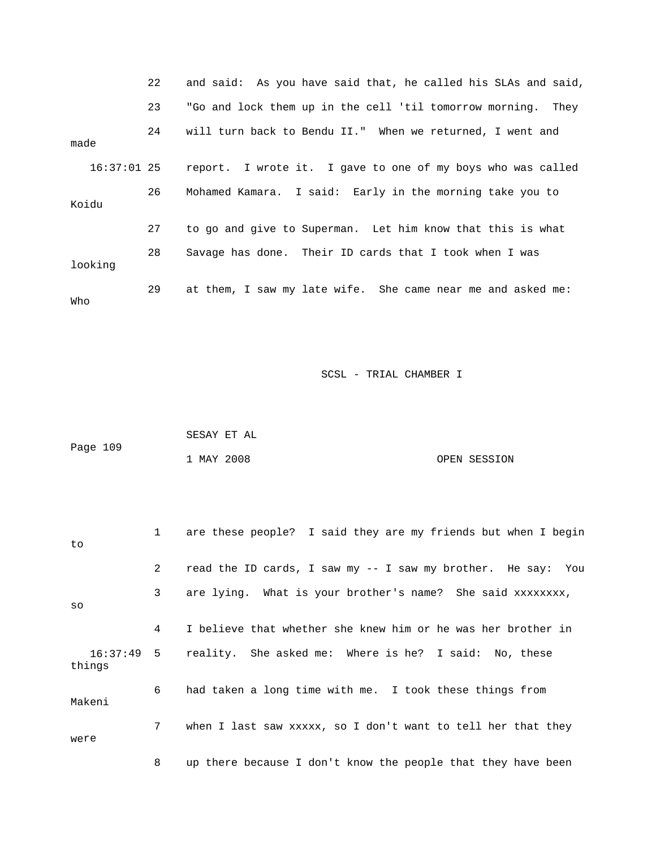|         | 22          | and said: As you have said that, he called his SLAs and said, |
|---------|-------------|---------------------------------------------------------------|
|         | 23          | "Go and lock them up in the cell 'til tomorrow morning. They  |
| made    | 24          | will turn back to Bendu II." When we returned, I went and     |
|         | 16:37:01 25 | report. I wrote it. I gave to one of my boys who was called   |
| Koidu   | 26          | Mohamed Kamara. I said: Early in the morning take you to      |
|         | 27          | to go and give to Superman. Let him know that this is what    |
| looking | 28          | Savage has done. Their ID cards that I took when I was        |
| Who     | 29          | at them, I saw my late wife. She came near me and asked me:   |

|          | SESAY ET AL |  |              |
|----------|-------------|--|--------------|
| Page 109 |             |  |              |
|          | 1 MAY 2008  |  | OPEN SESSION |

| to     | $\mathbf{1}$   | are these people? I said they are my friends but when I begin    |
|--------|----------------|------------------------------------------------------------------|
|        | $\overline{2}$ | read the ID cards, I saw my -- I saw my brother. He say: You     |
| SO     | 3              | are lying. What is your brother's name? She said xxxxxxxx,       |
|        | 4              | I believe that whether she knew him or he was her brother in     |
| things |                | 16:37:49 5 reality. She asked me: Where is he? I said: No, these |
| Makeni | 6              | had taken a long time with me. I took these things from          |
| were   | 7              | when I last saw xxxxx, so I don't want to tell her that they     |
|        | 8              | up there because I don't know the people that they have been     |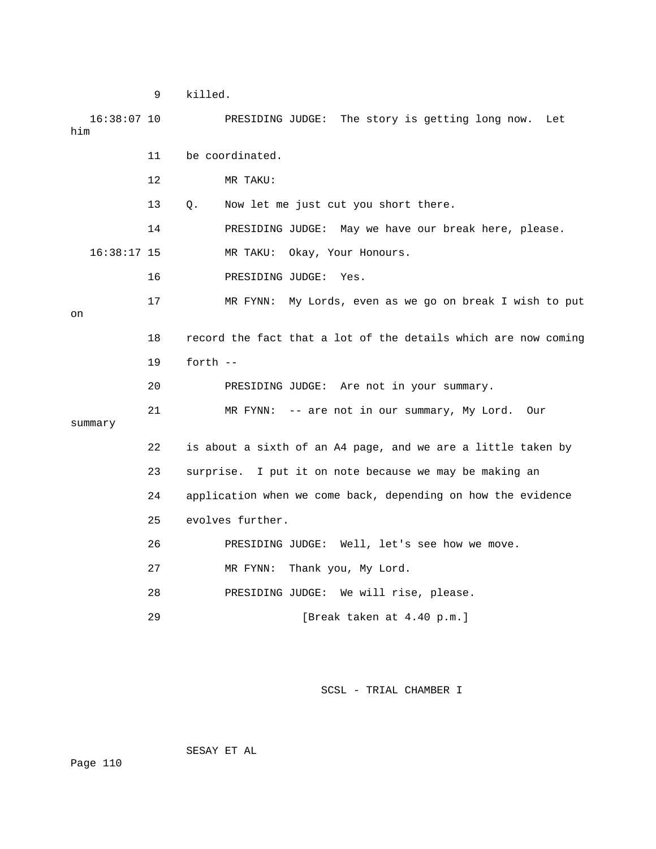9 killed.

 16:38:07 10 PRESIDING JUDGE: The story is getting long now. Let 11 be coordinated. 12 MR TAKU: 13 Q. Now let me just cut you short there. 14 PRESIDING JUDGE: May we have our break here, please. MR TAKU: Okay, Your Honours. 21 MR FYNN: -- are not in our summary, My Lord. Our 22 is about a sixth of an A4 page, and we are a little taken by 24 application when we come back, depending on how the evidence 26 PRESIDING JUDGE: Well, let's see how we move. 27 MR FYNN: Thank you, My Lord. 28 PRESIDING JUDGE: We will rise, please. 29 [Break taken at 4.40 p.m.] him  $16:38:17$  15 16 PRESIDING JUDGE: Yes. 17 MR FYNN: My Lords, even as we go on break I wish to put on 18 record the fact that a lot of the details which are now coming 19 forth -- 20 PRESIDING JUDGE: Are not in your summary. summary 23 surprise. I put it on note because we may be making an 25 evolves further.

SCSL - TRIAL CHAMBER I

SESAY ET AL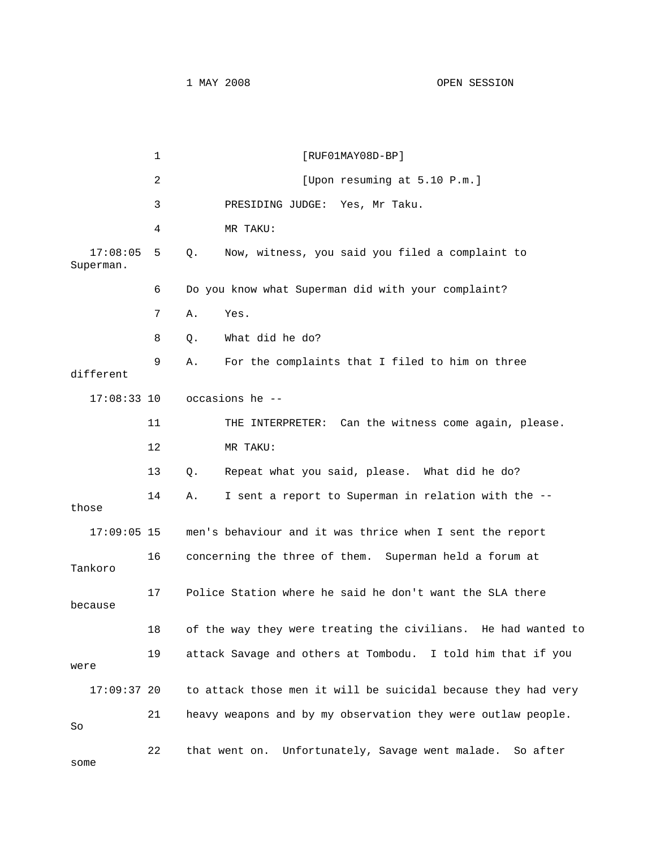Superman. 6 Do you know what Superman did with your complaint? 8 Q. What did he do? 9 A. For the complaints that I filed to him on three different 11 THE INTERPRETER: Can the witness come again, please. 12 MR TAKU: 13 Q. Repeat what you said, please. What did he do? 14 A. I sent a report to Superman in relation with the -those 17:09:05 15 men's behaviour and it was thrice when I sent the report 16 concerning the three of them. Superman held a forum at 17 Police Station where he said he don't want the SLA there 18 of the way they were treating the civilians. He had wanted to 19 attack Savage and others at Tombodu. I told him that if you 17:09:37 20 to attack those men it will be suicidal because they had very 21 heavy weapons and by my observation they were outlaw people. 22 that went on. Unfortunately, Savage went malade. So after some 1 **I RUF01MAY08D-BP** 2 [Upon resuming at 5.10 P.m.] 3 PRESIDING JUDGE: Yes, Mr Taku. 4 MR TAKU: 17:08:05 5 Q. Now, witness, you said you filed a complaint to 7 A. Yes. 17:08:33 10 occasions he -- Tankoro because were So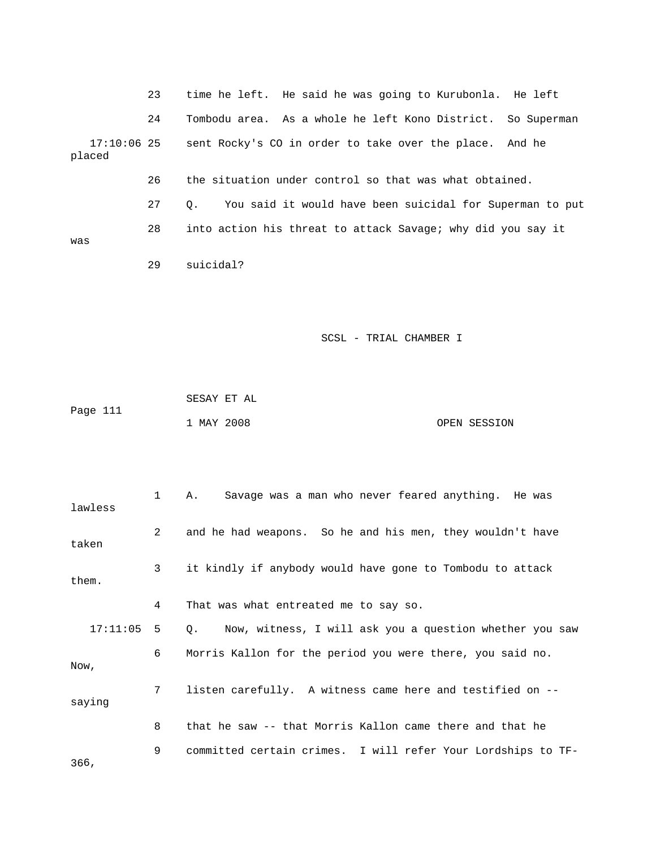|                         | 23 | time he left. He said he was going to Kurubonla. He left              |
|-------------------------|----|-----------------------------------------------------------------------|
|                         | 24 | Tombodu area. As a whole he left Kono District. So Superman           |
| $17:10:06$ 25<br>placed |    | sent Rocky's CO in order to take over the place. And he               |
|                         | 26 | the situation under control so that was what obtained.                |
|                         | 27 | You said it would have been suicidal for Superman to put<br>$\circ$ . |
| was                     | 28 | into action his threat to attack Savage; why did you say it           |
|                         |    |                                                                       |
|                         | 29 | suicidal?                                                             |

|          | SESAY ET AL |              |
|----------|-------------|--------------|
| Page 111 |             |              |
|          | 1 MAY 2008  | OPEN SESSION |

| lawless      | $1 \quad$    | A. Savage was a man who never feared anything. He was        |
|--------------|--------------|--------------------------------------------------------------|
| taken        | $\mathbf{2}$ | and he had weapons. So he and his men, they wouldn't have    |
| them.        | $\mathbf{3}$ | it kindly if anybody would have gone to Tombodu to attack    |
|              | 4            | That was what entreated me to say so.                        |
| $17:11:05$ 5 |              | Q. Now, witness, I will ask you a question whether you saw   |
| Now,         | 6            | Morris Kallon for the period you were there, you said no.    |
| saying       | 7            | listen carefully. A witness came here and testified on --    |
|              | 8            | that he saw -- that Morris Kallon came there and that he     |
| 366,         | 9            | committed certain crimes. I will refer Your Lordships to TF- |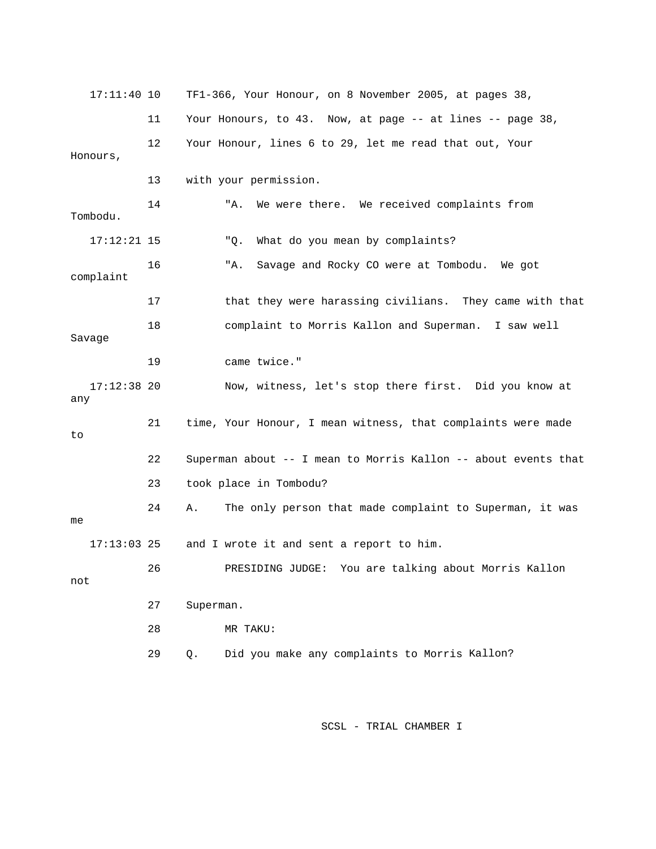| $17:11:40$ 10        |    | TF1-366, Your Honour, on 8 November 2005, at pages 38,            |
|----------------------|----|-------------------------------------------------------------------|
|                      | 11 | Your Honours, to $43$ . Now, at page $-$ at lines $-$ page $38$ , |
| Honours,             | 12 | Your Honour, lines 6 to 29, let me read that out, Your            |
|                      | 13 | with your permission.                                             |
| Tombodu.             | 14 | We were there. We received complaints from<br>"A.                 |
| $17:12:21$ 15        |    | What do you mean by complaints?<br>"Q.                            |
| complaint            | 16 | Savage and Rocky CO were at Tombodu.<br>"A.<br>We got             |
|                      | 17 | that they were harassing civilians. They came with that           |
| Savage               | 18 | complaint to Morris Kallon and Superman. I saw well               |
|                      | 19 | came twice."                                                      |
| $17:12:38$ 20<br>any |    | Now, witness, let's stop there first. Did you know at             |
| to                   | 21 | time, Your Honour, I mean witness, that complaints were made      |
|                      | 22 | Superman about -- I mean to Morris Kallon -- about events that    |
|                      | 23 | took place in Tombodu?                                            |
| me                   | 24 | The only person that made complaint to Superman, it was<br>Α.     |
| $17:13:03$ 25        |    | and I wrote it and sent a report to him.                          |
| not                  | 26 | PRESIDING JUDGE: You are talking about Morris Kallon              |
|                      | 27 | Superman.                                                         |
|                      | 28 | MR TAKU:                                                          |
|                      | 29 | Did you make any complaints to Morris Kallon?<br>Q.               |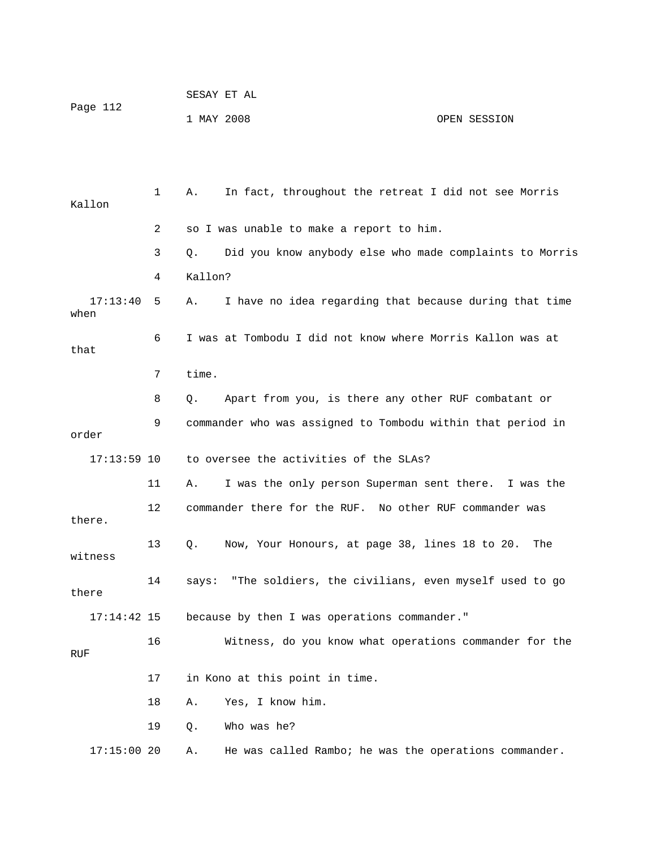|          |            | SESAY ET AL |              |
|----------|------------|-------------|--------------|
| Page 112 |            |             |              |
|          | 1 MAY 2008 |             | OPEN SESSION |

 1 A. In fact, throughout the retreat I did not see Morris 3 Q. Did you know anybody else who made complaints to Morris A. I have no idea regarding that because during that time 6 I was at Tombodu I did not know where Morris Kallon was at 8 Q. Apart from you, is there any other RUF combatant or 9 commander who was assigned to Tombodu within that period in order 11 A. I was the only person Superman sent there. I was the 13 Q. Now, Your Honours, at page 38, lines 18 to 20. The witness 14 says: "The soldiers, the civilians, even myself used to go there because by then I was operations commander." 16 Witness, do you know what operations commander for the RUF 18 A. Yes, I know him. 19 Q. Who was he? Kallon 2 so I was unable to make a report to him. 4 Kallon?  $17:13:40 5$ when that 7 time. 17:13:59 10 to oversee the activities of the SLAs? 12 commander there for the RUF. No other RUF commander was there. 17:14:42 15 17 in Kono at this point in time. 17:15:00 20 A. He was called Rambo; he was the operations commander.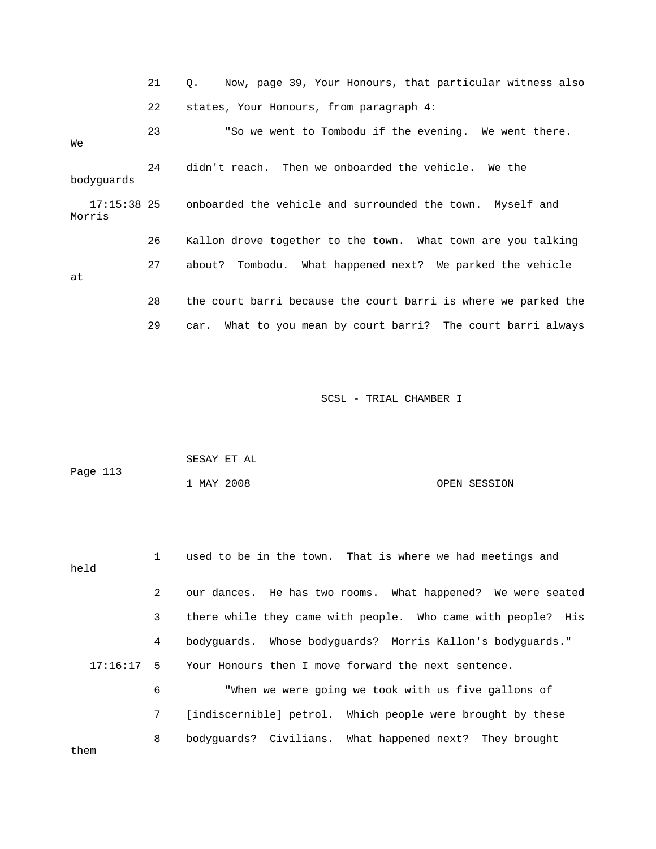|            | 21 | Now, page 39, Your Honours, that particular witness also<br>$\circ$ . |
|------------|----|-----------------------------------------------------------------------|
|            | 22 | states, Your Honours, from paragraph 4:                               |
| We         | 23 | "So we went to Tombodu if the evening. We went there.                 |
| bodyquards | 24 | didn't reach. Then we onboarded the vehicle. We the                   |
| Morris     |    | 17:15:38 25 onboarded the vehicle and surrounded the town. Myself and |
|            | 26 | Kallon drove together to the town. What town are you talking          |
| at         | 27 | about? Tombodu. What happened next? We parked the vehicle             |
|            | 28 | the court barri because the court barri is where we parked the        |
|            | 29 | car. What to you mean by court barri? The court barri always          |

| Page 113 | SESAY ET AL |              |
|----------|-------------|--------------|
|          | 1 MAY 2008  | OPEN SESSION |

| held         | $\mathbf{1}$ | used to be in the town. That is where we had meetings and    |
|--------------|--------------|--------------------------------------------------------------|
|              | $\mathbf{2}$ | our dances. He has two rooms. What happened? We were seated  |
|              | $\mathbf{3}$ | there while they came with people. Who came with people? His |
|              | 4            | bodyguards. Whose bodyguards? Morris Kallon's bodyguards."   |
| $17:16:17$ 5 |              | Your Honours then I move forward the next sentence.          |
|              | 6            | "When we were going we took with us five gallons of          |
|              | 7            | [indiscernible] petrol. Which people were brought by these   |
| them         | 8            | bodyguards? Civilians. What happened next? They brought      |
|              |              |                                                              |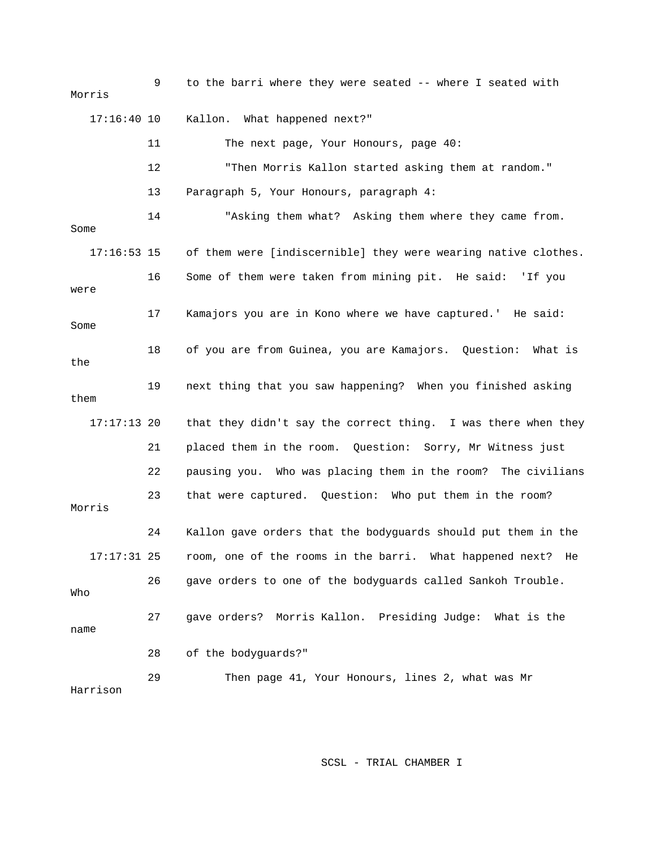9 to the barri where they were seated -- where I seated with Morris 11 The next page, Your Honours, page 40: 13 Paragraph 5, Your Honours, paragraph 4: 14 "Asking them what? Asking them where they came from. Some 17:16:53 15 of them were [indiscernible] they were wearing native clothes. Some 19 next thing that you saw happening? When you finished asking them 17:17:13 20 that they didn't say the correct thing. I was there when they 22 pausing you. Who was placing them in the room? The civilians 23 that were captured. Question: Who put them in the room? 24 Kallon gave orders that the bodyguards should put them in the 17:17:31 25 room, one of the rooms in the barri. What happened next? He 26 gave orders to one of the bodyguards called Sankoh Trouble. 27 gave orders? Morris Kallon. Presiding Judge: What is the name 28 of the bodyguards?" Harrison 17:16:40 10 Kallon. What happened next?" 12 "Then Morris Kallon started asking them at random." 16 Some of them were taken from mining pit. He said: 'If you were 17 Kamajors you are in Kono where we have captured.' He said: 18 of you are from Guinea, you are Kamajors. Question: What is the 21 placed them in the room. Question: Sorry, Mr Witness just Morris Who 29 Then page 41, Your Honours, lines 2, what was Mr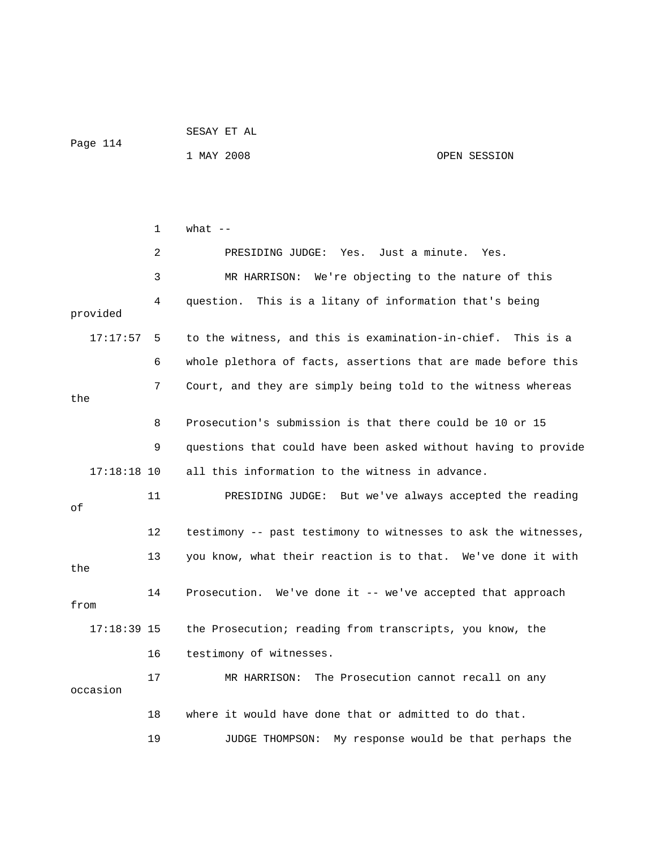|          | SESAY ET AL |  |  |
|----------|-------------|--|--|
| Page 114 |             |  |  |

1 MAY 2008 OPEN SESSION

 2 PRESIDING JUDGE: Yes. Just a minute. Yes. 4 question. This is a litany of information that's being 17:17:57 5 to the witness, and this is examination-in-chief. This is a 6 whole plethora of facts, assertions that are made before this 7 Court, and they are simply being told to the witness whereas the 8 Prosecution's submission is that there could be 10 or 15 9 questions that could have been asked without having to provide 17:18:18 10 all this information to the witness in advance. 11 PRESIDING JUDGE: But we've always accepted the reading 12 testimony -- past testimony to witnesses to ask the witnesses, 13 you know, what their reaction is to that. We've done it with 14 Prosecution. We've done it -- we've accepted that approach from 17:18:39 15 the Prosecution; reading from transcripts, you know, the 16 testimony of witnesses. 17 MR HARRISON: The Prosecution cannot recall on any occasion 19 JUDGE THOMPSON: My response would be that perhaps the 1  $what --$  3 MR HARRISON: We're objecting to the nature of this provided of the 18 where it would have done that or admitted to do that.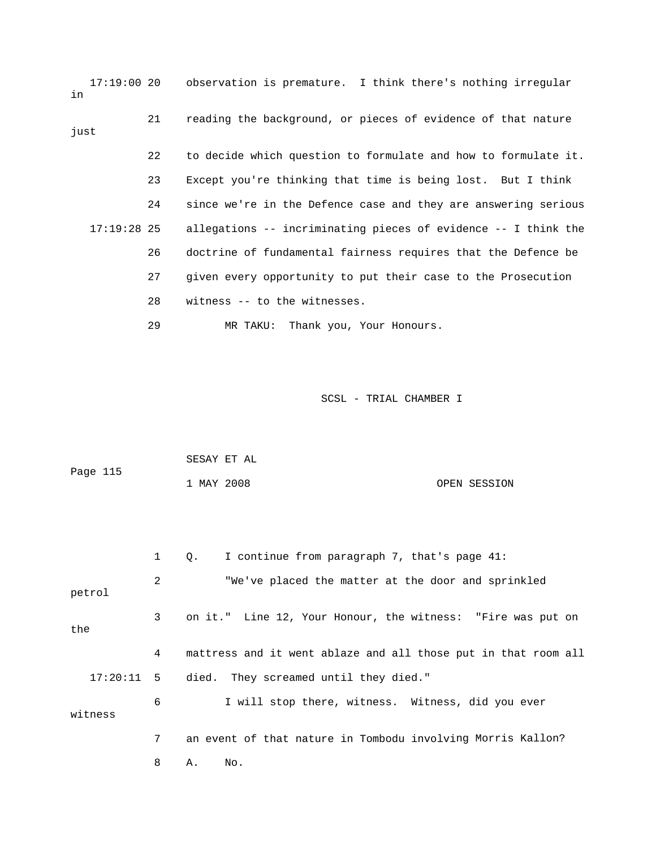17:19:00 20 observation is premature. I think there's nothing irregular 22 to decide which question to formulate and how to formulate it. 24 since we're in the Defence case and they are answering serious 26 doctrine of fundamental fairness requires that the Defence be 28 witness -- to the witnesses. in 21 reading the background, or pieces of evidence of that nature just 23 Except you're thinking that time is being lost. But I think 17:19:28 25 allegations -- incriminating pieces of evidence -- I think the 27 given every opportunity to put their case to the Prosecution 29 MR TAKU: Thank you, Your Honours.

| Page 115 | SESAY ET AL |  |              |
|----------|-------------|--|--------------|
|          | 1 MAY 2008  |  | OPEN SESSION |

|         | $\mathbf{1}$   | I continue from paragraph 7, that's page $41$ :<br>$Q_{\star}$ |
|---------|----------------|----------------------------------------------------------------|
| petrol  | 2              | "We've placed the matter at the door and sprinkled             |
| the     | 3 <sup>7</sup> | on it." Line 12, Your Honour, the witness: "Fire was put on    |
|         | 4              | mattress and it went ablaze and all those put in that room all |
|         |                | 17:20:11 5 died. They screamed until they died."               |
| witness | 6              | I will stop there, witness. Witness, did you ever              |
|         | 7              | an event of that nature in Tombodu involving Morris Kallon?    |
|         | 8              | No.<br>Α.                                                      |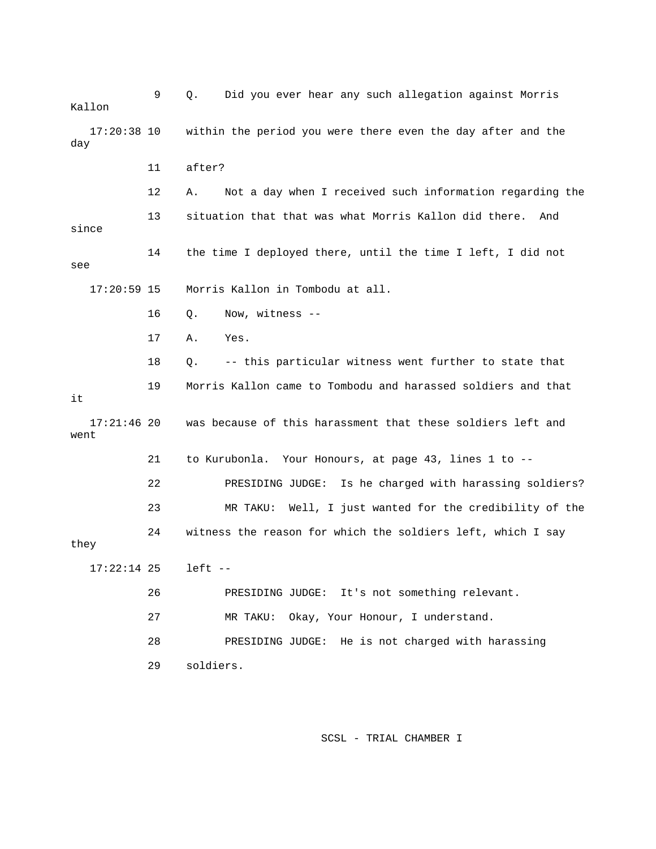9 Q. Did you ever hear any such allegation against Morris Kallon 17:20:38 10 within the period you were there even the day after and the day 12 A. Not a day when I received such information regarding the 13 situation that that was what Morris Kallon did there. And since 14 the time I deployed there, until the time I left, I did not see 17:20:59 15 Morris Kallon in Tombodu at all. 16 Q. Now, witness -- 18 Q. -- this particular witness went further to state that 19 Morris Kallon came to Tombodu and harassed soldiers and that 17:21:46 20 was because of this harassment that these soldiers left and DING JUDGE: Is he charged with harassing soldiers? 22 PRESI 23 MR TAKU: Well, I just wanted for the credibility of the 24 witness the reason for which the soldiers left, which I say 7:22:14 25 left -- 1 26 PRESIDING JUDGE: It's not something relevant. 27 MR TAKU: Okay, Your Honour, I understand. 11 after? 17 A. Yes. it went 21 to Kurubonla. Your Honours, at page 43, lines 1 to - they 28 PRESIDING JUDGE: He is not charged with harassing 29 soldiers.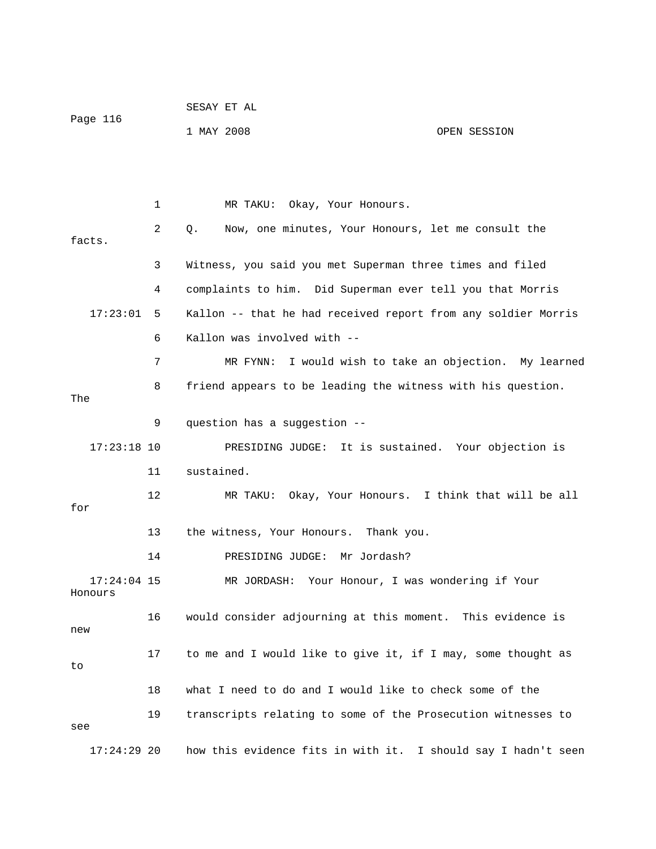| Page 116 | SESAY ET AL |              |
|----------|-------------|--------------|
|          | 1 MAY 2008  | OPEN SESSION |

 1 MR TAKU: Okay, Your Honours. 2 Q. Now, one minutes, Your Honours, let me consult the facts. 3 Witness, you said you met Superman three times and filed 4 complaints to him. Did Superman ever tell you that Morris 17:23:01 5 Kallon -- that he had received report from any soldier Morris 7 MR FYNN: I would wish to take an objection. My learned 8 friend appears to be leading the witness with his question. The 9 question has a suggestion -- 17:23:18 10 PRESIDING JUDGE: It is sustained. Your objection is 11 sustained. 12 MR TAKU: Okay, Your Honours. I think that will be all for 14 PRESIDING JUDGE: Mr Jordash? 17:24:04 15 MR JORDASH: Your Honour, I was wondering if Your Honours 16 would consider adjourning at this moment. This evidence is 17 to me and I would like to give it, if I may, some thought as 6 Kallon was involved with -- 13 the witness, Your Honours. Thank you. new to 18 what I need to do and I would like to check some of the 19 transcripts relating to some of the Prosecution witnesses to see 17:24:29 20 how this evidence fits in with it. I should say I hadn't seen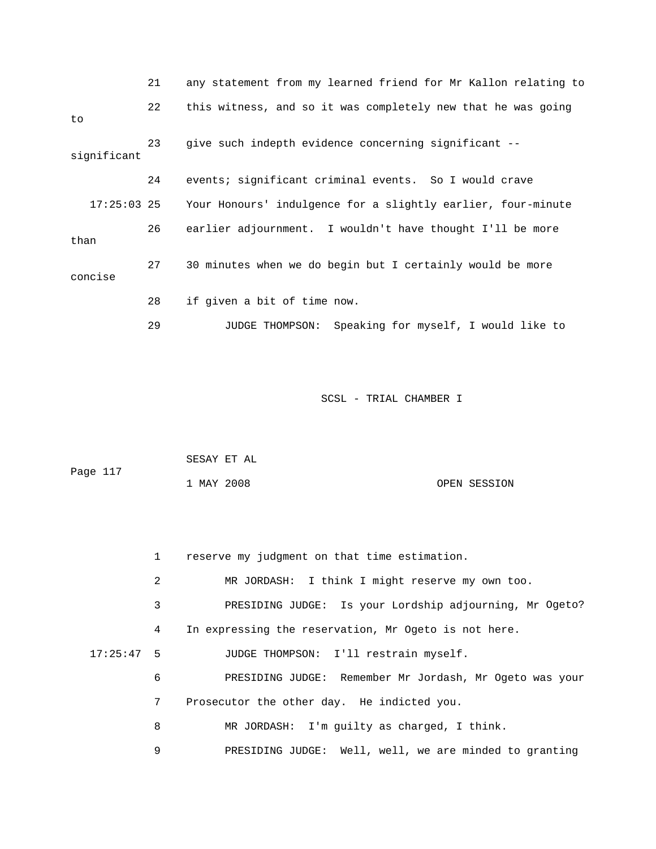|               | 21 | any statement from my learned friend for Mr Kallon relating to |
|---------------|----|----------------------------------------------------------------|
| to            | 22 | this witness, and so it was completely new that he was going   |
| significant   | 23 | give such indepth evidence concerning significant --           |
|               | 24 | events; significant criminal events. So I would crave          |
| $17:25:03$ 25 |    | Your Honours' indulgence for a slightly earlier, four-minute   |
| than          | 26 | earlier adjournment. I wouldn't have thought I'll be more      |
| concise       | 27 | 30 minutes when we do begin but I certainly would be more      |
|               | 28 | if given a bit of time now.                                    |
|               | 29 | Speaking for myself, I would like to<br>JUDGE THOMPSON:        |

| Page 117 |            | SESAY ET AL |              |
|----------|------------|-------------|--------------|
|          | 1 MAY 2008 |             | OPEN SESSION |

|              | $1 \quad$       | reserve my judgment on that time estimation.            |
|--------------|-----------------|---------------------------------------------------------|
|              | 2               | MR JORDASH: I think I might reserve my own too.         |
|              | 3               | PRESIDING JUDGE: Is your Lordship adjourning, Mr Ogeto? |
|              | 4               | In expressing the reservation, Mr Ogeto is not here.    |
| $17:25:47$ 5 |                 | JUDGE THOMPSON: I'll restrain myself.                   |
|              | 6               | PRESIDING JUDGE: Remember Mr Jordash, Mr Ogeto was your |
|              | $7\phantom{.0}$ | Prosecutor the other day. He indicted you.              |
|              | 8               | MR JORDASH: I'm quilty as charged, I think.             |
|              | 9               | PRESIDING JUDGE: Well, well, we are minded to granting  |